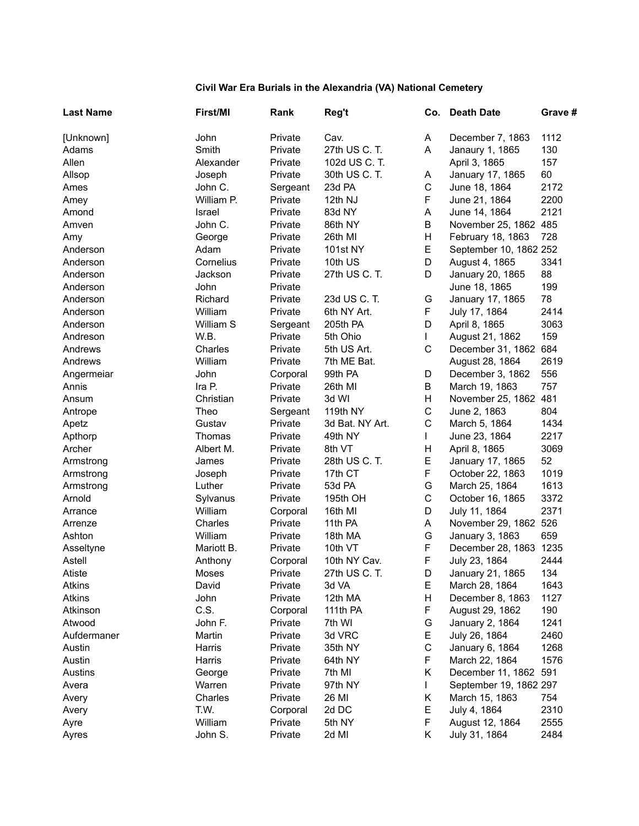## **Civil War Era Burials in the Alexandria (VA) National Cemetery**

| <b>Last Name</b> | First/MI   | Rank     | Reg't           |              | Co. Death Date         | Grave # |
|------------------|------------|----------|-----------------|--------------|------------------------|---------|
| [Unknown]        | John       | Private  | Cav.            | A            | December 7, 1863       | 1112    |
| Adams            | Smith      | Private  | 27th US C. T.   | A            | Janaury 1, 1865        | 130     |
| Allen            | Alexander  | Private  | 102d US C. T.   |              | April 3, 1865          | 157     |
| Allsop           | Joseph     | Private  | 30th US C. T.   | A            | January 17, 1865       | 60      |
| Ames             | John C.    | Sergeant | 23d PA          | $\mathbf C$  | June 18, 1864          | 2172    |
| Amey             | William P. | Private  | 12th NJ         | F            | June 21, 1864          | 2200    |
| Amond            | Israel     | Private  | 83d NY          | Α            | June 14, 1864          | 2121    |
| Amven            | John C.    | Private  | 86th NY         | B            | November 25, 1862 485  |         |
| Amy              | George     | Private  | 26th MI         | H            | February 18, 1863      | 728     |
| Anderson         | Adam       | Private  | <b>101st NY</b> | E            | September 10, 1862 252 |         |
| Anderson         | Cornelius  | Private  | 10th US         | D            | August 4, 1865         | 3341    |
| Anderson         | Jackson    | Private  | 27th US C. T.   | D            | January 20, 1865       | 88      |
| Anderson         | John       | Private  |                 |              | June 18, 1865          | 199     |
| Anderson         | Richard    | Private  | 23d US C. T.    | G            | January 17, 1865       | 78      |
| Anderson         | William    | Private  | 6th NY Art.     | F            | July 17, 1864          | 2414    |
| Anderson         | William S  | Sergeant | 205th PA        | D            | April 8, 1865          | 3063    |
| Andreson         | W.B.       | Private  | 5th Ohio        | $\mathbf{L}$ | August 21, 1862        | 159     |
| Andrews          | Charles    | Private  | 5th US Art.     | $\mathsf{C}$ | December 31, 1862 684  |         |
| Andrews          | William    | Private  | 7th ME Bat.     |              | August 28, 1864        | 2619    |
| Angermeiar       | John       | Corporal | 99th PA         | D            | December 3, 1862       | 556     |
| Annis            | Ira P.     | Private  | 26th MI         | B            | March 19, 1863         | 757     |
| Ansum            | Christian  | Private  | 3d WI           | H            | November 25, 1862 481  |         |
| Antrope          | Theo       | Sergeant | 119th NY        | $\mathsf C$  | June 2, 1863           | 804     |
| Apetz            | Gustav     | Private  | 3d Bat. NY Art. | $\mathsf C$  | March 5, 1864          | 1434    |
| Apthorp          | Thomas     | Private  | 49th NY         | $\mathbf{L}$ | June 23, 1864          | 2217    |
| Archer           | Albert M.  | Private  | 8th VT          | Н            | April 8, 1865          | 3069    |
| Armstrong        | James      | Private  | 28th US C. T.   | E            | January 17, 1865       | 52      |
| Armstrong        | Joseph     | Private  | 17th CT         | F            | October 22, 1863       | 1019    |
| Armstrong        | Luther     | Private  | 53d PA          | G            | March 25, 1864         | 1613    |
| Arnold           | Sylvanus   | Private  | 195th OH        | $\mathbf C$  | October 16, 1865       | 3372    |
| Arrance          | William    | Corporal | 16th MI         | D            | July 11, 1864          | 2371    |
| Arrenze          | Charles    | Private  | 11th PA         | A            | November 29, 1862 526  |         |
| Ashton           | William    | Private  | 18th MA         | G            | January 3, 1863        | 659     |
| Asseltyne        | Mariott B. | Private  | 10th VT         | F            | December 28, 1863 1235 |         |
| Astell           | Anthony    | Corporal | 10th NY Cav.    | F            | July 23, 1864          | 2444    |
| Atiste           | Moses      | Private  | 27th US C. T.   | D            | January 21, 1865       | 134     |
| Atkins           | David      | Private  | 3d VA           | E.           | March 28, 1864         | 1643    |
| Atkins           | John       | Private  | 12th MA         | Н            | December 8, 1863       | 1127    |
| Atkinson         | C.S.       | Corporal | 111th PA        | F            | August 29, 1862        | 190     |
| Atwood           | John F.    | Private  | 7th WI          | G            | January 2, 1864        | 1241    |
| Aufdermaner      | Martin     | Private  | 3d VRC          | E            | July 26, 1864          | 2460    |
| Austin           | Harris     | Private  | 35th NY         | $\mathsf C$  | January 6, 1864        | 1268    |
| Austin           | Harris     | Private  | 64th NY         | F            | March 22, 1864         | 1576    |
| Austins          | George     | Private  | 7th MI          | Κ            | December 11, 1862 591  |         |
| Avera            | Warren     | Private  | 97th NY         |              | September 19, 1862 297 |         |
| Avery            | Charles    | Private  | 26 MI           | Κ            | March 15, 1863         | 754     |
| Avery            | T.W.       | Corporal | 2d DC           | E            | July 4, 1864           | 2310    |
| Ayre             | William    | Private  | 5th NY          | F            | August 12, 1864        | 2555    |
| Ayres            | John S.    | Private  | 2d MI           | K            | July 31, 1864          | 2484    |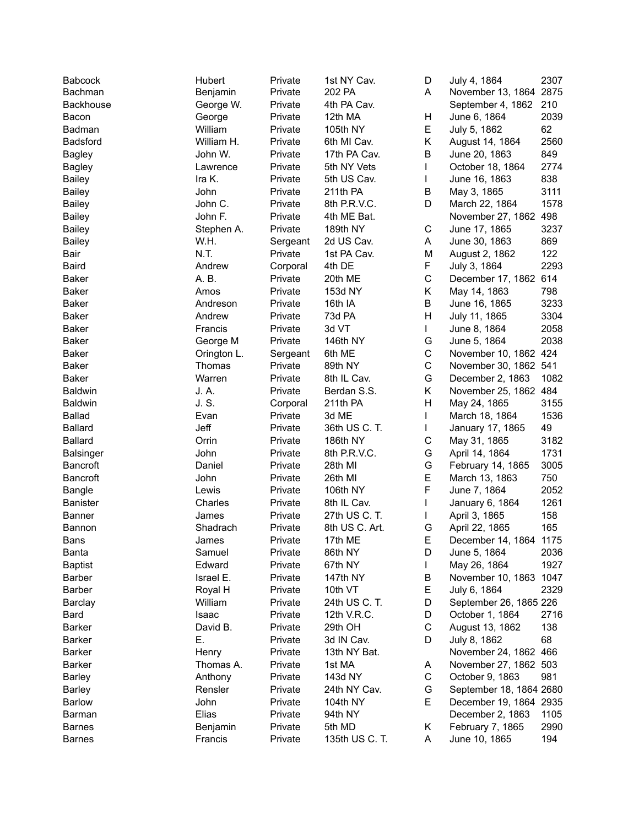| Babcock          | Hubert      | Private             | 1st NY Cav.    | D  | July 4, 1864            | 2307 |
|------------------|-------------|---------------------|----------------|----|-------------------------|------|
| Bachman          | Benjamin    | Private             | 202 PA         | A  | November 13, 1864 2875  |      |
| Backhouse        | George W.   | Private             | 4th PA Cav.    |    | September 4, 1862       | 210  |
| Bacon            | George      | Private             | 12th MA        | Н  | June 6, 1864            | 2039 |
| Badman           | William     | Private             | 105th NY       | E  | July 5, 1862            | 62   |
| <b>Badsford</b>  | William H.  | Private             | 6th MI Cav.    | Κ  | August 14, 1864         | 2560 |
| <b>Bagley</b>    | John W.     | Private             | 17th PA Cav.   | B  | June 20, 1863           | 849  |
| <b>Bagley</b>    | Lawrence    | Private             | 5th NY Vets    | L  | October 18, 1864        | 2774 |
| Bailey           | Ira K.      | Private             | 5th US Cav.    | L  | June 16, 1863           | 838  |
| <b>Bailey</b>    | John        | Private             | 211th PA       | В  | May 3, 1865             | 3111 |
| <b>Bailey</b>    | John C.     | Private             | 8th P.R.V.C.   | D  | March 22, 1864          | 1578 |
| <b>Bailey</b>    | John F.     | Private             | 4th ME Bat.    |    | November 27, 1862 498   |      |
| <b>Bailey</b>    | Stephen A.  | Private             | 189th NY       | С  | June 17, 1865           | 3237 |
| <b>Bailey</b>    | W.H.        | Sergeant            | 2d US Cav.     | Α  | June 30, 1863           | 869  |
| Bair             | N.T.        | Private             | 1st PA Cav.    | M  | August 2, 1862          | 122  |
| Baird            | Andrew      | Corporal            | 4th DE         | F  | July 3, 1864            | 2293 |
| <b>Baker</b>     | A. B.       | Private             | 20th ME        | C  | December 17, 1862 614   |      |
| <b>Baker</b>     | Amos        | Private             | 153d NY        | K. | May 14, 1863            | 798  |
| <b>Baker</b>     | Andreson    | Private             | 16th IA        | B  | June 16, 1865           | 3233 |
| <b>Baker</b>     | Andrew      | Private             | 73d PA         | H  | July 11, 1865           | 3304 |
| Baker            | Francis     | Private             | 3d VT          | L  | June 8, 1864            | 2058 |
| Baker            | George M    | Private             | 146th NY       | G  | June 5, 1864            | 2038 |
| Baker            | Orington L. |                     | 6th ME         | C  | November 10, 1862 424   |      |
| <b>Baker</b>     | Thomas      | Sergeant<br>Private | 89th NY        | C  | November 30, 1862 541   |      |
| Baker            | Warren      | Private             | 8th IL Cav.    | G  | December 2, 1863        | 1082 |
| Baldwin          | J. A.       |                     |                | K. | November 25, 1862 484   |      |
|                  | J. S.       | Private             | Berdan S.S.    | Н  |                         |      |
| <b>Baldwin</b>   |             | Corporal            | 211th PA       |    | May 24, 1865            | 3155 |
| <b>Ballad</b>    | Evan        | Private             | 3d ME          | L  | March 18, 1864          | 1536 |
| <b>Ballard</b>   | Jeff        | Private             | 36th US C. T.  | L  | January 17, 1865        | 49   |
| <b>Ballard</b>   | Orrin       | Private             | 186th NY       | С  | May 31, 1865            | 3182 |
| <b>Balsinger</b> | John        | Private             | 8th P.R.V.C.   | G  | April 14, 1864          | 1731 |
| <b>Bancroft</b>  | Daniel      | Private             | 28th MI        | G  | February 14, 1865       | 3005 |
| <b>Bancroft</b>  | John        | Private             | 26th MI        | E  | March 13, 1863          | 750  |
| <b>Bangle</b>    | Lewis       | Private             | 106th NY       | F  | June 7, 1864            | 2052 |
| <b>Banister</b>  | Charles     | Private             | 8th IL Cav.    | L  | January 6, 1864         | 1261 |
| <b>Banner</b>    | James       | Private             | 27th US C. T.  |    | April 3, 1865           | 158  |
| Bannon           | Shadrach    | Private             | 8th US C. Art. | G  | April 22, 1865          | 165  |
| Bans             | James       | Private             | 17th ME        | F  | December 14, 1864 1175  |      |
| Banta            | Samuel      | Private             | 86th NY        | D  | June 5, 1864            | 2036 |
| <b>Baptist</b>   | Edward      | Private             | 67th NY        | L  | May 26, 1864            | 1927 |
| Barber           | Israel E.   | Private             | 147th NY       | В  | November 10, 1863 1047  |      |
| Barber           | Royal H     | Private             | 10th VT        | Е  | July 6, 1864            | 2329 |
| Barclay          | William     | Private             | 24th US C. T.  | D  | September 26, 1865 226  |      |
| Bard             | Isaac       | Private             | 12th V.R.C.    | D  | October 1, 1864         | 2716 |
| <b>Barker</b>    | David B.    | Private             | 29th OH        | С  | August 13, 1862         | 138  |
| <b>Barker</b>    | Е.          | Private             | 3d IN Cav.     | D  | July 8, 1862            | 68   |
| <b>Barker</b>    | Henry       | Private             | 13th NY Bat.   |    | November 24, 1862 466   |      |
| <b>Barker</b>    | Thomas A.   | Private             | 1st MA         | A  | November 27, 1862 503   |      |
| <b>Barley</b>    | Anthony     | Private             | 143d NY        | С  | October 9, 1863         | 981  |
| <b>Barley</b>    | Rensler     | Private             | 24th NY Cav.   | G  | September 18, 1864 2680 |      |
| <b>Barlow</b>    | John        | Private             | 104th NY       | Е  | December 19, 1864 2935  |      |
| Barman           | Elias       | Private             | 94th NY        |    | December 2, 1863        | 1105 |
| <b>Barnes</b>    | Benjamin    | Private             | 5th MD         | Κ  | February 7, 1865        | 2990 |
| <b>Barnes</b>    | Francis     | Private             | 135th US C. T. | Α  | June 10, 1865           | 194  |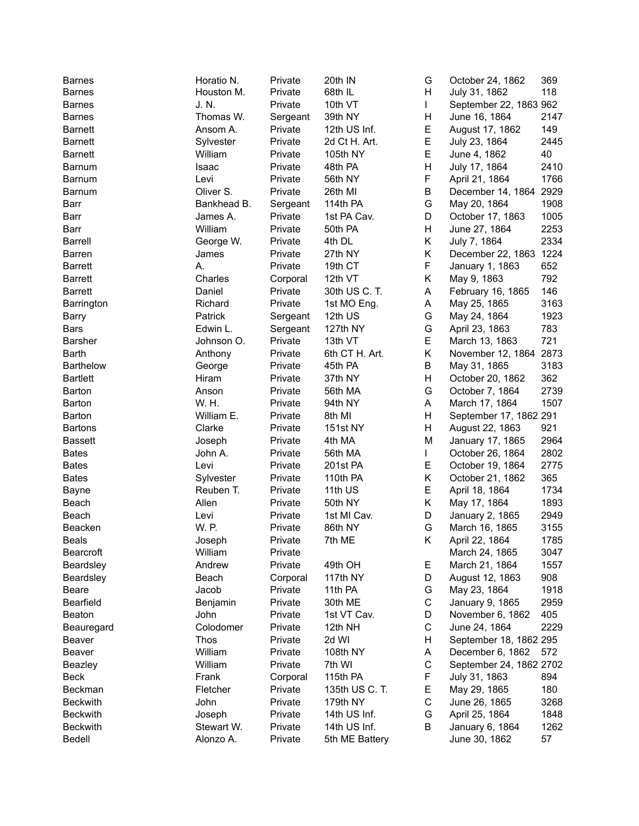| <b>Barnes</b>          | Horatio N.  | Private  | 20th IN         | G            | October 24, 1862        | 369  |
|------------------------|-------------|----------|-----------------|--------------|-------------------------|------|
| <b>Barnes</b>          | Houston M.  | Private  | 68th IL         | Н            | July 31, 1862           | 118  |
| <b>Barnes</b>          | J. N.       | Private  | 10th VT         | $\mathsf{I}$ | September 22, 1863 962  |      |
| <b>Barnes</b>          | Thomas W.   | Sergeant | 39th NY         | Н            | June 16, 1864           | 2147 |
| <b>Barnett</b>         | Ansom A.    | Private  | 12th US Inf.    | E            | August 17, 1862         | 149  |
| <b>Barnett</b>         | Sylvester   | Private  | 2d Ct H. Art.   | E            | July 23, 1864           | 2445 |
| <b>Barnett</b>         | William     | Private  | 105th NY        | E            | June 4, 1862            | 40   |
| <b>Barnum</b>          | Isaac       | Private  | 48th PA         | H            | July 17, 1864           | 2410 |
| <b>Barnum</b>          | Levi        | Private  | 56th NY         | F            | April 21, 1864          | 1766 |
| Barnum                 | Oliver S.   | Private  | 26th MI         | В            | December 14, 1864       | 2929 |
| Barr                   | Bankhead B. | Sergeant | 114th PA        | G            | May 20, 1864            | 1908 |
| Barr                   | James A.    | Private  | 1st PA Cav.     | D            | October 17, 1863        | 1005 |
| Barr                   | William     | Private  | 50th PA         | H            | June 27, 1864           | 2253 |
| <b>Barrell</b>         | George W.   | Private  | 4th DL          | K            | July 7, 1864            | 2334 |
| Barren                 | James       | Private  | 27th NY         | K            | December 22, 1863 1224  |      |
| <b>Barrett</b>         | Α.          | Private  | 19th CT         | F            | January 1, 1863         | 652  |
| <b>Barrett</b>         | Charles     | Corporal | 12th VT         | Κ            | May 9, 1863             | 792  |
| <b>Barrett</b>         | Daniel      | Private  | 30th US C. T.   | A            | February 16, 1865       | 146  |
| Barrington             | Richard     | Private  | 1st MO Eng.     | Α            | May 25, 1865            | 3163 |
|                        | Patrick     |          | 12th US         | G            | May 24, 1864            | 1923 |
| <b>Barry</b>           |             | Sergeant |                 | G            |                         | 783  |
| Bars<br><b>Barsher</b> | Edwin L.    | Sergeant | 127th NY        | E            | April 23, 1863          | 721  |
|                        | Johnson O.  | Private  | 13th VT         |              | March 13, 1863          |      |
| Barth                  | Anthony     | Private  | 6th CT H. Art.  | K            | November 12, 1864       | 2873 |
| <b>Barthelow</b>       | George      | Private  | 45th PA         | B            | May 31, 1865            | 3183 |
| <b>Bartlett</b>        | Hiram       | Private  | 37th NY         | H            | October 20, 1862        | 362  |
| Barton                 | Anson       | Private  | 56th MA         | G            | October 7, 1864         | 2739 |
| Barton                 | W. H.       | Private  | 94th NY         | A            | March 17, 1864          | 1507 |
| Barton                 | William E.  | Private  | 8th MI          | H            | September 17, 1862 291  |      |
| <b>Bartons</b>         | Clarke      | Private  | 151st NY        | H            | August 22, 1863         | 921  |
| Bassett                | Joseph      | Private  | 4th MA          | M            | January 17, 1865        | 2964 |
| <b>Bates</b>           | John A.     | Private  | 56th MA         | L            | October 26, 1864        | 2802 |
| <b>Bates</b>           | Levi        | Private  | 201st PA        | E            | October 19, 1864        | 2775 |
| <b>Bates</b>           | Sylvester   | Private  | 110th PA        | Κ            | October 21, 1862        | 365  |
| <b>Bayne</b>           | Reuben T.   | Private  | 11th US         | E            | April 18, 1864          | 1734 |
| Beach                  | Allen       | Private  | 50th NY         | Κ            | May 17, 1864            | 1893 |
| Beach                  | Levi        | Private  | 1st MI Cav.     | D            | January 2, 1865         | 2949 |
| Beacken                | W. P.       | Private  | 86th NY         | G            | March 16, 1865          | 3155 |
| <b>Beals</b>           | Joseph      | Private  | 7th ME          | Κ            | April 22, 1864          | 1785 |
| <b>Bearcroft</b>       | William     | Private  |                 |              | March 24, 1865          | 3047 |
| Beardsley              | Andrew      | Private  | 49th OH         | Е            | March 21, 1864          | 1557 |
| Beardsley              | Beach       | Corporal | 117th NY        | D            | August 12, 1863         | 908  |
| Beare                  | Jacob       | Private  | 11th PA         | G            | May 23, 1864            | 1918 |
| Bearfield              | Benjamin    | Private  | 30th ME         | С            | January 9, 1865         | 2959 |
| Beaton                 | John        | Private  | 1st VT Cav.     | D            | November 6, 1862        | 405  |
| Beauregard             | Colodomer   | Private  | 12th NH         | С            | June 24, 1864           | 2229 |
| Beaver                 | <b>Thos</b> | Private  | 2d WI           | Н            | September 18, 1862 295  |      |
| Beaver                 | William     | Private  | <b>108th NY</b> | A            | December 6, 1862        | 572  |
| Beazley                | William     | Private  | 7th WI          | C            | September 24, 1862 2702 |      |
| <b>Beck</b>            | Frank       | Corporal | 115th PA        | F            | July 31, 1863           | 894  |
| Beckman                | Fletcher    | Private  | 135th US C. T.  | E.           | May 29, 1865            | 180  |
| <b>Beckwith</b>        | John        | Private  | 179th NY        | С            | June 26, 1865           | 3268 |
| <b>Beckwith</b>        | Joseph      | Private  | 14th US Inf.    | G            | April 25, 1864          | 1848 |
| <b>Beckwith</b>        | Stewart W.  | Private  | 14th US Inf.    | В            | January 6, 1864         | 1262 |
| Bedell                 | Alonzo A.   | Private  | 5th ME Battery  |              | June 30, 1862           | 57   |
|                        |             |          |                 |              |                         |      |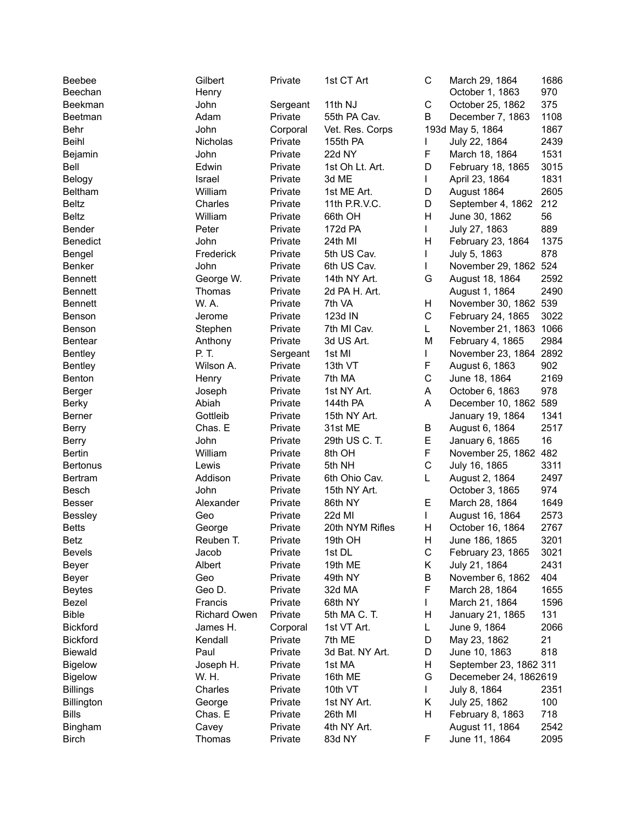| Beebee<br>Beechan | Gilbert             | Private  | 1st CT Art      | $\mathsf C$ | March 29, 1864         | 1686<br>970 |
|-------------------|---------------------|----------|-----------------|-------------|------------------------|-------------|
|                   | Henry               |          |                 | $\mathsf C$ | October 1, 1863        |             |
| Beekman           | John                | Sergeant | 11th NJ         |             | October 25, 1862       | 375         |
| Beetman           | Adam                | Private  | 55th PA Cav.    | B           | December 7, 1863       | 1108        |
| Behr              | John                | Corporal | Vet. Res. Corps |             | 193d May 5, 1864       | 1867        |
| Beihl             | Nicholas            | Private  | 155th PA        |             | July 22, 1864          | 2439        |
| Bejamin           | John                | Private  | 22d NY          | F           | March 18, 1864         | 1531        |
| Bell              | Edwin               | Private  | 1st Oh Lt. Art. | D           | February 18, 1865      | 3015        |
| Belogy            | Israel              | Private  | 3d ME           | L           | April 23, 1864         | 1831        |
| Beltham           | William             | Private  | 1st ME Art.     | D           | August 1864            | 2605        |
| <b>Beltz</b>      | Charles             | Private  | 11th P.R.V.C.   | D           | September 4, 1862      | 212         |
| <b>Beltz</b>      | William             | Private  | 66th OH         | Η           | June 30, 1862          | 56          |
| Bender            | Peter               | Private  | 172d PA         | L           | July 27, 1863          | 889         |
| <b>Benedict</b>   | John                | Private  | 24th MI         | Н           | February 23, 1864      | 1375        |
| Bengel            | Frederick           | Private  | 5th US Cav.     | L           | July 5, 1863           | 878         |
| Benker            | John                | Private  | 6th US Cav.     | L           | November 29, 1862 524  |             |
| <b>Bennett</b>    | George W.           | Private  | 14th NY Art.    | G           | August 18, 1864        | 2592        |
| <b>Bennett</b>    | Thomas              | Private  | 2d PA H. Art.   |             | August 1, 1864         | 2490        |
| <b>Bennett</b>    | W. A.               | Private  | 7th VA          | H           | November 30, 1862 539  |             |
| Benson            | Jerome              | Private  | 123d IN         | C           | February 24, 1865      | 3022        |
| Benson            | Stephen             | Private  | 7th MI Cav.     | L           | November 21, 1863 1066 |             |
| <b>Bentear</b>    | Anthony             | Private  | 3d US Art.      | M           | February 4, 1865       | 2984        |
| <b>Bentley</b>    | P. T.               | Sergeant | 1st MI          | L           | November 23, 1864      | 2892        |
| Bentley           | Wilson A.           | Private  | 13th VT         | F           | August 6, 1863         | 902         |
| Benton            | Henry               | Private  | 7th MA          | C           | June 18, 1864          | 2169        |
| Berger            | Joseph              | Private  | 1st NY Art.     | A           | October 6, 1863        | 978         |
| <b>Berky</b>      | Abiah               | Private  | 144th PA        | A           | December 10, 1862 589  |             |
| Berner            | Gottleib            | Private  | 15th NY Art.    |             | January 19, 1864       | 1341        |
| <b>Berry</b>      | Chas. E             | Private  | 31st ME         | B           | August 6, 1864         | 2517        |
| <b>Berry</b>      | John                | Private  | 29th US C. T.   | E           | January 6, 1865        | 16          |
| Bertin            | William             | Private  | 8th OH          | F           | November 25, 1862      | 482         |
| <b>Bertonus</b>   | Lewis               | Private  | 5th NH          | C           | July 16, 1865          | 3311        |
| Bertram           | Addison             | Private  | 6th Ohio Cav.   | L           | August 2, 1864         | 2497        |
| Besch             | John                | Private  | 15th NY Art.    |             | October 3, 1865        | 974         |
| <b>Besser</b>     | Alexander           | Private  | 86th NY         | E           | March 28, 1864         | 1649        |
| Bessley           | Geo                 | Private  | 22d MI          | L           | August 16, 1864        | 2573        |
| <b>Betts</b>      | George              | Private  | 20th NYM Rifles | Η           | October 16, 1864       | 2767        |
| <b>Betz</b>       | Reuben T.           | Private  | 19th OH         | Н           | June 186, 1865         | 3201        |
| <b>Bevels</b>     | Jacob               | Private  | 1st DL          | С           | February 23, 1865      | 3021        |
| Beyer             | Albert              | Private  | 19th ME         | Κ           | July 21, 1864          | 2431        |
| Beyer             | Geo                 | Private  | 49th NY         | В           | November 6, 1862       | 404         |
| <b>Beytes</b>     | Geo D.              | Private  | 32d MA          | F           | March 28, 1864         | 1655        |
| Bezel             | Francis             | Private  | 68th NY         | L           | March 21, 1864         | 1596        |
| <b>Bible</b>      | <b>Richard Owen</b> | Private  | 5th MA C. T.    | Н           | January 21, 1865       | 131         |
| <b>Bickford</b>   | James H.            | Corporal | 1st VT Art.     | L           | June 9, 1864           | 2066        |
| <b>Bickford</b>   | Kendall             | Private  | 7th ME          | D           | May 23, 1862           | 21          |
| <b>Biewald</b>    | Paul                | Private  | 3d Bat. NY Art. | D           | June 10, 1863          | 818         |
| <b>Bigelow</b>    | Joseph H.           | Private  | 1st MA          | Н           | September 23, 1862 311 |             |
| <b>Bigelow</b>    | W. H.               | Private  | 16th ME         | G           | Decemeber 24, 1862619  |             |
| <b>Billings</b>   | Charles             | Private  | 10th VT         | L           | July 8, 1864           | 2351        |
| Billington        | George              | Private  | 1st NY Art.     | Κ           | July 25, 1862          | 100         |
| <b>Bills</b>      | Chas. E             | Private  | 26th MI         | Н           | February 8, 1863       | 718         |
| Bingham           | Cavey               | Private  | 4th NY Art.     |             | August 11, 1864        | 2542        |
| <b>Birch</b>      | Thomas              | Private  | 83d NY          | F           | June 11, 1864          | 2095        |
|                   |                     |          |                 |             |                        |             |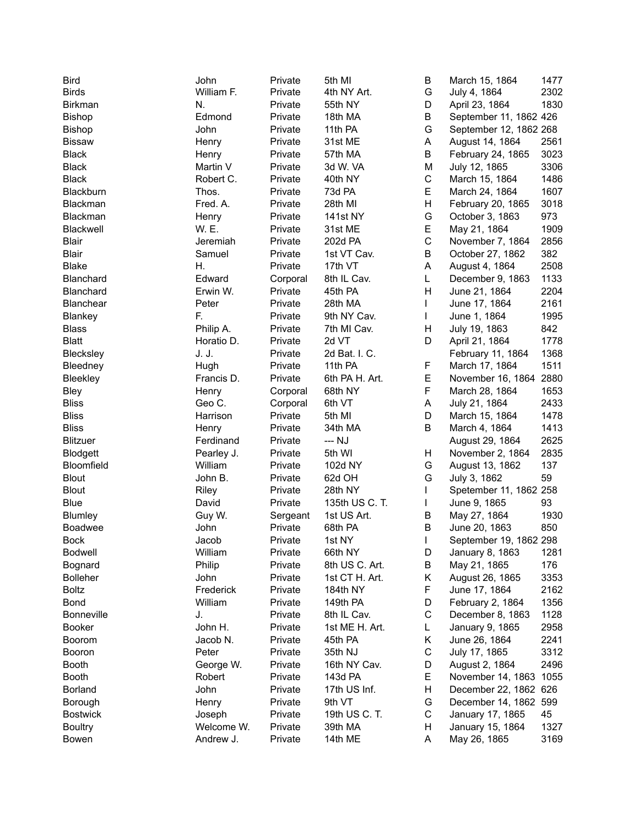| <b>Bird</b>       | John       | Private  | 5th MI         | B           | March 15, 1864         | 1477 |
|-------------------|------------|----------|----------------|-------------|------------------------|------|
| <b>Birds</b>      | William F. | Private  | 4th NY Art.    | G           | July 4, 1864           | 2302 |
| Birkman           | N.         | Private  | 55th NY        | D           | April 23, 1864         | 1830 |
| Bishop            | Edmond     | Private  | 18th MA        | B           | September 11, 1862 426 |      |
| Bishop            | John       | Private  | 11th PA        | G           | September 12, 1862 268 |      |
| <b>Bissaw</b>     | Henry      | Private  | 31st ME        | А           | August 14, 1864        | 2561 |
| <b>Black</b>      | Henry      | Private  | 57th MA        | B           | February 24, 1865      | 3023 |
| <b>Black</b>      | Martin V   | Private  | 3d W. VA       | M           | July 12, 1865          | 3306 |
| <b>Black</b>      | Robert C.  | Private  | 40th NY        | C           | March 15, 1864         | 1486 |
| Blackburn         | Thos.      | Private  | 73d PA         | E           | March 24, 1864         | 1607 |
| Blackman          | Fred. A.   | Private  | 28th MI        | Н           | February 20, 1865      | 3018 |
| Blackman          | Henry      | Private  | 141st NY       | G           | October 3, 1863        | 973  |
| Blackwell         | W. E.      | Private  | 31st ME        | E           | May 21, 1864           | 1909 |
| <b>Blair</b>      | Jeremiah   | Private  | 202d PA        | $\mathsf C$ | November 7, 1864       | 2856 |
| <b>Blair</b>      | Samuel     | Private  | 1st VT Cav.    | B           | October 27, 1862       | 382  |
| <b>Blake</b>      | Η.         | Private  | 17th VT        | А           | August 4, 1864         | 2508 |
| Blanchard         | Edward     | Corporal | 8th IL Cav.    | L           | December 9, 1863       | 1133 |
| Blanchard         | Erwin W.   | Private  | 45th PA        | Η           | June 21, 1864          | 2204 |
| Blanchear         | Peter      | Private  | 28th MA        | L           | June 17, 1864          | 2161 |
|                   | F.         |          | 9th NY Cav.    | L           |                        | 1995 |
| Blankey           |            | Private  |                | Н           | June 1, 1864           | 842  |
| <b>Blass</b>      | Philip A.  | Private  | 7th MI Cav.    |             | July 19, 1863          |      |
| <b>Blatt</b>      | Horatio D. | Private  | 2d VT          | D           | April 21, 1864         | 1778 |
| Blecksley         | J. J.      | Private  | 2d Bat. I. C.  |             | February 11, 1864      | 1368 |
| Bleedney          | Hugh       | Private  | 11th PA        | F           | March 17, 1864         | 1511 |
| Bleekley          | Francis D. | Private  | 6th PA H. Art. | E           | November 16, 1864      | 2880 |
| Bley              | Henry      | Corporal | 68th NY        | F           | March 28, 1864         | 1653 |
| <b>Bliss</b>      | Geo C.     | Corporal | 6th VT         | А           | July 21, 1864          | 2433 |
| <b>Bliss</b>      | Harrison   | Private  | 5th MI         | D           | March 15, 1864         | 1478 |
| <b>Bliss</b>      | Henry      | Private  | 34th MA        | B           | March 4, 1864          | 1413 |
| <b>Blitzuer</b>   | Ferdinand  | Private  | --- NJ         |             | August 29, 1864        | 2625 |
| Blodgett          | Pearley J. | Private  | 5th WI         | н           | November 2, 1864       | 2835 |
| Bloomfield        | William    | Private  | 102d NY        | G           | August 13, 1862        | 137  |
| <b>Blout</b>      | John B.    | Private  | 62d OH         | G           | July 3, 1862           | 59   |
| <b>Blout</b>      | Riley      | Private  | 28th NY        |             | Spetember 11, 1862 258 |      |
| <b>Blue</b>       | David      | Private  | 135th US C. T. | L           | June 9, 1865           | 93   |
| Blumley           | Guy W.     | Sergeant | 1st US Art.    | B           | May 27, 1864           | 1930 |
| Boadwee           | John       | Private  | 68th PA        | B           | June 20, 1863          | 850  |
| <b>Bock</b>       | Jacob      | Private  | 1st NY         | L           | September 19, 1862 298 |      |
| <b>Bodwell</b>    | William    | Private  | 66th NY        | D           | January 8, 1863        | 1281 |
| Bognard           | Philip     | Private  | 8th US C. Art. | В           | May 21, 1865           | 176  |
| <b>Bolleher</b>   | John       | Private  | 1st CT H. Art. | Κ           | August 26, 1865        | 3353 |
| <b>Boltz</b>      | Frederick  | Private  | 184th NY       | F           | June 17, 1864          | 2162 |
| <b>Bond</b>       | William    | Private  | 149th PA       | D           | February 2, 1864       | 1356 |
| <b>Bonneville</b> | J.         | Private  | 8th IL Cav.    | C           | December 8, 1863       | 1128 |
| Booker            | John H.    | Private  | 1st ME H. Art. | L           | January 9, 1865        | 2958 |
| Boorom            | Jacob N.   | Private  | 45th PA        | Κ           | June 26, 1864          | 2241 |
| Booron            | Peter      | Private  | 35th NJ        | C           | July 17, 1865          | 3312 |
| Booth             | George W.  | Private  | 16th NY Cav.   | D           | August 2, 1864         | 2496 |
| <b>Booth</b>      | Robert     | Private  | 143d PA        | Е           | November 14, 1863 1055 |      |
| <b>Borland</b>    | John       | Private  | 17th US Inf.   | Н           | December 22, 1862 626  |      |
| Borough           | Henry      | Private  | 9th VT         | G           | December 14, 1862 599  |      |
| <b>Bostwick</b>   | Joseph     | Private  | 19th US C. T.  | С           | January 17, 1865       | 45   |
| <b>Boultry</b>    | Welcome W. | Private  | 39th MA        | H           | January 15, 1864       | 1327 |
| Bowen             | Andrew J.  | Private  | 14th ME        | Α           | May 26, 1865           | 3169 |
|                   |            |          |                |             |                        |      |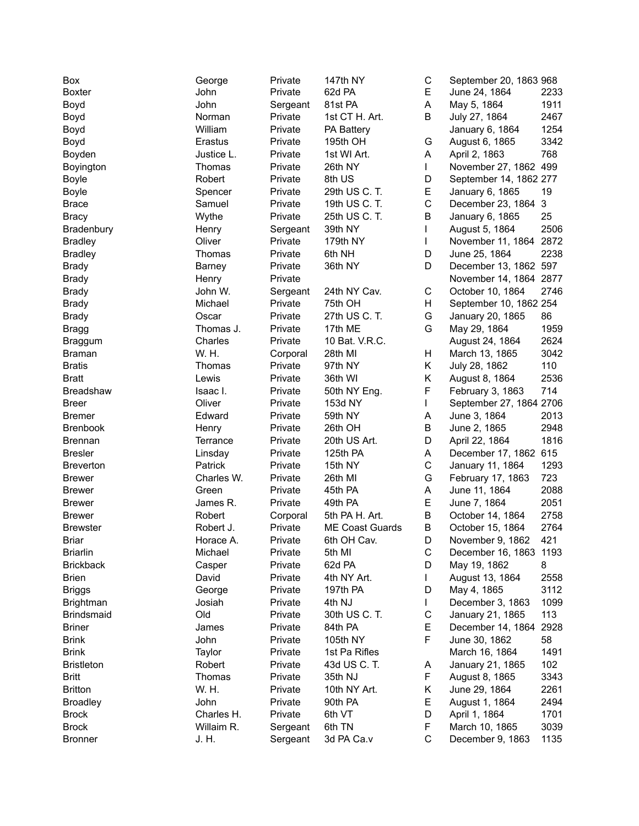| Box               | George     | Private  | 147th NY               | C           | September 20, 1863 968  |              |
|-------------------|------------|----------|------------------------|-------------|-------------------------|--------------|
| <b>Boxter</b>     | John       | Private  | 62d PA                 | E           | June 24, 1864           | 2233         |
| Boyd              | John       | Sergeant | 81st PA                | A           | May 5, 1864             | 1911         |
| Boyd              | Norman     | Private  | 1st CT H. Art.         | В           | July 27, 1864           | 2467         |
| Boyd              | William    | Private  | PA Battery             |             | January 6, 1864         | 1254         |
| Boyd              | Erastus    | Private  | 195th OH               | G           | August 6, 1865          | 3342         |
| Boyden            | Justice L. | Private  | 1st WI Art.            | Α           | April 2, 1863           | 768          |
| Boyington         | Thomas     | Private  | 26th NY                | L           | November 27, 1862 499   |              |
| <b>Boyle</b>      | Robert     | Private  | 8th US                 | D           | September 14, 1862 277  |              |
| <b>Boyle</b>      | Spencer    | Private  | 29th US C. T.          | E           | January 6, 1865         | 19           |
| <b>Brace</b>      | Samuel     | Private  | 19th US C. T.          | $\mathsf C$ | December 23, 1864       | $\mathbf{3}$ |
| Bracy             | Wythe      | Private  | 25th US C. T.          | B           | January 6, 1865         | 25           |
| Bradenbury        | Henry      | Sergeant | 39th NY                | L           | August 5, 1864          | 2506         |
| <b>Bradley</b>    | Oliver     | Private  | 179th NY               | L           | November 11, 1864 2872  |              |
| <b>Bradley</b>    | Thomas     | Private  | 6th NH                 | D           | June 25, 1864           | 2238         |
| <b>Brady</b>      | Barney     | Private  | 36th NY                | D           | December 13, 1862 597   |              |
| <b>Brady</b>      | Henry      | Private  |                        |             | November 14, 1864 2877  |              |
| <b>Brady</b>      | John W.    | Sergeant | 24th NY Cav.           | C           | October 10, 1864        | 2746         |
| <b>Brady</b>      | Michael    | Private  | 75th OH                | Н           | September 10, 1862 254  |              |
| <b>Brady</b>      | Oscar      | Private  | 27th US C. T.          | G           | January 20, 1865        | 86           |
| <b>Bragg</b>      | Thomas J.  | Private  | 17th ME                | G           | May 29, 1864            | 1959         |
| <b>Braggum</b>    | Charles    | Private  | 10 Bat. V.R.C.         |             | August 24, 1864         | 2624         |
| <b>Braman</b>     | W. H.      | Corporal | 28th MI                | H           | March 13, 1865          | 3042         |
| <b>Bratis</b>     | Thomas     | Private  | 97th NY                | Κ           | July 28, 1862           | 110          |
| <b>Bratt</b>      | Lewis      | Private  | 36th WI                | Κ           | August 8, 1864          | 2536         |
| <b>Breadshaw</b>  | Isaac I.   | Private  | 50th NY Eng.           | F           | February 3, 1863        | 714          |
| <b>Breer</b>      | Oliver     | Private  | 153d NY                | L           | September 27, 1864 2706 |              |
| <b>Bremer</b>     | Edward     | Private  | 59th NY                | Α           | June 3, 1864            | 2013         |
| <b>Brenbook</b>   | Henry      | Private  | 26th OH                | B           | June 2, 1865            | 2948         |
| <b>Brennan</b>    | Terrance   | Private  | 20th US Art.           | D           | April 22, 1864          | 1816         |
| <b>Bresler</b>    | Linsday    | Private  | 125th PA               | Α           | December 17, 1862 615   |              |
| <b>Breverton</b>  | Patrick    | Private  | 15th NY                | C           | January 11, 1864        | 1293         |
| <b>Brewer</b>     | Charles W. | Private  | 26th MI                | G           | February 17, 1863       | 723          |
| <b>Brewer</b>     | Green      | Private  | 45th PA                | А           | June 11, 1864           | 2088         |
| <b>Brewer</b>     | James R.   | Private  | 49th PA                | E           | June 7, 1864            | 2051         |
| <b>Brewer</b>     | Robert     | Corporal | 5th PA H. Art.         | B           | October 14, 1864        | 2758         |
| <b>Brewster</b>   | Robert J.  | Private  | <b>ME Coast Guards</b> | B           | October 15, 1864        | 2764         |
| <b>Briar</b>      | Horace A.  | Private  | 6th OH Cav.            | D           | November 9, 1862        | 421          |
| <b>Briarlin</b>   | Michael    | Private  | 5th MI                 | С           | December 16, 1863 1193  |              |
| <b>Brickback</b>  | Casper     | Private  | 62d PA                 | D           | May 19, 1862            | 8            |
| <b>Brien</b>      | David      | Private  | 4th NY Art.            | L           | August 13, 1864         | 2558         |
| <b>Briggs</b>     | George     | Private  | 197th PA               | D           | May 4, 1865             | 3112         |
| <b>Brightman</b>  | Josiah     | Private  | 4th NJ                 | L           | December 3, 1863        | 1099         |
| Brindsmaid        | Old        | Private  | 30th US C. T.          | C           | January 21, 1865        | 113          |
| <b>Briner</b>     | James      | Private  | 84th PA                | Е           | December 14, 1864       | 2928         |
| <b>Brink</b>      | John       | Private  | 105th NY               | F           | June 30, 1862           | 58           |
| <b>Brink</b>      | Taylor     | Private  | 1st Pa Rifles          |             | March 16, 1864          | 1491         |
| <b>Bristleton</b> | Robert     | Private  | 43d US C. T.           | A           | January 21, 1865        | 102          |
| <b>Britt</b>      | Thomas     | Private  | 35th NJ                | F           | August 8, 1865          | 3343         |
| <b>Britton</b>    | W. H.      | Private  | 10th NY Art.           | Κ           | June 29, 1864           | 2261         |
| <b>Broadley</b>   | John       | Private  | 90th PA                | Е           | August 1, 1864          | 2494         |
| <b>Brock</b>      | Charles H. | Private  | 6th VT                 | D           | April 1, 1864           | 1701         |
| <b>Brock</b>      | Willaim R. | Sergeant | 6th TN                 | F           | March 10, 1865          | 3039         |
| <b>Bronner</b>    | J. H.      | Sergeant | 3d PA Ca.v             | $\mathsf C$ | December 9, 1863        | 1135         |
|                   |            |          |                        |             |                         |              |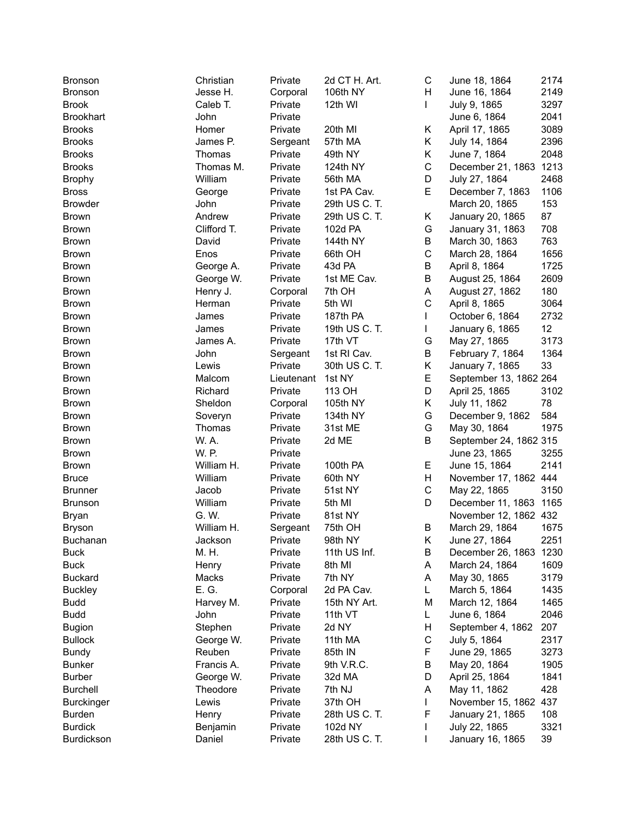| <b>Bronson</b>    | Christian   | Private    | 2d CT H. Art. | С           | June 18, 1864          | 2174 |
|-------------------|-------------|------------|---------------|-------------|------------------------|------|
| <b>Bronson</b>    | Jesse H.    | Corporal   | 106th NY      | н           | June 16, 1864          | 2149 |
| <b>Brook</b>      | Caleb T.    | Private    | 12th WI       | L           | July 9, 1865           | 3297 |
| <b>Brookhart</b>  | John        | Private    |               |             | June 6, 1864           | 2041 |
| <b>Brooks</b>     | Homer       | Private    | 20th MI       | Κ           | April 17, 1865         | 3089 |
| <b>Brooks</b>     | James P.    | Sergeant   | 57th MA       | Κ           | July 14, 1864          | 2396 |
| <b>Brooks</b>     | Thomas      | Private    | 49th NY       | Κ           | June 7, 1864           | 2048 |
| <b>Brooks</b>     | Thomas M.   | Private    | 124th NY      | $\mathsf C$ | December 21, 1863 1213 |      |
| <b>Brophy</b>     | William     | Private    | 56th MA       | D           | July 27, 1864          | 2468 |
| <b>Bross</b>      | George      | Private    | 1st PA Cav.   | E           | December 7, 1863       | 1106 |
| <b>Browder</b>    | John        | Private    | 29th US C. T. |             | March 20, 1865         | 153  |
| <b>Brown</b>      | Andrew      | Private    | 29th US C. T. | Κ           | January 20, 1865       | 87   |
| <b>Brown</b>      | Clifford T. | Private    | 102d PA       | G           | January 31, 1863       | 708  |
|                   |             |            |               | B           |                        | 763  |
| <b>Brown</b>      | David       | Private    | 144th NY      |             | March 30, 1863         |      |
| <b>Brown</b>      | Enos        | Private    | 66th OH       | $\mathsf C$ | March 28, 1864         | 1656 |
| <b>Brown</b>      | George A.   | Private    | 43d PA        | B           | April 8, 1864          | 1725 |
| <b>Brown</b>      | George W.   | Private    | 1st ME Cav.   | $\sf B$     | August 25, 1864        | 2609 |
| <b>Brown</b>      | Henry J.    | Corporal   | 7th OH        | A           | August 27, 1862        | 180  |
| <b>Brown</b>      | Herman      | Private    | 5th WI        | $\mathsf C$ | April 8, 1865          | 3064 |
| <b>Brown</b>      | James       | Private    | 187th PA      | L           | October 6, 1864        | 2732 |
| <b>Brown</b>      | James       | Private    | 19th US C. T. |             | January 6, 1865        | 12   |
| <b>Brown</b>      | James A.    | Private    | 17th VT       | G           | May 27, 1865           | 3173 |
| <b>Brown</b>      | John        | Sergeant   | 1st RI Cav.   | B           | February 7, 1864       | 1364 |
| <b>Brown</b>      | Lewis       | Private    | 30th US C. T. | Κ           | January 7, 1865        | 33   |
| <b>Brown</b>      | Malcom      | Lieutenant | 1st NY        | E           | September 13, 1862 264 |      |
| <b>Brown</b>      | Richard     | Private    | 113 OH        | D           | April 25, 1865         | 3102 |
| <b>Brown</b>      | Sheldon     | Corporal   | 105th NY      | K           | July 11, 1862          | 78   |
| <b>Brown</b>      | Soveryn     | Private    | 134th NY      | G           | December 9, 1862       | 584  |
| <b>Brown</b>      | Thomas      | Private    | 31st ME       | G           | May 30, 1864           | 1975 |
| <b>Brown</b>      | W. A.       | Private    | 2d ME         | B           | September 24, 1862 315 |      |
| <b>Brown</b>      | W. P.       | Private    |               |             | June 23, 1865          | 3255 |
| <b>Brown</b>      | William H.  | Private    | 100th PA      | Е           | June 15, 1864          | 2141 |
| <b>Bruce</b>      | William     | Private    | 60th NY       | H           | November 17, 1862 444  |      |
| <b>Brunner</b>    | Jacob       | Private    | 51st NY       | $\mathsf C$ | May 22, 1865           | 3150 |
| <b>Brunson</b>    | William     | Private    | 5th MI        | D           | December 11, 1863 1165 |      |
| Bryan             | G. W.       | Private    | 81st NY       |             | November 12, 1862 432  |      |
| <b>Bryson</b>     | William H.  | Sergeant   | 75th OH       | B           | March 29, 1864         | 1675 |
| <b>Buchanan</b>   | Jackson     | Private    | 98th NY       | Κ           | June 27, 1864          | 2251 |
| <b>Buck</b>       | M. H.       | Private    | 11th US Inf.  | В           | December 26, 1863 1230 |      |
| <b>Buck</b>       | Henry       | Private    | 8th MI        | Α           | March 24, 1864         | 1609 |
| <b>Buckard</b>    | Macks       | Private    | 7th NY        | A           | May 30, 1865           | 3179 |
|                   | E. G.       |            |               |             |                        | 1435 |
| <b>Buckley</b>    |             | Corporal   | 2d PA Cav.    | L           | March 5, 1864          |      |
| <b>Budd</b>       | Harvey M.   | Private    | 15th NY Art.  | М           | March 12, 1864         | 1465 |
| <b>Budd</b>       | John        | Private    | 11th VT       | L           | June 6, 1864           | 2046 |
| <b>Bugion</b>     | Stephen     | Private    | 2d NY         | н           | September 4, 1862      | 207  |
| <b>Bullock</b>    | George W.   | Private    | 11th MA       | C           | July 5, 1864           | 2317 |
| Bundy             | Reuben      | Private    | 85th IN       | F           | June 29, 1865          | 3273 |
| <b>Bunker</b>     | Francis A.  | Private    | 9th V.R.C.    | B           | May 20, 1864           | 1905 |
| <b>Burber</b>     | George W.   | Private    | 32d MA        | D           | April 25, 1864         | 1841 |
| <b>Burchell</b>   | Theodore    | Private    | 7th NJ        | A           | May 11, 1862           | 428  |
| <b>Burckinger</b> | Lewis       | Private    | 37th OH       | L           | November 15, 1862 437  |      |
| Burden            | Henry       | Private    | 28th US C. T. | F           | January 21, 1865       | 108  |
| <b>Burdick</b>    | Benjamin    | Private    | 102d NY       |             | July 22, 1865          | 3321 |
| Burdickson        | Daniel      | Private    | 28th US C. T. |             | January 16, 1865       | 39   |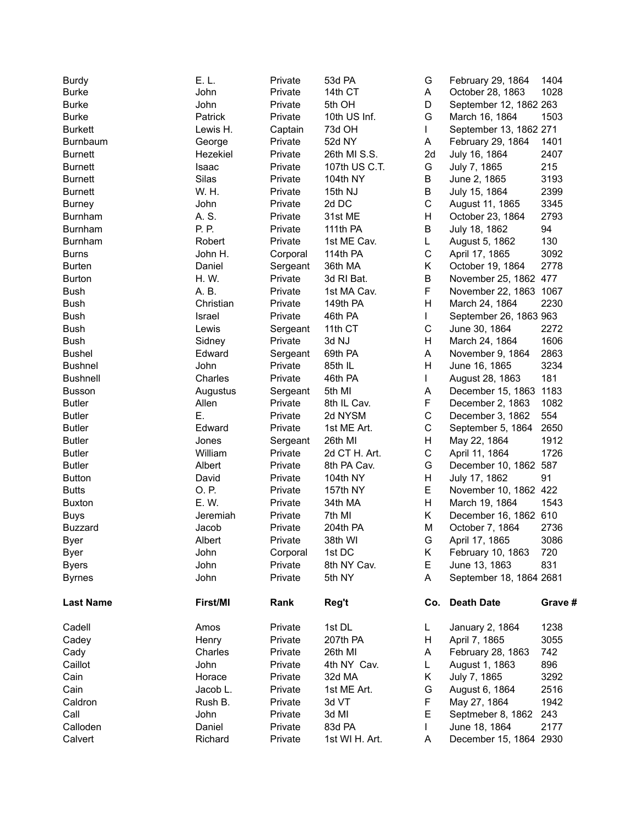| <b>Burdy</b>     | E. L.     | Private  | 53d PA         | G            | February 29, 1864       | 1404    |
|------------------|-----------|----------|----------------|--------------|-------------------------|---------|
| <b>Burke</b>     | John      | Private  | 14th CT        | A            | October 28, 1863        | 1028    |
| <b>Burke</b>     | John      | Private  | 5th OH         | D            | September 12, 1862 263  |         |
| <b>Burke</b>     | Patrick   | Private  | 10th US Inf.   | G            | March 16, 1864          | 1503    |
| <b>Burkett</b>   | Lewis H.  | Captain  | 73d OH         | L            | September 13, 1862 271  |         |
| Burnbaum         | George    | Private  | 52d NY         | A            | February 29, 1864       | 1401    |
| <b>Burnett</b>   | Hezekiel  | Private  | 26th MI S.S.   | 2d           | July 16, 1864           | 2407    |
| <b>Burnett</b>   | Isaac     | Private  | 107th US C.T.  | G            | July 7, 1865            | 215     |
| <b>Burnett</b>   | Silas     | Private  | 104th NY       | В            | June 2, 1865            | 3193    |
| <b>Burnett</b>   | W. H.     | Private  | 15th NJ        | B            | July 15, 1864           | 2399    |
| <b>Burney</b>    | John      | Private  | 2d DC          | $\mathsf C$  | August 11, 1865         | 3345    |
| <b>Burnham</b>   | A. S.     | Private  | 31st ME        | H            | October 23, 1864        | 2793    |
| Burnham          | P. P.     | Private  | 111th PA       | B            | July 18, 1862           | 94      |
| Burnham          | Robert    | Private  | 1st ME Cav.    | L.           | August 5, 1862          | 130     |
| <b>Burns</b>     | John H.   | Corporal | 114th PA       | $\mathsf C$  | April 17, 1865          | 3092    |
| <b>Burten</b>    | Daniel    | Sergeant | 36th MA        | K            | October 19, 1864        | 2778    |
| <b>Burton</b>    | H. W.     | Private  | 3d RI Bat.     | B            | November 25, 1862 477   |         |
| Bush             | A. B.     | Private  | 1st MA Cav.    | F            | November 22, 1863 1067  |         |
| Bush             | Christian | Private  | 149th PA       | H            | March 24, 1864          | 2230    |
| Bush             | Israel    | Private  | 46th PA        | $\mathbf{L}$ | September 26, 1863 963  |         |
| Bush             | Lewis     | Sergeant | 11th CT        | $\mathsf C$  | June 30, 1864           | 2272    |
| Bush             | Sidney    | Private  | 3d NJ          | H            | March 24, 1864          | 1606    |
| <b>Bushel</b>    |           |          | 69th PA        | A            | November 9, 1864        | 2863    |
|                  | Edward    | Sergeant |                | H            |                         | 3234    |
| <b>Bushnel</b>   | John      | Private  | 85th IL        |              | June 16, 1865           |         |
| <b>Bushnell</b>  | Charles   | Private  | 46th PA        | L            | August 28, 1863         | 181     |
| <b>Busson</b>    | Augustus  | Sergeant | 5th MI         | A            | December 15, 1863       | 1183    |
| <b>Butler</b>    | Allen     | Private  | 8th IL Cav.    | F            | December 2, 1863        | 1082    |
| <b>Butler</b>    | Ε.        | Private  | 2d NYSM        | $\mathsf C$  | December 3, 1862        | 554     |
| <b>Butler</b>    | Edward    | Private  | 1st ME Art.    | C            | September 5, 1864       | 2650    |
| <b>Butler</b>    | Jones     | Sergeant | 26th MI        | H            | May 22, 1864            | 1912    |
| <b>Butler</b>    | William   | Private  | 2d CT H. Art.  | C            | April 11, 1864          | 1726    |
| <b>Butler</b>    | Albert    | Private  | 8th PA Cav.    | G            | December 10, 1862 587   |         |
| <b>Button</b>    | David     | Private  | 104th NY       | H            | July 17, 1862           | 91      |
| <b>Butts</b>     | O. P.     | Private  | 157th NY       | Е            | November 10, 1862 422   |         |
| <b>Buxton</b>    | E. W.     | Private  | 34th MA        | H            | March 19, 1864          | 1543    |
| <b>Buys</b>      | Jeremiah  | Private  | 7th MI         | K            | December 16, 1862 610   |         |
| <b>Buzzard</b>   | Jacob     | Private  | 204th PA       | M            | October 7, 1864         | 2736    |
| Byer             | Albert    | Private  | 38th WI        | G.           | April 17, 1865          | 3086    |
| Byer             | John      | Corporal | 1st DC         | K.           | February 10, 1863       | 720     |
| <b>Byers</b>     | John      | Private  | 8th NY Cav.    | E.           | June 13, 1863           | 831     |
| <b>Byrnes</b>    | John      | Private  | 5th NY         | A            | September 18, 1864 2681 |         |
| <b>Last Name</b> | First/MI  | Rank     | Reg't          |              | Co. Death Date          | Grave # |
| Cadell           | Amos      | Private  | 1st DL         | L.           | January 2, 1864         | 1238    |
| Cadey            | Henry     | Private  | 207th PA       | H            | April 7, 1865           | 3055    |
| Cady             | Charles   | Private  | 26th MI        | A            | February 28, 1863       | 742     |
| Caillot          | John      | Private  | 4th NY Cav.    | L            | August 1, 1863          | 896     |
| Cain             | Horace    | Private  | 32d MA         | Κ            | July 7, 1865            | 3292    |
| Cain             | Jacob L.  | Private  | 1st ME Art.    | G            | August 6, 1864          | 2516    |
| Caldron          | Rush B.   | Private  | 3d VT          | F            | May 27, 1864            | 1942    |
| Call             | John      | Private  | 3d MI          | Е            | Septmeber 8, 1862       | 243     |
| Calloden         | Daniel    | Private  | 83d PA         |              | June 18, 1864           | 2177    |
| Calvert          | Richard   | Private  | 1st WI H. Art. | A            | December 15, 1864 2930  |         |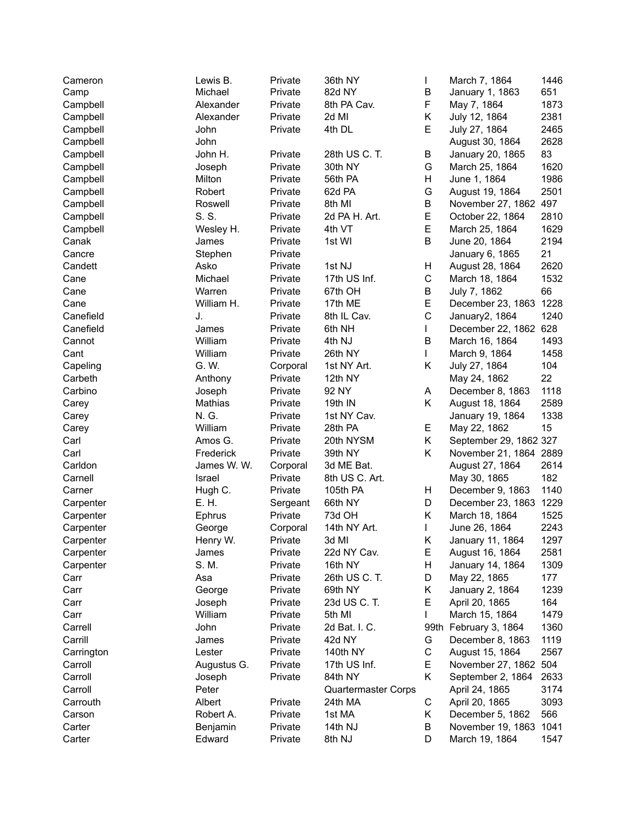| Cameron    | Lewis B.         | Private            | 36th NY                    | L           | March 7, 1864          | 1446        |
|------------|------------------|--------------------|----------------------------|-------------|------------------------|-------------|
| Camp       | Michael          | Private            | 82d NY                     | В           | January 1, 1863        | 651         |
| Campbell   | Alexander        | Private            | 8th PA Cav.                | F           | May 7, 1864            | 1873        |
| Campbell   | Alexander        | Private            | 2d MI                      | Κ           | July 12, 1864          | 2381        |
| Campbell   | John             | Private            | 4th DL                     | E           | July 27, 1864          | 2465        |
| Campbell   | John             |                    |                            |             | August 30, 1864        | 2628        |
| Campbell   | John H.          | Private            | 28th US C. T.              | В           | January 20, 1865       | 83          |
| Campbell   | Joseph           | Private            | 30th NY                    | G           | March 25, 1864         | 1620        |
| Campbell   | Milton           | Private            | 56th PA                    | Н           | June 1, 1864           | 1986        |
| Campbell   | Robert           | Private            | 62d PA                     | G           | August 19, 1864        | 2501        |
| Campbell   | Roswell          | Private            | 8th MI                     | B           | November 27, 1862 497  |             |
| Campbell   | S. S.            | Private            | 2d PA H. Art.              | E           | October 22, 1864       | 2810        |
| Campbell   | Wesley H.        | Private            | 4th VT                     | E           | March 25, 1864         | 1629        |
| Canak      | James            | Private            | 1st WI                     | B           | June 20, 1864          | 2194        |
| Cancre     | Stephen          | Private            |                            |             | January 6, 1865        | 21          |
| Candett    | Asko             | Private            | 1st NJ                     | н           | August 28, 1864        | 2620        |
| Cane       | Michael          | Private            | 17th US Inf.               | C           | March 18, 1864         | 1532        |
| Cane       | Warren           | Private            | 67th OH                    | В           | July 7, 1862           | 66          |
| Cane       | William H.       | Private            | 17th ME                    | E           | December 23, 1863 1228 |             |
| Canefield  | J.               | Private            | 8th IL Cav.                | $\mathsf C$ | January2, 1864         | 1240        |
| Canefield  |                  |                    | 6th NH                     | L           | December 22, 1862 628  |             |
| Cannot     | James<br>William | Private<br>Private | 4th NJ                     | B           | March 16, 1864         | 1493        |
|            |                  |                    |                            | L           |                        |             |
| Cant       | William<br>G. W. | Private            | 26th NY<br>1st NY Art.     | Κ           | March 9, 1864          | 1458<br>104 |
| Capeling   |                  | Corporal           |                            |             | July 27, 1864          | 22          |
| Carbeth    | Anthony          | Private            | 12th NY                    |             | May 24, 1862           |             |
| Carbino    | Joseph           | Private            | 92 NY                      | Α           | December 8, 1863       | 1118        |
| Carey      | Mathias          | Private            | 19th IN                    | Κ           | August 18, 1864        | 2589        |
| Carey      | N. G.            | Private            | 1st NY Cav.                |             | January 19, 1864       | 1338        |
| Carey      | William          | Private            | 28th PA                    | Е           | May 22, 1862           | 15          |
| Carl       | Amos G.          | Private            | 20th NYSM                  | K           | September 29, 1862 327 |             |
| Carl       | Frederick        | Private            | 39th NY                    | Κ           | November 21, 1864 2889 |             |
| Carldon    | James W. W.      | Corporal           | 3d ME Bat.                 |             | August 27, 1864        | 2614        |
| Carnell    | Israel           | Private            | 8th US C. Art.             |             | May 30, 1865           | 182         |
| Carner     | Hugh C.          | Private            | 105th PA                   | Н           | December 9, 1863       | 1140        |
| Carpenter  | E. H.            | Sergeant           | 66th NY                    | D           | December 23, 1863 1229 |             |
| Carpenter  | Ephrus           | Private            | 73d OH                     | Κ           | March 18, 1864         | 1525        |
| Carpenter  | George           | Corporal           | 14th NY Art.               | L           | June 26, 1864          | 2243        |
| Carpenter  | Henry W.         | Private            | 3d MI                      | Κ           | January 11, 1864       | 1297        |
| Carpenter  | James            | Private            | 22d NY Cav.                | Е           | August 16, 1864        | 2581        |
| Carpenter  | S. M.            | Private            | 16th NY                    | Η           | January 14, 1864       | 1309        |
| Carr       | Asa              | Private            | 26th US C. T.              | D           | May 22, 1865           | 177         |
| Carr       | George           | Private            | 69th NY                    | Κ           | January 2, 1864        | 1239        |
| Carr       | Joseph           | Private            | 23d US C. T.               | E           | April 20, 1865         | 164         |
| Carr       | William          | Private            | 5th MI                     | L           | March 15, 1864         | 1479        |
| Carrell    | John             | Private            | 2d Bat. I. C.              |             | 99th February 3, 1864  | 1360        |
| Carrill    | James            | Private            | 42d NY                     | G           | December 8, 1863       | 1119        |
| Carrington | Lester           | Private            | 140th NY                   | С           | August 15, 1864        | 2567        |
| Carroll    | Augustus G.      | Private            | 17th US Inf.               | Е           | November 27, 1862      | 504         |
| Carroll    | Joseph           | Private            | 84th NY                    | Κ           | September 2, 1864      | 2633        |
| Carroll    | Peter            |                    | <b>Quartermaster Corps</b> |             | April 24, 1865         | 3174        |
| Carrouth   | Albert           | Private            | 24th MA                    | С           | April 20, 1865         | 3093        |
| Carson     | Robert A.        | Private            | 1st MA                     | Κ           | December 5, 1862       | 566         |
| Carter     | Benjamin         | Private            | 14th NJ                    | В           | November 19, 1863      | 1041        |
| Carter     | Edward           | Private            | 8th NJ                     | D           | March 19, 1864         | 1547        |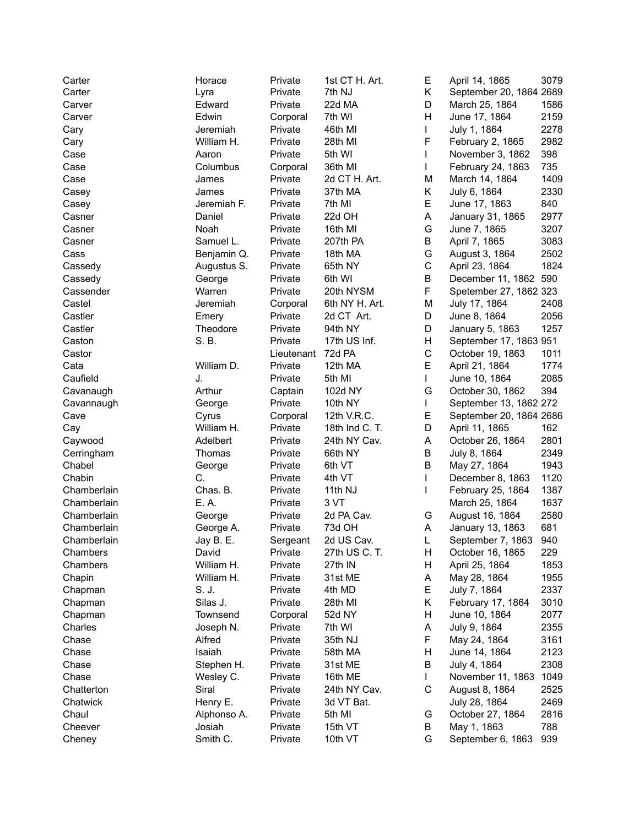| Carter      | Horace      | Private    | 1st CT H. Art. | Е           | April 14, 1865          | 3079 |
|-------------|-------------|------------|----------------|-------------|-------------------------|------|
| Carter      | Lyra        | Private    | 7th NJ         | Κ           | September 20, 1864 2689 |      |
| Carver      | Edward      | Private    | 22d MA         | D           | March 25, 1864          | 1586 |
| Carver      | Edwin       | Corporal   | 7th WI         | Η           | June 17, 1864           | 2159 |
| Cary        | Jeremiah    | Private    | 46th MI        | L           | July 1, 1864            | 2278 |
| Cary        | William H.  | Private    | 28th MI        | F           | February 2, 1865        | 2982 |
| Case        | Aaron       | Private    | 5th WI         | L           | November 3, 1862        | 398  |
| Case        | Columbus    | Corporal   | 36th MI        |             | February 24, 1863       | 735  |
| Case        | James       | Private    | 2d CT H. Art.  | M           | March 14, 1864          | 1409 |
| Casey       | James       | Private    | 37th MA        | Κ           | July 6, 1864            | 2330 |
| Casey       | Jeremiah F. | Private    | 7th MI         | E           | June 17, 1863           | 840  |
| Casner      | Daniel      | Private    | 22d OH         | A           | January 31, 1865        | 2977 |
| Casner      | Noah        | Private    | 16th MI        | G           | June 7, 1865            | 3207 |
| Casner      | Samuel L.   | Private    | 207th PA       | B           | April 7, 1865           | 3083 |
| Cass        |             | Private    | 18th MA        | G           |                         | 2502 |
|             | Benjamin Q. |            |                | $\mathsf C$ | August 3, 1864          | 1824 |
| Cassedy     | Augustus S. | Private    | 65th NY        |             | April 23, 1864          |      |
| Cassedy     | George      | Private    | 6th WI         | B           | December 11, 1862 590   |      |
| Cassender   | Warren      | Private    | 20th NYSM      | F           | Spetember 27, 1862 323  |      |
| Castel      | Jeremiah    | Corporal   | 6th NY H. Art. | M           | July 17, 1864           | 2408 |
| Castler     | Emery       | Private    | 2d CT Art.     | D           | June 8, 1864            | 2056 |
| Castler     | Theodore    | Private    | 94th NY        | D           | January 5, 1863         | 1257 |
| Caston      | S. B.       | Private    | 17th US Inf.   | Н           | September 17, 1863 951  |      |
| Castor      |             | Lieutenant | 72d PA         | $\mathsf C$ | October 19, 1863        | 1011 |
| Cata        | William D.  | Private    | 12th MA        | E           | April 21, 1864          | 1774 |
| Caufield    | J.          | Private    | 5th MI         | L           | June 10, 1864           | 2085 |
| Cavanaugh   | Arthur      | Captain    | 102d NY        | G           | October 30, 1862        | 394  |
| Cavannaugh  | George      | Private    | 10th NY        | L           | September 13, 1862 272  |      |
| Cave        | Cyrus       | Corporal   | 12th V.R.C.    | Е           | September 20, 1864 2686 |      |
| Cay         | William H.  | Private    | 18th Ind C. T. | D           | April 11, 1865          | 162  |
| Caywood     | Adelbert    | Private    | 24th NY Cav.   | Α           | October 26, 1864        | 2801 |
| Cerringham  | Thomas      | Private    | 66th NY        | B           | July 8, 1864            | 2349 |
| Chabel      | George      | Private    | 6th VT         | B           | May 27, 1864            | 1943 |
| Chabin      | C.          | Private    | 4th VT         | L           | December 8, 1863        | 1120 |
| Chamberlain | Chas. B.    | Private    | 11th NJ        | L           | February 25, 1864       | 1387 |
| Chamberlain | E. A.       | Private    | 3 VT           |             | March 25, 1864          | 1637 |
| Chamberlain | George      | Private    | 2d PA Cav.     | G           | August 16, 1864         | 2580 |
| Chamberlain | George A.   | Private    | 73d OH         | A           | January 13, 1863        | 681  |
| Chamberlain | Jay B. E.   | Sergeant   | 2d US Cav.     | L           | September 7, 1863       | 940  |
| Chambers    | David       | Private    | 27th US C. T.  | н           | October 16, 1865        | 229  |
| Chambers    | William H.  | Private    | 27th IN        | н           | April 25, 1864          | 1853 |
| Chapin      | William H.  | Private    | 31st ME        | A           | May 28, 1864            | 1955 |
|             | S. J.       |            |                | Е           |                         | 2337 |
| Chapman     | Silas J.    | Private    | 4th MD         |             | July 7, 1864            |      |
| Chapman     |             | Private    | 28th MI        | Κ           | February 17, 1864       | 3010 |
| Chapman     | Townsend    | Corporal   | 52d NY         | н           | June 10, 1864           | 2077 |
| Charles     | Joseph N.   | Private    | 7th WI         | Α           | July 9, 1864            | 2355 |
| Chase       | Alfred      | Private    | 35th NJ        | F           | May 24, 1864            | 3161 |
| Chase       | Isaiah      | Private    | 58th MA        | Н           | June 14, 1864           | 2123 |
| Chase       | Stephen H.  | Private    | 31st ME        | В           | July 4, 1864            | 2308 |
| Chase       | Wesley C.   | Private    | 16th ME        | L           | November 11, 1863       | 1049 |
| Chatterton  | Siral       | Private    | 24th NY Cav.   | C           | August 8, 1864          | 2525 |
| Chatwick    | Henry E.    | Private    | 3d VT Bat.     |             | July 28, 1864           | 2469 |
| Chaul       | Alphonso A. | Private    | 5th MI         | G           | October 27, 1864        | 2816 |
| Cheever     | Josiah      | Private    | 15th VT        | В           | May 1, 1863             | 788  |
| Cheney      | Smith C.    | Private    | 10th VT        | G           | September 6, 1863       | 939  |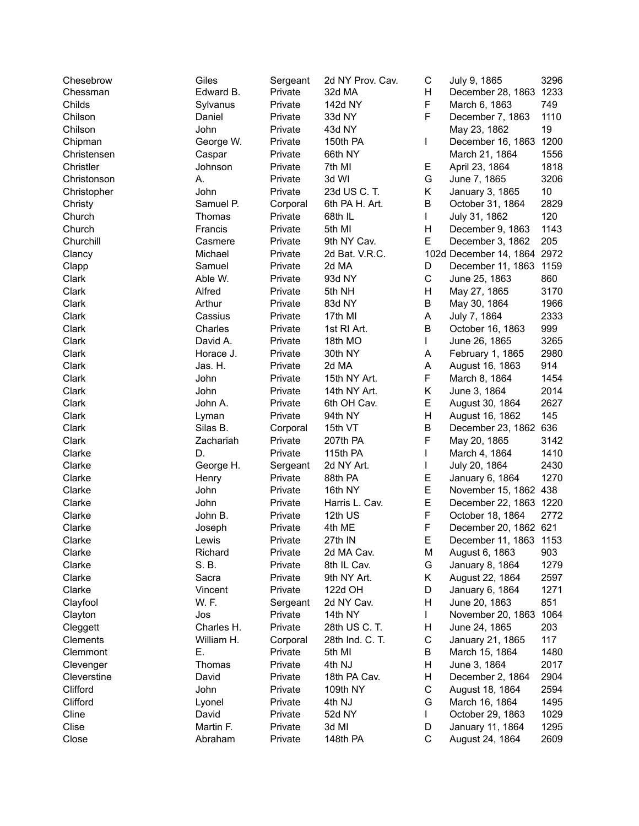| Chesebrow   | Giles      | Sergeant | 2d NY Prov. Cav.      | С | July 9, 1865                | 3296 |
|-------------|------------|----------|-----------------------|---|-----------------------------|------|
| Chessman    | Edward B.  | Private  | 32d MA                | Н | December 28, 1863 1233      |      |
| Childs      | Sylvanus   | Private  | 142d NY               | F | March 6, 1863               | 749  |
| Chilson     | Daniel     | Private  | 33d NY                | F | December 7, 1863            | 1110 |
| Chilson     | John       | Private  | 43d NY                |   | May 23, 1862                | 19   |
| Chipman     | George W.  | Private  | 150th PA              | L | December 16, 1863           | 1200 |
| Christensen | Caspar     | Private  | 66th NY               |   | March 21, 1864              | 1556 |
| Christler   | Johnson    | Private  | 7th MI                | Е | April 23, 1864              | 1818 |
| Christonson | А.         | Private  | 3d WI                 | G | June 7, 1865                | 3206 |
| Christopher | John       | Private  | 23d US C. T.          | Κ | January 3, 1865             | 10   |
| Christy     | Samuel P.  | Corporal | 6th PA H. Art.        | B | October 31, 1864            | 2829 |
| Church      | Thomas     | Private  | 68th IL               | L | July 31, 1862               | 120  |
| Church      | Francis    | Private  | 5th MI                | H | December 9, 1863            | 1143 |
| Churchill   | Casmere    | Private  | 9th NY Cav.           | E | December 3, 1862            | 205  |
| Clancy      | Michael    | Private  | 2d Bat. V.R.C.        |   | 102d December 14, 1864 2972 |      |
| Clapp       | Samuel     | Private  | 2d MA                 | D | December 11, 1863           | 1159 |
| Clark       | Able W.    | Private  | 93d NY                | C | June 25, 1863               | 860  |
| Clark       | Alfred     | Private  | 5th NH                | Η | May 27, 1865                | 3170 |
| Clark       | Arthur     | Private  | 83d NY                | B | May 30, 1864                | 1966 |
| Clark       | Cassius    | Private  | 17th MI               | A | July 7, 1864                | 2333 |
| Clark       | Charles    | Private  | 1st RI Art.           | B | October 16, 1863            | 999  |
| Clark       | David A.   | Private  | 18th MO               | L | June 26, 1865               | 3265 |
| Clark       | Horace J.  | Private  | 30th NY               | Α | February 1, 1865            | 2980 |
| Clark       | Jas. H.    | Private  | 2d MA                 | А | August 16, 1863             | 914  |
| Clark       | John       | Private  | 15th NY Art.          | F | March 8, 1864               | 1454 |
| Clark       | John       | Private  | 14th NY Art.          | Κ | June 3, 1864                | 2014 |
| Clark       | John A.    | Private  | 6th OH Cav.           | E | August 30, 1864             | 2627 |
| Clark       | Lyman      | Private  | 94th NY               | Η | August 16, 1862             | 145  |
| Clark       | Silas B.   | Corporal | 15th VT               | B | December 23, 1862           | 636  |
| Clark       | Zachariah  | Private  | 207th PA              | F | May 20, 1865                | 3142 |
| Clarke      | D.         | Private  | 115th PA              | L | March 4, 1864               | 1410 |
| Clarke      | George H.  | Sergeant | 2d NY Art.            | L | July 20, 1864               | 2430 |
| Clarke      | Henry      | Private  | 88th PA               | Е | January 6, 1864             | 1270 |
| Clarke      | John       | Private  | 16th NY               | E | November 15, 1862 438       |      |
| Clarke      | John       | Private  | Harris L. Cav.        | E | December 22, 1863 1220      |      |
| Clarke      | John B.    | Private  | 12th US               | F | October 18, 1864            | 2772 |
| Clarke      | Joseph     | Private  | 4th ME                | F | December 20, 1862 621       |      |
| Clarke      | Lewis      | Private  | 27th IN               | Е | December 11, 1863 1153      |      |
| Clarke      | Richard    | Private  | 2d MA Cav.            | М | August 6, 1863              | 903  |
| Clarke      | S. B.      | Private  | 8th IL Cav.           | G | January 8, 1864             | 1279 |
| Clarke      | Sacra      | Private  | 9th NY Art.           | Κ | August 22, 1864             | 2597 |
| Clarke      | Vincent    | Private  | 122d OH               | D | January 6, 1864             | 1271 |
| Clayfool    | W. F.      | Sergeant |                       | Н |                             | 851  |
|             | Jos        | Private  | 2d NY Cav.<br>14th NY |   | June 20, 1863               | 1064 |
| Clayton     |            | Private  | 28th US C. T.         | L | November 20, 1863           |      |
| Cleggett    | Charles H. |          | 28th Ind. C. T.       | Н | June 24, 1865               | 203  |
| Clements    | William H. | Corporal |                       | C | January 21, 1865            | 117  |
| Clemmont    | Е.         | Private  | 5th MI                | В | March 15, 1864              | 1480 |
| Clevenger   | Thomas     | Private  | 4th NJ                | Н | June 3, 1864                | 2017 |
| Cleverstine | David      | Private  | 18th PA Cav.          | Н | December 2, 1864            | 2904 |
| Clifford    | John       | Private  | 109th NY              | C | August 18, 1864             | 2594 |
| Clifford    | Lyonel     | Private  | 4th NJ                | G | March 16, 1864              | 1495 |
| Cline       | David      | Private  | 52d NY                | L | October 29, 1863            | 1029 |
| Clise       | Martin F.  | Private  | 3d MI                 | D | January 11, 1864            | 1295 |
| Close       | Abraham    | Private  | 148th PA              | C | August 24, 1864             | 2609 |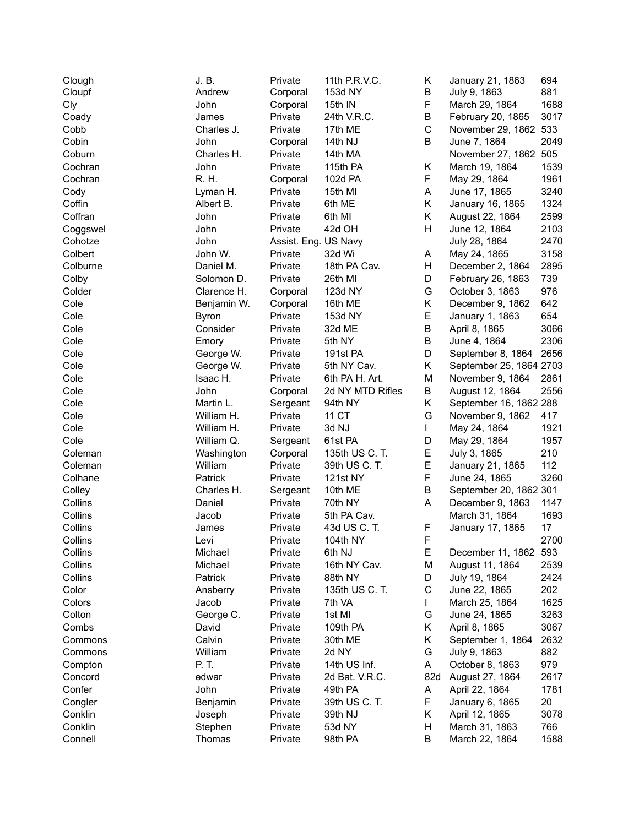| Clough   | J.B.         | Private              | 11th P.R.V.C.    | Κ           | January 21, 1863        | 694  |
|----------|--------------|----------------------|------------------|-------------|-------------------------|------|
| Cloupf   | Andrew       | Corporal             | 153d NY          | В           | July 9, 1863            | 881  |
| Cly      | John         | Corporal             | 15th IN          | F           | March 29, 1864          | 1688 |
| Coady    | James        | Private              | 24th V.R.C.      | B           | February 20, 1865       | 3017 |
| Cobb     | Charles J.   | Private              | 17th ME          | $\mathsf C$ | November 29, 1862 533   |      |
| Cobin    | John         | Corporal             | 14th NJ          | В           | June 7, 1864            | 2049 |
| Coburn   | Charles H.   | Private              | 14th MA          |             | November 27, 1862 505   |      |
| Cochran  | John         | Private              | 115th PA         | Κ           | March 19, 1864          | 1539 |
| Cochran  | R. H.        | Corporal             | 102d PA          | F           | May 29, 1864            | 1961 |
| Cody     | Lyman H.     | Private              | 15th MI          | A           | June 17, 1865           | 3240 |
| Coffin   | Albert B.    | Private              | 6th ME           | Κ           | January 16, 1865        | 1324 |
| Coffran  | John         | Private              | 6th MI           | Κ           | August 22, 1864         | 2599 |
| Coggswel | John         | Private              | 42d OH           | Η           | June 12, 1864           | 2103 |
| Cohotze  | John         | Assist. Eng. US Navy |                  |             | July 28, 1864           | 2470 |
| Colbert  | John W.      | Private              | 32d Wi           | A           | May 24, 1865            | 3158 |
| Colburne | Daniel M.    | Private              | 18th PA Cav.     | Н           | December 2, 1864        | 2895 |
| Colby    | Solomon D.   | Private              | 26th MI          | D           | February 26, 1863       | 739  |
| Colder   | Clarence H.  | Corporal             | 123d NY          | G           | October 3, 1863         | 976  |
| Cole     | Benjamin W.  | Corporal             | 16th ME          | Κ           | December 9, 1862        | 642  |
| Cole     | <b>Byron</b> | Private              | 153d NY          | E           | January 1, 1863         | 654  |
| Cole     | Consider     | Private              | 32d ME           | B           | April 8, 1865           | 3066 |
| Cole     | Emory        | Private              | 5th NY           | В           | June 4, 1864            | 2306 |
| Cole     | George W.    | Private              | 191st PA         | D           | September 8, 1864       | 2656 |
| Cole     | George W.    | Private              | 5th NY Cav.      | Κ           | September 25, 1864 2703 |      |
| Cole     | Isaac H.     | Private              | 6th PA H. Art.   | M           | November 9, 1864        | 2861 |
| Cole     | John         | Corporal             | 2d NY MTD Rifles | B           | August 12, 1864         | 2556 |
| Cole     | Martin L.    | Sergeant             | 94th NY          | Κ           | September 16, 1862 288  |      |
| Cole     | William H.   | Private              | 11 CT            | G           | November 9, 1862        | 417  |
| Cole     | William H.   | Private              | 3d NJ            | L           | May 24, 1864            | 1921 |
| Cole     | William Q.   | Sergeant             | 61st PA          | D           | May 29, 1864            | 1957 |
| Coleman  | Washington   |                      | 135th US C. T.   | E           | July 3, 1865            | 210  |
| Coleman  | William      | Corporal<br>Private  | 39th US C. T.    | E           | January 21, 1865        | 112  |
| Colhane  | Patrick      | Private              | 121st NY         | F           |                         | 3260 |
|          | Charles H.   |                      |                  | B           | June 24, 1865           |      |
| Colley   |              | Sergeant             | 10th ME          |             | September 20, 1862 301  |      |
| Collins  | Daniel       | Private              | 70th NY          | A           | December 9, 1863        | 1147 |
| Collins  | Jacob        | Private              | 5th PA Cav.      |             | March 31, 1864          | 1693 |
| Collins  | James        | Private              | 43d US C. T.     | F           | January 17, 1865        | 17   |
| Collins  | Levi         | Private              | 104th NY         | F           |                         | 2700 |
| Collins  | Michael      | Private              | 6th NJ           | Ε           | December 11, 1862 593   |      |
| Collins  | Michael      | Private              | 16th NY Cav.     | М           | August 11, 1864         | 2539 |
| Collins  | Patrick      | Private              | 88th NY          | D           | July 19, 1864           | 2424 |
| Color    | Ansberry     | Private              | 135th US C. T.   | С           | June 22, 1865           | 202  |
| Colors   | Jacob        | Private              | 7th VA           |             | March 25, 1864          | 1625 |
| Colton   | George C.    | Private              | 1st MI           | G           | June 24, 1865           | 3263 |
| Combs    | David        | Private              | 109th PA         | Κ           | April 8, 1865           | 3067 |
| Commons  | Calvin       | Private              | 30th ME          | Κ           | September 1, 1864       | 2632 |
| Commons  | William      | Private              | 2d NY            | G           | July 9, 1863            | 882  |
| Compton  | P. T.        | Private              | 14th US Inf.     | Α           | October 8, 1863         | 979  |
| Concord  | edwar        | Private              | 2d Bat. V.R.C.   | 82d         | August 27, 1864         | 2617 |
| Confer   | John         | Private              | 49th PA          | A           | April 22, 1864          | 1781 |
| Congler  | Benjamin     | Private              | 39th US C. T.    | F           | January 6, 1865         | 20   |
| Conklin  | Joseph       | Private              | 39th NJ          | Κ           | April 12, 1865          | 3078 |
| Conklin  | Stephen      | Private              | 53d NY           | н           | March 31, 1863          | 766  |
| Connell  | Thomas       | Private              | 98th PA          | В           | March 22, 1864          | 1588 |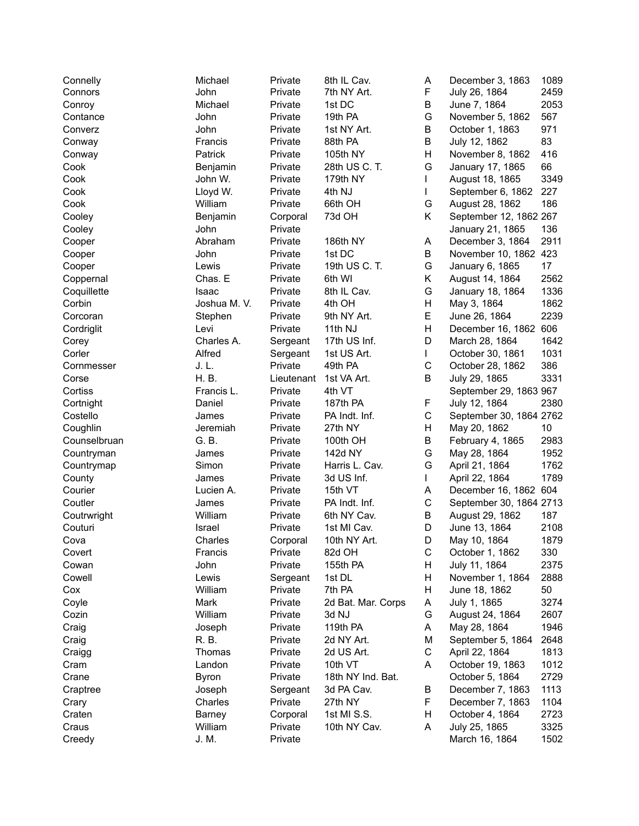| Connelly     | Michael      | Private    | 8th IL Cav.        | Α           | December 3, 1863        | 1089 |
|--------------|--------------|------------|--------------------|-------------|-------------------------|------|
| Connors      | John         | Private    | 7th NY Art.        | F           | July 26, 1864           | 2459 |
| Conroy       | Michael      | Private    | 1st DC             | В           | June 7, 1864            | 2053 |
| Contance     | John         | Private    | 19th PA            | G           | November 5, 1862        | 567  |
| Converz      | John         | Private    | 1st NY Art.        | В           | October 1, 1863         | 971  |
| Conway       | Francis      | Private    | 88th PA            | В           | July 12, 1862           | 83   |
| Conway       | Patrick      | Private    | 105th NY           | Η           | November 8, 1862        | 416  |
| Cook         | Benjamin     | Private    | 28th US C. T.      | G           | January 17, 1865        | 66   |
| Cook         | John W.      | Private    | 179th NY           | L           | August 18, 1865         | 3349 |
| Cook         | Lloyd W.     | Private    | 4th NJ             | L           | September 6, 1862       | 227  |
| Cook         | William      | Private    | 66th OH            | G           | August 28, 1862         | 186  |
| Cooley       | Benjamin     | Corporal   | 73d OH             | Κ           | September 12, 1862 267  |      |
| Cooley       | John         | Private    |                    |             | January 21, 1865        | 136  |
| Cooper       | Abraham      | Private    | 186th NY           | Α           | December 3, 1864        | 2911 |
| Cooper       | John         | Private    | 1st DC             | B           | November 10, 1862 423   |      |
| Cooper       | Lewis        | Private    | 19th US C. T.      | G           | January 6, 1865         | 17   |
| Coppernal    | Chas. E      | Private    | 6th WI             | Κ           | August 14, 1864         | 2562 |
| Coquillette  | Isaac        | Private    | 8th IL Cav.        | G           | January 18, 1864        | 1336 |
| Corbin       | Joshua M. V. | Private    | 4th OH             | Н           | May 3, 1864             | 1862 |
| Corcoran     | Stephen      | Private    | 9th NY Art.        | E           | June 26, 1864           | 2239 |
| Cordriglit   | Levi         | Private    | 11th NJ            | Η           | December 16, 1862 606   |      |
| Corey        | Charles A.   | Sergeant   | 17th US Inf.       | D           | March 28, 1864          | 1642 |
| Corler       | Alfred       | Sergeant   | 1st US Art.        | L           | October 30, 1861        | 1031 |
| Cornmesser   | J. L.        | Private    | 49th PA            | C           | October 28, 1862        | 386  |
| Corse        | H. B.        | Lieutenant | 1st VA Art.        | В           | July 29, 1865           | 3331 |
| Cortiss      | Francis L.   | Private    | 4th VT             |             | September 29, 1863 967  |      |
| Cortnight    | Daniel       | Private    | 187th PA           | F           | July 12, 1864           | 2380 |
| Costello     | James        | Private    | PA Indt. Inf.      | C           | September 30, 1864 2762 |      |
| Coughlin     | Jeremiah     | Private    | 27th NY            | Н           | May 20, 1862            | 10   |
| Counselbruan | G. B.        | Private    | 100th OH           | B           | February 4, 1865        | 2983 |
| Countryman   | James        | Private    | 142d NY            | G           | May 28, 1864            | 1952 |
| Countrymap   | Simon        | Private    | Harris L. Cav.     | G           | April 21, 1864          | 1762 |
| County       | James        | Private    | 3d US Inf.         | L           | April 22, 1864          | 1789 |
| Courier      | Lucien A.    | Private    | 15th VT            | Α           | December 16, 1862 604   |      |
| Coutler      | James        | Private    | PA Indt. Inf.      | $\mathsf C$ | September 30, 1864 2713 |      |
| Coutrwright  | William      | Private    | 6th NY Cav.        | В           | August 29, 1862         | 187  |
| Couturi      | Israel       | Private    | 1st MI Cav.        | D           | June 13, 1864           | 2108 |
| Cova         | Charles      | Corporal   | 10th NY Art.       | D           | May 10, 1864            | 1879 |
| Covert       | Francis      | Private    | 82d OH             | С           | October 1, 1862         | 330  |
| Cowan        | John         | Private    | 155th PA           | H           | July 11, 1864           | 2375 |
| Cowell       | Lewis        | Sergeant   | 1st DL             | Н           | November 1, 1864        | 2888 |
| Cox          | William      | Private    | 7th PA             | Н           | June 18, 1862           | 50   |
| Coyle        | Mark         | Private    | 2d Bat. Mar. Corps | A           | July 1, 1865            | 3274 |
| Cozin        | William      | Private    | 3d NJ              | G           | August 24, 1864         | 2607 |
| Craig        | Joseph       | Private    | 119th PA           | Α           | May 28, 1864            | 1946 |
| Craig        | R. B.        | Private    | 2d NY Art.         | М           | September 5, 1864       | 2648 |
| Craigg       | Thomas       | Private    | 2d US Art.         | С           | April 22, 1864          | 1813 |
| Cram         | Landon       | Private    | 10th VT            | Α           | October 19, 1863        | 1012 |
| Crane        | <b>Byron</b> | Private    | 18th NY Ind. Bat.  |             | October 5, 1864         | 2729 |
| Craptree     | Joseph       | Sergeant   | 3d PA Cav.         | В           | December 7, 1863        | 1113 |
| Crary        | Charles      | Private    | 27th NY            | F           | December 7, 1863        | 1104 |
| Craten       | Barney       | Corporal   | 1st MI S.S.        | Н           | October 4, 1864         | 2723 |
| Craus        | William      | Private    | 10th NY Cav.       | Α           | July 25, 1865           | 3325 |
| Creedy       | J. M.        | Private    |                    |             | March 16, 1864          | 1502 |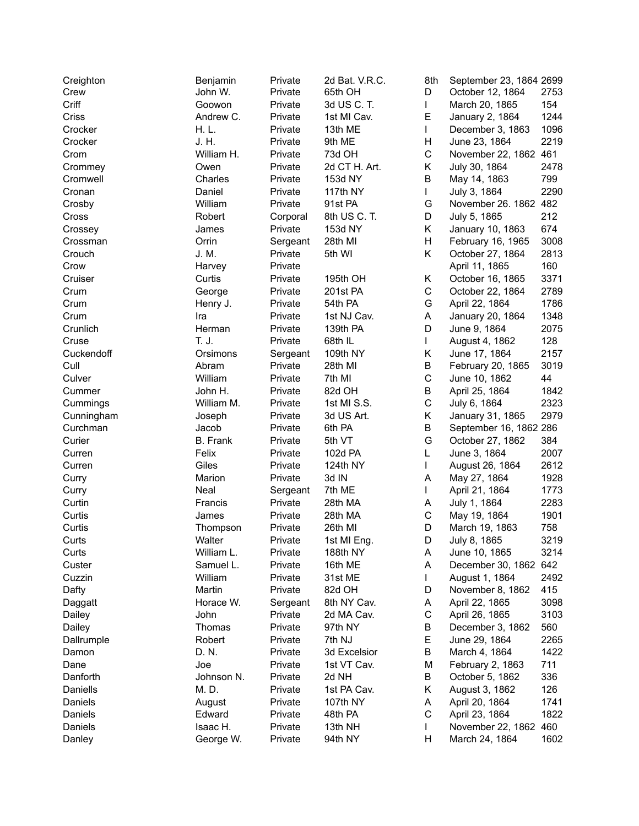| Creighton  | Benjamin        | Private  | 2d Bat. V.R.C. | 8th         | September 23, 1864 2699 |      |
|------------|-----------------|----------|----------------|-------------|-------------------------|------|
| Crew       | John W.         | Private  | 65th OH        | D           | October 12, 1864        | 2753 |
| Criff      | Goowon          | Private  | 3d US C. T.    | L           | March 20, 1865          | 154  |
| Criss      | Andrew C.       | Private  | 1st MI Cav.    | Е           | January 2, 1864         | 1244 |
| Crocker    | H. L.           | Private  | 13th ME        | L           | December 3, 1863        | 1096 |
| Crocker    | J. H.           | Private  | 9th ME         | Η           | June 23, 1864           | 2219 |
| Crom       | William H.      | Private  | 73d OH         | C           | November 22, 1862 461   |      |
| Crommey    | Owen            | Private  | 2d CT H. Art.  | Κ           | July 30, 1864           | 2478 |
| Cromwell   | Charles         | Private  | 153d NY        | B           | May 14, 1863            | 799  |
| Cronan     | Daniel          | Private  | 117th NY       | L           | July 3, 1864            | 2290 |
| Crosby     | William         | Private  | 91st PA        | G           | November 26. 1862 482   |      |
| Cross      | Robert          | Corporal | 8th US C. T.   | D           | July 5, 1865            | 212  |
| Crossey    | James           | Private  | 153d NY        | Κ           | January 10, 1863        | 674  |
| Crossman   | Orrin           | Sergeant | 28th MI        | H           | February 16, 1965       | 3008 |
| Crouch     | J. M.           | Private  | 5th WI         | Κ           | October 27, 1864        | 2813 |
|            |                 |          |                |             |                         |      |
| Crow       | Harvey          | Private  |                |             | April 11, 1865          | 160  |
| Cruiser    | Curtis          | Private  | 195th OH       | Κ           | October 16, 1865        | 3371 |
| Crum       | George          | Private  | 201st PA       | $\mathsf C$ | October 22, 1864        | 2789 |
| Crum       | Henry J.        | Private  | 54th PA        | G           | April 22, 1864          | 1786 |
| Crum       | Ira             | Private  | 1st NJ Cav.    | A           | January 20, 1864        | 1348 |
| Crunlich   | Herman          | Private  | 139th PA       | D           | June 9, 1864            | 2075 |
| Cruse      | T. J.           | Private  | 68th IL        | L           | August 4, 1862          | 128  |
| Cuckendoff | Orsimons        | Sergeant | 109th NY       | Κ           | June 17, 1864           | 2157 |
| Cull       | Abram           | Private  | 28th MI        | B           | February 20, 1865       | 3019 |
| Culver     | William         | Private  | 7th MI         | C           | June 10, 1862           | 44   |
| Cummer     | John H.         | Private  | 82d OH         | B           | April 25, 1864          | 1842 |
| Cummings   | William M.      | Private  | 1st MI S.S.    | C           | July 6, 1864            | 2323 |
| Cunningham | Joseph          | Private  | 3d US Art.     | Κ           | January 31, 1865        | 2979 |
| Curchman   | Jacob           | Private  | 6th PA         | B           | September 16, 1862 286  |      |
| Curier     | <b>B.</b> Frank | Private  | 5th VT         | G           | October 27, 1862        | 384  |
| Curren     | Felix           | Private  | 102d PA        | L           | June 3, 1864            | 2007 |
| Curren     | Giles           | Private  | 124th NY       | L           | August 26, 1864         | 2612 |
| Curry      | Marion          | Private  | 3d IN          | A           | May 27, 1864            | 1928 |
| Curry      | Neal            | Sergeant | 7th ME         | L           | April 21, 1864          | 1773 |
| Curtin     | Francis         | Private  | 28th MA        | Α           | July 1, 1864            | 2283 |
| Curtis     | James           | Private  | 28th MA        | $\mathsf C$ | May 19, 1864            | 1901 |
| Curtis     | Thompson        | Private  | 26th MI        | D           | March 19, 1863          | 758  |
| Curts      | Walter          | Private  | 1st MI Eng.    | D.          | July 8, 1865            | 3219 |
| Curts      | William L.      | Private  | 188th NY       | A           | June 10, 1865           | 3214 |
| Custer     | Samuel L.       | Private  | 16th ME        | A           | December 30, 1862 642   |      |
| Cuzzin     | William         | Private  | 31st ME        | L           | August 1, 1864          | 2492 |
| Dafty      | Martin          | Private  |                | D           | November 8, 1862        | 415  |
|            |                 |          | 82d OH         |             |                         |      |
| Daggatt    | Horace W.       | Sergeant | 8th NY Cav.    | Α           | April 22, 1865          | 3098 |
| Dailey     | John            | Private  | 2d MA Cav.     | $\mathsf C$ | April 26, 1865          | 3103 |
| Dailey     | Thomas          | Private  | 97th NY        | В           | December 3, 1862        | 560  |
| Dallrumple | Robert          | Private  | 7th NJ         | Е           | June 29, 1864           | 2265 |
| Damon      | D. N.           | Private  | 3d Excelsior   | В           | March 4, 1864           | 1422 |
| Dane       | Joe             | Private  | 1st VT Cav.    | M           | February 2, 1863        | 711  |
| Danforth   | Johnson N.      | Private  | 2d NH          | В           | October 5, 1862         | 336  |
| Daniells   | M. D.           | Private  | 1st PA Cav.    | Κ           | August 3, 1862          | 126  |
| Daniels    | August          | Private  | 107th NY       | A           | April 20, 1864          | 1741 |
| Daniels    | Edward          | Private  | 48th PA        | C           | April 23, 1864          | 1822 |
| Daniels    | Isaac H.        | Private  | 13th NH        | L           | November 22, 1862       | 460  |
| Danley     | George W.       | Private  | 94th NY        | Н           | March 24, 1864          | 1602 |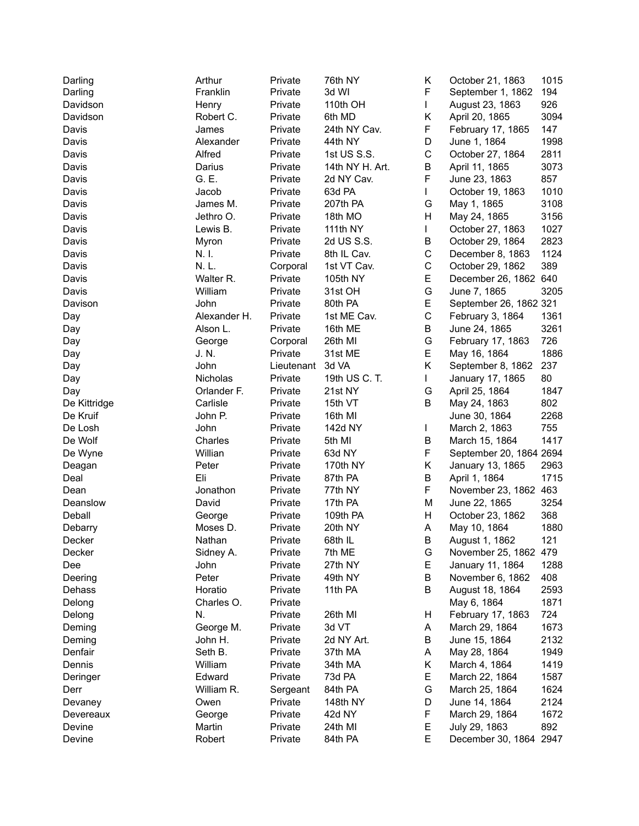| Darling      | Arthur       | Private    | 76th NY         | Κ           | October 21, 1863        | 1015 |
|--------------|--------------|------------|-----------------|-------------|-------------------------|------|
| Darling      | Franklin     | Private    | 3d WI           | F           | September 1, 1862       | 194  |
| Davidson     | Henry        | Private    | 110th OH        | L           | August 23, 1863         | 926  |
| Davidson     | Robert C.    | Private    | 6th MD          | Κ           | April 20, 1865          | 3094 |
| Davis        | James        | Private    | 24th NY Cav.    | F           | February 17, 1865       | 147  |
| Davis        | Alexander    | Private    | 44th NY         | D           | June 1, 1864            | 1998 |
| Davis        | Alfred       | Private    | 1st US S.S.     | C           | October 27, 1864        | 2811 |
| Davis        | Darius       | Private    | 14th NY H. Art. | B           | April 11, 1865          | 3073 |
| Davis        | G. E.        | Private    | 2d NY Cav.      | F           | June 23, 1863           | 857  |
| Davis        | Jacob        | Private    | 63d PA          | L           | October 19, 1863        | 1010 |
| Davis        | James M.     | Private    | 207th PA        | G           | May 1, 1865             | 3108 |
| Davis        | Jethro O.    | Private    | 18th MO         | Н           | May 24, 1865            | 3156 |
| Davis        | Lewis B.     | Private    | 111th NY        | L           | October 27, 1863        | 1027 |
| Davis        | Myron        | Private    | 2d US S.S.      | B           | October 29, 1864        | 2823 |
| Davis        | N. I.        | Private    | 8th IL Cav.     | $\mathsf C$ | December 8, 1863        | 1124 |
| Davis        | N.L.         | Corporal   | 1st VT Cav.     | C           | October 29, 1862        | 389  |
| Davis        | Walter R.    | Private    | 105th NY        | E           | December 26, 1862 640   |      |
| Davis        | William      | Private    | 31st OH         | G           | June 7, 1865            | 3205 |
| Davison      | John         | Private    | 80th PA         | E           | September 26, 1862 321  |      |
| Day          | Alexander H. | Private    | 1st ME Cav.     | $\mathsf C$ | February 3, 1864        | 1361 |
| Day          | Alson L.     | Private    | 16th ME         | B           | June 24, 1865           | 3261 |
| Day          | George       | Corporal   | 26th MI         | G           | February 17, 1863       | 726  |
| Day          | J. N.        | Private    | 31st ME         | E           | May 16, 1864            | 1886 |
| Day          | John         | Lieutenant | 3d VA           | K           | September 8, 1862       | 237  |
| Day          | Nicholas     | Private    | 19th US C. T.   | L           | January 17, 1865        | 80   |
| Day          | Orlander F.  | Private    | 21st NY         | G           | April 25, 1864          | 1847 |
| De Kittridge | Carlisle     | Private    | 15th VT         | B           | May 24, 1863            | 802  |
| De Kruif     | John P.      | Private    | 16th MI         |             | June 30, 1864           | 2268 |
| De Losh      | John         | Private    | 142d NY         | L           | March 2, 1863           | 755  |
| De Wolf      | Charles      | Private    | 5th MI          | В           | March 15, 1864          | 1417 |
| De Wyne      | Willian      | Private    | 63d NY          | F           | September 20, 1864 2694 |      |
| Deagan       | Peter        | Private    | 170th NY        | Κ           | January 13, 1865        | 2963 |
| Deal         | Eli          | Private    | 87th PA         | B           | April 1, 1864           | 1715 |
| Dean         | Jonathon     | Private    | 77th NY         | F           | November 23, 1862 463   |      |
| Deanslow     | David        | Private    | 17th PA         | M           | June 22, 1865           | 3254 |
| Deball       | George       | Private    | 109th PA        | H           | October 23, 1862        | 368  |
| Debarry      | Moses D.     | Private    | 20th NY         | Α           | May 10, 1864            | 1880 |
| Decker       | Nathan       | Private    | 68th IL         | В           | August 1, 1862          | 121  |
| Decker       | Sidney A.    | Private    | 7th ME          | G           | November 25, 1862 479   |      |
| Dee          | John         | Private    | 27th NY         | Е           | January 11, 1864        | 1288 |
| Deering      | Peter        | Private    | 49th NY         | В           | November 6, 1862        | 408  |
| Dehass       | Horatio      | Private    | 11th PA         | В           | August 18, 1864         | 2593 |
| Delong       | Charles O.   | Private    |                 |             | May 6, 1864             | 1871 |
| Delong       | N.           | Private    | 26th MI         | Н           | February 17, 1863       | 724  |
| Deming       | George M.    | Private    | 3d VT           | Α           | March 29, 1864          | 1673 |
| Deming       | John H.      | Private    | 2d NY Art.      | В           | June 15, 1864           | 2132 |
| Denfair      | Seth B.      | Private    | 37th MA         | A           | May 28, 1864            | 1949 |
| Dennis       | William      | Private    | 34th MA         | Κ           | March 4, 1864           | 1419 |
| Deringer     | Edward       | Private    | 73d PA          | E.          | March 22, 1864          | 1587 |
| Derr         | William R.   | Sergeant   | 84th PA         | G           | March 25, 1864          | 1624 |
| Devaney      | Owen         | Private    | 148th NY        | D           | June 14, 1864           | 2124 |
| Devereaux    | George       | Private    | 42d NY          | F           | March 29, 1864          | 1672 |
| Devine       | Martin       | Private    | 24th MI         | Е           | July 29, 1863           | 892  |
| Devine       | Robert       | Private    | 84th PA         | E           | December 30, 1864 2947  |      |
|              |              |            |                 |             |                         |      |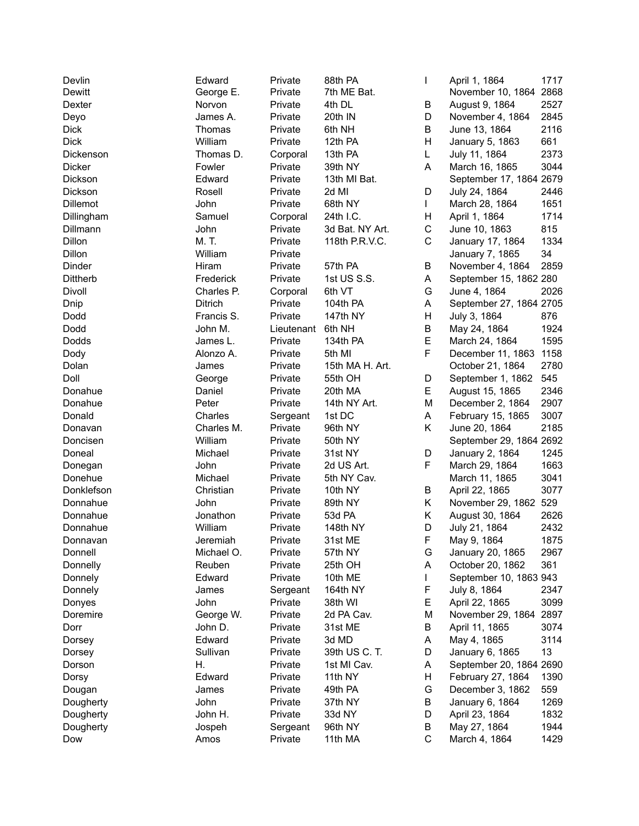| Devlin          | Edward     | Private    | 88th PA         | L           | April 1, 1864           | 1717 |
|-----------------|------------|------------|-----------------|-------------|-------------------------|------|
| Dewitt          | George E.  | Private    | 7th ME Bat.     |             | November 10, 1864 2868  |      |
| Dexter          | Norvon     | Private    | 4th DL          | В           | August 9, 1864          | 2527 |
| Deyo            | James A.   | Private    | 20th IN         | D           | November 4, 1864        | 2845 |
| <b>Dick</b>     | Thomas     | Private    | 6th NH          | B           | June 13, 1864           | 2116 |
| <b>Dick</b>     | William    | Private    | 12th PA         | Н           | January 5, 1863         | 661  |
| Dickenson       | Thomas D.  | Corporal   | 13th PA         | L           | July 11, 1864           | 2373 |
| Dicker          | Fowler     | Private    | 39th NY         | A           | March 16, 1865          | 3044 |
| Dickson         | Edward     | Private    | 13th MI Bat.    |             | September 17, 1864 2679 |      |
| Dickson         | Rosell     | Private    | 2d MI           | D           | July 24, 1864           | 2446 |
| Dillemot        | John       | Private    | 68th NY         | L           | March 28, 1864          | 1651 |
| Dillingham      | Samuel     | Corporal   | 24th I.C.       | н           | April 1, 1864           | 1714 |
| Dillmann        | John       | Private    | 3d Bat. NY Art. | $\mathsf C$ | June 10, 1863           | 815  |
| Dillon          | M. T.      | Private    | 118th P.R.V.C.  | C           | January 17, 1864        | 1334 |
| Dillon          | William    | Private    |                 |             | January 7, 1865         | 34   |
| Dinder          | Hiram      | Private    | 57th PA         | В           | November 4, 1864        | 2859 |
| <b>Dittherb</b> | Frederick  | Private    | 1st US S.S.     | A           | September 15, 1862 280  |      |
| Divoll          | Charles P. | Corporal   | 6th VT          | G           | June 4, 1864            | 2026 |
| Dnip            | Ditrich    | Private    | 104th PA        | Α           | September 27, 1864 2705 |      |
| Dodd            | Francis S. | Private    | 147th NY        | Н           | July 3, 1864            | 876  |
| Dodd            | John M.    | Lieutenant | 6th NH          | В           | May 24, 1864            | 1924 |
| Dodds           | James L.   | Private    | 134th PA        | E           | March 24, 1864          | 1595 |
| Dody            | Alonzo A.  | Private    | 5th MI          | F           | December 11, 1863       | 1158 |
| Dolan           | James      | Private    | 15th MA H. Art. |             | October 21, 1864        | 2780 |
| Doll            | George     | Private    | 55th OH         | D           | September 1, 1862       | 545  |
| Donahue         | Daniel     | Private    | 20th MA         | E           | August 15, 1865         | 2346 |
| Donahue         | Peter      | Private    | 14th NY Art.    | M           | December 2, 1864        | 2907 |
| Donald          | Charles    | Sergeant   | 1st DC          | A           | February 15, 1865       | 3007 |
| Donavan         | Charles M. | Private    | 96th NY         | Κ           | June 20, 1864           | 2185 |
| Doncisen        | William    | Private    | 50th NY         |             | September 29, 1864 2692 |      |
| Doneal          | Michael    | Private    | 31st NY         | D           | January 2, 1864         | 1245 |
| Donegan         | John       | Private    | 2d US Art.      | F           | March 29, 1864          | 1663 |
| Donehue         | Michael    | Private    | 5th NY Cav.     |             | March 11, 1865          | 3041 |
| Donklefson      | Christian  | Private    | 10th NY         | В           | April 22, 1865          | 3077 |
| Donnahue        | John       | Private    | 89th NY         | Κ           | November 29, 1862 529   |      |
| Donnahue        | Jonathon   | Private    | 53d PA          | Κ           | August 30, 1864         | 2626 |
| Donnahue        | William    | Private    | 148th NY        | D           | July 21, 1864           | 2432 |
| Donnavan        | Jeremiah   | Private    | 31st ME         | $\mathsf F$ | May 9, 1864             | 1875 |
| Donnell         | Michael O. | Private    | 57th NY         | G           | January 20, 1865        | 2967 |
| Donnelly        | Reuben     | Private    | 25th OH         | Α           | October 20, 1862        | 361  |
| Donnely         | Edward     | Private    | 10th ME         | L           | September 10, 1863 943  |      |
| Donnely         | James      | Sergeant   | 164th NY        | F           | July 8, 1864            | 2347 |
| Donyes          | John       | Private    | 38th WI         | Е           | April 22, 1865          | 3099 |
| Doremire        | George W.  | Private    | 2d PA Cav.      | M           | November 29, 1864       | 2897 |
| Dorr            | John D.    | Private    | 31st ME         | В           | April 11, 1865          | 3074 |
| Dorsey          | Edward     | Private    | 3d MD           | А           | May 4, 1865             | 3114 |
| Dorsey          | Sullivan   | Private    | 39th US C. T.   | D           | January 6, 1865         | 13   |
| Dorson          | Η.         | Private    | 1st MI Cav.     | Α           | September 20, 1864 2690 |      |
| Dorsy           | Edward     | Private    | 11th NY         | Н           | February 27, 1864       | 1390 |
| Dougan          | James      | Private    | 49th PA         | G           | December 3, 1862        | 559  |
| Dougherty       | John       | Private    | 37th NY         | В           | January 6, 1864         | 1269 |
| Dougherty       | John H.    | Private    | 33d NY          | D           | April 23, 1864          | 1832 |
| Dougherty       | Jospeh     | Sergeant   | 96th NY         | В           | May 27, 1864            | 1944 |
| Dow             | Amos       | Private    | 11th MA         | $\mathsf C$ | March 4, 1864           | 1429 |
|                 |            |            |                 |             |                         |      |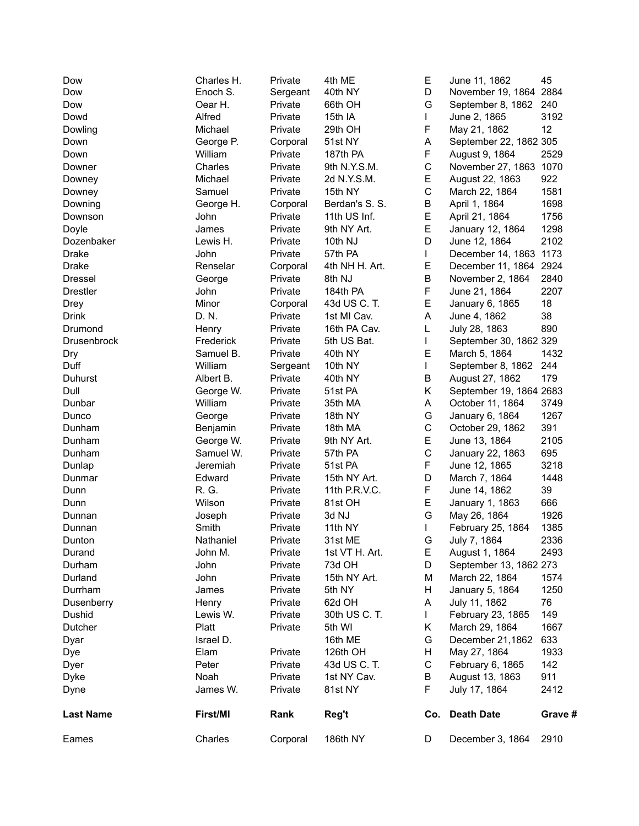| Dow              | Charles H.          | Private             | 4th ME             | Е<br>D           | June 11, 1862                               | 45          |
|------------------|---------------------|---------------------|--------------------|------------------|---------------------------------------------|-------------|
| Dow              | Enoch S.<br>Oear H. | Sergeant<br>Private | 40th NY            | G                | November 19, 1864 2884<br>September 8, 1862 |             |
| Dow              | Alfred              |                     | 66th OH<br>15th IA | $\mathbf{L}$     |                                             | 240<br>3192 |
| Dowd             |                     | Private             |                    |                  | June 2, 1865                                | 12          |
| Dowling          | Michael             | Private             | 29th OH            | F                | May 21, 1862                                |             |
| Down             | George P.           | Corporal            | 51st NY            | A                | September 22, 1862 305                      |             |
| Down             | William             | Private             | 187th PA           | F<br>$\mathsf C$ | August 9, 1864                              | 2529        |
| Downer           | Charles             | Private             | 9th N.Y.S.M.       |                  | November 27, 1863 1070                      |             |
| Downey           | Michael             | Private             | 2d N.Y.S.M.        | E                | August 22, 1863                             | 922         |
| Downey           | Samuel              | Private             | 15th NY            | C                | March 22, 1864                              | 1581        |
| Downing          | George H.           | Corporal            | Berdan's S. S.     | В                | April 1, 1864                               | 1698        |
| Downson          | John                | Private             | 11th US Inf.       | E                | April 21, 1864                              | 1756        |
| Doyle            | James               | Private             | 9th NY Art.        | E                | January 12, 1864                            | 1298        |
| Dozenbaker       | Lewis H.            | Private             | 10th NJ            | D                | June 12, 1864                               | 2102        |
| Drake            | John                | Private             | 57th PA            | $\mathbf{I}$     | December 14, 1863 1173                      |             |
| Drake            | Renselar            | Corporal            | 4th NH H. Art.     | E                | December 11, 1864 2924                      |             |
| <b>Dressel</b>   | George              | Private             | 8th NJ             | B                | November 2, 1864                            | 2840        |
| <b>Drestler</b>  | John                | Private             | 184th PA           | F                | June 21, 1864                               | 2207        |
| Drey             | Minor               | Corporal            | 43d US C. T.       | E                | January 6, 1865                             | 18          |
| <b>Drink</b>     | D. N.               | Private             | 1st MI Cav.        | A                | June 4, 1862                                | 38          |
| Drumond          | Henry               | Private             | 16th PA Cav.       | L                | July 28, 1863                               | 890         |
| Drusenbrock      | Frederick           | Private             | 5th US Bat.        | L                | September 30, 1862 329                      |             |
| Dry              | Samuel B.           | Private             | 40th NY            | E                | March 5, 1864                               | 1432        |
| Duff             | William             | Sergeant            | 10th NY            | L                | September 8, 1862                           | 244         |
| Duhurst          | Albert B.           | Private             | 40th NY            | В                | August 27, 1862                             | 179         |
| Dull             | George W.           | Private             | 51st PA            | K                | September 19, 1864 2683                     |             |
| Dunbar           | William             | Private             | 35th MA            | A                | October 11, 1864                            | 3749        |
| Dunco            | George              | Private             | 18th NY            | G                | January 6, 1864                             | 1267        |
| Dunham           | Benjamin            | Private             | 18th MA            | C                | October 29, 1862                            | 391         |
| Dunham           | George W.           | Private             | 9th NY Art.        | E                | June 13, 1864                               | 2105        |
| Dunham           | Samuel W.           | Private             | 57th PA            | $\mathsf C$      | January 22, 1863                            | 695         |
| Dunlap           | Jeremiah            | Private             | 51st PA            | F                | June 12, 1865                               | 3218        |
| Dunmar           | Edward              | Private             | 15th NY Art.       | D                | March 7, 1864                               | 1448        |
| Dunn             | R. G.               | Private             | 11th P.R.V.C.      | F                | June 14, 1862                               | 39          |
| Dunn             | Wilson              | Private             | 81st OH            | E                | January 1, 1863                             | 666         |
| Dunnan           | Joseph              | Private             | 3d NJ              | G                | May 26, 1864                                | 1926        |
| Dunnan           | Smith               | Private             | 11th NY            | L                | February 25, 1864                           | 1385        |
| Dunton           | Nathaniel           | Private             | 31st ME            | G                | July 7, 1864                                | 2336        |
| Durand           | John M.             | Private             | 1st VT H. Art.     | Е                | August 1, 1864                              | 2493        |
| Durham           | John                | Private             | 73d OH             | D                | September 13, 1862 273                      |             |
| Durland          | John                | Private             | 15th NY Art.       | М                | March 22, 1864                              | 1574        |
| Durrham          | James               | Private             | 5th NY             | н                | January 5, 1864                             | 1250        |
| Dusenberry       | Henry               | Private             | 62d OH             | A                | July 11, 1862                               | 76          |
| Dushid           | Lewis W.            | Private             | 30th US C. T.      | $\mathbf{L}$     | February 23, 1865                           | 149         |
| Dutcher          | Platt               | Private             | 5th WI             | Κ                | March 29, 1864                              | 1667        |
| Dyar             | Israel D.           |                     | 16th ME            | G                | December 21,1862                            | 633         |
| Dye              | Elam                | Private             | 126th OH           | н                | May 27, 1864                                | 1933        |
| Dyer             | Peter               | Private             | 43d US C. T.       | $\mathsf C$      | February 6, 1865                            | 142         |
| Dyke             | Noah                | Private             | 1st NY Cav.        | B                | August 13, 1863                             | 911         |
| Dyne             | James W.            | Private             | 81st NY            | F.               | July 17, 1864                               | 2412        |
| <b>Last Name</b> | First/MI            | Rank                | Reg't              | Co.              | <b>Death Date</b>                           | Grave #     |
| Eames            | Charles             | Corporal            | 186th NY           | D                | December 3, 1864                            | 2910        |
|                  |                     |                     |                    |                  |                                             |             |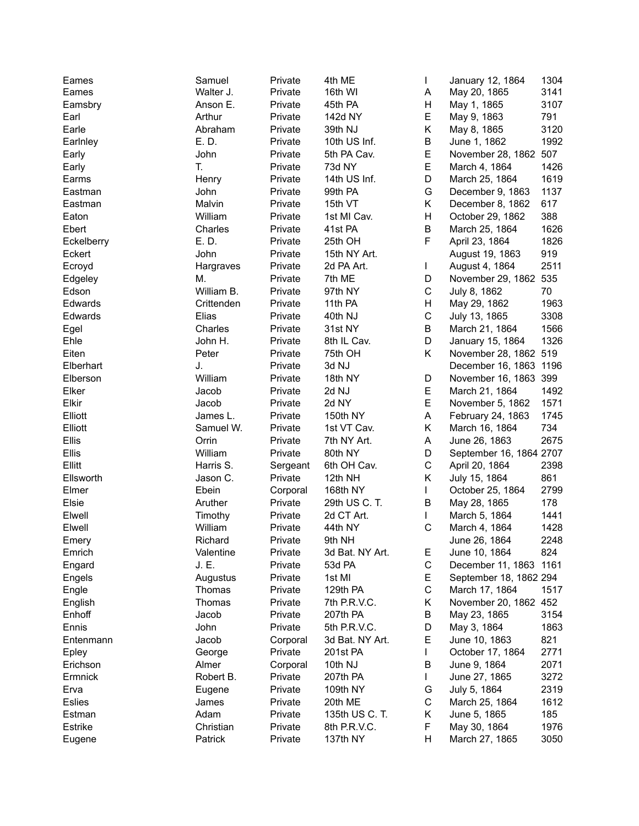| Eames         | Samuel     | Private  | 4th ME          | $\mathsf{I}$ | January 12, 1864        | 1304 |
|---------------|------------|----------|-----------------|--------------|-------------------------|------|
| Eames         | Walter J.  | Private  | 16th WI         | Α            | May 20, 1865            | 3141 |
| Eamsbry       | Anson E.   | Private  | 45th PA         | Н            | May 1, 1865             | 3107 |
| Earl          | Arthur     | Private  | 142d NY         | E            | May 9, 1863             | 791  |
| Earle         | Abraham    | Private  | 39th NJ         | Κ            | May 8, 1865             | 3120 |
| Earlnley      | E. D.      | Private  | 10th US Inf.    | B            | June 1, 1862            | 1992 |
| Early         | John       | Private  | 5th PA Cav.     | E            | November 28, 1862 507   |      |
| Early         | T.         | Private  | 73d NY          | E            | March 4, 1864           | 1426 |
| Earms         | Henry      | Private  | 14th US Inf.    | D            | March 25, 1864          | 1619 |
| Eastman       | John       | Private  | 99th PA         | G            | December 9, 1863        | 1137 |
| Eastman       | Malvin     | Private  | 15th VT         | K.           | December 8, 1862        | 617  |
| Eaton         | William    | Private  | 1st MI Cav.     | Н            | October 29, 1862        | 388  |
| Ebert         | Charles    | Private  | 41st PA         | B            | March 25, 1864          | 1626 |
| Eckelberry    | E. D.      | Private  | 25th OH         | F            | April 23, 1864          | 1826 |
| Eckert        | John       | Private  | 15th NY Art.    |              | August 19, 1863         | 919  |
| Ecroyd        | Hargraves  | Private  | 2d PA Art.      | $\mathbf{I}$ | August 4, 1864          | 2511 |
| Edgeley       | М.         | Private  | 7th ME          | D            | November 29, 1862 535   |      |
| Edson         | William B. | Private  | 97th NY         | $\mathsf C$  | July 8, 1862            | 70   |
| Edwards       | Crittenden | Private  | 11th PA         | Н            | May 29, 1862            | 1963 |
| Edwards       | Elias      | Private  | 40th NJ         | $\mathsf C$  | July 13, 1865           | 3308 |
| Egel          | Charles    | Private  | 31st NY         | В            | March 21, 1864          | 1566 |
| Ehle          | John H.    | Private  | 8th IL Cav.     | D            | January 15, 1864        | 1326 |
| Eiten         | Peter      | Private  | 75th OH         | K.           | November 28, 1862 519   |      |
| Elberhart     | J.         | Private  | 3d NJ           |              | December 16, 1863 1196  |      |
| Elberson      | William    | Private  | 18th NY         | D            | November 16, 1863 399   |      |
| Elker         | Jacob      | Private  | 2d NJ           | E            | March 21, 1864          | 1492 |
| Elkir         | Jacob      | Private  | 2d NY           | E            | November 5, 1862        | 1571 |
| Elliott       | James L.   | Private  | 150th NY        | Α            | February 24, 1863       | 1745 |
| Elliott       | Samuel W.  | Private  | 1st VT Cav.     | K            | March 16, 1864          | 734  |
| Ellis         | Orrin      | Private  | 7th NY Art.     | Α            | June 26, 1863           | 2675 |
| Ellis         | William    | Private  | 80th NY         | D            | September 16, 1864 2707 |      |
| Ellitt        | Harris S.  | Sergeant | 6th OH Cav.     | $\mathsf C$  | April 20, 1864          | 2398 |
| Ellsworth     | Jason C.   | Private  | 12th NH         | K.           | July 15, 1864           | 861  |
| Elmer         | Ebein      | Corporal | 168th NY        | L            | October 25, 1864        | 2799 |
| Elsie         | Aruther    | Private  | 29th US C. T.   | B            | May 28, 1865            | 178  |
| Elwell        | Timothy    | Private  | 2d CT Art.      | L            | March 5, 1864           | 1441 |
| Elwell        | William    | Private  | 44th NY         | $\mathsf C$  | March 4, 1864           | 1428 |
| Emery         | Richard    | Private  | 9th NH          |              | June 26, 1864           | 2248 |
| Emrich        | Valentine  | Private  | 3d Bat. NY Art. | Е            | June 10, 1864           | 824  |
| Engard        | J. E.      | Private  | 53d PA          | $\mathsf C$  | December 11, 1863 1161  |      |
| Engels        | Augustus   | Private  | 1st MI          | E            | September 18, 1862 294  |      |
| Engle         | Thomas     | Private  | 129th PA        | С            | March 17, 1864          | 1517 |
| English       | Thomas     | Private  | 7th P.R.V.C.    | Κ            | November 20, 1862 452   |      |
| Enhoff        | Jacob      | Private  | 207th PA        | В            | May 23, 1865            | 3154 |
| Ennis         | John       | Private  | 5th P.R.V.C.    | D            | May 3, 1864             | 1863 |
| Entenmann     | Jacob      | Corporal | 3d Bat. NY Art. | E            | June 10, 1863           | 821  |
| Epley         | George     | Private  | 201st PA        | L            | October 17, 1864        | 2771 |
| Erichson      | Almer      | Corporal | 10th NJ         | В            | June 9, 1864            | 2071 |
| Ermnick       | Robert B.  | Private  | 207th PA        | L            | June 27, 1865           | 3272 |
| Erva          | Eugene     | Private  | 109th NY        | G            | July 5, 1864            | 2319 |
| <b>Eslies</b> | James      | Private  | 20th ME         | С            | March 25, 1864          | 1612 |
| Estman        | Adam       | Private  | 135th US C. T.  | Κ            | June 5, 1865            | 185  |
| Estrike       | Christian  | Private  | 8th P.R.V.C.    | F            | May 30, 1864            | 1976 |
| Eugene        | Patrick    | Private  | 137th NY        | Н            | March 27, 1865          | 3050 |
|               |            |          |                 |              |                         |      |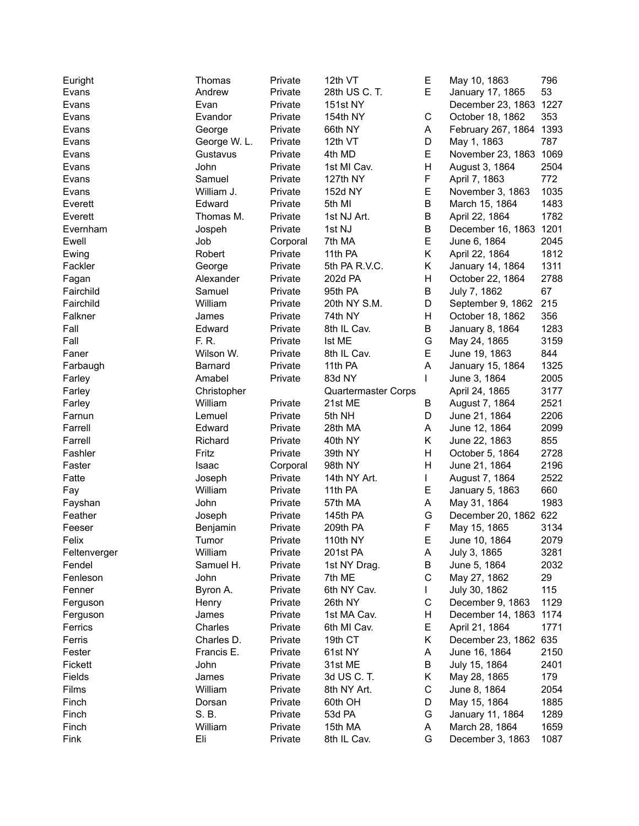| Euright      | Thomas       | Private  | 12th VT                    | Е           | May 10, 1863            | 796  |
|--------------|--------------|----------|----------------------------|-------------|-------------------------|------|
| Evans        | Andrew       | Private  | 28th US C. T.              | E           | January 17, 1865        | 53   |
| Evans        | Evan         | Private  | <b>151st NY</b>            |             | December 23, 1863 1227  |      |
| Evans        | Evandor      | Private  | 154th NY                   | $\mathsf C$ | October 18, 1862        | 353  |
| Evans        | George       | Private  | 66th NY                    | A           | February 267, 1864 1393 |      |
| Evans        | George W. L. | Private  | 12th VT                    | D           | May 1, 1863             | 787  |
| Evans        | Gustavus     | Private  | 4th MD                     | E           | November 23, 1863 1069  |      |
| Evans        | John         | Private  | 1st MI Cav.                | Н           | August 3, 1864          | 2504 |
| Evans        | Samuel       | Private  | 127th NY                   | F           | April 7, 1863           | 772  |
| Evans        | William J.   | Private  | 152d NY                    | E           | November 3, 1863        | 1035 |
| Everett      | Edward       | Private  | 5th MI                     | B           | March 15, 1864          | 1483 |
| Everett      | Thomas M.    | Private  | 1st NJ Art.                | В           | April 22, 1864          | 1782 |
| Evernham     | Jospeh       | Private  | 1st NJ                     | В           | December 16, 1863       | 1201 |
| Ewell        | Job          | Corporal | 7th MA                     | E           | June 6, 1864            | 2045 |
|              |              |          |                            | Κ           |                         |      |
| Ewing        | Robert       | Private  | 11th PA                    |             | April 22, 1864          | 1812 |
| Fackler      | George       | Private  | 5th PA R.V.C.              | Κ           | January 14, 1864        | 1311 |
| Fagan        | Alexander    | Private  | 202d PA                    | Н           | October 22, 1864        | 2788 |
| Fairchild    | Samuel       | Private  | 95th PA                    | B           | July 7, 1862            | 67   |
| Fairchild    | William      | Private  | 20th NY S.M.               | D           | September 9, 1862       | 215  |
| Falkner      | James        | Private  | 74th NY                    | Н           | October 18, 1862        | 356  |
| Fall         | Edward       | Private  | 8th IL Cav.                | В           | January 8, 1864         | 1283 |
| Fall         | F. R.        | Private  | Ist ME                     | G           | May 24, 1865            | 3159 |
| Faner        | Wilson W.    | Private  | 8th IL Cav.                | E           | June 19, 1863           | 844  |
| Farbaugh     | Barnard      | Private  | 11th PA                    | A           | January 15, 1864        | 1325 |
| Farley       | Amabel       | Private  | 83d NY                     | L           | June 3, 1864            | 2005 |
| Farley       | Christopher  |          | <b>Quartermaster Corps</b> |             | April 24, 1865          | 3177 |
| Farley       | William      | Private  | 21st ME                    | В           | August 7, 1864          | 2521 |
| Farnun       | Lemuel       | Private  | 5th NH                     | D           | June 21, 1864           | 2206 |
| Farrell      | Edward       | Private  | 28th MA                    | A           | June 12, 1864           | 2099 |
| Farrell      | Richard      | Private  | 40th NY                    | Κ           | June 22, 1863           | 855  |
| Fashler      | Fritz        | Private  | 39th NY                    | Η           | October 5, 1864         | 2728 |
| Faster       | Isaac        | Corporal | 98th NY                    | Η           | June 21, 1864           | 2196 |
| Fatte        | Joseph       | Private  | 14th NY Art.               | L           | August 7, 1864          | 2522 |
| Fay          | William      | Private  | 11th PA                    | Е           | January 5, 1863         | 660  |
| Fayshan      | John         | Private  | 57th MA                    | A           | May 31, 1864            | 1983 |
| Feather      | Joseph       | Private  | 145th PA                   | G           | December 20, 1862       | 622  |
| Feeser       | Benjamin     | Private  | 209th PA                   | F           | May 15, 1865            | 3134 |
| Felix        | Tumor        | Private  | 110th NY                   | Е           | June 10, 1864           | 2079 |
| Feltenverger | William      | Private  | 201st PA                   | A           | July 3, 1865            | 3281 |
| Fendel       | Samuel H.    | Private  | 1st NY Drag.               | В           | June 5, 1864            | 2032 |
| Fenleson     | John         | Private  | 7th ME                     | C           | May 27, 1862            | 29   |
|              | Byron A.     | Private  | 6th NY Cav.                |             | July 30, 1862           | 115  |
| Fenner       |              |          |                            |             |                         |      |
| Ferguson     | Henry        | Private  | 26th NY                    | С           | December 9, 1863        | 1129 |
| Ferguson     | James        | Private  | 1st MA Cav.                | Н           | December 14, 1863 1174  |      |
| Ferrics      | Charles      | Private  | 6th MI Cav.                | Е           | April 21, 1864          | 1771 |
| Ferris       | Charles D.   | Private  | 19th CT                    | Κ           | December 23, 1862 635   |      |
| Fester       | Francis E.   | Private  | 61st NY                    | Α           | June 16, 1864           | 2150 |
| Fickett      | John         | Private  | 31st ME                    | В           | July 15, 1864           | 2401 |
| Fields       | James        | Private  | 3d US C. T.                | Κ           | May 28, 1865            | 179  |
| Films        | William      | Private  | 8th NY Art.                | С           | June 8, 1864            | 2054 |
| Finch        | Dorsan       | Private  | 60th OH                    | D           | May 15, 1864            | 1885 |
| Finch        | S. B.        | Private  | 53d PA                     | G           | January 11, 1864        | 1289 |
| Finch        | William      | Private  | 15th MA                    | A           | March 28, 1864          | 1659 |
| Fink         | Eli          | Private  | 8th IL Cav.                | G           | December 3, 1863        | 1087 |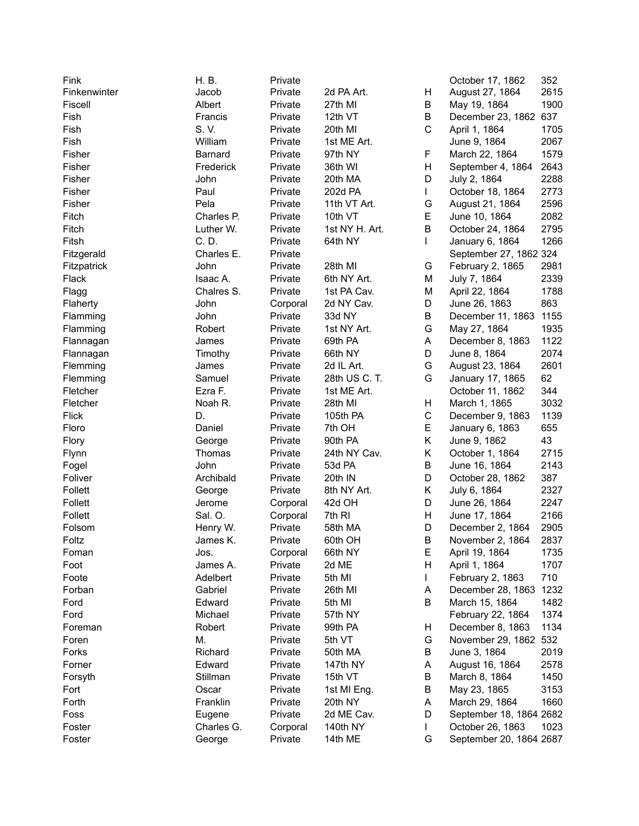| Fink         | H. B.      | Private  |                |        | October 17, 1862        | 352  |
|--------------|------------|----------|----------------|--------|-------------------------|------|
| Finkenwinter | Jacob      | Private  | 2d PA Art.     | Н      | August 27, 1864         | 2615 |
| Fiscell      | Albert     | Private  | 27th MI        | B      | May 19, 1864            | 1900 |
| Fish         | Francis    | Private  | 12th VT        | Β      | December 23, 1862 637   |      |
| Fish         | S.V.       | Private  | 20th MI        | C      | April 1, 1864           | 1705 |
| Fish         | William    | Private  | 1st ME Art.    |        | June 9, 1864            | 2067 |
| Fisher       | Barnard    | Private  | 97th NY        | F      | March 22, 1864          | 1579 |
| Fisher       | Frederick  | Private  | 36th WI        | Η      | September 4, 1864       | 2643 |
| Fisher       | John       | Private  | 20th MA        | D      | July 2, 1864            | 2288 |
| Fisher       | Paul       | Private  | 202d PA        | L      | October 18, 1864        | 2773 |
| Fisher       | Pela       | Private  | 11th VT Art.   | G      | August 21, 1864         | 2596 |
| Fitch        | Charles P. | Private  | 10th VT        | E      | June 10, 1864           | 2082 |
| Fitch        | Luther W.  | Private  | 1st NY H. Art. | B      | October 24, 1864        | 2795 |
| Fitsh        | C. D.      | Private  | 64th NY        | L      | January 6, 1864         | 1266 |
| Fitzgerald   | Charles E. | Private  |                |        | September 27, 1862 324  |      |
| Fitzpatrick  | John       | Private  | 28th MI        | G      | February 2, 1865        | 2981 |
|              | Isaac A.   | Private  | 6th NY Art.    | М      | July 7, 1864            | 2339 |
| Flack        |            |          | 1st PA Cav.    |        |                         |      |
| Flagg        | Chalres S. | Private  | 2d NY Cav.     | М<br>D | April 22, 1864          | 1788 |
| Flaherty     | John       | Corporal |                |        | June 26, 1863           | 863  |
| Flamming     | John       | Private  | 33d NY         | Β      | December 11, 1863       | 1155 |
| Flamming     | Robert     | Private  | 1st NY Art.    | G      | May 27, 1864            | 1935 |
| Flannagan    | James      | Private  | 69th PA        | A      | December 8, 1863        | 1122 |
| Flannagan    | Timothy    | Private  | 66th NY        | D      | June 8, 1864            | 2074 |
| Flemming     | James      | Private  | 2d IL Art.     | G      | August 23, 1864         | 2601 |
| Flemming     | Samuel     | Private  | 28th US C. T.  | G      | January 17, 1865        | 62   |
| Fletcher     | Ezra F.    | Private  | 1st ME Art.    |        | October 11, 1862        | 344  |
| Fletcher     | Noah R.    | Private  | 28th MI        | Н      | March 1, 1865           | 3032 |
| <b>Flick</b> | D.         | Private  | 105th PA       | C      | December 9, 1863        | 1139 |
| Floro        | Daniel     | Private  | 7th OH         | E      | January 6, 1863         | 655  |
| Flory        | George     | Private  | 90th PA        | Κ      | June 9, 1862            | 43   |
| Flynn        | Thomas     | Private  | 24th NY Cav.   | Κ      | October 1, 1864         | 2715 |
| Fogel        | John       | Private  | 53d PA         | В      | June 16, 1864           | 2143 |
| Foliver      | Archibald  | Private  | 20th IN        | D      | October 28, 1862        | 387  |
| Follett      | George     | Private  | 8th NY Art.    | Κ      | July 6, 1864            | 2327 |
| Follett      | Jerome     | Corporal | 42d OH         | D      | June 26, 1864           | 2247 |
| Follett      | Sal. O.    | Corporal | 7th RI         | Н      | June 17, 1864           | 2166 |
| Folsom       | Henry W.   | Private  | 58th MA        | D      | December 2, 1864        | 2905 |
| Foltz        | James K.   | Private  | 60th OH        | B      | November 2, 1864        | 2837 |
| Foman        | Jos.       | Corporal | 66th NY        | Е      | April 19, 1864          | 1735 |
| Foot         | James A.   | Private  | 2d ME          | н      | April 1, 1864           | 1707 |
| Foote        | Adelbert   | Private  | 5th MI         | L      | February 2, 1863        | 710  |
| Forban       | Gabriel    | Private  | 26th MI        | A      | December 28, 1863 1232  |      |
| Ford         | Edward     | Private  | 5th MI         | В      | March 15, 1864          | 1482 |
| Ford         | Michael    | Private  | 57th NY        |        | February 22, 1864       | 1374 |
| Foreman      | Robert     | Private  | 99th PA        | Н      | December 8, 1863        | 1134 |
| Foren        | М.         | Private  | 5th VT         | G      | November 29, 1862 532   |      |
| Forks        | Richard    | Private  | 50th MA        | В      | June 3, 1864            | 2019 |
| Forner       | Edward     | Private  | 147th NY       | A      | August 16, 1864         | 2578 |
| Forsyth      | Stillman   | Private  | 15th VT        | В      | March 8, 1864           | 1450 |
| Fort         | Oscar      | Private  | 1st MI Eng.    | В      | May 23, 1865            | 3153 |
| Forth        | Franklin   | Private  | 20th NY        | Α      | March 29, 1864          | 1660 |
| Foss         | Eugene     | Private  | 2d ME Cav.     | D      | September 18, 1864 2682 |      |
| Foster       | Charles G. | Corporal | 140th NY       | L      | October 26, 1863        | 1023 |
| Foster       | George     | Private  | 14th ME        | G      | September 20, 1864 2687 |      |
|              |            |          |                |        |                         |      |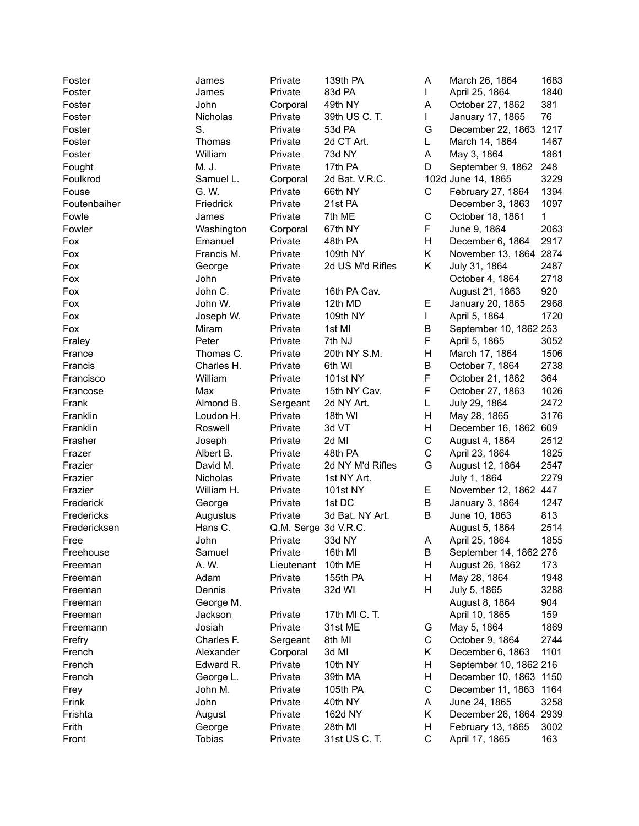| Foster       | James         | Private               | 139th PA            | A           | March 26, 1864         | 1683        |
|--------------|---------------|-----------------------|---------------------|-------------|------------------------|-------------|
| Foster       | James         | Private               | 83d PA              | L           | April 25, 1864         | 1840        |
| Foster       | John          | Corporal              | 49th NY             | Α           | October 27, 1862       | 381         |
| Foster       | Nicholas      | Private               | 39th US C. T.       | L           | January 17, 1865       | 76          |
| Foster       | S.            | Private               | 53d PA              | G           | December 22, 1863      | 1217        |
| Foster       | Thomas        | Private               | 2d CT Art.          | L           | March 14, 1864         | 1467        |
| Foster       | William       | Private               | 73d NY              | Α           | May 3, 1864            | 1861        |
| Fought       | M. J.         | Private               | 17th PA             | D           | September 9, 1862      | 248         |
| Foulkrod     | Samuel L.     | Corporal              | 2d Bat. V.R.C.      |             | 102d June 14, 1865     | 3229        |
| Fouse        | G. W.         | Private               | 66th NY             | $\mathsf C$ | February 27, 1864      | 1394        |
| Foutenbaiher | Friedrick     | Private               | 21st PA             |             | December 3, 1863       | 1097        |
| Fowle        | James         | Private               | 7th ME              | С           | October 18, 1861       | 1           |
| Fowler       | Washington    | Corporal              | 67th NY             | F           | June 9, 1864           | 2063        |
| Fox          | Emanuel       | Private               | 48th PA             | Н           | December 6, 1864       | 2917        |
| Fox          | Francis M.    | Private               | 109th NY            | Κ           | November 13, 1864 2874 |             |
| Fox          | George        | Private               | 2d US M'd Rifles    | Κ           | July 31, 1864          | 2487        |
| Fox          | John          | Private               |                     |             | October 4, 1864        | 2718        |
| Fox          | John C.       | Private               | 16th PA Cav.        |             | August 21, 1863        | 920         |
| Fox          | John W.       | Private               | 12th MD             | Е           | January 20, 1865       | 2968        |
| Fox          | Joseph W.     | Private               | 109th NY            | L           | April 5, 1864          | 1720        |
| Fox          | Miram         | Private               | 1st MI              | B           | September 10, 1862 253 |             |
| Fraley       | Peter         | Private               | 7th NJ              | F           | April 5, 1865          | 3052        |
| France       | Thomas C.     | Private               | 20th NY S.M.        | Η           | March 17, 1864         | 1506        |
| Francis      | Charles H.    | Private               | 6th WI              | B           | October 7, 1864        | 2738        |
| Francisco    | William       | Private               | <b>101st NY</b>     | F           | October 21, 1862       | 364         |
| Francose     | Max           | Private               | 15th NY Cav.        | F           | October 27, 1863       | 1026        |
| Frank        | Almond B.     | Sergeant              | 2d NY Art.          | L           | July 29, 1864          | 2472        |
| Franklin     | Loudon H.     | Private               | 18th WI             | Η           | May 28, 1865           | 3176        |
| Franklin     | Roswell       | Private               | 3d VT               | Η           | December 16, 1862      | 609         |
| Frasher      | Joseph        | Private               | 2d MI               | С           | August 4, 1864         | 2512        |
| Frazer       | Albert B.     | Private               | 48th PA             | С           | April 23, 1864         | 1825        |
| Frazier      | David M.      | Private               | 2d NY M'd Rifles    | G           | August 12, 1864        | 2547        |
| Frazier      | Nicholas      | Private               | 1st NY Art.         |             | July 1, 1864           | 2279        |
| Frazier      | William H.    | Private               | <b>101st NY</b>     | Е           | November 12, 1862 447  |             |
| Frederick    | George        | Private               | 1st DC              | B           | January 3, 1864        | 1247        |
| Fredericks   | Augustus      | Private               | 3d Bat. NY Art.     | B           | June 10, 1863          | 813         |
| Fredericksen | Hans C.       | Q.M. Serge 3d V.R.C.  |                     |             | August 5, 1864         | 2514        |
| Free         | John          | Private               | 33d NY              | A           | April 25, 1864         | 1855        |
|              | Samuel        | Private               |                     | В           | September 14, 1862 276 |             |
| Freehouse    | A. W.         |                       | 16th MI             |             |                        |             |
| Freeman      | Adam          | Lieutenant<br>Private | 10th ME<br>155th PA | н<br>н      | August 26, 1862        | 173<br>1948 |
| Freeman      |               |                       |                     |             | May 28, 1864           |             |
| Freeman      | Dennis        | Private               | 32d WI              | н           | July 5, 1865           | 3288        |
| Freeman      | George M.     |                       |                     |             | August 8, 1864         | 904         |
| Freeman      | Jackson       | Private               | 17th MI C. T.       |             | April 10, 1865         | 159         |
| Freemann     | Josiah        | Private               | 31st ME             | G           | May 5, 1864            | 1869        |
| Frefry       | Charles F.    | Sergeant              | 8th MI              | $\mathsf C$ | October 9, 1864        | 2744        |
| French       | Alexander     | Corporal              | 3d MI               | Κ           | December 6, 1863       | 1101        |
| French       | Edward R.     | Private               | 10th NY             | Η           | September 10, 1862 216 |             |
| French       | George L.     | Private               | 39th MA             | н           | December 10, 1863 1150 |             |
| Frey         | John M.       | Private               | 105th PA            | $\mathsf C$ | December 11, 1863 1164 |             |
| Frink        | John          | Private               | 40th NY             | A           | June 24, 1865          | 3258        |
| Frishta      | August        | Private               | 162d NY             | Κ           | December 26, 1864 2939 |             |
| Frith        | George        | Private               | 28th MI             | н           | February 13, 1865      | 3002        |
| Front        | <b>Tobias</b> | Private               | 31st US C. T.       | C           | April 17, 1865         | 163         |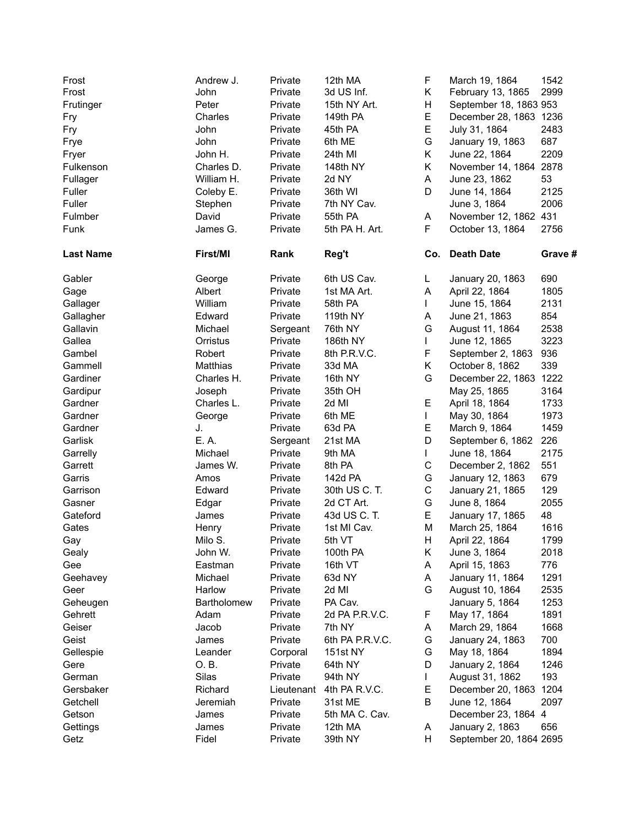| Frost<br>Frost   | Andrew J.<br>John | Private<br>Private | 12th MA<br>3d US Inf. | F<br>K.     | March 19, 1864<br>February 13, 1865 | 1542<br>2999 |
|------------------|-------------------|--------------------|-----------------------|-------------|-------------------------------------|--------------|
| Frutinger        | Peter             | Private            | 15th NY Art.          | H           | September 18, 1863 953              |              |
| Fry              | Charles           | Private            | 149th PA              | E           | December 28, 1863 1236              |              |
| Fry              | John              | Private            | 45th PA               | E           | July 31, 1864                       | 2483         |
| Frye             | John              | Private            | 6th ME                | G           | January 19, 1863                    | 687          |
| Fryer            | John H.           | Private            | 24th MI               | Κ           | June 22, 1864                       | 2209         |
| Fulkenson        | Charles D.        | Private            | 148th NY              | K.          | November 14, 1864 2878              |              |
| Fullager         | William H.        | Private            | 2d NY                 | A           | June 23, 1862                       | 53           |
| Fuller           | Coleby E.         | Private            | 36th WI               | D           | June 14, 1864                       | 2125         |
| Fuller           | Stephen           | Private            | 7th NY Cav.           |             | June 3, 1864                        | 2006         |
| Fulmber          | David             | Private            | 55th PA               | A           | November 12, 1862 431               |              |
| Funk             | James G.          | Private            | 5th PA H. Art.        | F.          | October 13, 1864                    | 2756         |
| <b>Last Name</b> | First/MI          | Rank               | Reg't                 |             | Co. Death Date                      | Grave #      |
| Gabler           | George            | Private            | 6th US Cav.           | L.          | January 20, 1863                    | 690          |
| Gage             | Albert            | Private            | 1st MA Art.           | A           | April 22, 1864                      | 1805         |
| Gallager         | William           | Private            | 58th PA               | L           | June 15, 1864                       | 2131         |
| Gallagher        | Edward            | Private            | 119th NY              | A           | June 21, 1863                       | 854          |
| Gallavin         | Michael           | Sergeant           | 76th NY               | G           | August 11, 1864                     | 2538         |
| Gallea           | Orristus          | Private            | 186th NY              | L           | June 12, 1865                       | 3223         |
| Gambel           | Robert            | Private            | 8th P.R.V.C.          | F           | September 2, 1863                   | 936          |
| Gammell          | Matthias          | Private            | 33d MA                | K.          | October 8, 1862                     | 339          |
| Gardiner         | Charles H.        | Private            | 16th NY               | G           | December 22, 1863 1222              |              |
| Gardipur         | Joseph            | Private            | 35th OH               |             | May 25, 1865                        | 3164         |
| Gardner          | Charles L.        | Private            | 2d MI                 | Е           | April 18, 1864                      | 1733         |
| Gardner          | George            | Private            | 6th ME                | L           | May 30, 1864                        | 1973         |
| Gardner          | J.                | Private            | 63d PA                | E           | March 9, 1864                       | 1459         |
| Garlisk          | E. A.             | Sergeant           | 21st MA               | D           | September 6, 1862                   | 226          |
| Garrelly         | Michael           | Private            | 9th MA                | L           | June 18, 1864                       | 2175         |
| Garrett          | James W.          | Private            | 8th PA                | $\mathsf C$ | December 2, 1862                    | 551          |
| Garris           | Amos              | Private            | 142d PA               | G           | January 12, 1863                    | 679          |
| Garrison         | Edward            | Private            | 30th US C. T.         | $\mathsf C$ | January 21, 1865                    | 129          |
| Gasner           | Edgar             | Private            | 2d CT Art.            | G           | June 8, 1864                        | 2055         |
| Gateford         | James             | Private            | 43d US C. T.          | E           | January 17, 1865                    | 48           |
| Gates            | Henry             | Private            | 1st MI Cav.           | M           | March 25, 1864                      | 1616         |
| Gay              | Milo S.           | Private            | 5th VT                | H.          | April 22, 1864                      | 1799         |
| Gealy            | John W.           | Private            | 100th PA              | K.          | June 3, 1864                        | 2018         |
| Gee              | Eastman           | Private            | 16th VT               | A           | April 15, 1863                      | 776          |
| Geehavey         | Michael           | Private            | 63d NY                | A           | January 11, 1864                    | 1291         |
| Geer             | Harlow            | Private            | 2d MI                 | G           | August 10, 1864                     | 2535         |
| Geheugen         | Bartholomew       | Private            | PA Cav.               |             | January 5, 1864                     | 1253         |
| Gehrett          | Adam              | Private            | 2d PA P.R.V.C.        | F           | May 17, 1864                        | 1891         |
| Geiser           | Jacob             | Private            | 7th NY                | A           | March 29, 1864                      | 1668         |
| Geist            | James             | Private            | 6th PA P.R.V.C.       | G           | January 24, 1863                    | 700          |
| Gellespie        | Leander           | Corporal           | 151st NY              | G           | May 18, 1864                        | 1894         |
| Gere             | O.B.              | Private            | 64th NY               | D           | January 2, 1864                     | 1246         |
| German           | Silas             | Private            | 94th NY               |             | August 31, 1862                     | 193          |
| Gersbaker        | Richard           | Lieutenant         | 4th PA R.V.C.         | Е           | December 20, 1863                   | 1204         |
| Getchell         | Jeremiah          | Private            | 31st ME               | Β           | June 12, 1864                       | 2097         |
| Getson           | James             | Private            | 5th MA C. Cav.        |             | December 23, 1864 4                 |              |
| Gettings         | James             | Private            | 12th MA               | A           | January 2, 1863                     | 656          |
| Getz             | Fidel             | Private            | 39th NY               | H           | September 20, 1864 2695             |              |
|                  |                   |                    |                       |             |                                     |              |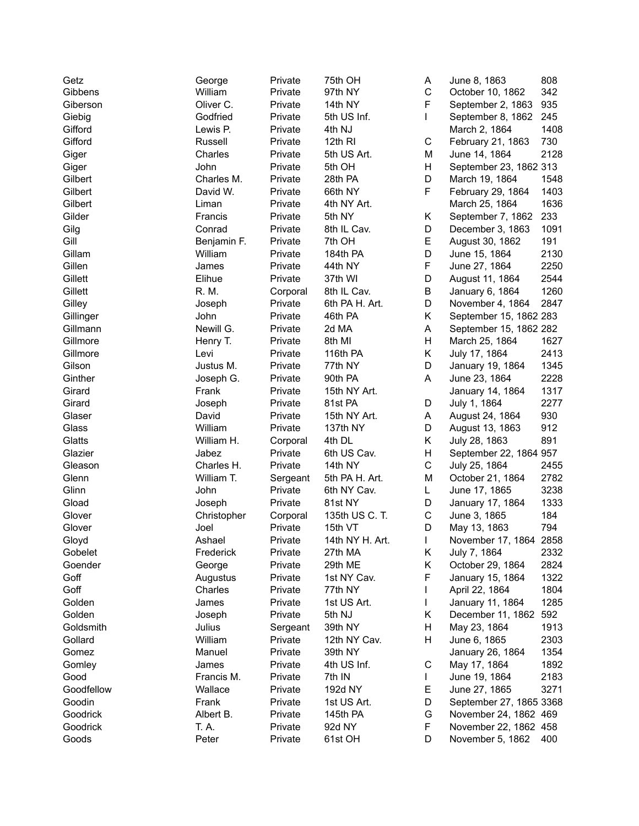| Getz       | George      | Private            | 75th OH                | Α            | June 8, 1863            | 808  |
|------------|-------------|--------------------|------------------------|--------------|-------------------------|------|
| Gibbens    | William     | Private            | 97th NY                | C            | October 10, 1862        | 342  |
| Giberson   | Oliver C.   | Private            | 14th NY                | F            | September 2, 1863       | 935  |
| Giebig     | Godfried    | Private            | 5th US Inf.            | L            | September 8, 1862       | 245  |
| Gifford    | Lewis P.    | Private            | 4th NJ                 |              | March 2, 1864           | 1408 |
| Gifford    | Russell     | Private            | 12th RI                | С            | February 21, 1863       | 730  |
| Giger      | Charles     | Private            | 5th US Art.            | Μ            | June 14, 1864           | 2128 |
| Giger      | John        | Private            | 5th OH                 | H            | September 23, 1862 313  |      |
| Gilbert    | Charles M.  | Private            | 28th PA                | D            | March 19, 1864          | 1548 |
| Gilbert    | David W.    | Private            | 66th NY                | F            | February 29, 1864       | 1403 |
| Gilbert    | Liman       | Private            | 4th NY Art.            |              | March 25, 1864          | 1636 |
| Gilder     | Francis     | Private            | 5th NY                 | Κ            | September 7, 1862       | 233  |
| Gilg       | Conrad      | Private            | 8th IL Cav.            | D            | December 3, 1863        | 1091 |
| Gill       | Benjamin F. | Private            | 7th OH                 | Е            | August 30, 1862         | 191  |
| Gillam     | William     | Private            | 184th PA               | D            | June 15, 1864           | 2130 |
| Gillen     | James       | Private            | 44th NY                | F            | June 27, 1864           | 2250 |
| Gillett    | Elihue      | Private            | 37th WI                | D            | August 11, 1864         | 2544 |
| Gillett    | R. M.       | Corporal           | 8th IL Cav.            | B            | January 6, 1864         | 1260 |
| Gilley     | Joseph      | Private            | 6th PA H. Art.         | D            | November 4, 1864        | 2847 |
| Gillinger  | John        | Private            | 46th PA                | K.           | September 15, 1862 283  |      |
| Gillmann   | Newill G.   | Private            | 2d MA                  | А            | September 15, 1862 282  |      |
| Gillmore   | Henry T.    | Private            | 8th MI                 | H            | March 25, 1864          | 1627 |
| Gillmore   | Levi        | Private            | 116th PA               | Κ            | July 17, 1864           | 2413 |
| Gilson     | Justus M.   | Private            | 77th NY                | D            | January 19, 1864        | 1345 |
| Ginther    | Joseph G.   | Private            | 90th PA                | A            | June 23, 1864           | 2228 |
| Girard     | Frank       | Private            | 15th NY Art.           |              | January 14, 1864        | 1317 |
| Girard     | Joseph      | Private            | 81st PA                | D            | July 1, 1864            | 2277 |
| Glaser     | David       | Private            | 15th NY Art.           | А            | August 24, 1864         | 930  |
| Glass      | William     | Private            | 137th NY               | D            | August 13, 1863         | 912  |
| Glatts     | William H.  | Corporal           | 4th DL                 | K.           | July 28, 1863           | 891  |
| Glazier    | Jabez       | Private            | 6th US Cav.            | H            | September 22, 1864 957  |      |
| Gleason    | Charles H.  | Private            | 14th NY                | C            | July 25, 1864           | 2455 |
| Glenn      | William T.  | Sergeant           | 5th PA H. Art.         | M            | October 21, 1864        | 2782 |
| Glinn      | John        | Private            | 6th NY Cav.            | L            | June 17, 1865           | 3238 |
| Gload      | Joseph      | Private            | 81st NY                | D            | January 17, 1864        | 1333 |
| Glover     | Christopher | Corporal           | 135th US C. T.         | С            | June 3, 1865            | 184  |
| Glover     | Joel        | Private            | 15th VT                | D            | May 13, 1863            | 794  |
| Gloyd      | Ashael      | Private            | 14th NY H. Art.        | $\mathbf{L}$ | November 17, 1864 2858  |      |
| Gobelet    | Frederick   | Private            | 27th MA                | Κ            | July 7, 1864            | 2332 |
| Goender    | George      | Private            | 29th ME                | Κ            | October 29, 1864        | 2824 |
| Goff       | Augustus    | Private            | 1st NY Cav.            | F            | January 15, 1864        | 1322 |
| Goff       | Charles     | Private            | 77th NY                | L            | April 22, 1864          | 1804 |
| Golden     | James       | Private            | 1st US Art.            | L            | January 11, 1864        | 1285 |
| Golden     | Joseph      | Private            | 5th NJ                 | Κ            | December 11, 1862       | 592  |
| Goldsmith  | Julius      | Sergeant           | 39th NY                | н            | May 23, 1864            | 1913 |
| Gollard    | William     | Private            | 12th NY Cav.           | н            | June 6, 1865            | 2303 |
| Gomez      | Manuel      |                    |                        |              | January 26, 1864        | 1354 |
|            |             | Private            | 39th NY<br>4th US Inf. |              | May 17, 1864            |      |
| Gomley     | James       | Private<br>Private |                        | С            |                         | 1892 |
| Good       | Francis M.  |                    | 7th IN                 | L            | June 19, 1864           | 2183 |
| Goodfellow | Wallace     | Private            | 192d NY                | Е            | June 27, 1865           | 3271 |
| Goodin     | Frank       | Private            | 1st US Art.            | D            | September 27, 1865 3368 |      |
| Goodrick   | Albert B.   | Private            | 145th PA               | G            | November 24, 1862 469   |      |
| Goodrick   | T. A.       | Private            | 92d NY                 | F            | November 22, 1862 458   |      |
| Goods      | Peter       | Private            | 61st OH                | D            | November 5, 1862        | 400  |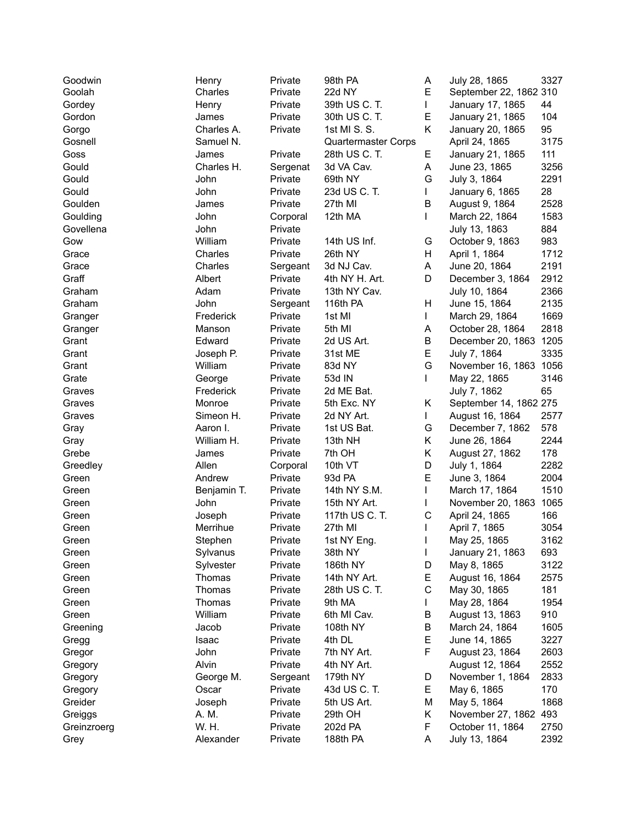| Goodwin     | Henry       | Private             | 98th PA             | A  | July 28, 1865          | 3327 |
|-------------|-------------|---------------------|---------------------|----|------------------------|------|
| Goolah      | Charles     | Private             | 22d NY              | Е  | September 22, 1862 310 |      |
| Gordey      | Henry       | Private             | 39th US C. T.       | L  | January 17, 1865       | 44   |
| Gordon      | James       | Private             | 30th US C. T.       | Е  | January 21, 1865       | 104  |
| Gorgo       | Charles A.  | Private             | 1st MI S. S.        | Κ  | January 20, 1865       | 95   |
| Gosnell     | Samuel N.   |                     | Quartermaster Corps |    | April 24, 1865         | 3175 |
| Goss        | James       | Private             | 28th US C. T.       | Е  | January 21, 1865       | 111  |
| Gould       | Charles H.  | Sergenat            | 3d VA Cav.          | Α  | June 23, 1865          | 3256 |
| Gould       | John        | Private             | 69th NY             | G  | July 3, 1864           | 2291 |
| Gould       | John        | Private             | 23d US C. T.        | L  | January 6, 1865        | 28   |
| Goulden     | James       | Private             | 27th MI             | B  | August 9, 1864         | 2528 |
| Goulding    | John        | Corporal            | 12th MA             | L  | March 22, 1864         | 1583 |
| Govellena   | John        | Private             |                     |    | July 13, 1863          | 884  |
| Gow         | William     | Private             | 14th US Inf.        | G  | October 9, 1863        | 983  |
| Grace       | Charles     | Private             | 26th NY             | H  | April 1, 1864          | 1712 |
| Grace       | Charles     | Sergeant            | 3d NJ Cav.          | A  | June 20, 1864          | 2191 |
| Graff       | Albert      | Private             | 4th NY H. Art.      | D  | December 3, 1864       | 2912 |
| Graham      | Adam        | Private             | 13th NY Cav.        |    | July 10, 1864          | 2366 |
| Graham      | John        |                     | 116th PA            | Н  | June 15, 1864          | 2135 |
|             | Frederick   | Sergeant<br>Private | 1st MI              | L  |                        | 1669 |
| Granger     |             |                     |                     |    | March 29, 1864         |      |
| Granger     | Manson      | Private             | 5th MI              | A  | October 28, 1864       | 2818 |
| Grant       | Edward      | Private             | 2d US Art.          | B  | December 20, 1863 1205 |      |
| Grant       | Joseph P.   | Private             | 31st ME             | E  | July 7, 1864           | 3335 |
| Grant       | William     | Private             | 83d NY              | G  | November 16, 1863 1056 |      |
| Grate       | George      | Private             | 53d IN              | L  | May 22, 1865           | 3146 |
| Graves      | Frederick   | Private             | 2d ME Bat.          |    | July 7, 1862           | 65   |
| Graves      | Monroe      | Private             | 5th Exc. NY         | Κ  | September 14, 1862 275 |      |
| Graves      | Simeon H.   | Private             | 2d NY Art.          | L  | August 16, 1864        | 2577 |
| Gray        | Aaron I.    | Private             | 1st US Bat.         | G  | December 7, 1862       | 578  |
| Gray        | William H.  | Private             | 13th NH             | Κ  | June 26, 1864          | 2244 |
| Grebe       | James       | Private             | 7th OH              | Κ  | August 27, 1862        | 178  |
| Greedley    | Allen       | Corporal            | 10th VT             | D  | July 1, 1864           | 2282 |
| Green       | Andrew      | Private             | 93d PA              | E  | June 3, 1864           | 2004 |
| Green       | Benjamin T. | Private             | 14th NY S.M.        |    | March 17, 1864         | 1510 |
| Green       | John        | Private             | 15th NY Art.        |    | November 20, 1863      | 1065 |
| Green       | Joseph      | Private             | 117th US C. T.      | C  | April 24, 1865         | 166  |
| Green       | Merrihue    | Private             | 27th MI             |    | April 7, 1865          | 3054 |
| Green       | Stephen     | Private             | 1st NY Eng.         |    | May 25, 1865           | 3162 |
| Green       | Sylvanus    | Private             | 38th NY             | L  | January 21, 1863       | 693  |
| Green       | Sylvester   | Private             | 186th NY            | D  | May 8, 1865            | 3122 |
| Green       | Thomas      | Private             | 14th NY Art.        | Е  | August 16, 1864        | 2575 |
| Green       | Thomas      | Private             | 28th US C. T.       | C  | May 30, 1865           | 181  |
| Green       | Thomas      | Private             | 9th MA              | L  | May 28, 1864           | 1954 |
| Green       | William     | Private             | 6th MI Cav.         | B  | August 13, 1863        | 910  |
| Greening    | Jacob       | Private             | <b>108th NY</b>     | В  | March 24, 1864         | 1605 |
| Gregg       | Isaac       | Private             | 4th DL              | Е  | June 14, 1865          | 3227 |
| Gregor      | John        | Private             | 7th NY Art.         | F  | August 23, 1864        | 2603 |
| Gregory     | Alvin       | Private             | 4th NY Art.         |    | August 12, 1864        | 2552 |
| Gregory     | George M.   | Sergeant            | 179th NY            | D  | November 1, 1864       | 2833 |
| Gregory     | Oscar       | Private             | 43d US C. T.        | E. | May 6, 1865            | 170  |
| Greider     | Joseph      | Private             | 5th US Art.         | M  | May 5, 1864            | 1868 |
| Greiggs     | A. M.       | Private             | 29th OH             | Κ  | November 27, 1862 493  |      |
| Greinzroerg | W. H.       | Private             | 202d PA             | F  | October 11, 1864       | 2750 |
| Grey        | Alexander   | Private             | 188th PA            | A  | July 13, 1864          | 2392 |
|             |             |                     |                     |    |                        |      |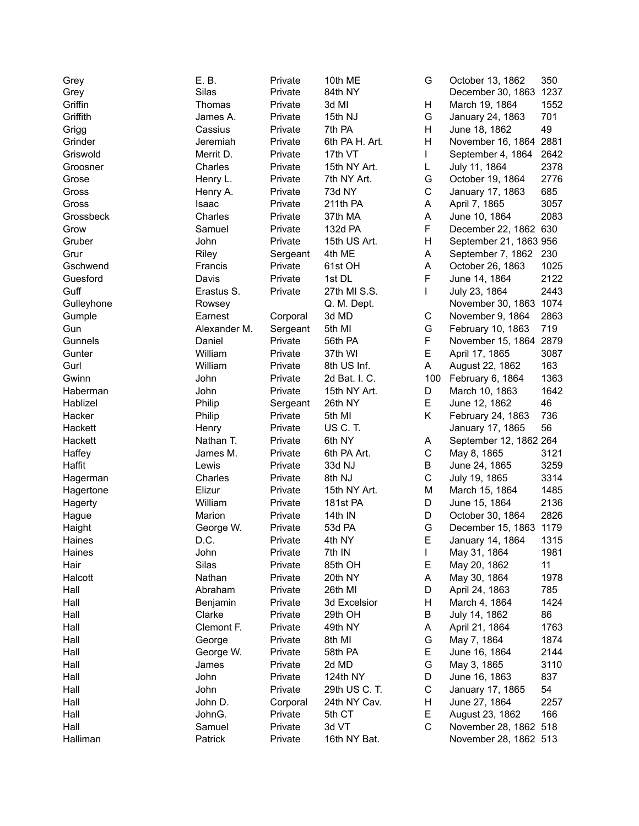| Grey       | E. B.        | Private  | 10th ME        | G           | October 13, 1862       | 350  |
|------------|--------------|----------|----------------|-------------|------------------------|------|
| Grey       | Silas        | Private  | 84th NY        |             | December 30, 1863 1237 |      |
| Griffin    | Thomas       | Private  | 3d MI          | Н           | March 19, 1864         | 1552 |
| Griffith   | James A.     | Private  | 15th NJ        | G           | January 24, 1863       | 701  |
| Grigg      | Cassius      | Private  | 7th PA         | H           | June 18, 1862          | 49   |
| Grinder    | Jeremiah     | Private  | 6th PA H. Art. | Н           | November 16, 1864 2881 |      |
| Griswold   | Merrit D.    | Private  | 17th VT        | L           | September 4, 1864      | 2642 |
| Groosner   | Charles      | Private  | 15th NY Art.   | L           | July 11, 1864          | 2378 |
| Grose      | Henry L.     | Private  | 7th NY Art.    | G           | October 19, 1864       | 2776 |
| Gross      | Henry A.     | Private  | 73d NY         | $\mathsf C$ | January 17, 1863       | 685  |
| Gross      | Isaac        | Private  | 211th PA       | Α           | April 7, 1865          | 3057 |
| Grossbeck  | Charles      | Private  | 37th MA        | A           | June 10, 1864          | 2083 |
| Grow       | Samuel       | Private  | 132d PA        | F           | December 22, 1862 630  |      |
| Gruber     | John         | Private  | 15th US Art.   | Н           | September 21, 1863 956 |      |
| Grur       | Riley        | Sergeant | 4th ME         | A           | September 7, 1862 230  |      |
| Gschwend   | Francis      | Private  | 61st OH        | A           | October 26, 1863       | 1025 |
| Guesford   | Davis        | Private  | 1st DL         | F           | June 14, 1864          | 2122 |
| Guff       | Erastus S.   | Private  | 27th MI S.S.   | T           | July 23, 1864          | 2443 |
| Gulleyhone | Rowsey       |          | Q. M. Dept.    |             | November 30, 1863 1074 |      |
| Gumple     | Earnest      | Corporal | 3d MD          | C           | November 9, 1864       | 2863 |
| Gun        | Alexander M. | Sergeant | 5th MI         | G           | February 10, 1863      | 719  |
| Gunnels    | Daniel       | Private  | 56th PA        | F           | November 15, 1864      | 2879 |
| Gunter     | William      | Private  | 37th WI        | E           | April 17, 1865         | 3087 |
| Gurl       | William      | Private  | 8th US Inf.    | A           | August 22, 1862        | 163  |
| Gwinn      | John         | Private  | 2d Bat. I. C.  | 100         | February 6, 1864       | 1363 |
| Haberman   | John         | Private  | 15th NY Art.   | D           | March 10, 1863         | 1642 |
| Hablizel   | Philip       | Sergeant | 26th NY        | E           | June 12, 1862          | 46   |
| Hacker     | Philip       | Private  | 5th MI         | Κ           | February 24, 1863      | 736  |
| Hackett    | Henry        | Private  | US C.T.        |             | January 17, 1865       | 56   |
| Hackett    | Nathan T.    | Private  | 6th NY         | A           | September 12, 1862 264 |      |
| Haffey     | James M.     | Private  | 6th PA Art.    | C           | May 8, 1865            | 3121 |
| Haffit     | Lewis        | Private  | 33d NJ         | B           | June 24, 1865          | 3259 |
| Hagerman   | Charles      | Private  | 8th NJ         | $\mathsf C$ | July 19, 1865          | 3314 |
| Hagertone  | Elizur       | Private  | 15th NY Art.   | M           | March 15, 1864         | 1485 |
| Hagerty    | William      | Private  | 181st PA       | D           | June 15, 1864          | 2136 |
| Hague      | Marion       | Private  | 14th IN        | D           | October 30, 1864       | 2826 |
| Haight     | George W.    | Private  | 53d PA         | G           | December 15, 1863 1179 |      |
| Haines     | D.C.         | Private  | 4th NY         | E           | January 14, 1864       | 1315 |
| Haines     | John         | Private  | 7th IN         | L           | May 31, 1864           | 1981 |
| Hair       | Silas        | Private  | 85th OH        | Е           | May 20, 1862           | 11   |
| Halcott    | Nathan       | Private  | 20th NY        | A           | May 30, 1864           | 1978 |
| Hall       | Abraham      | Private  | 26th MI        | D           | April 24, 1863         | 785  |
| Hall       | Benjamin     | Private  | 3d Excelsior   | н           | March 4, 1864          | 1424 |
| Hall       | Clarke       | Private  | 29th OH        | В           | July 14, 1862          | 86   |
| Hall       | Clemont F.   | Private  | 49th NY        | A           | April 21, 1864         | 1763 |
| Hall       | George       | Private  | 8th MI         | G           | May 7, 1864            | 1874 |
| Hall       | George W.    | Private  | 58th PA        | Е           | June 16, 1864          | 2144 |
| Hall       | James        | Private  | 2d MD          | G           | May 3, 1865            | 3110 |
| Hall       | John         | Private  | 124th NY       | D           | June 16, 1863          | 837  |
| Hall       | John         | Private  | 29th US C. T.  | C           | January 17, 1865       | 54   |
| Hall       | John D.      | Corporal | 24th NY Cav.   | Н           | June 27, 1864          | 2257 |
| Hall       | JohnG.       | Private  | 5th CT         | Е           | August 23, 1862        | 166  |
| Hall       | Samuel       | Private  | 3d VT          | $\mathsf C$ | November 28, 1862 518  |      |
| Halliman   | Patrick      | Private  | 16th NY Bat.   |             | November 28, 1862 513  |      |
|            |              |          |                |             |                        |      |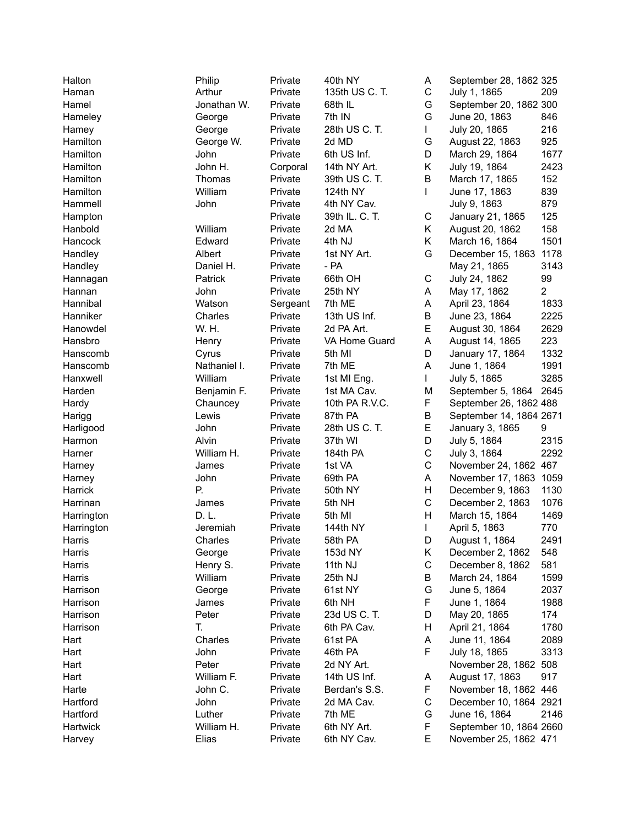| Halton     | Philip            | Private  | 40th NY        | A            | September 28, 1862 325  |                |
|------------|-------------------|----------|----------------|--------------|-------------------------|----------------|
| Haman      | Arthur            | Private  | 135th US C. T. | C            | July 1, 1865            | 209            |
| Hamel      | Jonathan W.       | Private  | 68th IL        | G            | September 20, 1862 300  |                |
| Hameley    | George            | Private  | 7th IN         | G            | June 20, 1863           | 846            |
| Hamey      | George            | Private  | 28th US C. T.  | L            | July 20, 1865           | 216            |
| Hamilton   | George W.         | Private  | 2d MD          | G            | August 22, 1863         | 925            |
| Hamilton   | John              | Private  | 6th US Inf.    | D            | March 29, 1864          | 1677           |
| Hamilton   | John H.           | Corporal | 14th NY Art.   | Κ            | July 19, 1864           | 2423           |
| Hamilton   | Thomas            | Private  | 39th US C. T.  | B            | March 17, 1865          | 152            |
| Hamilton   | William           | Private  | 124th NY       | L            | June 17, 1863           | 839            |
| Hammell    | John              | Private  | 4th NY Cav.    |              | July 9, 1863            | 879            |
| Hampton    |                   | Private  | 39th IL. C. T. | С            | January 21, 1865        | 125            |
| Hanbold    | William           | Private  | 2d MA          | K.           | August 20, 1862         | 158            |
| Hancock    | Edward            | Private  | 4th NJ         | K.           | March 16, 1864          | 1501           |
| Handley    | Albert            | Private  | 1st NY Art.    | G            | December 15, 1863       | 1178           |
| Handley    | Daniel H.         | Private  | $-$ PA         |              | May 21, 1865            | 3143           |
| Hannagan   | Patrick           | Private  | 66th OH        | C            | July 24, 1862           | 99             |
| Hannan     | John              | Private  | 25th NY        | Α            | May 17, 1862            | $\overline{2}$ |
| Hannibal   | Watson            | Sergeant | 7th ME         | Α            | April 23, 1864          | 1833           |
| Hanniker   | Charles           | Private  | 13th US Inf.   | В            | June 23, 1864           | 2225           |
| Hanowdel   | W. H.             | Private  | 2d PA Art.     | E            | August 30, 1864         | 2629           |
| Hansbro    | Henry             | Private  | VA Home Guard  | A            | August 14, 1865         | 223            |
| Hanscomb   | Cyrus             | Private  | 5th MI         | D            | January 17, 1864        | 1332           |
| Hanscomb   | Nathaniel I.      | Private  | 7th ME         | A            | June 1, 1864            | 1991           |
| Hanxwell   | William           | Private  | 1st MI Eng.    | L            | July 5, 1865            | 3285           |
| Harden     | Benjamin F.       | Private  | 1st MA Cav.    | M            | September 5, 1864       | 2645           |
| Hardy      |                   | Private  | 10th PA R.V.C. | F            | September 26, 1862 488  |                |
|            | Chauncey<br>Lewis | Private  | 87th PA        | В            | September 14, 1864 2671 |                |
| Harigg     |                   |          | 28th US C. T.  | E            |                         | 9              |
| Harligood  | John<br>Alvin     | Private  |                | D            | January 3, 1865         |                |
| Harmon     |                   | Private  | 37th WI        |              | July 5, 1864            | 2315           |
| Harner     | William H.        | Private  | 184th PA       | C            | July 3, 1864            | 2292           |
| Harney     | James             | Private  | 1st VA         | C            | November 24, 1862 467   |                |
| Harney     | John              | Private  | 69th PA        | Α            | November 17, 1863 1059  |                |
| Harrick    | Р.                | Private  | 50th NY        | н            | December 9, 1863        | 1130           |
| Harrinan   | James             | Private  | 5th NH         | $\mathsf C$  | December 2, 1863        | 1076           |
| Harrington | D. L.             | Private  | 5th MI         | Н            | March 15, 1864          | 1469           |
| Harrington | Jeremiah          | Private  | 144th NY       | $\mathbf{I}$ | April 5, 1863           | 770            |
| Harris     | Charles           | Private  | 58th PA        | D            | August 1, 1864          | 2491           |
| Harris     | George            | Private  | 153d NY        | Κ            | December 2, 1862        | 548            |
| Harris     | Henry S.          | Private  | 11th NJ        | $\mathsf C$  | December 8, 1862        | 581            |
| Harris     | William           | Private  | 25th NJ        | В            | March 24, 1864          | 1599           |
| Harrison   | George            | Private  | 61st NY        | G            | June 5, 1864            | 2037           |
| Harrison   | James             | Private  | 6th NH         | F            | June 1, 1864            | 1988           |
| Harrison   | Peter             | Private  | 23d US C. T.   | D            | May 20, 1865            | 174            |
| Harrison   | Τ.                | Private  | 6th PA Cav.    | н            | April 21, 1864          | 1780           |
| Hart       | Charles           | Private  | 61st PA        | Α            | June 11, 1864           | 2089           |
| Hart       | John              | Private  | 46th PA        | F            | July 18, 1865           | 3313           |
| Hart       | Peter             | Private  | 2d NY Art.     |              | November 28, 1862 508   |                |
| Hart       | William F.        | Private  | 14th US Inf.   | A            | August 17, 1863         | 917            |
| Harte      | John C.           | Private  | Berdan's S.S.  | F            | November 18, 1862 446   |                |
| Hartford   | John              | Private  | 2d MA Cav.     | C            | December 10, 1864 2921  |                |
| Hartford   | Luther            | Private  | 7th ME         | G            | June 16, 1864           | 2146           |
| Hartwick   | William H.        | Private  | 6th NY Art.    | F            | September 10, 1864 2660 |                |
| Harvey     | Elias             | Private  | 6th NY Cav.    | E            | November 25, 1862 471   |                |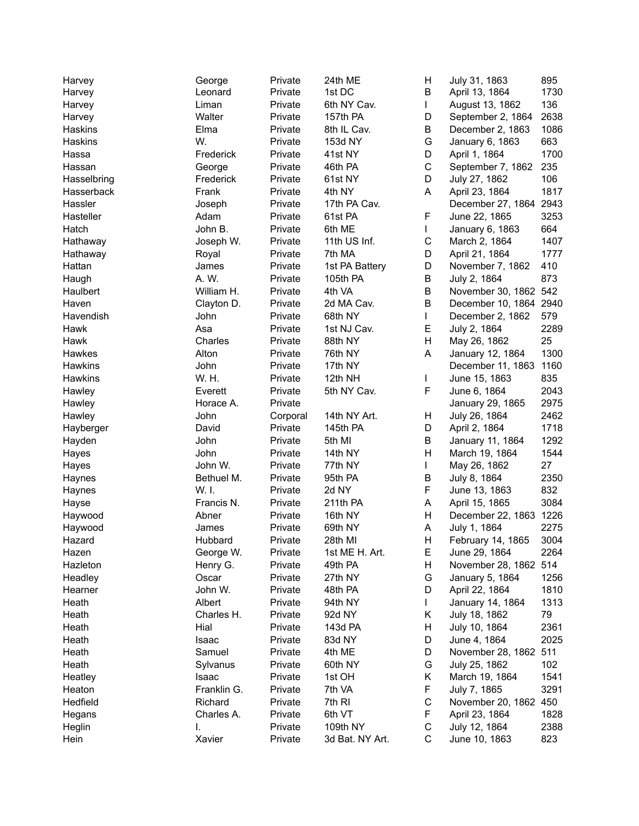| Harvey         | George      | Private  | 24th ME         | н | July 31, 1863          | 895  |
|----------------|-------------|----------|-----------------|---|------------------------|------|
| Harvey         | Leonard     | Private  | 1st DC          | В | April 13, 1864         | 1730 |
| Harvey         | Liman       | Private  | 6th NY Cav.     | L | August 13, 1862        | 136  |
| Harvey         | Walter      | Private  | 157th PA        | D | September 2, 1864      | 2638 |
| Haskins        | Elma        | Private  | 8th IL Cav.     | Β | December 2, 1863       | 1086 |
| Haskins        | W.          | Private  | 153d NY         | G | January 6, 1863        | 663  |
| Hassa          | Frederick   | Private  | 41st NY         | D | April 1, 1864          | 1700 |
| Hassan         | George      | Private  | 46th PA         | C | September 7, 1862      | 235  |
| Hasselbring    | Frederick   | Private  | 61st NY         | D | July 27, 1862          | 106  |
| Hasserback     | Frank       | Private  | 4th NY          | A | April 23, 1864         | 1817 |
| Hassler        | Joseph      | Private  | 17th PA Cav.    |   | December 27, 1864 2943 |      |
| Hasteller      | Adam        | Private  | 61st PA         | F | June 22, 1865          | 3253 |
| Hatch          | John B.     | Private  | 6th ME          | L | January 6, 1863        | 664  |
| Hathaway       | Joseph W.   | Private  | 11th US Inf.    | С | March 2, 1864          | 1407 |
|                |             |          | 7th MA          | D |                        |      |
| Hathaway       | Royal       | Private  |                 |   | April 21, 1864         | 1777 |
| Hattan         | James       | Private  | 1st PA Battery  | D | November 7, 1862       | 410  |
| Haugh          | A. W.       | Private  | 105th PA        | В | July 2, 1864           | 873  |
| Haulbert       | William H.  | Private  | 4th VA          | B | November 30, 1862 542  |      |
| Haven          | Clayton D.  | Private  | 2d MA Cav.      | B | December 10, 1864 2940 |      |
| Havendish      | John        | Private  | 68th NY         | L | December 2, 1862       | 579  |
| Hawk           | Asa         | Private  | 1st NJ Cav.     | Е | July 2, 1864           | 2289 |
| Hawk           | Charles     | Private  | 88th NY         | H | May 26, 1862           | 25   |
| Hawkes         | Alton       | Private  | 76th NY         | A | January 12, 1864       | 1300 |
| <b>Hawkins</b> | John        | Private  | 17th NY         |   | December 11, 1863      | 1160 |
| Hawkins        | W. H.       | Private  | 12th NH         | L | June 15, 1863          | 835  |
| Hawley         | Everett     | Private  | 5th NY Cav.     | F | June 6, 1864           | 2043 |
| Hawley         | Horace A.   | Private  |                 |   | January 29, 1865       | 2975 |
| Hawley         | John        | Corporal | 14th NY Art.    | н | July 26, 1864          | 2462 |
| Hayberger      | David       | Private  | 145th PA        | D | April 2, 1864          | 1718 |
| Hayden         | John        | Private  | 5th MI          | Β | January 11, 1864       | 1292 |
| Hayes          | John        | Private  | 14th NY         | H | March 19, 1864         | 1544 |
| Hayes          | John W.     | Private  | 77th NY         | L | May 26, 1862           | 27   |
| Haynes         | Bethuel M.  | Private  | 95th PA         | Β | July 8, 1864           | 2350 |
| Haynes         | W. I.       | Private  | 2d NY           | F | June 13, 1863          | 832  |
| Hayse          | Francis N.  | Private  | 211th PA        | A | April 15, 1865         | 3084 |
| Haywood        | Abner       | Private  | 16th NY         | Н | December 22, 1863 1226 |      |
| Haywood        | James       | Private  | 69th NY         | A | July 1, 1864           | 2275 |
| Hazard         | Hubbard     | Private  | 28th MI         | Н | February 14, 1865      | 3004 |
| Hazen          | George W.   | Private  | 1st ME H. Art.  | Е | June 29, 1864          | 2264 |
| Hazleton       | Henry G.    | Private  | 49th PA         | Н | November 28, 1862 514  |      |
| Headley        | Oscar       | Private  | 27th NY         | G | January 5, 1864        | 1256 |
| Hearner        | John W.     | Private  | 48th PA         | D | April 22, 1864         | 1810 |
| Heath          | Albert      |          |                 | L | January 14, 1864       | 1313 |
|                |             | Private  | 94th NY         |   | July 18, 1862          | 79   |
| Heath          | Charles H.  | Private  | 92d NY          | Κ |                        |      |
| Heath          | Hial        | Private  | 143d PA         | н | July 10, 1864          | 2361 |
| Heath          | Isaac       | Private  | 83d NY          | D | June 4, 1864           | 2025 |
| Heath          | Samuel      | Private  | 4th ME          | D | November 28, 1862 511  |      |
| Heath          | Sylvanus    | Private  | 60th NY         | G | July 25, 1862          | 102  |
| Heatley        | Isaac       | Private  | 1st OH          | Κ | March 19, 1864         | 1541 |
| Heaton         | Franklin G. | Private  | 7th VA          | F | July 7, 1865           | 3291 |
| Hedfield       | Richard     | Private  | 7th RI          | C | November 20, 1862 450  |      |
| Hegans         | Charles A.  | Private  | 6th VT          | F | April 23, 1864         | 1828 |
| Heglin         | I.          | Private  | 109th NY        | С | July 12, 1864          | 2388 |
| Hein           | Xavier      | Private  | 3d Bat. NY Art. | C | June 10, 1863          | 823  |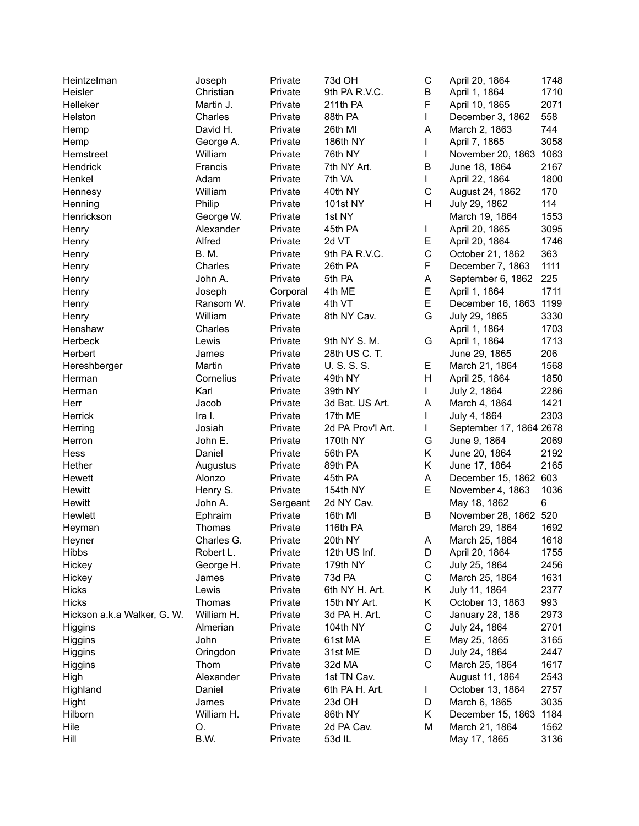| Heintzelman                 | Joseph             | Private            | 73d OH            | С           | April 20, 1864                         | 1748 |
|-----------------------------|--------------------|--------------------|-------------------|-------------|----------------------------------------|------|
| Heisler                     | Christian          | Private            | 9th PA R.V.C.     | B           | April 1, 1864                          | 1710 |
| Helleker                    | Martin J.          | Private            | 211th PA          | F           | April 10, 1865                         | 2071 |
| Helston                     | Charles            | Private            | 88th PA           | L           | December 3, 1862                       | 558  |
| Hemp                        | David H.           | Private            | 26th MI           | Α           | March 2, 1863                          | 744  |
| Hemp                        | George A.          | Private            | 186th NY          | L           | April 7, 1865                          | 3058 |
| Hemstreet                   | William            | Private            | 76th NY           | L           | November 20, 1863 1063                 |      |
| Hendrick                    | Francis            | Private            | 7th NY Art.       | B           | June 18, 1864                          | 2167 |
| Henkel                      | Adam               | Private            | 7th VA            | L           | April 22, 1864                         | 1800 |
| Hennesy                     | William            | Private            | 40th NY           | $\mathsf C$ | August 24, 1862                        | 170  |
| Henning                     | Philip             | Private            | <b>101st NY</b>   | Н           | July 29, 1862                          | 114  |
| Henrickson                  | George W.          | Private            | 1st NY            |             | March 19, 1864                         | 1553 |
| Henry                       | Alexander          | Private            | 45th PA           | L           | April 20, 1865                         | 3095 |
| Henry                       | Alfred             | Private            | 2d VT             | Е           | April 20, 1864                         | 1746 |
| Henry                       | <b>B.M.</b>        | Private            | 9th PA R.V.C.     | $\mathsf C$ | October 21, 1862                       | 363  |
| Henry                       | Charles            | Private            | 26th PA           | F           | December 7, 1863                       | 1111 |
| Henry                       | John A.            | Private            | 5th PA            | Α           | September 6, 1862                      | 225  |
| Henry                       | Joseph             | Corporal           | 4th ME            | E           | April 1, 1864                          | 1711 |
| Henry                       | Ransom W.          | Private            | 4th VT            | E           | December 16, 1863 1199                 |      |
| Henry                       | William            | Private            | 8th NY Cav.       | G           | July 29, 1865                          | 3330 |
| Henshaw                     | Charles            | Private            |                   |             | April 1, 1864                          | 1703 |
| Herbeck                     | Lewis              | Private            | 9th NY S. M.      | G           | April 1, 1864                          | 1713 |
| Herbert                     | James              | Private            | 28th US C. T.     |             | June 29, 1865                          | 206  |
| Hereshberger                | Martin             | Private            | U.S.S.S.          | E.          | March 21, 1864                         | 1568 |
| Herman                      | Cornelius          | Private            | 49th NY           | H           | April 25, 1864                         | 1850 |
| Herman                      | Karl               | Private            | 39th NY           | L           | July 2, 1864                           | 2286 |
| Herr                        | Jacob              | Private            | 3d Bat. US Art.   | A           | March 4, 1864                          | 1421 |
| Herrick                     | Ira I.             | Private            | 17th ME           | L           | July 4, 1864                           | 2303 |
| Herring                     | Josiah             | Private            | 2d PA Prov'l Art. | L           | September 17, 1864 2678                |      |
| Herron                      | John E.            | Private            | 170th NY          | G           | June 9, 1864                           | 2069 |
| Hess                        | Daniel             | Private            | 56th PA           | Κ           | June 20, 1864                          | 2192 |
| Hether                      |                    |                    | 89th PA           | Κ           |                                        | 2165 |
|                             | Augustus<br>Alonzo | Private<br>Private |                   | A           | June 17, 1864<br>December 15, 1862 603 |      |
| Hewett                      |                    |                    | 45th PA           | E           |                                        |      |
| Hewitt                      | Henry S.           | Private            | 154th NY          |             | November 4, 1863                       | 1036 |
| Hewitt                      | John A.            | Sergeant           | 2d NY Cav.        |             | May 18, 1862                           | 6    |
| Hewlett                     | Ephraim            | Private            | 16th MI           | B           | November 28, 1862 520                  |      |
| Heyman                      | Thomas             | Private            | 116th PA          |             | March 29, 1864                         | 1692 |
| Heyner                      | Charles G.         | Private            | 20th NY           | A           | March 25, 1864                         | 1618 |
| Hibbs                       | Robert L.          | Private            | 12th US Inf.      | D           | April 20, 1864                         | 1755 |
| Hickey                      | George H.          | Private            | 179th NY          | C           | July 25, 1864                          | 2456 |
| Hickey                      | James              | Private            | 73d PA            | С           | March 25, 1864                         | 1631 |
| <b>Hicks</b>                | Lewis              | Private            | 6th NY H. Art.    | Κ           | July 11, 1864                          | 2377 |
| <b>Hicks</b>                | Thomas             | Private            | 15th NY Art.      | Κ           | October 13, 1863                       | 993  |
| Hickson a.k.a Walker, G. W. | William H.         | Private            | 3d PA H. Art.     | C           | <b>January 28, 186</b>                 | 2973 |
| Higgins                     | Almerian           | Private            | 104th NY          | $\mathsf C$ | July 24, 1864                          | 2701 |
| Higgins                     | John               | Private            | 61st MA           | Е           | May 25, 1865                           | 3165 |
| Higgins                     | Oringdon           | Private            | 31st ME           | D           | July 24, 1864                          | 2447 |
| Higgins                     | Thom               | Private            | 32d MA            | $\mathsf C$ | March 25, 1864                         | 1617 |
| High                        | Alexander          | Private            | 1st TN Cav.       |             | August 11, 1864                        | 2543 |
| Highland                    | Daniel             | Private            | 6th PA H. Art.    | L           | October 13, 1864                       | 2757 |
| Hight                       | James              | Private            | 23d OH            | D           | March 6, 1865                          | 3035 |
| Hilborn                     | William H.         | Private            | 86th NY           | Κ           | December 15, 1863 1184                 |      |
| Hile                        | O.                 | Private            | 2d PA Cav.        | М           | March 21, 1864                         | 1562 |
| Hill                        | B.W.               | Private            | 53d IL            |             | May 17, 1865                           | 3136 |
|                             |                    |                    |                   |             |                                        |      |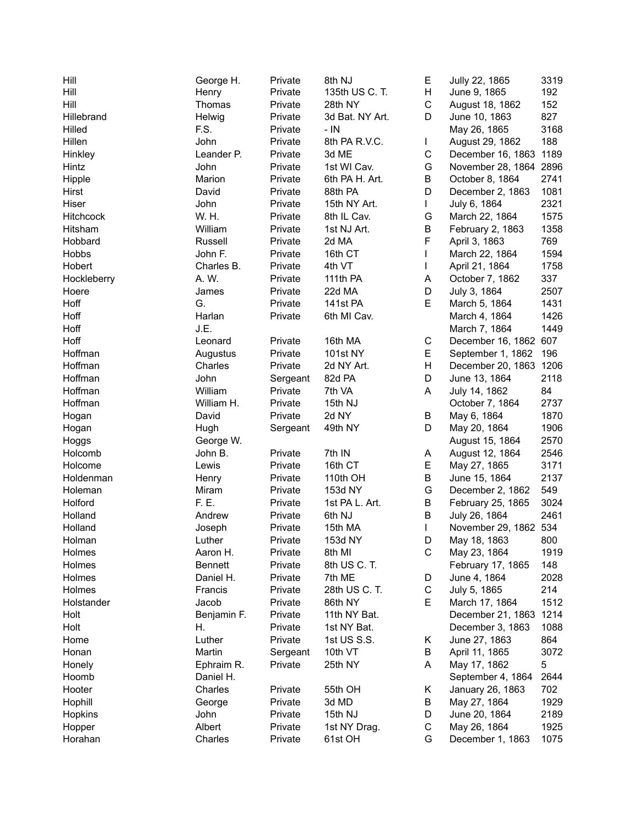| Hill        | George H.      | Private  | 8th NJ          | Е           | Jully 22, 1865         | 3319 |
|-------------|----------------|----------|-----------------|-------------|------------------------|------|
| Hill        | Henry          | Private  | 135th US C. T.  | H           | June 9, 1865           | 192  |
| Hill        | Thomas         | Private  | 28th NY         | $\mathsf C$ | August 18, 1862        | 152  |
| Hillebrand  | Helwig         | Private  | 3d Bat. NY Art. | D           | June 10, 1863          | 827  |
| Hilled      | F.S.           | Private  | $-$ IN          |             | May 26, 1865           | 3168 |
| Hillen      | John           | Private  | 8th PA R.V.C.   | L           | August 29, 1862        | 188  |
| Hinkley     | Leander P.     | Private  | 3d ME           | $\mathsf C$ | December 16, 1863 1189 |      |
| Hintz       | John           | Private  | 1st WI Cav.     | G           | November 28, 1864 2896 |      |
| Hipple      | Marion         | Private  | 6th PA H. Art.  | B           | October 8, 1864        | 2741 |
| Hirst       | David          | Private  | 88th PA         | D           | December 2, 1863       | 1081 |
| Hiser       | John           | Private  | 15th NY Art.    | L           | July 6, 1864           | 2321 |
| Hitchcock   | W. H.          | Private  | 8th IL Cav.     | G           | March 22, 1864         | 1575 |
| Hitsham     | William        | Private  | 1st NJ Art.     | B           | February 2, 1863       | 1358 |
| Hobbard     | Russell        | Private  | 2d MA           | F           | April 3, 1863          | 769  |
| Hobbs       | John F.        | Private  | 16th CT         | L           | March 22, 1864         | 1594 |
| Hobert      | Charles B.     | Private  | 4th VT          |             |                        | 1758 |
|             | A. W.          | Private  |                 | L           | April 21, 1864         |      |
| Hockleberry |                |          | 111th PA        | A           | October 7, 1862        | 337  |
| Hoere       | James          | Private  | 22d MA          | D           | July 3, 1864           | 2507 |
| Hoff        | G.             | Private  | 141st PA        | E           | March 5, 1864          | 1431 |
| Hoff        | Harlan         | Private  | 6th MI Cav.     |             | March 4, 1864          | 1426 |
| Hoff        | J.E.           |          |                 |             | March 7, 1864          | 1449 |
| Hoff        | Leonard        | Private  | 16th MA         | C           | December 16, 1862 607  |      |
| Hoffman     | Augustus       | Private  | <b>101st NY</b> | E           | September 1, 1862      | 196  |
| Hoffman     | Charles        | Private  | 2d NY Art.      | H           | December 20, 1863 1206 |      |
| Hoffman     | John           | Sergeant | 82d PA          | D           | June 13, 1864          | 2118 |
| Hoffman     | William        | Private  | 7th VA          | A           | July 14, 1862          | 84   |
| Hoffman     | William H.     | Private  | 15th NJ         |             | October 7, 1864        | 2737 |
| Hogan       | David          | Private  | 2d NY           | B           | May 6, 1864            | 1870 |
| Hogan       | Hugh           | Sergeant | 49th NY         | D           | May 20, 1864           | 1906 |
| Hoggs       | George W.      |          |                 |             | August 15, 1864        | 2570 |
| Holcomb     | John B.        | Private  | 7th IN          | Α           | August 12, 1864        | 2546 |
| Holcome     | Lewis          | Private  | 16th CT         | Е           | May 27, 1865           | 3171 |
| Holdenman   | Henry          | Private  | 110th OH        | B           | June 15, 1864          | 2137 |
| Holeman     | Miram          | Private  | 153d NY         | G           | December 2, 1862       | 549  |
| Holford     | F. E.          | Private  | 1st PA L. Art.  | B           | February 25, 1865      | 3024 |
| Holland     | Andrew         | Private  | 6th NJ          | B           | July 26, 1864          | 2461 |
| Holland     | Joseph         | Private  | 15th MA         | L           | November 29, 1862 534  |      |
| Holman      | Luther         | Private  | 153d NY         | D           | May 18, 1863           | 800  |
| Holmes      | Aaron H.       | Private  | 8th MI          | С           | May 23, 1864           | 1919 |
| Holmes      | <b>Bennett</b> | Private  | 8th US C. T.    |             | February 17, 1865      | 148  |
| Holmes      | Daniel H.      | Private  | 7th ME          | D           | June 4, 1864           | 2028 |
| Holmes      | Francis        | Private  | 28th US C. T.   | С           | July 5, 1865           | 214  |
| Holstander  | Jacob          | Private  | 86th NY         | Е           | March 17, 1864         | 1512 |
| Holt        | Benjamin F.    | Private  | 11th NY Bat.    |             | December 21, 1863      | 1214 |
| Holt        | Η.             | Private  | 1st NY Bat.     |             | December 3, 1863       | 1088 |
| Home        | Luther         | Private  | 1st US S.S.     | Κ           | June 27, 1863          | 864  |
| Honan       | Martin         | Sergeant | 10th VT         | В           | April 11, 1865         | 3072 |
| Honely      | Ephraim R.     | Private  | 25th NY         | A           | May 17, 1862           | 5    |
| Hoomb       | Daniel H.      |          |                 |             | September 4, 1864      | 2644 |
| Hooter      | Charles        |          |                 |             |                        | 702  |
|             |                | Private  | 55th OH         | Κ           | January 26, 1863       | 1929 |
| Hophill     | George         | Private  | 3d MD           | В           | May 27, 1864           |      |
| Hopkins     | John           | Private  | 15th NJ         | D           | June 20, 1864          | 2189 |
| Hopper      | Albert         | Private  | 1st NY Drag.    | С           | May 26, 1864           | 1925 |
| Horahan     | Charles        | Private  | 61st OH         | G           | December 1, 1863       | 1075 |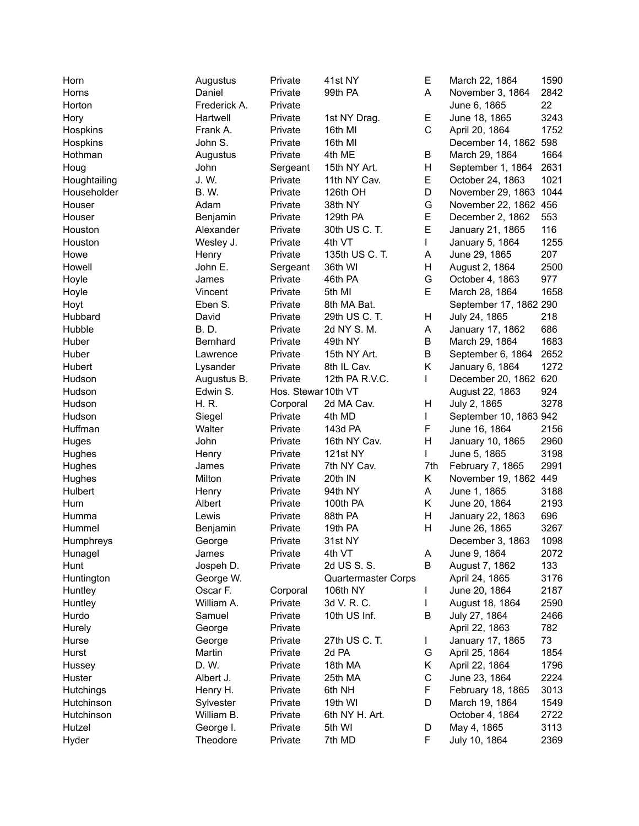| Horn         | Augustus     | Private             | 41st NY             | Е            | March 22, 1864         | 1590 |
|--------------|--------------|---------------------|---------------------|--------------|------------------------|------|
| Horns        | Daniel       | Private             | 99th PA             | A            | November 3, 1864       | 2842 |
| Horton       | Frederick A. | Private             |                     |              | June 6, 1865           | 22   |
| Hory         | Hartwell     | Private             | 1st NY Drag.        | Е            | June 18, 1865          | 3243 |
| Hospkins     | Frank A.     | Private             | 16th MI             | $\mathsf{C}$ | April 20, 1864         | 1752 |
| Hospkins     | John S.      | Private             | 16th MI             |              | December 14, 1862 598  |      |
| Hothman      | Augustus     | Private             | 4th ME              | В            | March 29, 1864         | 1664 |
| Houg         | John         | Sergeant            | 15th NY Art.        | Н            | September 1, 1864      | 2631 |
| Houghtailing | J. W.        | Private             | 11th NY Cav.        | Е            | October 24, 1863       | 1021 |
| Householder  | <b>B.W.</b>  | Private             | 126th OH            | D            | November 29, 1863 1044 |      |
| Houser       | Adam         | Private             | 38th NY             | G            | November 22, 1862 456  |      |
| Houser       | Benjamin     | Private             | 129th PA            | E            | December 2, 1862       | 553  |
| Houston      | Alexander    | Private             | 30th US C. T.       | E            | January 21, 1865       | 116  |
| Houston      | Wesley J.    | Private             | 4th VT              | L            | January 5, 1864        | 1255 |
| Howe         | Henry        | Private             | 135th US C. T.      | Α            | June 29, 1865          | 207  |
| Howell       | John E.      |                     | 36th WI             | н            | August 2, 1864         | 2500 |
|              | James        | Sergeant            |                     | G            |                        | 977  |
| Hoyle        |              | Private             | 46th PA<br>5th MI   | E            | October 4, 1863        |      |
| Hoyle        | Vincent      | Private             |                     |              | March 28, 1864         | 1658 |
| Hoyt         | Eben S.      | Private             | 8th MA Bat.         |              | September 17, 1862 290 |      |
| Hubbard      | David        | Private             | 29th US C. T.       | H            | July 24, 1865          | 218  |
| Hubble       | <b>B.D.</b>  | Private             | 2d NY S. M.         | Α            | January 17, 1862       | 686  |
| Huber        | Bernhard     | Private             | 49th NY             | B            | March 29, 1864         | 1683 |
| Huber        | Lawrence     | Private             | 15th NY Art.        | B            | September 6, 1864      | 2652 |
| Hubert       | Lysander     | Private             | 8th IL Cav.         | Κ            | January 6, 1864        | 1272 |
| Hudson       | Augustus B.  | Private             | 12th PA R.V.C.      | L            | December 20, 1862 620  |      |
| Hudson       | Edwin S.     | Hos. Stewar 10th VT |                     |              | August 22, 1863        | 924  |
| Hudson       | H. R.        | Corporal            | 2d MA Cav.          | н            | July 2, 1865           | 3278 |
| Hudson       | Siegel       | Private             | 4th MD              | L            | September 10, 1863 942 |      |
| Huffman      | Walter       | Private             | 143d PA             | F            | June 16, 1864          | 2156 |
| Huges        | John         | Private             | 16th NY Cav.        | н            | January 10, 1865       | 2960 |
| Hughes       | Henry        | Private             | 121st NY            | L            | June 5, 1865           | 3198 |
| Hughes       | James        | Private             | 7th NY Cav.         | 7th          | February 7, 1865       | 2991 |
| Hughes       | Milton       | Private             | 20th IN             | K.           | November 19, 1862 449  |      |
| Hulbert      | Henry        | Private             | 94th NY             | Α            | June 1, 1865           | 3188 |
| Hum          | Albert       | Private             | 100th PA            | Κ            | June 20, 1864          | 2193 |
| Humma        | Lewis        | Private             | 88th PA             | н            | January 22, 1863       | 696  |
| Hummel       | Benjamin     | Private             | 19th PA             | H            | June 26, 1865          | 3267 |
| Humphreys    | George       | Private             | 31st NY             |              | December 3, 1863       | 1098 |
| Hunagel      | James        | Private             | 4th VT              | A            | June 9, 1864           | 2072 |
| Hunt         | Jospeh D.    | Private             | 2d US S. S.         | B            | August 7, 1862         | 133  |
| Huntington   | George W.    |                     | Quartermaster Corps |              | April 24, 1865         | 3176 |
| Huntley      | Oscar F.     | Corporal            | 106th NY            |              | June 20, 1864          | 2187 |
| Huntley      | William A.   | Private             | 3d V. R. C.         | L            | August 18, 1864        | 2590 |
| Hurdo        | Samuel       | Private             | 10th US Inf.        | В            | July 27, 1864          | 2466 |
| Hurely       | George       | Private             |                     |              | April 22, 1863         | 782  |
| Hurse        | George       | Private             | 27th US C. T.       | L            | January 17, 1865       | 73   |
| Hurst        | Martin       | Private             | 2d PA               | G            | April 25, 1864         | 1854 |
| Hussey       | D. W.        | Private             | 18th MA             | Κ            | April 22, 1864         | 1796 |
| Huster       | Albert J.    | Private             | 25th MA             | $\mathsf C$  | June 23, 1864          | 2224 |
|              |              |                     | 6th NH              | F            |                        | 3013 |
| Hutchings    | Henry H.     | Private             |                     |              | February 18, 1865      |      |
| Hutchinson   | Sylvester    | Private             | 19th WI             | D            | March 19, 1864         | 1549 |
| Hutchinson   | William B.   | Private             | 6th NY H. Art.      |              | October 4, 1864        | 2722 |
| Hutzel       | George I.    | Private             | 5th WI              | D            | May 4, 1865            | 3113 |
| Hyder        | Theodore     | Private             | 7th MD              | F            | July 10, 1864          | 2369 |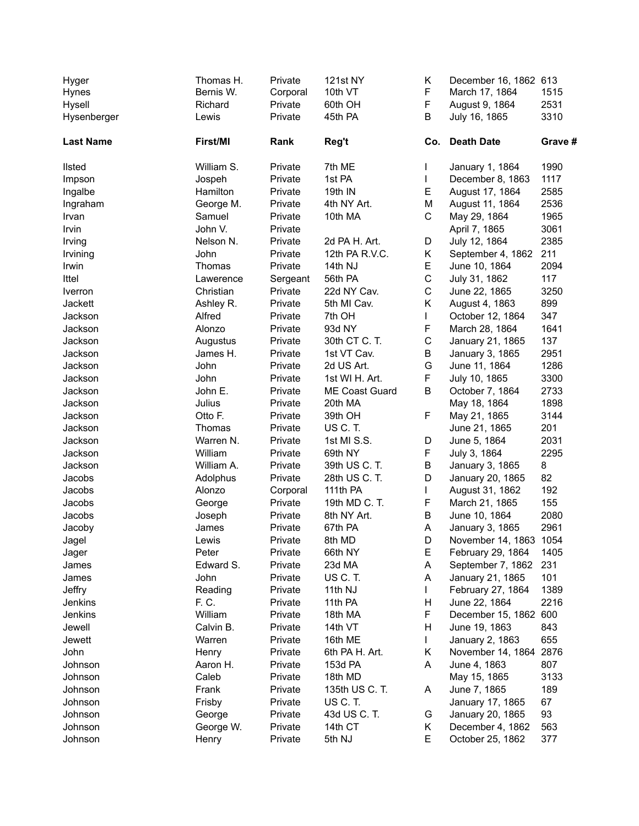| Hyger            | Thomas H.  | Private  | <b>121st NY</b> | Κ            | December 16, 1862 613  |         |
|------------------|------------|----------|-----------------|--------------|------------------------|---------|
| Hynes            | Bernis W.  | Corporal | 10th VT         | F            | March 17, 1864         | 1515    |
| Hysell           | Richard    | Private  | 60th OH         | F            | August 9, 1864         | 2531    |
| Hysenberger      | Lewis      | Private  | 45th PA         | B            | July 16, 1865          | 3310    |
| <b>Last Name</b> | First/MI   | Rank     | Reg't           | Co.          | <b>Death Date</b>      | Grave # |
| <b>Ilsted</b>    | William S. | Private  | 7th ME          | $\mathbf{I}$ | January 1, 1864        | 1990    |
| Impson           | Jospeh     | Private  | 1st PA          | L            | December 8, 1863       | 1117    |
| Ingalbe          | Hamilton   | Private  | 19th IN         | E            | August 17, 1864        | 2585    |
| Ingraham         | George M.  | Private  | 4th NY Art.     | M            | August 11, 1864        | 2536    |
| Irvan            | Samuel     | Private  | 10th MA         | C            | May 29, 1864           | 1965    |
| Irvin            | John V.    | Private  |                 |              | April 7, 1865          | 3061    |
| Irving           | Nelson N.  | Private  | 2d PA H. Art.   | D            | July 12, 1864          | 2385    |
| Irvining         | John       | Private  | 12th PA R.V.C.  | K.           | September 4, 1862      | 211     |
| Irwin            | Thomas     | Private  | 14th NJ         | E            | June 10, 1864          | 2094    |
| Ittel            | Lawerence  | Sergeant | 56th PA         | $\mathsf{C}$ | July 31, 1862          | 117     |
| Iverron          | Christian  | Private  | 22d NY Cav.     | $\mathsf C$  | June 22, 1865          | 3250    |
| Jackett          | Ashley R.  | Private  | 5th MI Cav.     | K.           | August 4, 1863         | 899     |
| Jackson          | Alfred     | Private  | 7th OH          | $\mathbf{L}$ | October 12, 1864       | 347     |
| Jackson          | Alonzo     | Private  | 93d NY          | F            | March 28, 1864         | 1641    |
| Jackson          | Augustus   | Private  | 30th CT C. T.   | $\mathsf C$  | January 21, 1865       | 137     |
| Jackson          | James H.   | Private  | 1st VT Cav.     | В            | January 3, 1865        | 2951    |
| Jackson          | John       | Private  | 2d US Art.      | G            | June 11, 1864          | 1286    |
| Jackson          | John       | Private  | 1st WI H. Art.  | F            | July 10, 1865          | 3300    |
| Jackson          | John E.    | Private  | ME Coast Guard  | В            | October 7, 1864        | 2733    |
| Jackson          | Julius     | Private  | 20th MA         |              | May 18, 1864           | 1898    |
| Jackson          | Otto F.    | Private  | 39th OH         | F.           | May 21, 1865           | 3144    |
| Jackson          | Thomas     | Private  | US C.T.         |              | June 21, 1865          | 201     |
| Jackson          | Warren N.  | Private  | 1st MI S.S.     | D            | June 5, 1864           | 2031    |
| Jackson          | William    | Private  | 69th NY         | F            | July 3, 1864           | 2295    |
| Jackson          | William A. | Private  | 39th US C. T.   | B            | January 3, 1865        | 8       |
| Jacobs           | Adolphus   | Private  | 28th US C. T.   | D            | January 20, 1865       | 82      |
| Jacobs           | Alonzo     | Corporal | 111th PA        | L            | August 31, 1862        | 192     |
| Jacobs           | George     | Private  | 19th MD C. T.   | F            | March 21, 1865         | 155     |
| Jacobs           | Joseph     | Private  | 8th NY Art.     | B            | June 10, 1864          | 2080    |
| Jacoby           | James      | Private  | 67th PA         | A            | January 3, 1865        | 2961    |
| Jagel            | Lewis      | Private  | 8th MD          | $\mathsf D$  | November 14, 1863      | 1054    |
| Jager            | Peter      | Private  | 66th NY         | Е            | February 29, 1864      | 1405    |
| James            | Edward S.  | Private  | 23d MA          | A            | September 7, 1862      | 231     |
| James            | John       | Private  | US C.T.         | Α            | January 21, 1865       | 101     |
| Jeffry           | Reading    | Private  | 11th NJ         | L            | February 27, 1864      | 1389    |
| Jenkins          | F. C.      | Private  | 11th PA         | Н            | June 22, 1864          | 2216    |
| Jenkins          | William    | Private  | 18th MA         | F            | December 15, 1862 600  |         |
| Jewell           | Calvin B.  | Private  | 14th VT         | н            | June 19, 1863          | 843     |
| Jewett           | Warren     | Private  | 16th ME         | L            | January 2, 1863        | 655     |
| John             | Henry      | Private  | 6th PA H. Art.  | Κ            | November 14, 1864 2876 |         |
| Johnson          | Aaron H.   | Private  | 153d PA         | A            | June 4, 1863           | 807     |
| Johnson          | Caleb      | Private  | 18th MD         |              | May 15, 1865           | 3133    |
| Johnson          | Frank      | Private  | 135th US C. T.  | A            | June 7, 1865           | 189     |
| Johnson          | Frisby     | Private  | US C.T.         |              | January 17, 1865       | 67      |
| Johnson          | George     | Private  | 43d US C. T.    | G            | January 20, 1865       | 93      |
| Johnson          | George W.  | Private  | 14th CT         | K            | December 4, 1862       | 563     |
| Johnson          | Henry      | Private  | 5th NJ          | Е            | October 25, 1862       | 377     |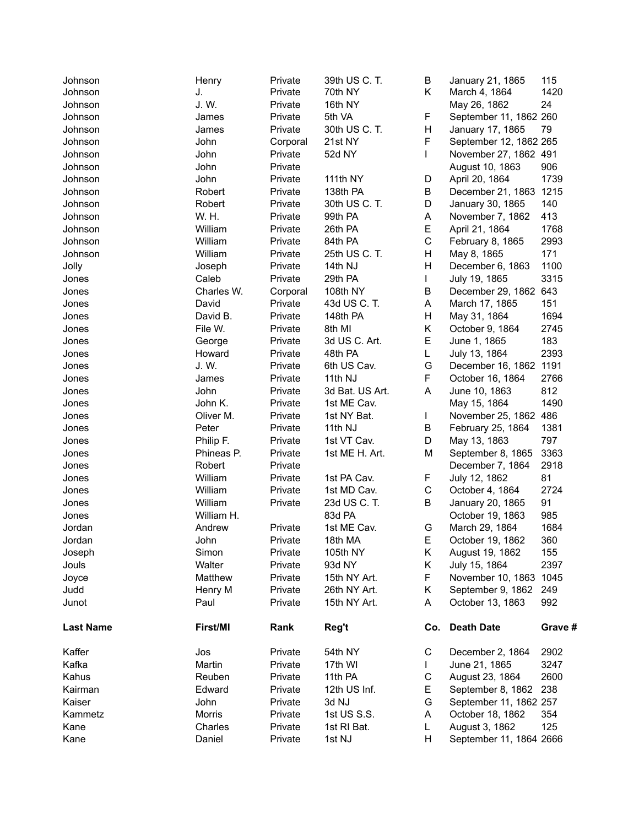| Johnson          | Henry      | Private  | 39th US C. T.   | В            | January 21, 1865        | 115     |
|------------------|------------|----------|-----------------|--------------|-------------------------|---------|
| Johnson          | J.         | Private  | 70th NY         | K.           | March 4, 1864           | 1420    |
| Johnson          | J.W.       | Private  | 16th NY         |              | May 26, 1862            | 24      |
| Johnson          | James      | Private  | 5th VA          | F.           | September 11, 1862 260  |         |
| Johnson          | James      | Private  | 30th US C. T.   | H            | January 17, 1865        | 79      |
| Johnson          | John       | Corporal | 21st NY         | F            | September 12, 1862 265  |         |
| Johnson          | John       | Private  | 52d NY          | $\mathsf{L}$ | November 27, 1862 491   |         |
| Johnson          | John       | Private  |                 |              | August 10, 1863         | 906     |
| Johnson          | John       | Private  | 111th NY        | D            | April 20, 1864          | 1739    |
| Johnson          | Robert     | Private  | 138th PA        | B            | December 21, 1863 1215  |         |
| Johnson          | Robert     | Private  | 30th US C. T.   | D            | January 30, 1865        | 140     |
| Johnson          | W. H.      | Private  | 99th PA         | A            | November 7, 1862        | 413     |
| Johnson          | William    | Private  | 26th PA         | E            | April 21, 1864          | 1768    |
| Johnson          | William    | Private  | 84th PA         | $\mathsf C$  | February 8, 1865        | 2993    |
| Johnson          | William    | Private  | 25th US C. T.   | H            | May 8, 1865             | 171     |
| Jolly            | Joseph     | Private  | 14th NJ         | H            | December 6, 1863        | 1100    |
| Jones            | Caleb      | Private  | 29th PA         | L            | July 19, 1865           | 3315    |
| Jones            | Charles W. | Corporal | 108th NY        | B            | December 29, 1862 643   |         |
| Jones            | David      | Private  | 43d US C. T.    | A            | March 17, 1865          | 151     |
| Jones            | David B.   | Private  | 148th PA        | H            | May 31, 1864            | 1694    |
| Jones            | File W.    | Private  | 8th MI          | Κ            | October 9, 1864         | 2745    |
| Jones            | George     | Private  | 3d US C. Art.   | E            | June 1, 1865            | 183     |
| Jones            | Howard     | Private  | 48th PA         | L            | July 13, 1864           | 2393    |
| Jones            | J.W.       | Private  | 6th US Cav.     | G            | December 16, 1862 1191  |         |
| Jones            | James      | Private  | 11th NJ         | F            | October 16, 1864        | 2766    |
| Jones            | John       | Private  | 3d Bat. US Art. | A            | June 10, 1863           | 812     |
| Jones            | John K.    | Private  | 1st ME Cav.     |              | May 15, 1864            | 1490    |
| Jones            | Oliver M.  | Private  | 1st NY Bat.     | L            | November 25, 1862 486   |         |
| Jones            | Peter      | Private  | 11th NJ         | В            | February 25, 1864       | 1381    |
| Jones            | Philip F.  | Private  | 1st VT Cav.     | D            | May 13, 1863            | 797     |
| Jones            | Phineas P. | Private  | 1st ME H. Art.  | М            | September 8, 1865       | 3363    |
| Jones            | Robert     | Private  |                 |              | December 7, 1864        | 2918    |
| Jones            | William    | Private  | 1st PA Cav.     | F            | July 12, 1862           | 81      |
| Jones            | William    | Private  | 1st MD Cav.     | $\mathsf C$  | October 4, 1864         | 2724    |
| Jones            | William    | Private  | 23d US C. T.    | B            | January 20, 1865        | 91      |
| Jones            | William H. |          | 83d PA          |              | October 19, 1863        | 985     |
| Jordan           | Andrew     | Private  | 1st ME Cav.     | G            | March 29, 1864          | 1684    |
| Jordan           | John       | Private  | 18th MA         | E.           | October 19, 1862        | 360     |
| Joseph           | Simon      | Private  | 105th NY        | Κ            | August 19, 1862         | 155     |
| Jouls            | Walter     | Private  | 93d NY          | Κ            | July 15, 1864           | 2397    |
| Joyce            | Matthew    | Private  | 15th NY Art.    | F            | November 10, 1863 1045  |         |
| Judd             | Henry M    | Private  | 26th NY Art.    | Κ            | September 9, 1862       | 249     |
| Junot            | Paul       | Private  | 15th NY Art.    | A            | October 13, 1863        | 992     |
|                  |            |          |                 |              |                         |         |
| <b>Last Name</b> | First/MI   | Rank     | Reg't           | Co.          | <b>Death Date</b>       | Grave # |
| Kaffer           | Jos        | Private  | 54th NY         | С            | December 2, 1864        | 2902    |
| Kafka            | Martin     | Private  | 17th WI         | L            | June 21, 1865           | 3247    |
| Kahus            | Reuben     | Private  | 11th PA         | С            | August 23, 1864         | 2600    |
| Kairman          | Edward     | Private  | 12th US Inf.    | E.           | September 8, 1862       | 238     |
| Kaiser           | John       | Private  | 3d NJ           | G            | September 11, 1862 257  |         |
| Kammetz          | Morris     | Private  | 1st US S.S.     | A            | October 18, 1862        | 354     |
| Kane             | Charles    | Private  | 1st RI Bat.     | L            | August 3, 1862          | 125     |
| Kane             | Daniel     | Private  | 1st NJ          | н            | September 11, 1864 2666 |         |
|                  |            |          |                 |              |                         |         |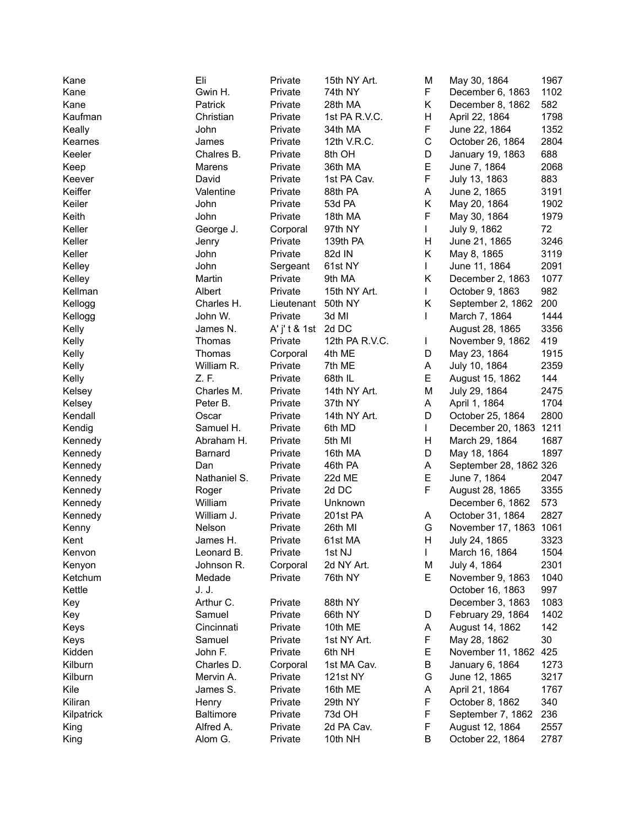| Kane       | Eli              | Private             | 15th NY Art.   | M  | May 30, 1864           | 1967 |
|------------|------------------|---------------------|----------------|----|------------------------|------|
| Kane       | Gwin H.          | Private             | 74th NY        | F  | December 6, 1863       | 1102 |
| Kane       | Patrick          | Private             | 28th MA        | K. | December 8, 1862       | 582  |
| Kaufman    | Christian        | Private             | 1st PA R.V.C.  | н  | April 22, 1864         | 1798 |
| Keally     | John             | Private             | 34th MA        | F  | June 22, 1864          | 1352 |
| Kearnes    | James            | Private             | 12th V.R.C.    | С  | October 26, 1864       | 2804 |
| Keeler     | Chalres B.       | Private             | 8th OH         | D  | January 19, 1863       | 688  |
| Keep       | Marens           | Private             | 36th MA        | E  | June 7, 1864           | 2068 |
| Keever     | David            | Private             | 1st PA Cav.    | F  | July 13, 1863          | 883  |
| Keiffer    | Valentine        | Private             | 88th PA        | A  | June 2, 1865           | 3191 |
| Keiler     | John             | Private             | 53d PA         | Κ  | May 20, 1864           | 1902 |
| Keith      | John             | Private             | 18th MA        | F  | May 30, 1864           | 1979 |
| Keller     | George J.        | Corporal            | 97th NY        | L  | July 9, 1862           | 72   |
| Keller     | Jenry            | Private             | 139th PA       | н  | June 21, 1865          | 3246 |
| Keller     | John             | Private             | 82d IN         | K. | May 8, 1865            | 3119 |
| Kelley     | John             | Sergeant            | 61st NY        | L  | June 11, 1864          | 2091 |
| Kelley     | Martin           | Private             | 9th MA         | K  | December 2, 1863       | 1077 |
| Kellman    | Albert           | Private             | 15th NY Art.   | L  | October 9, 1863        | 982  |
| Kellogg    | Charles H.       |                     | 50th NY        | Κ  | September 2, 1862      | 200  |
|            | John W.          | Lieutenant          | 3d MI          | L  |                        | 1444 |
| Kellogg    |                  | Private             |                |    | March 7, 1864          |      |
| Kelly      | James N.         | A' j' t & 1st 2d DC |                |    | August 28, 1865        | 3356 |
| Kelly      | Thomas           | Private             | 12th PA R.V.C. | L  | November 9, 1862       | 419  |
| Kelly      | Thomas           | Corporal            | 4th ME         | D  | May 23, 1864           | 1915 |
| Kelly      | William R.       | Private             | 7th ME         | Α  | July 10, 1864          | 2359 |
| Kelly      | Z.F.             | Private             | 68th IL        | E  | August 15, 1862        | 144  |
| Kelsey     | Charles M.       | Private             | 14th NY Art.   | M  | July 29, 1864          | 2475 |
| Kelsey     | Peter B.         | Private             | 37th NY        | A  | April 1, 1864          | 1704 |
| Kendall    | Oscar            | Private             | 14th NY Art.   | D  | October 25, 1864       | 2800 |
| Kendig     | Samuel H.        | Private             | 6th MD         | L  | December 20, 1863      | 1211 |
| Kennedy    | Abraham H.       | Private             | 5th MI         | н  | March 29, 1864         | 1687 |
| Kennedy    | Barnard          | Private             | 16th MA        | D  | May 18, 1864           | 1897 |
| Kennedy    | Dan              | Private             | 46th PA        | Α  | September 28, 1862 326 |      |
| Kennedy    | Nathaniel S.     | Private             | 22d ME         | E  | June 7, 1864           | 2047 |
| Kennedy    | Roger            | Private             | 2d DC          | F  | August 28, 1865        | 3355 |
| Kennedy    | William          | Private             | Unknown        |    | December 6, 1862       | 573  |
| Kennedy    | William J.       | Private             | 201st PA       | A  | October 31, 1864       | 2827 |
| Kenny      | Nelson           | Private             | 26th MI        | G  | November 17, 1863 1061 |      |
| Kent       | James H.         | Private             | 61st MA        | н  | July 24, 1865          | 3323 |
| Kenvon     | Leonard B.       | Private             | 1st NJ         | L  | March 16, 1864         | 1504 |
| Kenyon     | Johnson R.       | Corporal            | 2d NY Art.     | M  | July 4, 1864           | 2301 |
| Ketchum    | Medade           | Private             | 76th NY        | E. | November 9, 1863       | 1040 |
| Kettle     | J. J.            |                     |                |    | October 16, 1863       | 997  |
| Key        | Arthur C.        | Private             | 88th NY        |    | December 3, 1863       | 1083 |
| Key        | Samuel           | Private             | 66th NY        | D  | February 29, 1864      | 1402 |
| Keys       | Cincinnati       | Private             | 10th ME        | Α  | August 14, 1862        | 142  |
| Keys       | Samuel           | Private             | 1st NY Art.    | F  | May 28, 1862           | 30   |
| Kidden     | John F.          | Private             | 6th NH         | Е  | November 11, 1862      | 425  |
| Kilburn    | Charles D.       | Corporal            | 1st MA Cav.    | В  | January 6, 1864        | 1273 |
| Kilburn    | Mervin A.        | Private             | 121st NY       | G  | June 12, 1865          | 3217 |
| Kile       | James S.         | Private             | 16th ME        | Α  | April 21, 1864         | 1767 |
| Kiliran    | Henry            | Private             | 29th NY        | F  | October 8, 1862        | 340  |
| Kilpatrick | <b>Baltimore</b> | Private             | 73d OH         | F  | September 7, 1862      | 236  |
| King       | Alfred A.        | Private             | 2d PA Cav.     | F  | August 12, 1864        | 2557 |
| King       | Alom G.          | Private             | 10th NH        | В  | October 22, 1864       | 2787 |
|            |                  |                     |                |    |                        |      |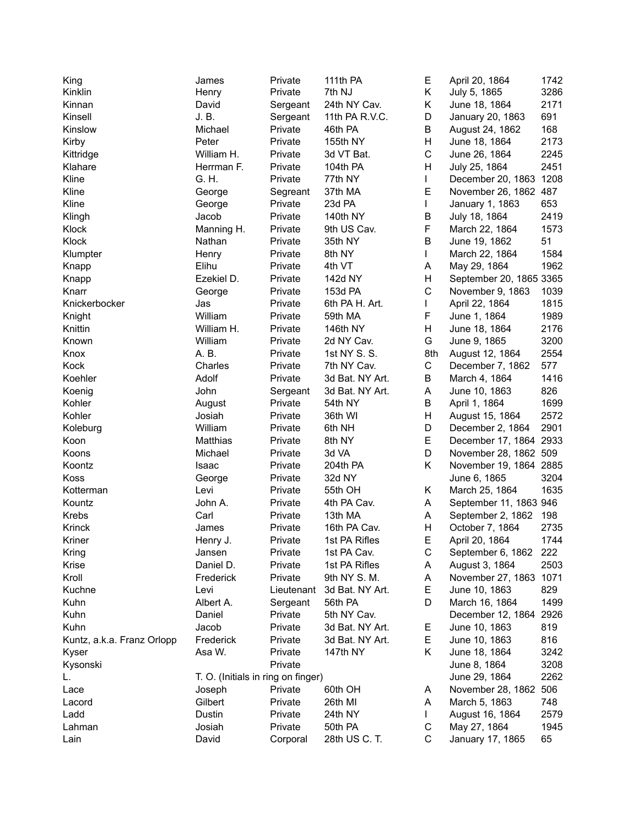| King                       | James                              | Private    | 111th PA        | Е   | April 20, 1864          | 1742 |
|----------------------------|------------------------------------|------------|-----------------|-----|-------------------------|------|
| Kinklin                    | Henry                              | Private    | 7th NJ          | Κ   | July 5, 1865            | 3286 |
| Kinnan                     | David                              | Sergeant   | 24th NY Cav.    | Κ   | June 18, 1864           | 2171 |
| Kinsell                    | J. B.                              | Sergeant   | 11th PA R.V.C.  | D   | January 20, 1863        | 691  |
| Kinslow                    | Michael                            | Private    | 46th PA         | Β   | August 24, 1862         | 168  |
| Kirby                      | Peter                              | Private    | 155th NY        | Н   | June 18, 1864           | 2173 |
| Kittridge                  | William H.                         | Private    | 3d VT Bat.      | C   | June 26, 1864           | 2245 |
| Klahare                    | Herrman F.                         | Private    | 104th PA        | H   | July 25, 1864           | 2451 |
| Kline                      | G. H.                              | Private    | 77th NY         | L   | December 20, 1863 1208  |      |
| Kline                      | George                             | Segreant   | 37th MA         | E   | November 26, 1862 487   |      |
| Kline                      | George                             | Private    | 23d PA          | L   | January 1, 1863         | 653  |
| Klingh                     | Jacob                              | Private    | 140th NY        | B   | July 18, 1864           | 2419 |
| Klock                      | Manning H.                         | Private    | 9th US Cav.     | F   | March 22, 1864          | 1573 |
| Klock                      | Nathan                             | Private    | 35th NY         | B   | June 19, 1862           | 51   |
| Klumpter                   | Henry                              | Private    | 8th NY          | L   | March 22, 1864          | 1584 |
| Knapp                      | Elihu                              | Private    | 4th VT          | А   | May 29, 1864            | 1962 |
| Knapp                      | Ezekiel D.                         | Private    | 142d NY         | Η   | September 20, 1865 3365 |      |
| Knarr                      | George                             | Private    | 153d PA         | C   | November 9, 1863        | 1039 |
| Knickerbocker              | Jas                                | Private    | 6th PA H. Art.  | L   | April 22, 1864          | 1815 |
| Knight                     | William                            | Private    | 59th MA         | F   | June 1, 1864            | 1989 |
| Knittin                    | William H.                         | Private    | 146th NY        | H   | June 18, 1864           | 2176 |
| Known                      | William                            | Private    | 2d NY Cav.      | G   | June 9, 1865            | 3200 |
| Knox                       | A. B.                              | Private    | 1st NY S. S.    | 8th | August 12, 1864         | 2554 |
| Kock                       | Charles                            | Private    | 7th NY Cav.     | C   | December 7, 1862        | 577  |
| Koehler                    | Adolf                              | Private    | 3d Bat. NY Art. | В   | March 4, 1864           | 1416 |
| Koenig                     | John                               | Sergeant   | 3d Bat. NY Art. | А   | June 10, 1863           | 826  |
| Kohler                     | August                             | Private    | 54th NY         | B   | April 1, 1864           | 1699 |
| Kohler                     | Josiah                             | Private    | 36th WI         | Η   | August 15, 1864         | 2572 |
| Koleburg                   | William                            | Private    | 6th NH          | D   | December 2, 1864        | 2901 |
| Koon                       | Matthias                           | Private    | 8th NY          | Е   | December 17, 1864 2933  |      |
| Koons                      | Michael                            | Private    | 3d VA           | D   | November 28, 1862 509   |      |
| Koontz                     | Isaac                              | Private    | 204th PA        | Κ   | November 19, 1864 2885  |      |
| Koss                       | George                             | Private    | 32d NY          |     | June 6, 1865            | 3204 |
| Kotterman                  | Levi                               | Private    | 55th OH         | Κ   | March 25, 1864          | 1635 |
| Kountz                     | John A.                            | Private    | 4th PA Cav.     | A   | September 11, 1863 946  |      |
| Krebs                      | Carl                               | Private    | 13th MA         | Α   | September 2, 1862       | 198  |
| Krinck                     | James                              | Private    | 16th PA Cav.    | Н   | October 7, 1864         | 2735 |
| Kriner                     | Henry J.                           | Private    | 1st PA Rifles   | F.  | April 20, 1864          | 1744 |
| Kring                      | Jansen                             | Private    | 1st PA Cav.     | С   | September 6, 1862       | 222  |
| Krise                      | Daniel D.                          | Private    | 1st PA Rifles   | Α   | August 3, 1864          | 2503 |
| Kroll                      | Frederick                          | Private    | 9th NY S. M.    | A   | November 27, 1863 1071  |      |
| Kuchne                     | Levi                               | Lieutenant | 3d Bat. NY Art. | Е   | June 10, 1863           | 829  |
| Kuhn                       | Albert A.                          | Sergeant   | 56th PA         | D   | March 16, 1864          | 1499 |
| Kuhn                       | Daniel                             | Private    | 5th NY Cav.     |     | December 12, 1864 2926  |      |
| Kuhn                       | Jacob                              | Private    | 3d Bat. NY Art. | Е   | June 10, 1863           | 819  |
| Kuntz, a.k.a. Franz Orlopp | Frederick                          | Private    | 3d Bat. NY Art. | Е   | June 10, 1863           | 816  |
| Kyser                      | Asa W.                             | Private    | 147th NY        | Κ   | June 18, 1864           | 3242 |
| Kysonski                   |                                    | Private    |                 |     | June 8, 1864            | 3208 |
| L.                         | T. O. (Initials in ring on finger) |            |                 |     | June 29, 1864           | 2262 |
| Lace                       | Joseph                             | Private    | 60th OH         | A   | November 28, 1862       | 506  |
| Lacord                     | Gilbert                            | Private    | 26th MI         | A   | March 5, 1863           | 748  |
| Ladd                       | Dustin                             | Private    | 24th NY         | L   | August 16, 1864         | 2579 |
| Lahman                     | Josiah                             | Private    | 50th PA         | С   | May 27, 1864            | 1945 |
| Lain                       | David                              | Corporal   | 28th US C. T.   | С   | January 17, 1865        | 65   |
|                            |                                    |            |                 |     |                         |      |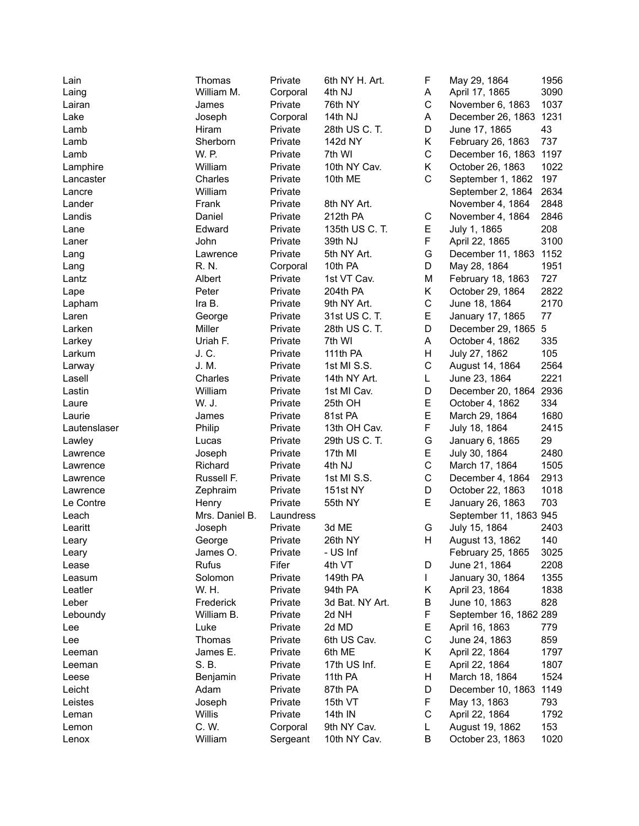| Lain         | Thomas         | Private   | 6th NY H. Art.  | F           | May 29, 1864           | 1956 |
|--------------|----------------|-----------|-----------------|-------------|------------------------|------|
| Laing        | William M.     | Corporal  | 4th NJ          | Α           | April 17, 1865         | 3090 |
| Lairan       | James          | Private   | 76th NY         | C           | November 6, 1863       | 1037 |
| Lake         | Joseph         | Corporal  | 14th NJ         | Α           | December 26, 1863 1231 |      |
| Lamb         | Hiram          | Private   | 28th US C. T.   | D           | June 17, 1865          | 43   |
| Lamb         | Sherborn       | Private   | 142d NY         | Κ           | February 26, 1863      | 737  |
| Lamb         | W. P.          | Private   | 7th WI          | $\mathsf C$ | December 16, 1863 1197 |      |
| Lamphire     | William        | Private   | 10th NY Cav.    | Κ           | October 26, 1863       | 1022 |
| Lancaster    | Charles        | Private   | 10th ME         | C           | September 1, 1862      | 197  |
| Lancre       | William        | Private   |                 |             | September 2, 1864      | 2634 |
| Lander       | Frank          | Private   | 8th NY Art.     |             | November 4, 1864       | 2848 |
| Landis       | Daniel         | Private   | 212th PA        | С           | November 4, 1864       | 2846 |
| Lane         | Edward         | Private   | 135th US C. T.  | E           | July 1, 1865           | 208  |
| Laner        | John           | Private   | 39th NJ         | F           | April 22, 1865         | 3100 |
| Lang         | Lawrence       | Private   | 5th NY Art.     | G           | December 11, 1863      | 1152 |
| Lang         | R. N.          | Corporal  | 10th PA         | D           | May 28, 1864           | 1951 |
| Lantz        | Albert         | Private   | 1st VT Cav.     | M           | February 18, 1863      | 727  |
|              | Peter          | Private   | 204th PA        | K           | October 29, 1864       | 2822 |
| Lape         | Ira B.         |           | 9th NY Art.     | C           | June 18, 1864          | 2170 |
| Lapham       |                | Private   |                 | E           |                        | 77   |
| Laren        | George         | Private   | 31st US C. T.   |             | January 17, 1865       |      |
| Larken       | Miller         | Private   | 28th US C. T.   | D           | December 29, 1865      | 5    |
| Larkey       | Uriah F.       | Private   | 7th WI          | A           | October 4, 1862        | 335  |
| Larkum       | J. C.          | Private   | 111th PA        | H           | July 27, 1862          | 105  |
| Larway       | J. M.          | Private   | 1st MI S.S.     | C           | August 14, 1864        | 2564 |
| Lasell       | Charles        | Private   | 14th NY Art.    | L           | June 23, 1864          | 2221 |
| Lastin       | William        | Private   | 1st MI Cav.     | D           | December 20, 1864      | 2936 |
| Laure        | W. J.          | Private   | 25th OH         | Е           | October 4, 1862        | 334  |
| Laurie       | James          | Private   | 81st PA         | E           | March 29, 1864         | 1680 |
| Lautenslaser | Philip         | Private   | 13th OH Cav.    | F           | July 18, 1864          | 2415 |
| Lawley       | Lucas          | Private   | 29th US C. T.   | G           | January 6, 1865        | 29   |
| Lawrence     | Joseph         | Private   | 17th MI         | Е           | July 30, 1864          | 2480 |
| Lawrence     | Richard        | Private   | 4th NJ          | C           | March 17, 1864         | 1505 |
| Lawrence     | Russell F.     | Private   | 1st MI S.S.     | C           | December 4, 1864       | 2913 |
| Lawrence     | Zephraim       | Private   | 151st NY        | D           | October 22, 1863       | 1018 |
| Le Contre    | Henry          | Private   | 55th NY         | E           | January 26, 1863       | 703  |
| Leach        | Mrs. Daniel B. | Laundress |                 |             | September 11, 1863 945 |      |
| Learitt      | Joseph         | Private   | 3d ME           | G           | July 15, 1864          | 2403 |
| Leary        | George         | Private   | 26th NY         | H           | August 13, 1862        | 140  |
| Leary        | James O.       | Private   | - US Inf        |             | February 25, 1865      | 3025 |
| Lease        | <b>Rufus</b>   | Fifer     | 4th VT          | D           | June 21, 1864          | 2208 |
| Leasum       | Solomon        | Private   | 149th PA        | L           | January 30, 1864       | 1355 |
| Leatler      | W. H.          | Private   | 94th PA         | Κ           | April 23, 1864         | 1838 |
| Leber        | Frederick      | Private   | 3d Bat. NY Art. | В           | June 10, 1863          | 828  |
| Leboundy     | William B.     | Private   | 2d NH           | F           | September 16, 1862 289 |      |
| Lee          | Luke           | Private   | 2d MD           | Е           | April 16, 1863         | 779  |
| Lee          | Thomas         | Private   | 6th US Cav.     | С           | June 24, 1863          | 859  |
| Leeman       | James E.       | Private   | 6th ME          | Κ           | April 22, 1864         | 1797 |
| Leeman       | S. B.          | Private   | 17th US Inf.    | Е           | April 22, 1864         | 1807 |
| Leese        | Benjamin       | Private   | 11th PA         | Н           | March 18, 1864         | 1524 |
| Leicht       | Adam           | Private   | 87th PA         | D           | December 10, 1863      | 1149 |
| Leistes      | Joseph         | Private   | 15th VT         | F           | May 13, 1863           | 793  |
| Leman        | Willis         | Private   | 14th IN         | C           | April 22, 1864         | 1792 |
| Lemon        | C. W.          | Corporal  | 9th NY Cav.     | L           | August 19, 1862        | 153  |
| Lenox        | William        | Sergeant  | 10th NY Cav.    | В           | October 23, 1863       | 1020 |
|              |                |           |                 |             |                        |      |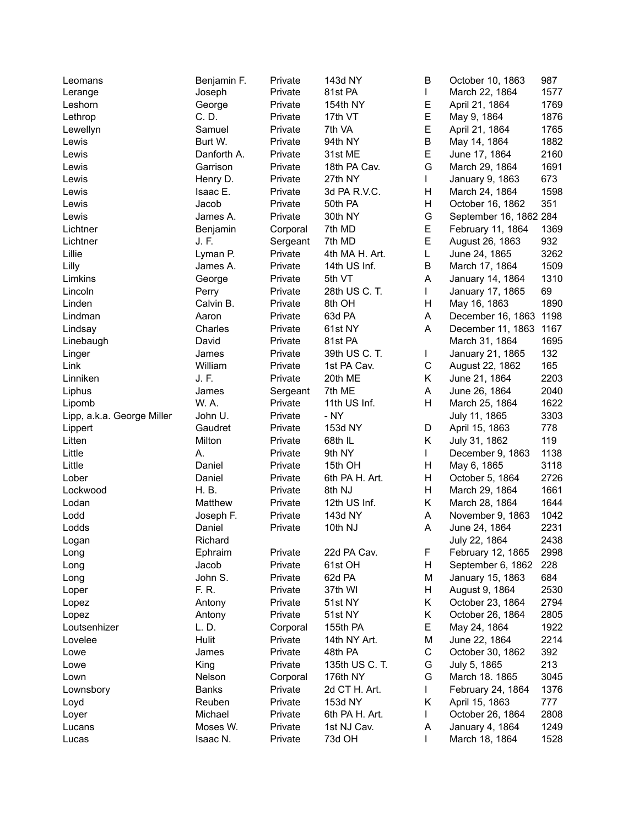| Leomans                    | Benjamin F.  | Private  | 143d NY        | В       | October 10, 1863       | 987  |
|----------------------------|--------------|----------|----------------|---------|------------------------|------|
| Lerange                    | Joseph       | Private  | 81st PA        | L       | March 22, 1864         | 1577 |
| Leshorn                    | George       | Private  | 154th NY       | Е       | April 21, 1864         | 1769 |
| Lethrop                    | C. D.        | Private  | 17th VT        | E       | May 9, 1864            | 1876 |
| Lewellyn                   | Samuel       | Private  | 7th VA         | E       | April 21, 1864         | 1765 |
| Lewis                      | Burt W.      | Private  | 94th NY        | $\sf B$ | May 14, 1864           | 1882 |
| Lewis                      | Danforth A.  | Private  | 31st ME        | E       | June 17, 1864          | 2160 |
| Lewis                      | Garrison     | Private  | 18th PA Cav.   | G       | March 29, 1864         | 1691 |
| Lewis                      | Henry D.     | Private  | 27th NY        | L       | January 9, 1863        | 673  |
| Lewis                      | Isaac E.     | Private  | 3d PA R.V.C.   | н       | March 24, 1864         | 1598 |
| Lewis                      | Jacob        | Private  | 50th PA        | Н       | October 16, 1862       | 351  |
| Lewis                      | James A.     | Private  | 30th NY        | G       | September 16, 1862 284 |      |
| Lichtner                   | Benjamin     | Corporal | 7th MD         | Е       | February 11, 1864      | 1369 |
| Lichtner                   | J. F.        | Sergeant | 7th MD         | E       | August 26, 1863        | 932  |
| Lillie                     | Lyman P.     | Private  | 4th MA H. Art. | L       | June 24, 1865          | 3262 |
| Lilly                      | James A.     | Private  | 14th US Inf.   | B       | March 17, 1864         | 1509 |
| Limkins                    | George       | Private  | 5th VT         | A       | January 14, 1864       | 1310 |
| Lincoln                    | Perry        | Private  | 28th US C. T.  | L       | January 17, 1865       | 69   |
| Linden                     | Calvin B.    | Private  | 8th OH         | н       | May 16, 1863           | 1890 |
| Lindman                    | Aaron        | Private  | 63d PA         | Α       | December 16, 1863 1198 |      |
| Lindsay                    | Charles      | Private  | 61st NY        | A       | December 11, 1863      | 1167 |
| Linebaugh                  | David        | Private  | 81st PA        |         | March 31, 1864         | 1695 |
|                            | James        | Private  | 39th US C. T.  | L       |                        | 132  |
| Linger<br>Link             | William      |          | 1st PA Cav.    | C       | January 21, 1865       | 165  |
|                            | J. F.        | Private  |                | Κ       | August 22, 1862        | 2203 |
| Linniken                   |              | Private  | 20th ME        |         | June 21, 1864          |      |
| Liphus                     | James        | Sergeant | 7th ME         | A       | June 26, 1864          | 2040 |
| Lipomb                     | W. A.        | Private  | 11th US Inf.   | H       | March 25, 1864         | 1622 |
| Lipp, a.k.a. George Miller | John U.      | Private  | - NY           |         | July 11, 1865          | 3303 |
| Lippert                    | Gaudret      | Private  | 153d NY        | D       | April 15, 1863         | 778  |
| Litten                     | Milton       | Private  | 68th IL        | Κ       | July 31, 1862          | 119  |
| Little                     | А.           | Private  | 9th NY         | L       | December 9, 1863       | 1138 |
| Little                     | Daniel       | Private  | 15th OH        | H       | May 6, 1865            | 3118 |
| Lober                      | Daniel       | Private  | 6th PA H. Art. | H       | October 5, 1864        | 2726 |
| Lockwood                   | H. B.        | Private  | 8th NJ         | H       | March 29, 1864         | 1661 |
| Lodan                      | Matthew      | Private  | 12th US Inf.   | Κ       | March 28, 1864         | 1644 |
| Lodd                       | Joseph F.    | Private  | 143d NY        | Α       | November 9, 1863       | 1042 |
| Lodds                      | Daniel       | Private  | 10th NJ        | A       | June 24, 1864          | 2231 |
| Logan                      | Richard      |          |                |         | July 22, 1864          | 2438 |
| Long                       | Ephraim      | Private  | 22d PA Cav.    | F       | February 12, 1865      | 2998 |
| Long                       | Jacob        | Private  | 61st OH        | н       | September 6, 1862      | 228  |
| Long                       | John S.      | Private  | 62d PA         | M       | January 15, 1863       | 684  |
| Loper                      | F. R.        | Private  | 37th WI        | н       | August 9, 1864         | 2530 |
| Lopez                      | Antony       | Private  | 51st NY        | Κ       | October 23, 1864       | 2794 |
| Lopez                      | Antony       | Private  | 51st NY        | Κ       | October 26, 1864       | 2805 |
| Loutsenhizer               | L. D.        | Corporal | 155th PA       | Е       | May 24, 1864           | 1922 |
| Lovelee                    | Hulit        | Private  | 14th NY Art.   | M       | June 22, 1864          | 2214 |
| Lowe                       | James        | Private  | 48th PA        | C       | October 30, 1862       | 392  |
| Lowe                       | King         | Private  | 135th US C. T. | G       | July 5, 1865           | 213  |
| Lown                       | Nelson       | Corporal | 176th NY       | G       | March 18. 1865         | 3045 |
| Lownsbory                  | <b>Banks</b> | Private  | 2d CT H. Art.  | L       | February 24, 1864      | 1376 |
| Loyd                       | Reuben       | Private  | 153d NY        | Κ       | April 15, 1863         | 777  |
| Loyer                      | Michael      | Private  | 6th PA H. Art. | L       | October 26, 1864       | 2808 |
| Lucans                     | Moses W.     | Private  | 1st NJ Cav.    | Α       | January 4, 1864        | 1249 |
| Lucas                      | Isaac N.     | Private  | 73d OH         | L       | March 18, 1864         | 1528 |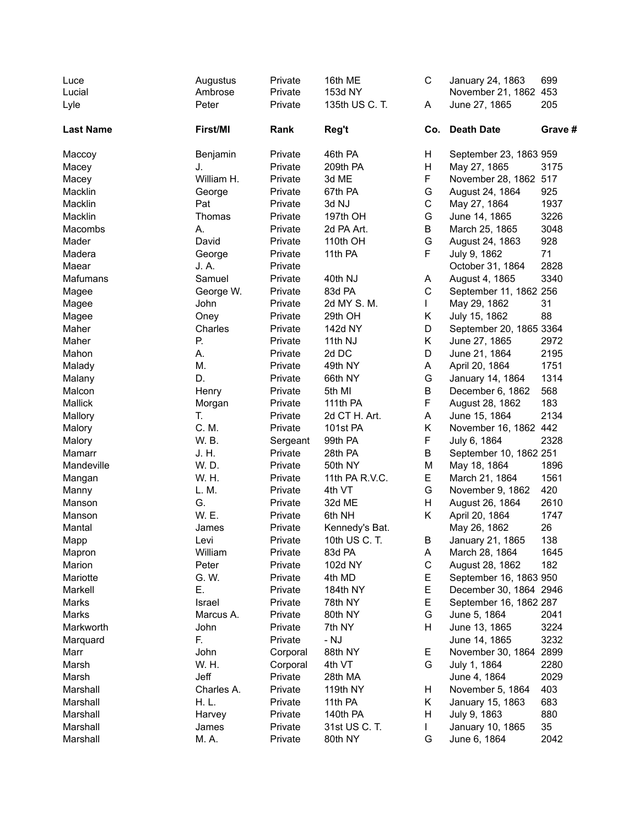| Luce<br>Lucial   | Augustus<br>Ambrose | Private<br>Private | 16th ME<br>153d NY | C           | January 24, 1863<br>November 21, 1862 453 | 699     |
|------------------|---------------------|--------------------|--------------------|-------------|-------------------------------------------|---------|
|                  |                     |                    |                    |             |                                           | 205     |
| Lyle             | Peter               | Private            | 135th US C. T.     | A           | June 27, 1865                             |         |
| <b>Last Name</b> | First/MI            | Rank               | Reg't              | Co.         | <b>Death Date</b>                         | Grave # |
| Maccoy           | Benjamin            | Private            | 46th PA            | Н           | September 23, 1863 959                    |         |
| Macey            | J.                  | Private            | 209th PA           | H           | May 27, 1865                              | 3175    |
| Macey            | William H.          | Private            | 3d ME              | F           | November 28, 1862 517                     |         |
| Macklin          | George              | Private            | 67th PA            | G           | August 24, 1864                           | 925     |
| Macklin          | Pat                 | Private            | 3d NJ              | $\mathbf C$ | May 27, 1864                              | 1937    |
| Macklin          | Thomas              | Private            | 197th OH           | G           | June 14, 1865                             | 3226    |
| Macombs          | А.                  | Private            | 2d PA Art.         | B           | March 25, 1865                            | 3048    |
| Mader            | David               | Private            | 110th OH           | G           | August 24, 1863                           | 928     |
| Madera           | George              | Private            | 11th PA            | F           | July 9, 1862                              | 71      |
| Maear            | J. A.               | Private            |                    |             | October 31, 1864                          | 2828    |
| Mafumans         | Samuel              | Private            | 40th NJ            | A           | August 4, 1865                            | 3340    |
| Magee            | George W.           | Private            | 83d PA             | $\mathsf C$ | September 11, 1862 256                    |         |
| Magee            | John                | Private            | 2d MY S. M.        | L           | May 29, 1862                              | 31      |
| Magee            | Oney                | Private            | 29th OH            | Κ           | July 15, 1862                             | 88      |
| Maher            | Charles             | Private            | 142d NY            | D           | September 20, 1865 3364                   |         |
| Maher            | Р.                  | Private            | 11th NJ            | K           | June 27, 1865                             | 2972    |
| Mahon            | А.                  | Private            | 2d DC              | D           | June 21, 1864                             | 2195    |
| Malady           | Μ.                  | Private            | 49th NY            | A           | April 20, 1864                            | 1751    |
| Malany           | D.                  | Private            | 66th NY            | G           | January 14, 1864                          | 1314    |
| Malcon           | Henry               | Private            | 5th MI             | B           | December 6, 1862                          | 568     |
| Mallick          | Morgan              | Private            | 111th PA           | F           | August 28, 1862                           | 183     |
| Mallory          | T.                  | Private            | 2d CT H. Art.      | A           | June 15, 1864                             | 2134    |
| Malory           | C. M.               | Private            | 101st PA           | Κ           | November 16, 1862 442                     |         |
| Malory           | W. B.               | Sergeant           | 99th PA            | F           | July 6, 1864                              | 2328    |
| Mamarr           | J. H.               | Private            | 28th PA            | B           | September 10, 1862 251                    |         |
| Mandeville       | W. D.               | Private            | 50th NY            | M           | May 18, 1864                              | 1896    |
| Mangan           | W. H.               | Private            | 11th PA R.V.C.     | E           | March 21, 1864                            | 1561    |
| Manny            | L.M.                | Private            | 4th VT             | G           | November 9, 1862                          | 420     |
| Manson           | G.                  | Private            | 32d ME             | H           | August 26, 1864                           | 2610    |
| Manson           | W. E.               | Private            | 6th NH             | Κ           | April 20, 1864                            | 1747    |
| Mantal           | James               | Private            | Kennedy's Bat.     |             | May 26, 1862                              | 26      |
| Mapp             | Levi                | Private            | 10th US C. T.      | B           | January 21, 1865                          | 138     |
| Mapron           | William             | Private            | 83d PA             | A           | March 28, 1864                            | 1645    |
| Marion           | Peter               | Private            | 102d NY            | $\mathsf C$ | August 28, 1862                           | 182     |
| Mariotte         | G. W.               | Private            | 4th MD             | Е           | September 16, 1863 950                    |         |
| Markell          | Е.                  | Private            | 184th NY           | E           | December 30, 1864 2946                    |         |
| Marks            | Israel              | Private            | 78th NY            | Е           | September 16, 1862 287                    |         |
| Marks            | Marcus A.           | Private            | 80th NY            | G           | June 5, 1864                              | 2041    |
| Markworth        | John                | Private            | 7th NY             | н           | June 13, 1865                             | 3224    |
| Marquard         | F.                  | Private            | - NJ               |             | June 14, 1865                             | 3232    |
| Marr             | John                | Corporal           | 88th NY            | Е           | November 30, 1864 2899                    |         |
| Marsh            | W. H.               | Corporal           | 4th VT             | G           | July 1, 1864                              | 2280    |
| Marsh            | Jeff                | Private            | 28th MA            |             | June 4, 1864                              | 2029    |
| Marshall         | Charles A.          | Private            | 119th NY           | H           | November 5, 1864                          | 403     |
| Marshall         | H. L.               | Private            | 11th PA            | Κ           | January 15, 1863                          | 683     |
| Marshall         | Harvey              | Private            | 140th PA           | Н           | July 9, 1863                              | 880     |
| Marshall         | James               | Private            | 31st US C. T.      | L           | January 10, 1865                          | 35      |
| Marshall         | M. A.               | Private            | 80th NY            | G           | June 6, 1864                              | 2042    |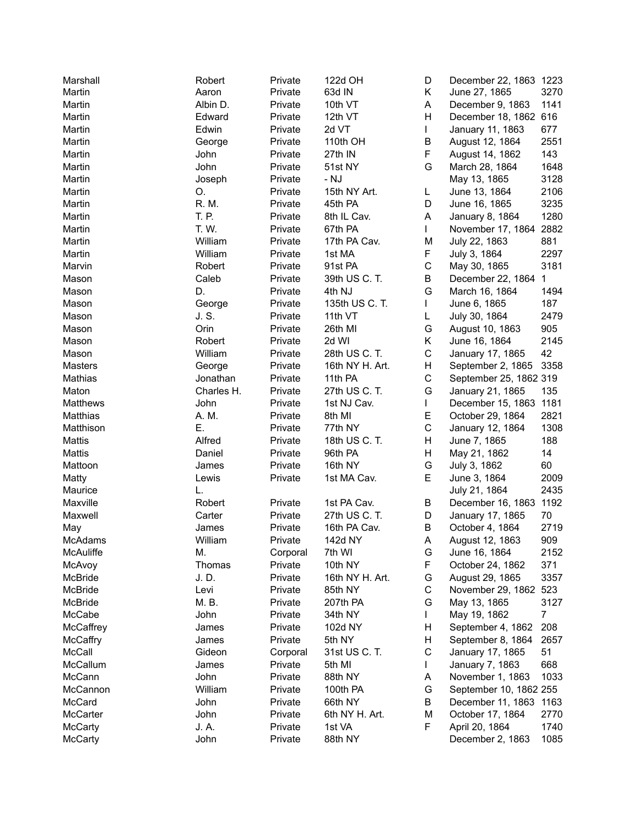| Marshall  | Robert     | Private  | 122d OH         | D           | December 22, 1863 1223 |      |
|-----------|------------|----------|-----------------|-------------|------------------------|------|
| Martin    | Aaron      | Private  | 63d IN          | Κ           | June 27, 1865          | 3270 |
| Martin    | Albin D.   | Private  | 10th VT         | A           | December 9, 1863       | 1141 |
| Martin    | Edward     | Private  | 12th VT         | Η           | December 18, 1862 616  |      |
| Martin    | Edwin      | Private  | 2d VT           | L           | January 11, 1863       | 677  |
| Martin    | George     | Private  | 110th OH        | B           | August 12, 1864        | 2551 |
| Martin    | John       | Private  | 27th IN         | F           | August 14, 1862        | 143  |
| Martin    | John       | Private  | 51st NY         | G           | March 28, 1864         | 1648 |
| Martin    | Joseph     | Private  | - NJ            |             | May 13, 1865           | 3128 |
| Martin    | О.         | Private  | 15th NY Art.    | L           | June 13, 1864          | 2106 |
| Martin    | R. M.      | Private  | 45th PA         | D           | June 16, 1865          | 3235 |
| Martin    | T. P.      | Private  | 8th IL Cav.     | Α           | January 8, 1864        | 1280 |
| Martin    | T. W.      | Private  | 67th PA         | L           | November 17, 1864      | 2882 |
| Martin    | William    | Private  | 17th PA Cav.    | Μ           | July 22, 1863          | 881  |
| Martin    | William    | Private  | 1st MA          | F           | July 3, 1864           | 2297 |
| Marvin    | Robert     | Private  | 91st PA         | C           | May 30, 1865           | 3181 |
| Mason     | Caleb      | Private  | 39th US C. T.   | Β           | December 22, 1864      | 1    |
|           | D.         |          |                 | G           |                        |      |
| Mason     |            | Private  | 4th NJ          |             | March 16, 1864         | 1494 |
| Mason     | George     | Private  | 135th US C. T.  |             | June 6, 1865           | 187  |
| Mason     | J. S.      | Private  | 11th VT         | L           | July 30, 1864          | 2479 |
| Mason     | Orin       | Private  | 26th MI         | G           | August 10, 1863        | 905  |
| Mason     | Robert     | Private  | 2d WI           | Κ           | June 16, 1864          | 2145 |
| Mason     | William    | Private  | 28th US C. T.   | $\mathsf C$ | January 17, 1865       | 42   |
| Masters   | George     | Private  | 16th NY H. Art. | Н           | September 2, 1865      | 3358 |
| Mathias   | Jonathan   | Private  | 11th PA         | C           | September 25, 1862 319 |      |
| Maton     | Charles H. | Private  | 27th US C. T.   | G           | January 21, 1865       | 135  |
| Matthews  | John       | Private  | 1st NJ Cav.     | L           | December 15, 1863      | 1181 |
| Matthias  | A. M.      | Private  | 8th MI          | E           | October 29, 1864       | 2821 |
| Matthison | Ε.         | Private  | 77th NY         | C           | January 12, 1864       | 1308 |
| Mattis    | Alfred     | Private  | 18th US C. T.   | Н           | June 7, 1865           | 188  |
| Mattis    | Daniel     | Private  | 96th PA         | Н           | May 21, 1862           | 14   |
| Mattoon   | James      | Private  | 16th NY         | G           | July 3, 1862           | 60   |
| Matty     | Lewis      | Private  | 1st MA Cav.     | E           | June 3, 1864           | 2009 |
| Maurice   | L.         |          |                 |             | July 21, 1864          | 2435 |
| Maxville  | Robert     | Private  | 1st PA Cav.     | В           | December 16, 1863      | 1192 |
| Maxwell   | Carter     | Private  | 27th US C. T.   | D           | January 17, 1865       | 70   |
| May       | James      | Private  | 16th PA Cav.    | B           | October 4, 1864        | 2719 |
| McAdams   | William    | Private  | 142d NY         | Α           | August 12, 1863        | 909  |
| McAuliffe | Μ.         | Corporal | 7th WI          | G           | June 16, 1864          | 2152 |
| McAvoy    | Thomas     | Private  | 10th NY         | F           | October 24, 1862       | 371  |
| McBride   | J. D.      | Private  | 16th NY H. Art. | G           | August 29, 1865        | 3357 |
| McBride   | Levi       | Private  | 85th NY         | С           | November 29, 1862 523  |      |
| McBride   | M. B.      | Private  | 207th PA        | G           | May 13, 1865           | 3127 |
| McCabe    | John       | Private  | 34th NY         |             | May 19, 1862           | 7    |
| McCaffrey | James      | Private  | 102d NY         | Н           | September 4, 1862      | 208  |
| McCaffry  | James      | Private  | 5th NY          | н           | September 8, 1864      | 2657 |
| McCall    | Gideon     | Corporal | 31st US C. T.   | C           | January 17, 1865       | 51   |
| McCallum  | James      | Private  | 5th MI          |             | January 7, 1863        | 668  |
| McCann    | John       | Private  | 88th NY         | Α           | November 1, 1863       | 1033 |
| McCannon  | William    | Private  | 100th PA        | G           | September 10, 1862 255 |      |
| McCard    | John       | Private  | 66th NY         | В           | December 11, 1863      | 1163 |
| McCarter  | John       | Private  | 6th NY H. Art.  | M           | October 17, 1864       | 2770 |
| McCarty   | J. A.      | Private  | 1st VA          | F           | April 20, 1864         | 1740 |
| McCarty   | John       | Private  | 88th NY         |             | December 2, 1863       | 1085 |
|           |            |          |                 |             |                        |      |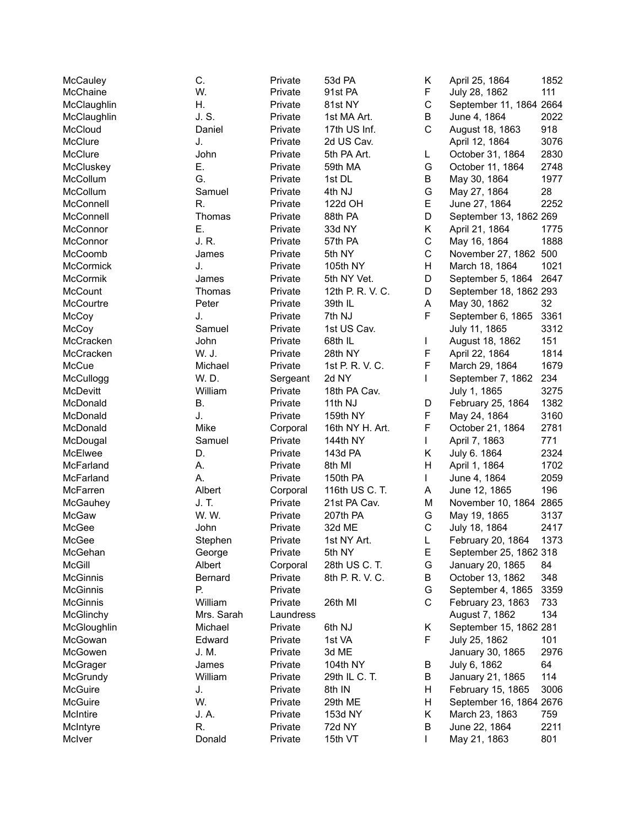| McCauley        | C.         | Private             | 53d PA           | Κ           | April 25, 1864          | 1852 |
|-----------------|------------|---------------------|------------------|-------------|-------------------------|------|
| McChaine        | W.         | Private             | 91st PA          | F           | July 28, 1862           | 111  |
| McClaughlin     | Η.         | Private             | 81st NY          | $\mathsf C$ | September 11, 1864 2664 |      |
| McClaughlin     | J. S.      | Private             | 1st MA Art.      | B           | June 4, 1864            | 2022 |
| McCloud         | Daniel     | Private             | 17th US Inf.     | C           | August 18, 1863         | 918  |
| McClure         | J.         | Private             | 2d US Cav.       |             | April 12, 1864          | 3076 |
| McClure         | John       | Private             | 5th PA Art.      | L           | October 31, 1864        | 2830 |
| McCluskey       | Е.         | Private             | 59th MA          | G           | October 11, 1864        | 2748 |
| McCollum        | G.         | Private             | 1st DL           | B           | May 30, 1864            | 1977 |
| McCollum        | Samuel     | Private             | 4th NJ           | G           | May 27, 1864            | 28   |
| McConnell       | R.         | Private             | 122d OH          | E           | June 27, 1864           | 2252 |
| McConnell       | Thomas     | Private             | 88th PA          | D           | September 13, 1862 269  |      |
| McConnor        | Ε.         | Private             | 33d NY           | Κ           | April 21, 1864          | 1775 |
| McConnor        | J. R.      | Private             | 57th PA          | $\mathsf C$ | May 16, 1864            | 1888 |
| McCoomb         | James      | Private             | 5th NY           | $\mathsf C$ | November 27, 1862       | 500  |
| McCormick       | J.         | Private             | 105th NY         | Н           | March 18, 1864          | 1021 |
| McCormik        | James      | Private             | 5th NY Vet.      | D           | September 5, 1864       | 2647 |
| McCount         | Thomas     | Private             | 12th P. R. V. C. | D           | September 18, 1862 293  |      |
| McCourtre       | Peter      | Private             | 39th IL          | Α           | May 30, 1862            | 32   |
| McCoy           | J.         | Private             | 7th NJ           | F           | September 6, 1865       | 3361 |
| McCoy           | Samuel     | Private             | 1st US Cav.      |             | July 11, 1865           | 3312 |
| McCracken       | John       | Private             | 68th IL          | L           | August 18, 1862         | 151  |
| McCracken       | W. J.      | Private             | 28th NY          | F           | April 22, 1864          | 1814 |
| McCue           | Michael    | Private             | 1st P. R. V. C.  | F           | March 29, 1864          | 1679 |
| McCullogg       | W. D.      | Sergeant            | 2d NY            | L           | September 7, 1862       | 234  |
| McDevitt        | William    | Private             | 18th PA Cav.     |             | July 1, 1865            | 3275 |
| McDonald        | Β.         | Private             | 11th NJ          | D           | February 25, 1864       | 1382 |
| McDonald        | J.         | Private             | 159th NY         | F           | May 24, 1864            | 3160 |
| McDonald        | Mike       |                     | 16th NY H. Art.  | F           | October 21, 1864        | 2781 |
| McDougal        | Samuel     | Corporal<br>Private | 144th NY         | L           |                         | 771  |
| McElwee         | D.         | Private             | 143d PA          | Κ           | April 7, 1863           | 2324 |
| McFarland       | А.         | Private             | 8th MI           | Н           | July 6. 1864            | 1702 |
|                 |            |                     |                  |             | April 1, 1864           | 2059 |
| McFarland       | А.         | Private             | 150th PA         | L           | June 4, 1864            |      |
| McFarren        | Albert     | Corporal            | 116th US C. T.   | Α           | June 12, 1865           | 196  |
| McGauhey        | J. T.      | Private             | 21st PA Cav.     | M           | November 10, 1864       | 2865 |
| McGaw           | W. W.      | Private             | 207th PA         | G           | May 19, 1865            | 3137 |
| McGee           | John       | Private             | 32d ME           | $\mathsf C$ | July 18, 1864           | 2417 |
| McGee           | Stephen    | Private             | 1st NY Art.      |             | February 20, 1864       | 1373 |
| McGehan         | George     | Private             | 5th NY           | Е           | September 25, 1862 318  |      |
| <b>McGill</b>   | Albert     | Corporal            | 28th US C. T.    | G           | January 20, 1865        | 84   |
| <b>McGinnis</b> | Bernard    | Private             | 8th P. R. V. C.  | В           | October 13, 1862        | 348  |
| McGinnis        | Р.         | Private             |                  | G           | September 4, 1865       | 3359 |
| McGinnis        | William    | Private             | 26th MI          | $\mathsf C$ | February 23, 1863       | 733  |
| McGlinchy       | Mrs. Sarah | Laundress           |                  |             | August 7, 1862          | 134  |
| McGloughlin     | Michael    | Private             | 6th NJ           | Κ           | September 15, 1862 281  |      |
| McGowan         | Edward     | Private             | 1st VA           | F           | July 25, 1862           | 101  |
| McGowen         | J. M.      | Private             | 3d ME            |             | January 30, 1865        | 2976 |
| McGrager        | James      | Private             | 104th NY         | В           | July 6, 1862            | 64   |
| McGrundy        | William    | Private             | 29th IL C. T.    | В           | January 21, 1865        | 114  |
| McGuire         | J.         | Private             | 8th IN           | Н           | February 15, 1865       | 3006 |
| McGuire         | W.         | Private             | 29th ME          | Н           | September 16, 1864 2676 |      |
| McIntire        | J. A.      | Private             | 153d NY          | Κ           | March 23, 1863          | 759  |
| McIntyre        | R.         | Private             | 72d NY           | B           | June 22, 1864           | 2211 |
| McIver          | Donald     | Private             | 15th VT          | L           | May 21, 1863            | 801  |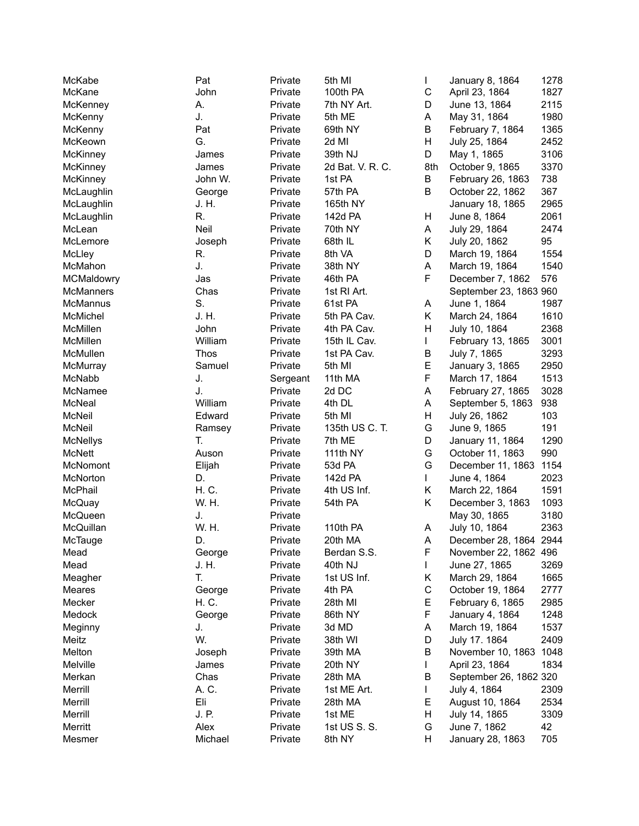| McKabe           | Pat             | Private  | 5th MI           | L           | January 8, 1864        | 1278 |
|------------------|-----------------|----------|------------------|-------------|------------------------|------|
| McKane           | John            | Private  | 100th PA         | $\mathsf C$ | April 23, 1864         | 1827 |
| McKenney         | А.              | Private  | 7th NY Art.      | D           | June 13, 1864          | 2115 |
| McKenny          | J.              | Private  | 5th ME           | А           | May 31, 1864           | 1980 |
| McKenny          | Pat             | Private  | 69th NY          | Β           | February 7, 1864       | 1365 |
| McKeown          | G.              | Private  | 2d MI            | Н           | July 25, 1864          | 2452 |
| <b>McKinney</b>  | James           | Private  | 39th NJ          | D           | May 1, 1865            | 3106 |
| McKinney         | James           | Private  | 2d Bat. V. R. C. | 8th         | October 9, 1865        | 3370 |
| McKinney         | John W.         | Private  | 1st PA           | В           | February 26, 1863      | 738  |
| McLaughlin       | George          | Private  | 57th PA          | Β           | October 22, 1862       | 367  |
| McLaughlin       | J. H.           | Private  | 165th NY         |             | January 18, 1865       | 2965 |
| McLaughlin       | R.              | Private  | 142d PA          | Н           | June 8, 1864           | 2061 |
| McLean           | Neil            | Private  | 70th NY          | A           | July 29, 1864          | 2474 |
| McLemore         | Joseph          | Private  | 68th IL          | Κ           | July 20, 1862          | 95   |
| McLley           | R.              | Private  | 8th VA           | D           | March 19, 1864         | 1554 |
|                  | J.              |          |                  |             |                        |      |
| McMahon          |                 | Private  | 38th NY          | A<br>F      | March 19, 1864         | 1540 |
| MCMaldowry       | Jas             | Private  | 46th PA          |             | December 7, 1862       | 576  |
| <b>McManners</b> | Chas            | Private  | 1st RI Art.      |             | September 23, 1863 960 |      |
| McMannus         | S.              | Private  | 61st PA          | A           | June 1, 1864           | 1987 |
| McMichel         | J. H.           | Private  | 5th PA Cav.      | Κ           | March 24, 1864         | 1610 |
| McMillen         | John            | Private  | 4th PA Cav.      | Η           | July 10, 1864          | 2368 |
| McMillen         | William         | Private  | 15th IL Cav.     | L           | February 13, 1865      | 3001 |
| McMullen         | Thos            | Private  | 1st PA Cav.      | B           | July 7, 1865           | 3293 |
| McMurray         | Samuel          | Private  | 5th MI           | E           | January 3, 1865        | 2950 |
| McNabb           | J.              | Sergeant | 11th MA          | F           | March 17, 1864         | 1513 |
| McNamee          | J.              | Private  | 2d DC            | A           | February 27, 1865      | 3028 |
| McNeal           | William         | Private  | 4th DL           | A           | September 5, 1863      | 938  |
| McNeil           | Edward          | Private  | 5th MI           | H           | July 26, 1862          | 103  |
| McNeil           | Ramsey          | Private  | 135th US C. T.   | G           | June 9, 1865           | 191  |
| <b>McNellys</b>  | T.              | Private  | 7th ME           | D           | January 11, 1864       | 1290 |
| McNett           | Auson           | Private  | 111th NY         | G           | October 11, 1863       | 990  |
| McNomont         | Elijah          | Private  | 53d PA           | G           | December 11, 1863      | 1154 |
| McNorton         | D.              | Private  | 142d PA          | L           | June 4, 1864           | 2023 |
| McPhail          | H. C.           | Private  | 4th US Inf.      | Κ           | March 22, 1864         | 1591 |
| McQuay           | W. H.           | Private  | 54th PA          | Κ           | December 3, 1863       | 1093 |
| McQueen          | J.              | Private  |                  |             | May 30, 1865           | 3180 |
| McQuillan        | W. H.           | Private  | 110th PA         | Α           | July 10, 1864          | 2363 |
| McTauge          | D.              | Private  | 20th MA          | Α           | December 28, 1864 2944 |      |
| Mead             | George          | Private  | Berdan S.S.      | F           | November 22, 1862 496  |      |
| Mead             | J. H.           | Private  | 40th NJ          | L           | June 27, 1865          | 3269 |
| Meagher          | T.              | Private  | 1st US Inf.      | Κ           | March 29, 1864         | 1665 |
| Meares           |                 | Private  | 4th PA           | C           | October 19, 1864       | 2777 |
|                  | George<br>H. C. | Private  |                  | Е           |                        |      |
| Mecker           |                 |          | 28th MI          |             | February 6, 1865       | 2985 |
| Medock           | George          | Private  | 86th NY          | F           | January 4, 1864        | 1248 |
| Meginny          | J.              | Private  | 3d MD            | Α           | March 19, 1864         | 1537 |
| Meitz            | W.              | Private  | 38th WI          | D           | July 17. 1864          | 2409 |
| Melton           | Joseph          | Private  | 39th MA          | В           | November 10, 1863 1048 |      |
| Melville         | James           | Private  | 20th NY          | L           | April 23, 1864         | 1834 |
| Merkan           | Chas            | Private  | 28th MA          | В           | September 26, 1862 320 |      |
| Merrill          | A. C.           | Private  | 1st ME Art.      | L           | July 4, 1864           | 2309 |
| Merrill          | Eli             | Private  | 28th MA          | Е           | August 10, 1864        | 2534 |
| Merrill          | J. P.           | Private  | 1st ME           | Н           | July 14, 1865          | 3309 |
| Merritt          | Alex            | Private  | 1st US S. S.     | G           | June 7, 1862           | 42   |
| Mesmer           | Michael         | Private  | 8th NY           | н           | January 28, 1863       | 705  |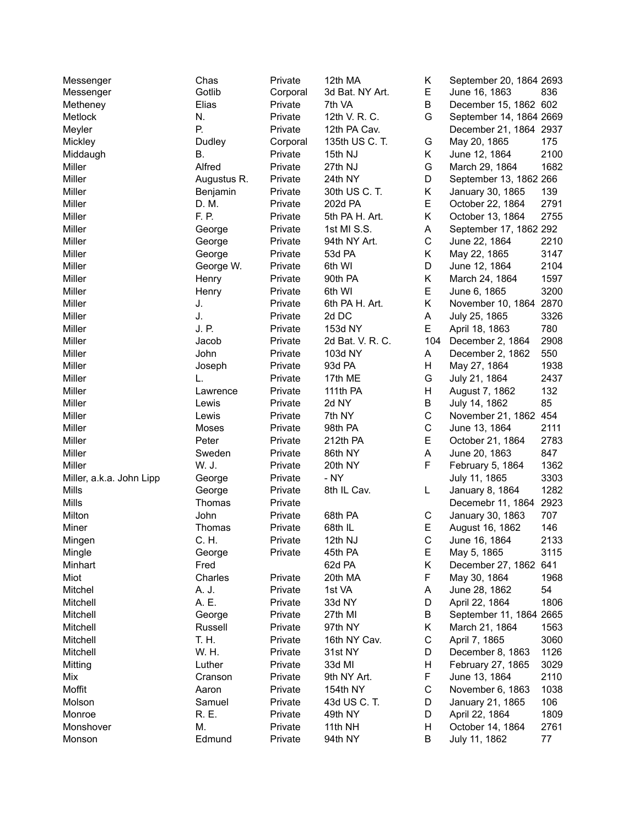| Messenger                | Chas        | Private  | 12th MA          | Κ            | September 20, 1864 2693 |      |
|--------------------------|-------------|----------|------------------|--------------|-------------------------|------|
| Messenger                | Gotlib      | Corporal | 3d Bat. NY Art.  | E            | June 16, 1863           | 836  |
| Metheney                 | Elias       | Private  | 7th VA           | B            | December 15, 1862 602   |      |
| Metlock                  | N.          | Private  | 12th V. R. C.    | G            | September 14, 1864 2669 |      |
| Meyler                   | Р.          | Private  | 12th PA Cav.     |              | December 21, 1864 2937  |      |
| Mickley                  | Dudley      | Corporal | 135th US C. T.   | G            | May 20, 1865            | 175  |
| Middaugh                 | Β.          | Private  | 15th NJ          | Κ            | June 12, 1864           | 2100 |
| Miller                   | Alfred      | Private  | 27th NJ          | G            | March 29, 1864          | 1682 |
| Miller                   | Augustus R. | Private  | 24th NY          | D            | September 13, 1862 266  |      |
| Miller                   | Benjamin    | Private  | 30th US C. T.    | Κ            | January 30, 1865        | 139  |
| Miller                   | D. M.       | Private  | 202d PA          | Е            | October 22, 1864        | 2791 |
| Miller                   | F. P.       | Private  | 5th PA H. Art.   | Κ            | October 13, 1864        | 2755 |
| Miller                   | George      | Private  | 1st MI S.S.      | Α            | September 17, 1862 292  |      |
| Miller                   | George      | Private  | 94th NY Art.     | $\mathsf C$  | June 22, 1864           | 2210 |
| Miller                   | George      | Private  | 53d PA           | Κ            | May 22, 1865            | 3147 |
| Miller                   | George W.   | Private  | 6th WI           | D            | June 12, 1864           | 2104 |
| Miller                   | Henry       | Private  | 90th PA          | Κ            | March 24, 1864          | 1597 |
| Miller                   | Henry       | Private  | 6th WI           | E            | June 6, 1865            | 3200 |
| Miller                   | J.          | Private  | 6th PA H. Art.   | Κ            | November 10, 1864       | 2870 |
| Miller                   | J.          | Private  | 2d DC            | Α            | July 25, 1865           | 3326 |
| Miller                   | J. P.       | Private  | 153d NY          | E            | April 18, 1863          | 780  |
| Miller                   | Jacob       | Private  | 2d Bat. V. R. C. | 104          | December 2, 1864        | 2908 |
| Miller                   | John        | Private  | 103d NY          | A            | December 2, 1862        | 550  |
| Miller                   | Joseph      | Private  | 93d PA           | н            | May 27, 1864            | 1938 |
| Miller                   | L.          | Private  | 17th ME          | G            | July 21, 1864           | 2437 |
| Miller                   |             | Private  | 111th PA         | Н            | August 7, 1862          | 132  |
| Miller                   | Lawrence    | Private  | 2d NY            | B            |                         | 85   |
|                          | Lewis       |          |                  | $\mathsf C$  | July 14, 1862           |      |
| Miller                   | Lewis       | Private  | 7th NY           |              | November 21, 1862 454   |      |
| Miller                   | Moses       | Private  | 98th PA          | $\mathsf C$  | June 13, 1864           | 2111 |
| Miller                   | Peter       | Private  | 212th PA         | Е            | October 21, 1864        | 2783 |
| Miller                   | Sweden      | Private  | 86th NY          | Α            | June 20, 1863           | 847  |
| Miller                   | W. J.       | Private  | 20th NY          | F            | February 5, 1864        | 1362 |
| Miller, a.k.a. John Lipp | George      | Private  | - NY             |              | July 11, 1865           | 3303 |
| Mills                    | George      | Private  | 8th IL Cav.      | L            | January 8, 1864         | 1282 |
| Mills                    | Thomas      | Private  |                  |              | Decemebr 11, 1864       | 2923 |
| Milton                   | John        | Private  | 68th PA          | С            | January 30, 1863        | 707  |
| Miner                    | Thomas      | Private  | 68th IL          | Е            | August 16, 1862         | 146  |
| Mingen                   | C. H.       | Private  | 12th NJ          | $\mathsf{C}$ | June 16, 1864           | 2133 |
| Mingle                   | George      | Private  | 45th PA          | Е            | May 5, 1865             | 3115 |
| Minhart                  | Fred        |          | 62d PA           | Κ            | December 27, 1862 641   |      |
| Miot                     | Charles     | Private  | 20th MA          | F            | May 30, 1864            | 1968 |
| Mitchel                  | A. J.       | Private  | 1st VA           | A            | June 28, 1862           | 54   |
| Mitchell                 | A. E.       | Private  | 33d NY           | D            | April 22, 1864          | 1806 |
| Mitchell                 | George      | Private  | 27th MI          | В            | September 11, 1864 2665 |      |
| Mitchell                 | Russell     | Private  | 97th NY          | Κ            | March 21, 1864          | 1563 |
| Mitchell                 | T. H.       | Private  | 16th NY Cav.     | C            | April 7, 1865           | 3060 |
| Mitchell                 | W. H.       | Private  | 31st NY          | D            | December 8, 1863        | 1126 |
| Mitting                  | Luther      | Private  | 33d MI           | Н            | February 27, 1865       | 3029 |
| Mix                      | Cranson     | Private  | 9th NY Art.      | F            | June 13, 1864           | 2110 |
| Moffit                   | Aaron       | Private  | 154th NY         | C            | November 6, 1863        | 1038 |
| Molson                   | Samuel      | Private  | 43d US C. T.     | D            | January 21, 1865        | 106  |
| Monroe                   | R. E.       | Private  | 49th NY          | D            | April 22, 1864          | 1809 |
| Monshover                | М.          | Private  | 11th NH          | Н            | October 14, 1864        | 2761 |
| Monson                   | Edmund      | Private  | 94th NY          | В            | July 11, 1862           | 77   |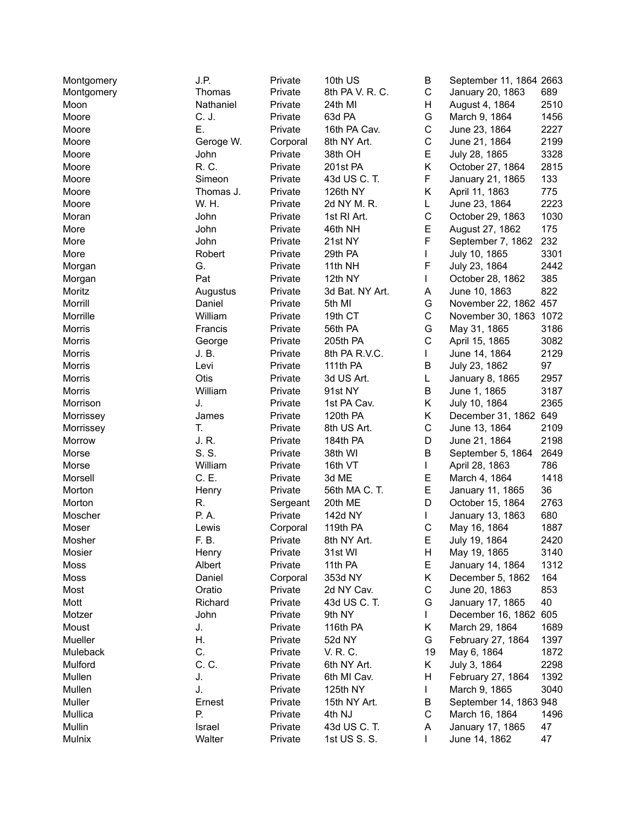| Montgomery | J.P.               | Private  | 10th US         | B           | September 11, 1864 2663 |      |
|------------|--------------------|----------|-----------------|-------------|-------------------------|------|
| Montgomery | Thomas             | Private  | 8th PA V. R. C. | $\mathsf C$ | January 20, 1863        | 689  |
| Moon       | Nathaniel          | Private  | 24th MI         | Η           | August 4, 1864          | 2510 |
| Moore      | C. J.              | Private  | 63d PA          | G           | March 9, 1864           | 1456 |
| Moore      | Ε.                 | Private  | 16th PA Cav.    | $\mathsf C$ | June 23, 1864           | 2227 |
| Moore      | Geroge W.          | Corporal | 8th NY Art.     | C           | June 21, 1864           | 2199 |
| Moore      | John               | Private  | 38th OH         | E           | July 28, 1865           | 3328 |
| Moore      | R. C.              | Private  | 201st PA        | Κ           | October 27, 1864        | 2815 |
| Moore      | Simeon             | Private  | 43d US C. T.    | F           | January 21, 1865        | 133  |
| Moore      | Thomas J.          | Private  | 126th NY        | Κ           | April 11, 1863          | 775  |
| Moore      | W. H.              | Private  | 2d NY M. R.     | L           | June 23, 1864           | 2223 |
| Moran      | John               | Private  | 1st RI Art.     | $\mathsf C$ | October 29, 1863        | 1030 |
| More       | John               | Private  | 46th NH         | E           | August 27, 1862         | 175  |
| More       | John               | Private  | 21st NY         | F           | September 7, 1862       | 232  |
| More       | Robert             | Private  | 29th PA         | L           | July 10, 1865           | 3301 |
| Morgan     | G.                 | Private  | 11th NH         | F           | July 23, 1864           | 2442 |
| Morgan     | Pat                | Private  | 12th NY         | L           | October 28, 1862        | 385  |
| Moritz     |                    | Private  | 3d Bat. NY Art. | A           | June 10, 1863           | 822  |
| Morrill    | Augustus<br>Daniel | Private  | 5th MI          | G           |                         |      |
|            |                    |          |                 |             | November 22, 1862 457   |      |
| Morrille   | William            | Private  | 19th CT         | C           | November 30, 1863 1072  |      |
| Morris     | Francis            | Private  | 56th PA         | G           | May 31, 1865            | 3186 |
| Morris     | George             | Private  | 205th PA        | C           | April 15, 1865          | 3082 |
| Morris     | J.B.               | Private  | 8th PA R.V.C.   | L           | June 14, 1864           | 2129 |
| Morris     | Levi               | Private  | 111th PA        | В           | July 23, 1862           | 97   |
| Morris     | Otis               | Private  | 3d US Art.      | L           | January 8, 1865         | 2957 |
| Morris     | William            | Private  | 91st NY         | B           | June 1, 1865            | 3187 |
| Morrison   | J.                 | Private  | 1st PA Cav.     | Κ           | July 10, 1864           | 2365 |
| Morrissey  | James              | Private  | 120th PA        | Κ           | December 31, 1862 649   |      |
| Morrissey  | T.                 | Private  | 8th US Art.     | C           | June 13, 1864           | 2109 |
| Morrow     | J. R.              | Private  | 184th PA        | D           | June 21, 1864           | 2198 |
| Morse      | S. S.              | Private  | 38th WI         | В           | September 5, 1864       | 2649 |
| Morse      | William            | Private  | 16th VT         | L           | April 28, 1863          | 786  |
| Morsell    | C. E.              | Private  | 3d ME           | Е           | March 4, 1864           | 1418 |
| Morton     | Henry              | Private  | 56th MA C. T.   | E           | January 11, 1865        | 36   |
| Morton     | R.                 | Sergeant | 20th ME         | D           | October 15, 1864        | 2763 |
| Moscher    | P. A.              | Private  | 142d NY         | L           | January 13, 1863        | 680  |
| Moser      | Lewis              | Corporal | 119th PA        | $\mathsf C$ | May 16, 1864            | 1887 |
| Mosher     | F. B.              | Private  | 8th NY Art.     | Е           | July 19, 1864           | 2420 |
| Mosier     | Henry              | Private  | 31st WI         | H           | May 19, 1865            | 3140 |
| Moss       | Albert             | Private  | 11th PA         | Е           | January 14, 1864        | 1312 |
| Moss       | Daniel             | Corporal | 353d NY         | Κ           | December 5, 1862        | 164  |
| Most       | Oratio             | Private  | 2d NY Cav.      | C           | June 20, 1863           | 853  |
| Mott       | Richard            | Private  | 43d US C. T.    | G           | January 17, 1865        | 40   |
| Motzer     | John               | Private  | 9th NY          |             | December 16, 1862       | 605  |
| Moust      | J.                 | Private  | 116th PA        | Κ           | March 29, 1864          | 1689 |
| Mueller    | Η.                 | Private  | 52d NY          | G           | February 27, 1864       | 1397 |
| Muleback   | C.                 | Private  | V. R. C.        | 19          | May 6, 1864             | 1872 |
| Mulford    | C. C.              | Private  | 6th NY Art.     | Κ           | July 3, 1864            | 2298 |
| Mullen     | J.                 | Private  | 6th MI Cav.     | Н           | February 27, 1864       | 1392 |
| Mullen     | J.                 | Private  | 125th NY        | L           | March 9, 1865           | 3040 |
| Muller     | Ernest             | Private  | 15th NY Art.    | В           | September 14, 1863 948  |      |
| Mullica    | Р.                 | Private  | 4th NJ          | $\mathsf C$ | March 16, 1864          | 1496 |
| Mullin     | Israel             | Private  | 43d US C. T.    | A           | January 17, 1865        | 47   |
| Mulnix     | Walter             | Private  | 1st US S. S.    | L           | June 14, 1862           | 47   |
|            |                    |          |                 |             |                         |      |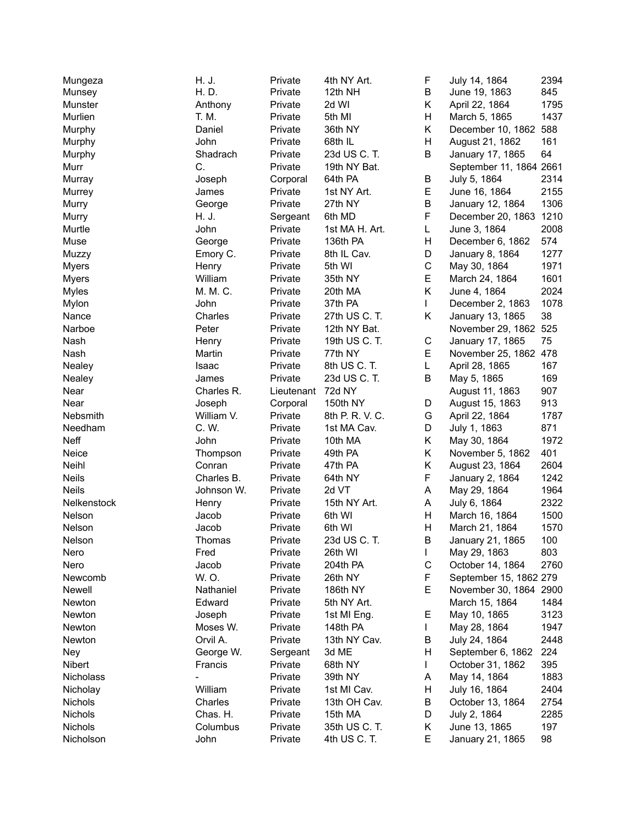| Mungeza        | H. J.      | Private    | 4th NY Art.     | F           | July 14, 1864           | 2394 |
|----------------|------------|------------|-----------------|-------------|-------------------------|------|
| Munsey         | H. D.      | Private    | 12th NH         | B           | June 19, 1863           | 845  |
| Munster        | Anthony    | Private    | 2d WI           | Κ           | April 22, 1864          | 1795 |
| Murlien        | T. M.      | Private    | 5th MI          | Н           | March 5, 1865           | 1437 |
| Murphy         | Daniel     | Private    | 36th NY         | Κ           | December 10, 1862 588   |      |
| Murphy         | John       | Private    | 68th IL         | H           | August 21, 1862         | 161  |
| Murphy         | Shadrach   | Private    | 23d US C. T.    | B           | January 17, 1865        | 64   |
| Murr           | C.         | Private    | 19th NY Bat.    |             | September 11, 1864 2661 |      |
| Murray         | Joseph     | Corporal   | 64th PA         | В           | July 5, 1864            | 2314 |
| Murrey         | James      | Private    | 1st NY Art.     | E           | June 16, 1864           | 2155 |
| Murry          | George     | Private    | 27th NY         | B           | January 12, 1864        | 1306 |
| Murry          | H. J.      | Sergeant   | 6th MD          | F           | December 20, 1863 1210  |      |
| Murtle         | John       | Private    | 1st MA H. Art.  | L           | June 3, 1864            | 2008 |
| Muse           | George     | Private    | 136th PA        | н           | December 6, 1862        | 574  |
| Muzzy          | Emory C.   | Private    | 8th IL Cav.     | D           | January 8, 1864         | 1277 |
| <b>Myers</b>   | Henry      | Private    | 5th WI          | $\mathsf C$ | May 30, 1864            | 1971 |
| <b>Myers</b>   | William    | Private    | 35th NY         | E           | March 24, 1864          | 1601 |
|                | M. M. C.   |            |                 | Κ           | June 4, 1864            | 2024 |
| <b>Myles</b>   | John       | Private    | 20th MA         | L           |                         | 1078 |
| Mylon          |            | Private    | 37th PA         |             | December 2, 1863        |      |
| Nance          | Charles    | Private    | 27th US C. T.   | Κ           | January 13, 1865        | 38   |
| Narboe         | Peter      | Private    | 12th NY Bat.    |             | November 29, 1862 525   |      |
| Nash           | Henry      | Private    | 19th US C. T.   | C           | January 17, 1865        | 75   |
| Nash           | Martin     | Private    | 77th NY         | E           | November 25, 1862 478   |      |
| Nealey         | Isaac      | Private    | 8th US C. T.    | L           | April 28, 1865          | 167  |
| Nealey         | James      | Private    | 23d US C. T.    | B           | May 5, 1865             | 169  |
| Near           | Charles R. | Lieutenant | 72d NY          |             | August 11, 1863         | 907  |
| Near           | Joseph     | Corporal   | 150th NY        | D           | August 15, 1863         | 913  |
| Nebsmith       | William V. | Private    | 8th P. R. V. C. | G           | April 22, 1864          | 1787 |
| Needham        | C. W.      | Private    | 1st MA Cav.     | D           | July 1, 1863            | 871  |
| Neff           | John       | Private    | 10th MA         | K           | May 30, 1864            | 1972 |
| Neice          | Thompson   | Private    | 49th PA         | K           | November 5, 1862        | 401  |
| Neihl          | Conran     | Private    | 47th PA         | Κ           | August 23, 1864         | 2604 |
| <b>Neils</b>   | Charles B. | Private    | 64th NY         | F           | January 2, 1864         | 1242 |
| <b>Neils</b>   | Johnson W. | Private    | 2d VT           | A           | May 29, 1864            | 1964 |
| Nelkenstock    | Henry      | Private    | 15th NY Art.    | A           | July 6, 1864            | 2322 |
| Nelson         | Jacob      | Private    | 6th WI          | н           | March 16, 1864          | 1500 |
| Nelson         | Jacob      | Private    | 6th WI          | Н           | March 21, 1864          | 1570 |
| Nelson         | Thomas     | Private    | 23d US C. T.    | B           | January 21, 1865        | 100  |
| Nero           | Fred       | Private    | 26th WI         | L           | May 29, 1863            | 803  |
| Nero           | Jacob      | Private    | 204th PA        | $\mathsf C$ | October 14, 1864        | 2760 |
| Newcomb        | W. O.      | Private    | 26th NY         | F           | September 15, 1862 279  |      |
| Newell         | Nathaniel  | Private    | 186th NY        | E           | November 30, 1864 2900  |      |
| Newton         | Edward     | Private    | 5th NY Art.     |             | March 15, 1864          | 1484 |
| Newton         | Joseph     | Private    | 1st MI Eng.     | Е           | May 10, 1865            | 3123 |
| Newton         | Moses W.   | Private    | 148th PA        | L           | May 28, 1864            | 1947 |
| Newton         | Orvil A.   | Private    | 13th NY Cav.    | B           | July 24, 1864           | 2448 |
| Ney            | George W.  | Sergeant   | 3d ME           | Н           | September 6, 1862       | 224  |
| Nibert         | Francis    | Private    | 68th NY         | L           | October 31, 1862        | 395  |
| Nicholass      |            | Private    | 39th NY         | A           | May 14, 1864            | 1883 |
| Nicholay       | William    | Private    | 1st MI Cav.     | н           | July 16, 1864           | 2404 |
| <b>Nichols</b> | Charles    | Private    | 13th OH Cav.    | В           | October 13, 1864        | 2754 |
| Nichols        | Chas. H.   | Private    | 15th MA         | D           | July 2, 1864            | 2285 |
| Nichols        | Columbus   | Private    | 35th US C. T.   | Κ           | June 13, 1865           | 197  |
| Nicholson      | John       | Private    | 4th US C. T.    | Е           | January 21, 1865        | 98   |
|                |            |            |                 |             |                         |      |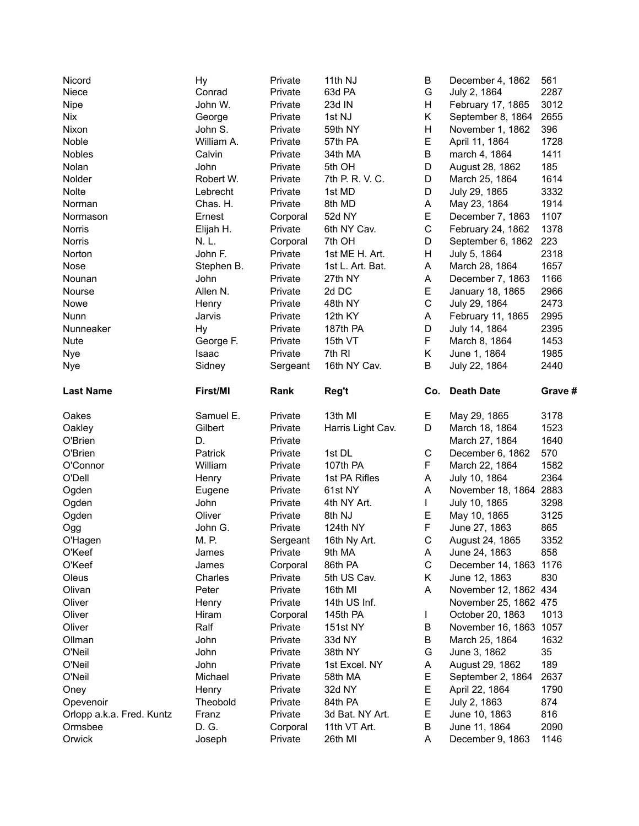| Nicord                    | Hy         | Private  | 11th NJ           | В            | December 4, 1862                  | 561     |
|---------------------------|------------|----------|-------------------|--------------|-----------------------------------|---------|
| Niece                     | Conrad     | Private  | 63d PA            | G            | July 2, 1864                      | 2287    |
| Nipe                      | John W.    | Private  | 23d IN            | H.           | February 17, 1865                 | 3012    |
| Nix                       | George     | Private  | 1st NJ            | Κ            | September 8, 1864                 | 2655    |
| Nixon                     | John S.    | Private  | 59th NY           | H            | November 1, 1862                  | 396     |
| Noble                     | William A. | Private  | 57th PA           | E            | April 11, 1864                    | 1728    |
| Nobles                    | Calvin     | Private  | 34th MA           | B            | march 4, 1864                     | 1411    |
| Nolan                     | John       | Private  | 5th OH            | D            | August 28, 1862                   | 185     |
| Nolder                    | Robert W.  | Private  | 7th P. R. V. C.   | D            | March 25, 1864                    | 1614    |
| Nolte                     | Lebrecht   | Private  | 1st MD            | D            | July 29, 1865                     | 3332    |
| Norman                    | Chas. H.   | Private  | 8th MD            | A            | May 23, 1864                      | 1914    |
| Normason                  | Ernest     | Corporal | 52d NY            | E            | December 7, 1863                  | 1107    |
| <b>Norris</b>             | Elijah H.  | Private  | 6th NY Cav.       | $\mathsf C$  | February 24, 1862                 | 1378    |
| <b>Norris</b>             | N.L.       | Corporal | 7th OH            | D            | September 6, 1862                 | 223     |
| Norton                    | John F.    | Private  | 1st ME H. Art.    | H            | July 5, 1864                      | 2318    |
| Nose                      | Stephen B. | Private  | 1st L. Art. Bat.  | A            | March 28, 1864                    | 1657    |
| Nounan                    | John       | Private  | 27th NY           | A            | December 7, 1863                  | 1166    |
| Nourse                    | Allen N.   | Private  | 2d DC             | E            | January 18, 1865                  | 2966    |
| Nowe                      | Henry      | Private  | 48th NY           | $\mathsf C$  | July 29, 1864                     | 2473    |
| Nunn                      | Jarvis     | Private  | 12th KY           | A            | February 11, 1865                 | 2995    |
| Nunneaker                 | Hy         | Private  | 187th PA          | D            | July 14, 1864                     | 2395    |
| <b>Nute</b>               | George F.  | Private  | 15th VT           | F            | March 8, 1864                     | 1453    |
| Nye                       | Isaac      | Private  | 7th RI            | K            | June 1, 1864                      | 1985    |
| Nye                       | Sidney     | Sergeant | 16th NY Cav.      | В            | July 22, 1864                     | 2440    |
| <b>Last Name</b>          | First/MI   | Rank     | Reg't             |              | Co. Death Date                    | Grave # |
|                           |            |          |                   |              |                                   |         |
| Oakes                     | Samuel E.  | Private  | 13th MI           | Е.           | May 29, 1865                      | 3178    |
| Oakley                    | Gilbert    | Private  | Harris Light Cav. | D            | March 18, 1864                    | 1523    |
| O'Brien                   | D.         | Private  |                   |              | March 27, 1864                    | 1640    |
| O'Brien                   | Patrick    | Private  | 1st DL            | С            | December 6, 1862                  | 570     |
| O'Connor                  | William    | Private  | 107th PA          | F            | March 22, 1864                    | 1582    |
| O'Dell                    | Henry      | Private  | 1st PA Rifles     | A            | July 10, 1864                     | 2364    |
| Ogden                     | Eugene     | Private  | 61st NY           | A            | November 18, 1864 2883            |         |
| Ogden                     | John       | Private  | 4th NY Art.       | $\mathbf{L}$ | July 10, 1865                     | 3298    |
| Ogden                     | Oliver     | Private  | 8th NJ            | E.           | May 10, 1865                      | 3125    |
| Ogg                       | John G.    | Private  | 124th NY          | F            | June 27, 1863                     | 865     |
| O'Hagen                   | M. P.      | Sergeant | 16th Ny Art.      | C            | August 24, 1865                   | 3352    |
| O'Keef                    | James      | Private  | 9th MA            | A            | June 24, 1863                     | 858     |
| O'Keef                    | James      | Corporal | 86th PA           | $\mathsf C$  | December 14, 1863 1176            |         |
| Oleus                     | Charles    | Private  | 5th US Cav.       | Κ            | June 12, 1863                     | 830     |
| Olivan                    | Peter      | Private  | 16th MI           | A            | November 12, 1862 434             |         |
| Oliver                    | Henry      | Private  | 14th US Inf.      |              | November 25, 1862 475             |         |
| Oliver                    | Hiram      | Corporal | 145th PA          | L            | October 20, 1863                  | 1013    |
| Oliver                    | Ralf       | Private  | <b>151st NY</b>   | В            | November 16, 1863 1057            |         |
| Ollman                    | John       | Private  | 33d NY            | В            | March 25, 1864                    | 1632    |
| O'Neil                    | John       | Private  | 38th NY           | G            | June 3, 1862                      | 35      |
| O'Neil                    | John       | Private  | 1st Excel. NY     | A            | August 29, 1862                   | 189     |
| O'Neil                    | Michael    | Private  | 58th MA           | E            | September 2, 1864                 | 2637    |
| Oney                      | Henry      | Private  | 32d NY            | E            | April 22, 1864                    | 1790    |
| Opevenoir                 | Theobold   | Private  | 84th PA           | E            | July 2, 1863                      | 874     |
| Orlopp a.k.a. Fred. Kuntz | Franz      | Private  | 3d Bat. NY Art.   | E            | June 10, 1863                     | 816     |
| Ormsbee<br>Orwick         | D. G.      | Corporal | 11th VT Art.      | B            | June 11, 1864<br>December 9, 1863 | 2090    |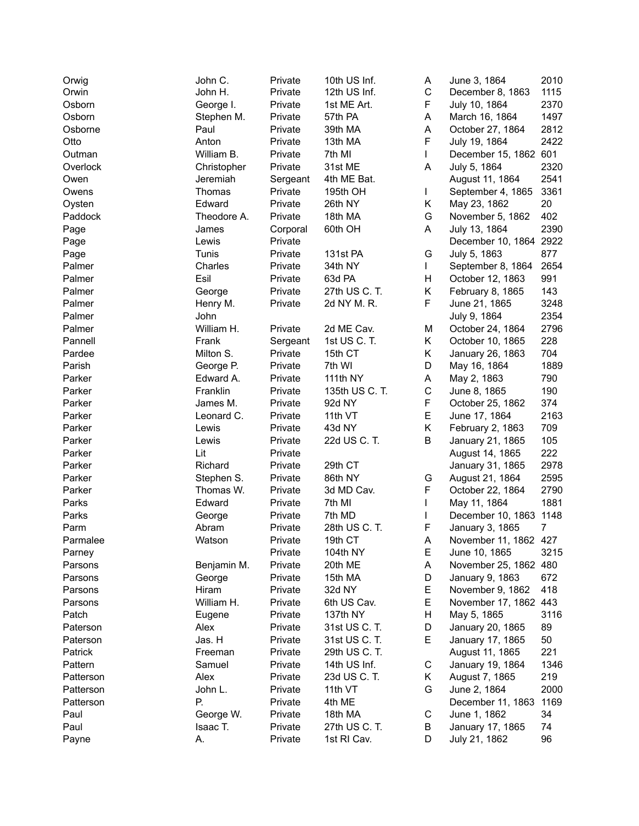| Orwig     | John C.     | Private  | 10th US Inf.   | Α           | June 3, 1864                         | 2010 |
|-----------|-------------|----------|----------------|-------------|--------------------------------------|------|
| Orwin     | John H.     | Private  | 12th US Inf.   | $\mathsf C$ | December 8, 1863                     | 1115 |
| Osborn    | George I.   | Private  | 1st ME Art.    | F           | July 10, 1864                        | 2370 |
| Osborn    | Stephen M.  | Private  | 57th PA        | Α           | March 16, 1864                       | 1497 |
| Osborne   | Paul        | Private  | 39th MA        | A           | October 27, 1864                     | 2812 |
| Otto      | Anton       | Private  | 13th MA        | F           | July 19, 1864                        | 2422 |
| Outman    | William B.  | Private  | 7th MI         | L           | December 15, 1862 601                |      |
| Overlock  | Christopher | Private  | 31st ME        | Α           | July 5, 1864                         | 2320 |
| Owen      | Jeremiah    | Sergeant | 4th ME Bat.    |             | August 11, 1864                      | 2541 |
| Owens     | Thomas      | Private  | 195th OH       | L           | September 4, 1865                    | 3361 |
| Oysten    | Edward      | Private  | 26th NY        | Κ           | May 23, 1862                         | 20   |
| Paddock   | Theodore A. | Private  | 18th MA        | G           | November 5, 1862                     | 402  |
| Page      | James       | Corporal | 60th OH        | A           | July 13, 1864                        | 2390 |
| Page      | Lewis       | Private  |                |             | December 10, 1864 2922               |      |
| Page      | Tunis       | Private  | 131st PA       | G           | July 5, 1863                         | 877  |
| Palmer    | Charles     | Private  | 34th NY        | L           | September 8, 1864                    | 2654 |
| Palmer    | Esil        | Private  | 63d PA         | H           | October 12, 1863                     | 991  |
| Palmer    | George      | Private  | 27th US C. T.  | K           | February 8, 1865                     | 143  |
| Palmer    | Henry M.    | Private  | 2d NY M. R.    | F           | June 21, 1865                        | 3248 |
| Palmer    | John        |          |                |             | July 9, 1864                         | 2354 |
| Palmer    | William H.  | Private  | 2d ME Cav.     | M           |                                      | 2796 |
|           |             |          | 1st US C. T.   | K.          | October 24, 1864<br>October 10, 1865 |      |
| Pannell   | Frank       | Sergeant |                |             |                                      | 228  |
| Pardee    | Milton S.   | Private  | 15th CT        | K           | January 26, 1863                     | 704  |
| Parish    | George P.   | Private  | 7th WI         | D           | May 16, 1864                         | 1889 |
| Parker    | Edward A.   | Private  | 111th NY       | Α           | May 2, 1863                          | 790  |
| Parker    | Franklin    | Private  | 135th US C. T. | $\mathsf C$ | June 8, 1865                         | 190  |
| Parker    | James M.    | Private  | 92d NY         | F           | October 25, 1862                     | 374  |
| Parker    | Leonard C.  | Private  | 11th VT        | E           | June 17, 1864                        | 2163 |
| Parker    | Lewis       | Private  | 43d NY         | Κ           | February 2, 1863                     | 709  |
| Parker    | Lewis       | Private  | 22d US C. T.   | B           | January 21, 1865                     | 105  |
| Parker    | Lit         | Private  |                |             | August 14, 1865                      | 222  |
| Parker    | Richard     | Private  | 29th CT        |             | January 31, 1865                     | 2978 |
| Parker    | Stephen S.  | Private  | 86th NY        | G           | August 21, 1864                      | 2595 |
| Parker    | Thomas W.   | Private  | 3d MD Cav.     | F           | October 22, 1864                     | 2790 |
| Parks     | Edward      | Private  | 7th MI         | L           | May 11, 1864                         | 1881 |
| Parks     | George      | Private  | 7th MD         |             | December 10, 1863 1148               |      |
| Parm      | Abram       | Private  | 28th US C. T.  | F           | January 3, 1865                      | 7    |
| Parmalee  | Watson      | Private  | 19th CT        | Α           | November 11, 1862 427                |      |
| Parney    |             | Private  | 104th NY       | Е           | June 10, 1865                        | 3215 |
| Parsons   | Benjamin M. | Private  | 20th ME        | Α           | November 25, 1862 480                |      |
| Parsons   | George      | Private  | 15th MA        | D           | January 9, 1863                      | 672  |
| Parsons   | Hiram       | Private  | 32d NY         | Е           | November 9, 1862                     | 418  |
| Parsons   | William H.  | Private  | 6th US Cav.    | Е           | November 17, 1862 443                |      |
| Patch     | Eugene      | Private  | 137th NY       | н           | May 5, 1865                          | 3116 |
| Paterson  | Alex        | Private  | 31st US C. T.  | D           | January 20, 1865                     | 89   |
| Paterson  | Jas. H      | Private  | 31st US C. T.  | Е           | January 17, 1865                     | 50   |
| Patrick   | Freeman     | Private  | 29th US C. T.  |             | August 11, 1865                      | 221  |
| Pattern   | Samuel      | Private  | 14th US Inf.   | С           | January 19, 1864                     | 1346 |
| Patterson | Alex        | Private  | 23d US C. T.   | Κ           | August 7, 1865                       | 219  |
| Patterson | John L.     | Private  | 11th VT        | G           | June 2, 1864                         | 2000 |
| Patterson | Р.          | Private  | 4th ME         |             | December 11, 1863                    | 1169 |
| Paul      | George W.   | Private  | 18th MA        | С           | June 1, 1862                         | 34   |
| Paul      | Isaac T.    | Private  | 27th US C. T.  | B           | January 17, 1865                     | 74   |
| Payne     | А.          | Private  | 1st RI Cav.    | D           | July 21, 1862                        | 96   |
|           |             |          |                |             |                                      |      |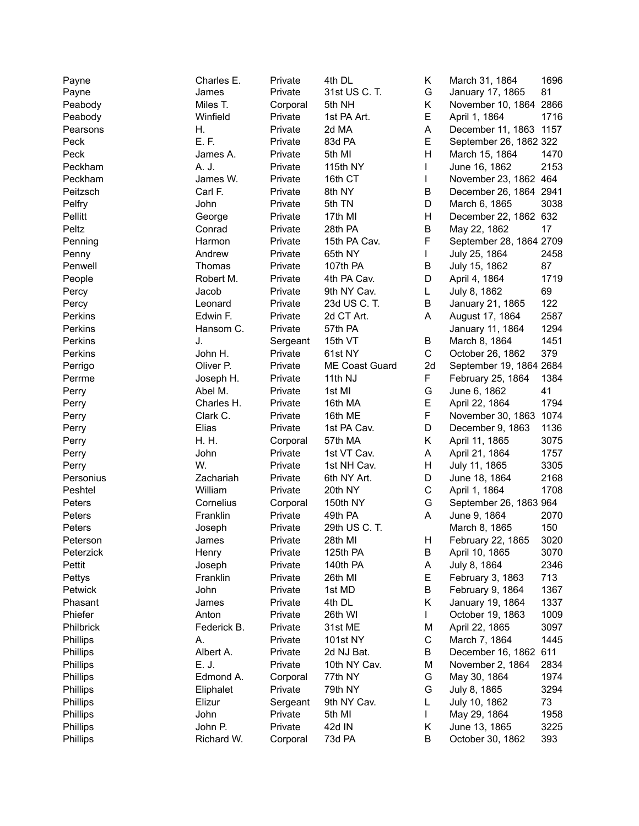| Payne     | Charles E.  | Private  | 4th DL         | Κ           | March 31, 1864          | 1696 |
|-----------|-------------|----------|----------------|-------------|-------------------------|------|
| Payne     | James       | Private  | 31st US C. T.  | G           | January 17, 1865        | 81   |
| Peabody   | Miles T.    | Corporal | 5th NH         | Κ           | November 10, 1864 2866  |      |
| Peabody   | Winfield    | Private  | 1st PA Art.    | Е           | April 1, 1864           | 1716 |
| Pearsons  | Η.          | Private  | 2d MA          | A           | December 11, 1863 1157  |      |
| Peck      | E.F.        | Private  | 83d PA         | Е           | September 26, 1862 322  |      |
| Peck      | James A.    | Private  | 5th MI         | H           | March 15, 1864          | 1470 |
| Peckham   | A. J.       | Private  | 115th NY       | L           | June 16, 1862           | 2153 |
| Peckham   | James W.    | Private  | 16th CT        | L           | November 23, 1862 464   |      |
| Peitzsch  | Carl F.     | Private  | 8th NY         | В           | December 26, 1864 2941  |      |
| Pelfry    | John        | Private  | 5th TN         | D           | March 6, 1865           | 3038 |
| Pellitt   | George      | Private  | 17th MI        | H           | December 22, 1862 632   |      |
| Peltz     | Conrad      | Private  | 28th PA        | B           | May 22, 1862            | 17   |
| Penning   | Harmon      | Private  | 15th PA Cav.   | F           | September 28, 1864 2709 |      |
| Penny     | Andrew      | Private  | 65th NY        | L           | July 25, 1864           | 2458 |
| Penwell   | Thomas      | Private  | 107th PA       | B           | July 15, 1862           | 87   |
|           | Robert M.   | Private  | 4th PA Cav.    | D           | April 4, 1864           | 1719 |
| People    |             |          | 9th NY Cav.    |             |                         | 69   |
| Percy     | Jacob       | Private  |                | L           | July 8, 1862            |      |
| Percy     | Leonard     | Private  | 23d US C. T.   | B           | January 21, 1865        | 122  |
| Perkins   | Edwin F.    | Private  | 2d CT Art.     | A           | August 17, 1864         | 2587 |
| Perkins   | Hansom C.   | Private  | 57th PA        |             | January 11, 1864        | 1294 |
| Perkins   | J.          | Sergeant | 15th VT        | B           | March 8, 1864           | 1451 |
| Perkins   | John H.     | Private  | 61st NY        | C           | October 26, 1862        | 379  |
| Perrigo   | Oliver P.   | Private  | ME Coast Guard | 2d          | September 19, 1864 2684 |      |
| Perrme    | Joseph H.   | Private  | 11th NJ        | F           | February 25, 1864       | 1384 |
| Perry     | Abel M.     | Private  | 1st MI         | G           | June 6, 1862            | 41   |
| Perry     | Charles H.  | Private  | 16th MA        | Е           | April 22, 1864          | 1794 |
| Perry     | Clark C.    | Private  | 16th ME        | F           | November 30, 1863       | 1074 |
| Perry     | Elias       | Private  | 1st PA Cav.    | D           | December 9, 1863        | 1136 |
| Perry     | H. H.       | Corporal | 57th MA        | Κ           | April 11, 1865          | 3075 |
| Perry     | John        | Private  | 1st VT Cav.    | Α           | April 21, 1864          | 1757 |
| Perry     | W.          | Private  | 1st NH Cav.    | Н           | July 11, 1865           | 3305 |
| Personius | Zachariah   | Private  | 6th NY Art.    | D           | June 18, 1864           | 2168 |
| Peshtel   | William     | Private  | 20th NY        | $\mathsf C$ | April 1, 1864           | 1708 |
| Peters    | Cornelius   | Corporal | 150th NY       | G           | September 26, 1863 964  |      |
| Peters    | Franklin    | Private  | 49th PA        | A           | June 9, 1864            | 2070 |
| Peters    | Joseph      | Private  | 29th US C. T.  |             | March 8, 1865           | 150  |
| Peterson  | James       | Private  | 28th MI        | Н           | February 22, 1865       | 3020 |
| Peterzick | Henry       | Private  | 125th PA       | B           | April 10, 1865          | 3070 |
| Pettit    | Joseph      | Private  | 140th PA       | Α           | July 8, 1864            | 2346 |
| Pettys    | Franklin    | Private  | 26th MI        | Е           | February 3, 1863        | 713  |
| Petwick   | John        | Private  | 1st MD         | В           | February 9, 1864        | 1367 |
| Phasant   | James       | Private  | 4th DL         | Κ           | January 19, 1864        | 1337 |
| Phiefer   | Anton       | Private  | 26th WI        |             | October 19, 1863        | 1009 |
| Philbrick | Federick B. | Private  | 31st ME        | M           | April 22, 1865          | 3097 |
| Phillips  | A.          | Private  | 101st NY       | $\mathsf C$ | March 7, 1864           | 1445 |
| Phillips  | Albert A.   | Private  | 2d NJ Bat.     | В           | December 16, 1862       | 611  |
| Phillips  | E. J.       | Private  | 10th NY Cav.   | M           | November 2, 1864        | 2834 |
| Phillips  | Edmond A.   | Corporal | 77th NY        | G           | May 30, 1864            | 1974 |
| Phillips  | Eliphalet   | Private  | 79th NY        | G           | July 8, 1865            | 3294 |
| Phillips  | Elizur      | Sergeant | 9th NY Cav.    | L           | July 10, 1862           | 73   |
| Phillips  | John        | Private  | 5th MI         | L           | May 29, 1864            | 1958 |
| Phillips  | John P.     | Private  | 42d IN         | Κ           | June 13, 1865           | 3225 |
| Phillips  | Richard W.  | Corporal | 73d PA         | В           | October 30, 1862        | 393  |
|           |             |          |                |             |                         |      |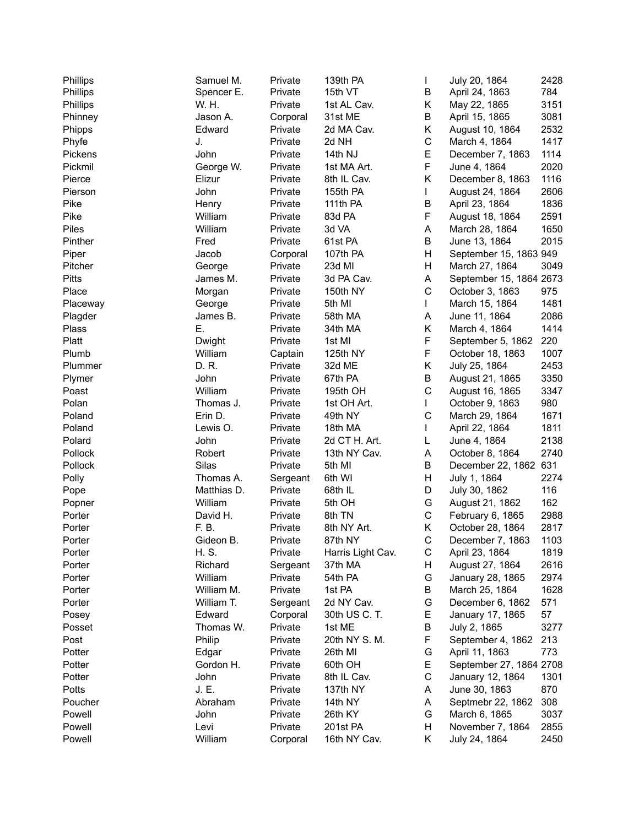| Phillips     | Samuel M.   | Private  | 139th PA          | L           | July 20, 1864           | 2428 |
|--------------|-------------|----------|-------------------|-------------|-------------------------|------|
| Phillips     | Spencer E.  | Private  | 15th VT           | В           | April 24, 1863          | 784  |
| Phillips     | W. H.       | Private  | 1st AL Cav.       | Κ           | May 22, 1865            | 3151 |
| Phinney      | Jason A.    | Corporal | 31st ME           | В           | April 15, 1865          | 3081 |
| Phipps       | Edward      | Private  | 2d MA Cav.        | Κ           | August 10, 1864         | 2532 |
| Phyfe        | J.          | Private  | 2d NH             | $\mathsf C$ | March 4, 1864           | 1417 |
| Pickens      | John        | Private  | 14th NJ           | E           | December 7, 1863        | 1114 |
| Pickmil      | George W.   | Private  | 1st MA Art.       | F           | June 4, 1864            | 2020 |
| Pierce       | Elizur      | Private  | 8th IL Cav.       | Κ           | December 8, 1863        | 1116 |
| Pierson      | John        | Private  | 155th PA          | L           | August 24, 1864         | 2606 |
| Pike         | Henry       | Private  | 111th PA          | B           | April 23, 1864          | 1836 |
| Pike         | William     | Private  | 83d PA            | F           | August 18, 1864         | 2591 |
| Piles        | William     | Private  | 3d VA             | A           | March 28, 1864          | 1650 |
| Pinther      | Fred        | Private  | 61st PA           | Β           | June 13, 1864           | 2015 |
| Piper        | Jacob       | Corporal | 107th PA          | Н           | September 15, 1863 949  |      |
| Pitcher      | George      | Private  | 23d MI            | H           | March 27, 1864          | 3049 |
| <b>Pitts</b> | James M.    | Private  | 3d PA Cav.        | A           |                         |      |
| Place        |             |          |                   | C           | September 15, 1864 2673 | 975  |
|              | Morgan      | Private  | 150th NY          |             | October 3, 1863         |      |
| Placeway     | George      | Private  | 5th MI            | L           | March 15, 1864          | 1481 |
| Plagder      | James B.    | Private  | 58th MA           | А           | June 11, 1864           | 2086 |
| Plass        | Ε.          | Private  | 34th MA           | Κ           | March 4, 1864           | 1414 |
| Platt        | Dwight      | Private  | 1st MI            | F           | September 5, 1862       | 220  |
| Plumb        | William     | Captain  | 125th NY          | F           | October 18, 1863        | 1007 |
| Plummer      | D. R.       | Private  | 32d ME            | Κ           | July 25, 1864           | 2453 |
| Plymer       | John        | Private  | 67th PA           | Β           | August 21, 1865         | 3350 |
| Poast        | William     | Private  | 195th OH          | C           | August 16, 1865         | 3347 |
| Polan        | Thomas J.   | Private  | 1st OH Art.       | L           | October 9, 1863         | 980  |
| Poland       | Erin D.     | Private  | 49th NY           | C           | March 29, 1864          | 1671 |
| Poland       | Lewis O.    | Private  | 18th MA           | L           | April 22, 1864          | 1811 |
| Polard       | John        | Private  | 2d CT H. Art.     | L           | June 4, 1864            | 2138 |
| Pollock      | Robert      | Private  | 13th NY Cav.      | А           | October 8, 1864         | 2740 |
| Pollock      | Silas       | Private  | 5th MI            | В           | December 22, 1862       | 631  |
| Polly        | Thomas A.   | Sergeant | 6th WI            | Н           | July 1, 1864            | 2274 |
| Pope         | Matthias D. | Private  | 68th IL           | D           | July 30, 1862           | 116  |
| Popner       | William     | Private  | 5th OH            | G           | August 21, 1862         | 162  |
| Porter       | David H.    | Private  | 8th TN            | С           | February 6, 1865        | 2988 |
| Porter       | F. B.       | Private  | 8th NY Art.       | Κ           | October 28, 1864        | 2817 |
| Porter       | Gideon B.   | Private  | 87th NY           | C.          | December 7, 1863        | 1103 |
| Porter       | H. S.       | Private  | Harris Light Cav. | С           | April 23, 1864          | 1819 |
| Porter       | Richard     | Sergeant | 37th MA           | Н           | August 27, 1864         | 2616 |
| Porter       | William     | Private  | 54th PA           | G           | January 28, 1865        | 2974 |
| Porter       | William M.  | Private  | 1st PA            | В           | March 25, 1864          | 1628 |
| Porter       | William T.  | Sergeant | 2d NY Cav.        | G           | December 6, 1862        | 571  |
| Posey        | Edward      | Corporal | 30th US C. T.     | Е           | January 17, 1865        | 57   |
| Posset       | Thomas W.   | Private  | 1st ME            | В           | July 2, 1865            | 3277 |
| Post         | Philip      | Private  | 20th NY S. M.     | F           | September 4, 1862       | 213  |
| Potter       | Edgar       | Private  | 26th MI           | G           | April 11, 1863          | 773  |
| Potter       | Gordon H.   | Private  | 60th OH           | Ε           | September 27, 1864 2708 |      |
| Potter       | John        | Private  | 8th IL Cav.       | C           | January 12, 1864        | 1301 |
| Potts        | J. E.       | Private  | 137th NY          | A           | June 30, 1863           | 870  |
| Poucher      | Abraham     | Private  | 14th NY           | A           | Septmebr 22, 1862       | 308  |
| Powell       | John        | Private  | 26th KY           | G           | March 6, 1865           | 3037 |
| Powell       | Levi        | Private  | 201st PA          | Н           | November 7, 1864        | 2855 |
| Powell       | William     | Corporal | 16th NY Cav.      | Κ           | July 24, 1864           | 2450 |
|              |             |          |                   |             |                         |      |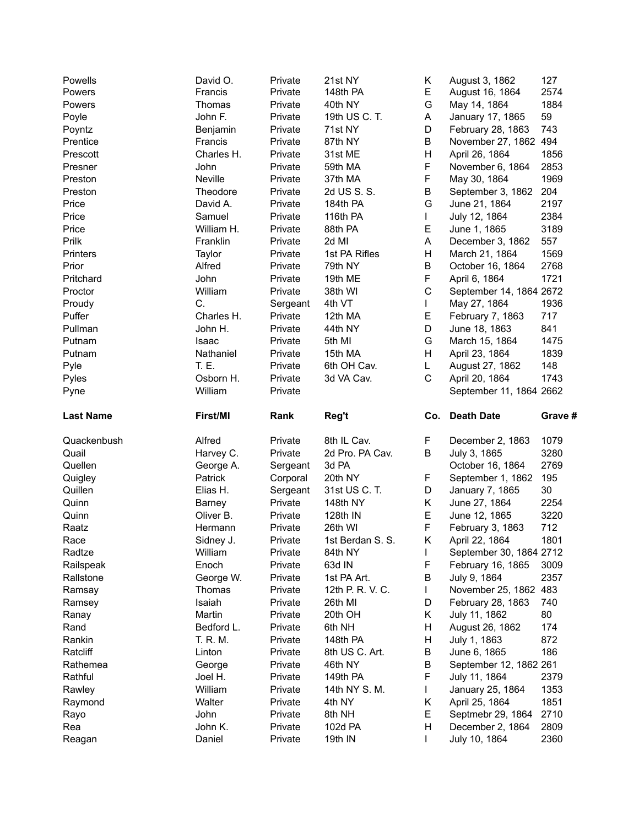| Powells             | David O.                   | Private            | 21st NY            | Κ           | August 3, 1862                          | 127        |
|---------------------|----------------------------|--------------------|--------------------|-------------|-----------------------------------------|------------|
| Powers              | Francis                    | Private            | 148th PA           | E           | August 16, 1864                         | 2574       |
| Powers              | Thomas                     | Private            | 40th NY            | G           | May 14, 1864                            | 1884       |
| Poyle               | John F.                    | Private            | 19th US C. T.      | A           | January 17, 1865                        | 59         |
| Poyntz              | Benjamin                   | Private            | 71st NY            | D           | February 28, 1863                       | 743        |
| Prentice            | Francis                    | Private            | 87th NY            | B           | November 27, 1862 494                   |            |
| Prescott            | Charles H.                 | Private            | 31st ME            | H           | April 26, 1864                          | 1856       |
| Presner             | John                       | Private            | 59th MA            | F           | November 6, 1864                        | 2853       |
| Preston             | Neville                    | Private            | 37th MA            | F           | May 30, 1864                            | 1969       |
| Preston             | Theodore                   | Private            | 2d US S. S.        | Β           | September 3, 1862                       | 204        |
| Price               | David A.                   | Private            | 184th PA           | G           | June 21, 1864                           | 2197       |
| Price               | Samuel                     | Private            | 116th PA           | L           | July 12, 1864                           | 2384       |
| Price               | William H.                 | Private            | 88th PA            | E           | June 1, 1865                            | 3189       |
| Prilk               | Franklin                   | Private            | 2d MI              | A           | December 3, 1862                        | 557        |
| Printers            | Taylor                     | Private            | 1st PA Rifles      | H           | March 21, 1864                          | 1569       |
| Prior               | Alfred                     | Private            | 79th NY            | В           | October 16, 1864                        | 2768       |
| Pritchard           | John                       | Private            | 19th ME            | F           | April 6, 1864                           | 1721       |
| Proctor             | William                    | Private            | 38th WI            | $\mathsf C$ | September 14, 1864 2672                 |            |
| Proudy              | C.                         | Sergeant           | 4th VT             | L           | May 27, 1864                            | 1936       |
| Puffer              | Charles H.                 | Private            | 12th MA            | E           | February 7, 1863                        | 717        |
| Pullman             | John H.                    | Private            | 44th NY            | D           | June 18, 1863                           | 841        |
| Putnam              | Isaac                      | Private            | 5th MI             | G           | March 15, 1864                          | 1475       |
| Putnam              | Nathaniel                  | Private            | 15th MA            | H           | April 23, 1864                          | 1839       |
| Pyle                | T. E.                      | Private            | 6th OH Cav.        | L           | August 27, 1862                         | 148        |
| Pyles               | Osborn H.                  | Private            | 3d VA Cav.         | C           | April 20, 1864                          | 1743       |
| Pyne                | William                    | Private            |                    |             | September 11, 1864 2662                 |            |
|                     |                            |                    |                    |             |                                         |            |
|                     |                            |                    |                    |             |                                         |            |
| <b>Last Name</b>    | First/MI                   | Rank               | Reg't              | Co.         | <b>Death Date</b>                       | Grave #    |
| Quackenbush         | Alfred                     | Private            | 8th IL Cav.        | F           | December 2, 1863                        | 1079       |
| Quail               | Harvey C.                  | Private            | 2d Pro. PA Cav.    | B           | July 3, 1865                            | 3280       |
| Quellen             | George A.                  | Sergeant           | 3d PA              |             | October 16, 1864                        | 2769       |
| Quigley             | Patrick                    | Corporal           | 20th NY            | F           | September 1, 1862                       | 195        |
| Quillen             | Elias H.                   | Sergeant           | 31st US C. T.      | D           |                                         | 30         |
| Quinn               |                            | Private            | 148th NY           | K.          | January 7, 1865                         | 2254       |
| Quinn               | <b>Barney</b><br>Oliver B. |                    | 128th IN           | E           | June 27, 1864                           | 3220       |
| Raatz               | Hermann                    | Private<br>Private | 26th WI            | F           | June 12, 1865<br>February 3, 1863       | 712        |
|                     |                            | Private            | 1st Berdan S. S.   | K.          | April 22, 1864                          | 1801       |
| Race<br>Radtze      | Sidney J.<br>William       | Private            | 84th NY            | L           | September 30, 1864 2712                 |            |
| Railspeak           | Enoch                      | Private            | 63d IN             | F           | February 16, 1865                       | 3009       |
| Rallstone           | George W.                  | Private            | 1st PA Art.        | В           | July 9, 1864                            | 2357       |
| Ramsay              | Thomas                     | Private            | 12th P. R. V. C.   | L           | November 25, 1862 483                   |            |
|                     | Isaiah                     | Private            | 26th MI            | D           | February 28, 1863                       | 740        |
| Ramsey              | Martin                     | Private            | 20th OH            | Κ           |                                         | 80         |
| Ranay               | Bedford L.                 |                    |                    | H           | July 11, 1862                           |            |
| Rand<br>Rankin      | T. R. M.                   | Private<br>Private | 6th NH<br>148th PA | H           | August 26, 1862                         | 174        |
| Ratcliff            | Linton                     | Private            | 8th US C. Art.     | Β           | July 1, 1863                            | 872<br>186 |
|                     |                            |                    | 46th NY            | В           | June 6, 1865                            |            |
| Rathemea<br>Rathful | George<br>Joel H.          | Private<br>Private | 149th PA           | F           | September 12, 1862 261<br>July 11, 1864 | 2379       |
|                     | William                    | Private            | 14th NY S. M.      | L           |                                         | 1353       |
| Rawley              | Walter                     | Private            | 4th NY             | Κ           | January 25, 1864                        | 1851       |
| Raymond<br>Rayo     | John                       | Private            | 8th NH             | E           | April 25, 1864<br>Septmebr 29, 1864     | 2710       |
| Rea                 | John K.                    | Private            | 102d PA            | H           | December 2, 1864                        | 2809       |
| Reagan              | Daniel                     | Private            | 19th IN            | L           | July 10, 1864                           | 2360       |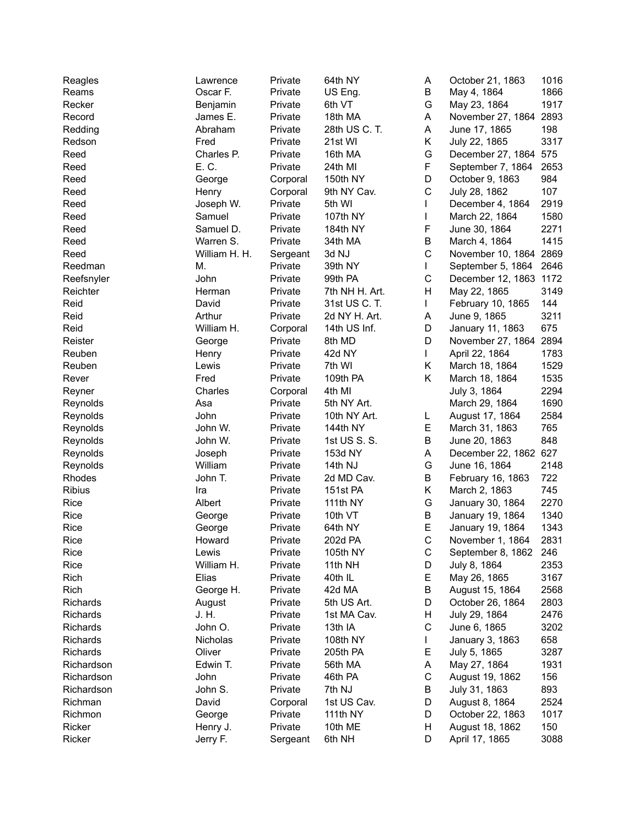| Reagles       | Lawrence      | Private  | 64th NY        | Α           | October 21, 1863       | 1016 |
|---------------|---------------|----------|----------------|-------------|------------------------|------|
| Reams         | Oscar F.      | Private  | US Eng.        | В           | May 4, 1864            | 1866 |
| Recker        | Benjamin      | Private  | 6th VT         | G           | May 23, 1864           | 1917 |
| Record        | James E.      | Private  | 18th MA        | А           | November 27, 1864      | 2893 |
| Redding       | Abraham       | Private  | 28th US C. T.  | Α           | June 17, 1865          | 198  |
| Redson        | Fred          | Private  | 21st WI        | Κ           | July 22, 1865          | 3317 |
| Reed          | Charles P.    | Private  | 16th MA        | G           | December 27, 1864 575  |      |
| Reed          | E. C.         | Private  | 24th MI        | F           | September 7, 1864      | 2653 |
| Reed          | George        | Corporal | 150th NY       | D           | October 9, 1863        | 984  |
| Reed          | Henry         | Corporal | 9th NY Cav.    | $\mathsf C$ | July 28, 1862          | 107  |
|               |               |          | 5th WI         |             | December 4, 1864       |      |
| Reed          | Joseph W.     | Private  |                |             |                        | 2919 |
| Reed          | Samuel        | Private  | 107th NY       | L           | March 22, 1864         | 1580 |
| Reed          | Samuel D.     | Private  | 184th NY       | F           | June 30, 1864          | 2271 |
| Reed          | Warren S.     | Private  | 34th MA        | B           | March 4, 1864          | 1415 |
| Reed          | William H. H. | Sergeant | 3d NJ          | $\mathsf C$ | November 10, 1864 2869 |      |
| Reedman       | Μ.            | Private  | 39th NY        | L           | September 5, 1864 2646 |      |
| Reefsnyler    | John          | Private  | 99th PA        | C           | December 12, 1863 1172 |      |
| Reichter      | Herman        | Private  | 7th NH H. Art. | Η           | May 22, 1865           | 3149 |
| Reid          | David         | Private  | 31st US C. T.  | L           | February 10, 1865      | 144  |
| Reid          | Arthur        | Private  | 2d NY H. Art.  | A           | June 9, 1865           | 3211 |
| Reid          | William H.    | Corporal | 14th US Inf.   | D           | January 11, 1863       | 675  |
| Reister       | George        | Private  | 8th MD         | D           | November 27, 1864 2894 |      |
| Reuben        | Henry         | Private  | 42d NY         | L           | April 22, 1864         | 1783 |
| Reuben        | Lewis         | Private  | 7th WI         | Κ           | March 18, 1864         | 1529 |
| Rever         | Fred          | Private  | 109th PA       | Κ           | March 18, 1864         | 1535 |
| Reyner        | Charles       | Corporal | 4th MI         |             | July 3, 1864           | 2294 |
| Reynolds      | Asa           | Private  | 5th NY Art.    |             | March 29, 1864         | 1690 |
| Reynolds      | John          | Private  | 10th NY Art.   | L           | August 17, 1864        | 2584 |
| Reynolds      | John W.       | Private  | 144th NY       | Е           | March 31, 1863         | 765  |
| Reynolds      | John W.       | Private  | 1st US S. S.   | B           | June 20, 1863          | 848  |
| Reynolds      | Joseph        | Private  | 153d NY        | Α           | December 22, 1862 627  |      |
| Reynolds      | William       | Private  | 14th NJ        | G           | June 16, 1864          | 2148 |
| Rhodes        | John T.       | Private  | 2d MD Cav.     | B           | February 16, 1863      | 722  |
| <b>Ribius</b> | Ira           |          | 151st PA       | Κ           | March 2, 1863          | 745  |
|               |               | Private  |                |             |                        |      |
| Rice          | Albert        | Private  | 111th NY       | G           | January 30, 1864       | 2270 |
| Rice          | George        | Private  | 10th VT        | B           | January 19, 1864       | 1340 |
| Rice          | George        | Private  | 64th NY        | E           | January 19, 1864       | 1343 |
| Rice          | Howard        | Private  | 202d PA        | $\mathsf C$ | November 1, 1864       | 2831 |
| Rice          | Lewis         | Private  | 105th NY       | С           | September 8, 1862      | 246  |
| Rice          | William H.    | Private  | 11th NH        | D           | July 8, 1864           | 2353 |
| Rich          | Elias         | Private  | 40th IL        | Е           | May 26, 1865           | 3167 |
| Rich          | George H.     | Private  | 42d MA         | B           | August 15, 1864        | 2568 |
| Richards      | August        | Private  | 5th US Art.    | D           | October 26, 1864       | 2803 |
| Richards      | J. H.         | Private  | 1st MA Cav.    | н           | July 29, 1864          | 2476 |
| Richards      | John O.       | Private  | 13th IA        | $\mathsf C$ | June 6, 1865           | 3202 |
| Richards      | Nicholas      | Private  | 108th NY       |             | January 3, 1863        | 658  |
| Richards      | Oliver        | Private  | 205th PA       | Е           | July 5, 1865           | 3287 |
| Richardson    | Edwin T.      | Private  | 56th MA        | Α           | May 27, 1864           | 1931 |
| Richardson    | John          | Private  | 46th PA        | $\mathsf C$ | August 19, 1862        | 156  |
| Richardson    | John S.       | Private  | 7th NJ         | В           | July 31, 1863          | 893  |
| Richman       | David         | Corporal | 1st US Cav.    | D           | August 8, 1864         | 2524 |
| Richmon       | George        | Private  | 111th NY       | D           | October 22, 1863       | 1017 |
| Ricker        | Henry J.      | Private  | 10th ME        | н           | August 18, 1862        | 150  |
|               |               |          |                |             |                        | 3088 |
| Ricker        | Jerry F.      | Sergeant | 6th NH         | D           | April 17, 1865         |      |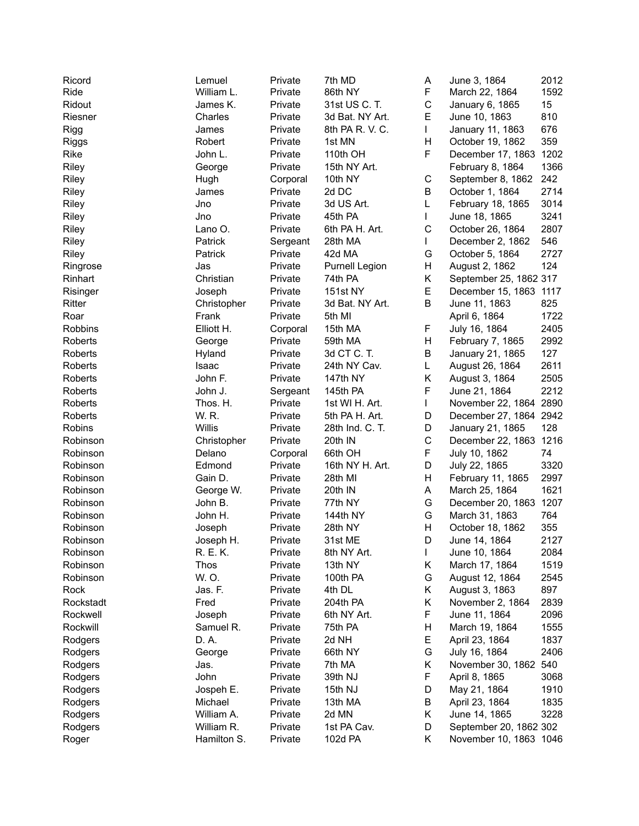| Ricord       | Lemuel      | Private  | 7th MD             | Α | June 3, 1864           | 2012 |
|--------------|-------------|----------|--------------------|---|------------------------|------|
| Ride         | William L.  | Private  | 86th NY            | F | March 22, 1864         | 1592 |
| Ridout       | James K.    | Private  | 31st US C. T.      | C | January 6, 1865        | 15   |
| Riesner      | Charles     | Private  | 3d Bat. NY Art.    | E | June 10, 1863          | 810  |
| Rigg         | James       | Private  | 8th PA R. V. C.    | L | January 11, 1863       | 676  |
| <b>Riggs</b> | Robert      | Private  | 1st MN             | Η | October 19, 1862       | 359  |
| Rike         | John L.     | Private  | 110th OH           | F | December 17, 1863 1202 |      |
| Riley        | George      | Private  | 15th NY Art.       |   | February 8, 1864       | 1366 |
| Riley        | Hugh        | Corporal | 10th NY            | C | September 8, 1862      | 242  |
| Riley        | James       | Private  | 2d DC              | B | October 1, 1864        | 2714 |
| Riley        | Jno         | Private  | 3d US Art.         | L | February 18, 1865      | 3014 |
| Riley        | Jno         | Private  | 45th PA            | L | June 18, 1865          | 3241 |
| Riley        | Lano O.     | Private  | 6th PA H. Art.     | C | October 26, 1864       | 2807 |
| Riley        | Patrick     | Sergeant | 28th MA            | L | December 2, 1862       | 546  |
| Riley        | Patrick     | Private  | 42d MA             | G | October 5, 1864        | 2727 |
| Ringrose     | Jas         | Private  | Purnell Legion     | Н | August 2, 1862         | 124  |
| Rinhart      | Christian   | Private  | 74th PA            | Κ | September 25, 1862 317 |      |
| Risinger     | Joseph      | Private  | <b>151st NY</b>    | E | December 15, 1863 1117 |      |
| Ritter       | Christopher | Private  | 3d Bat. NY Art.    | Β | June 11, 1863          | 825  |
| Roar         | Frank       | Private  | 5th MI             |   | April 6, 1864          | 1722 |
|              |             |          |                    | F |                        |      |
| Robbins      | Elliott H.  | Corporal | 15th MA<br>59th MA | Η | July 16, 1864          | 2405 |
| Roberts      | George      | Private  |                    |   | February 7, 1865       | 2992 |
| Roberts      | Hyland      | Private  | 3d CT C. T.        | В | January 21, 1865       | 127  |
| Roberts      | Isaac       | Private  | 24th NY Cav.       | L | August 26, 1864        | 2611 |
| Roberts      | John F.     | Private  | 147th NY           | Κ | August 3, 1864         | 2505 |
| Roberts      | John J.     | Sergeant | 145th PA           | F | June 21, 1864          | 2212 |
| Roberts      | Thos. H.    | Private  | 1st WI H. Art.     | L | November 22, 1864 2890 |      |
| Roberts      | W. R.       | Private  | 5th PA H. Art.     | D | December 27, 1864 2942 |      |
| Robins       | Willis      | Private  | 28th Ind. C. T.    | D | January 21, 1865       | 128  |
| Robinson     | Christopher | Private  | 20th IN            | C | December 22, 1863      | 1216 |
| Robinson     | Delano      | Corporal | 66th OH            | F | July 10, 1862          | 74   |
| Robinson     | Edmond      | Private  | 16th NY H. Art.    | D | July 22, 1865          | 3320 |
| Robinson     | Gain D.     | Private  | 28th MI            | Н | February 11, 1865      | 2997 |
| Robinson     | George W.   | Private  | 20th IN            | A | March 25, 1864         | 1621 |
| Robinson     | John B.     | Private  | 77th NY            | G | December 20, 1863      | 1207 |
| Robinson     | John H.     | Private  | 144th NY           | G | March 31, 1863         | 764  |
| Robinson     | Joseph      | Private  | 28th NY            | Н | October 18, 1862       | 355  |
| Robinson     | Joseph H.   | Private  | 31st ME            | D | June 14, 1864          | 2127 |
| Robinson     | R. E. K.    | Private  | 8th NY Art.        | L | June 10, 1864          | 2084 |
| Robinson     | <b>Thos</b> | Private  | 13th NY            | Κ | March 17, 1864         | 1519 |
| Robinson     | W. O.       | Private  | 100th PA           | G | August 12, 1864        | 2545 |
| Rock         | Jas. F.     | Private  | 4th DL             | Κ | August 3, 1863         | 897  |
| Rockstadt    | Fred        | Private  | 204th PA           | Κ | November 2, 1864       | 2839 |
| Rockwell     | Joseph      | Private  | 6th NY Art.        | F | June 11, 1864          | 2096 |
| Rockwill     | Samuel R.   | Private  | 75th PA            | Н | March 19, 1864         | 1555 |
| Rodgers      | D. A.       | Private  | 2d NH              | Е | April 23, 1864         | 1837 |
| Rodgers      | George      | Private  | 66th NY            | G | July 16, 1864          | 2406 |
| Rodgers      | Jas.        | Private  | 7th MA             | Κ | November 30, 1862      | 540  |
| Rodgers      | John        | Private  | 39th NJ            | F | April 8, 1865          | 3068 |
| Rodgers      | Jospeh E.   | Private  | 15th NJ            | D | May 21, 1864           | 1910 |
| Rodgers      | Michael     | Private  | 13th MA            | В | April 23, 1864         | 1835 |
| Rodgers      | William A.  | Private  | 2d MN              | Κ | June 14, 1865          | 3228 |
| Rodgers      | William R.  | Private  | 1st PA Cav.        | D | September 20, 1862 302 |      |
| Roger        | Hamilton S. | Private  | 102d PA            | Κ | November 10, 1863 1046 |      |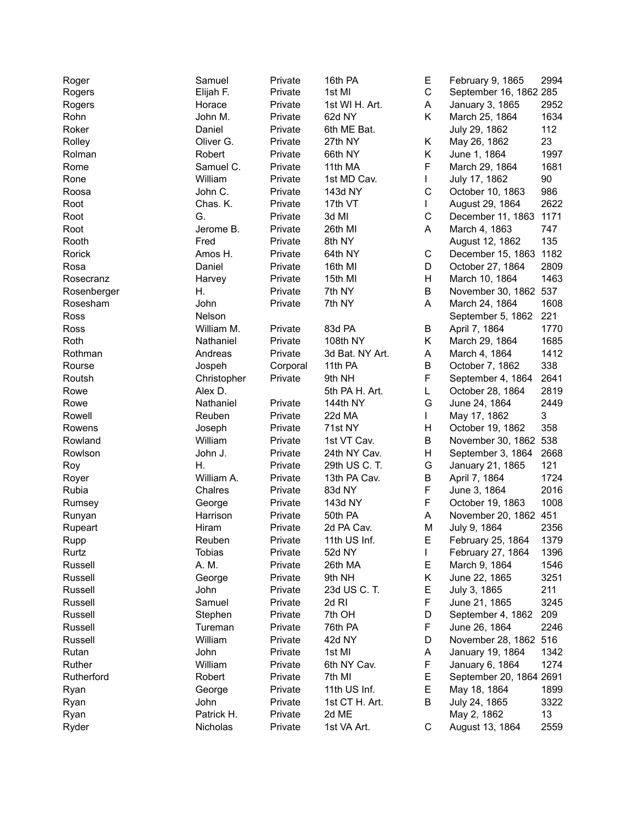| Roger            | Samuel      | Private  | 16th PA          | Е           | February 9, 1865                           | 2994 |
|------------------|-------------|----------|------------------|-------------|--------------------------------------------|------|
| Rogers           | Elijah F.   | Private  | 1st MI           | C           | September 16, 1862 285                     |      |
| Rogers           | Horace      | Private  | 1st WI H. Art.   | Α           | January 3, 1865                            | 2952 |
| Rohn             | John M.     | Private  | 62d NY           | Κ           | March 25, 1864                             | 1634 |
| Roker            | Daniel      | Private  | 6th ME Bat.      |             | July 29, 1862                              | 112  |
| Rolley           | Oliver G.   | Private  | 27th NY          | Κ           | May 26, 1862                               | 23   |
| Rolman           | Robert      | Private  | 66th NY          | Κ           | June 1, 1864                               | 1997 |
| Rome             | Samuel C.   | Private  | 11th MA          | F           | March 29, 1864                             | 1681 |
| Rone             | William     | Private  | 1st MD Cav.      | L           | July 17, 1862                              | 90   |
| Roosa            | John C.     | Private  | 143d NY          | C           | October 10, 1863                           | 986  |
| Root             | Chas. K.    | Private  | 17th VT          | L           | August 29, 1864                            | 2622 |
| Root             | G.          | Private  | 3d MI            | $\mathsf C$ | December 11, 1863                          | 1171 |
| Root             | Jerome B.   | Private  | 26th MI          | A           | March 4, 1863                              | 747  |
| Rooth            | Fred        | Private  | 8th NY           |             | August 12, 1862                            | 135  |
| Rorick           | Amos H.     | Private  | 64th NY          | C           | December 15, 1863                          | 1182 |
| Rosa             | Daniel      | Private  | 16th MI          | D           | October 27, 1864                           | 2809 |
| Rosecranz        | Harvey      | Private  | 15th MI          | Н           | March 10, 1864                             | 1463 |
| Rosenberger      | Η.          | Private  | 7th NY           | B           | November 30, 1862 537                      |      |
| Rosesham         | John        | Private  | 7th NY           | A           | March 24, 1864                             | 1608 |
| Ross             | Nelson      |          |                  |             | September 5, 1862                          | 221  |
| Ross             | William M.  | Private  | 83d PA           | В           | April 7, 1864                              | 1770 |
| Roth             | Nathaniel   | Private  | 108th NY         | Κ           | March 29, 1864                             | 1685 |
| Rothman          | Andreas     | Private  | 3d Bat. NY Art.  | A           | March 4, 1864                              | 1412 |
| Rourse           | Jospeh      | Corporal | 11th PA          | B           | October 7, 1862                            | 338  |
| Routsh           | Christopher | Private  | 9th NH           | F           | September 4, 1864                          | 2641 |
| Rowe             | Alex D.     |          | 5th PA H. Art.   | L           | October 28, 1864                           | 2819 |
| Rowe             | Nathaniel   | Private  | 144th NY         | G           | June 24, 1864                              | 2449 |
| Rowell           | Reuben      | Private  | 22d MA           | L           | May 17, 1862                               | 3    |
| Rowens           | Joseph      | Private  | 71st NY          | Н           | October 19, 1862                           | 358  |
| Rowland          | William     | Private  | 1st VT Cav.      | Β           | November 30, 1862                          | 538  |
| Rowlson          | John J.     | Private  | 24th NY Cav.     | Н           | September 3, 1864                          | 2668 |
| Roy              | Η.          | Private  | 29th US C. T.    | G           | January 21, 1865                           | 121  |
| Royer            | William A.  | Private  | 13th PA Cav.     | Β           | April 7, 1864                              | 1724 |
| Rubia            | Chalres     | Private  | 83d NY           | F           | June 3, 1864                               | 2016 |
| Rumsey           | George      | Private  | 143d NY          | F           | October 19, 1863                           | 1008 |
| Runyan           | Harrison    | Private  | 50th PA          | А           | November 20, 1862 451                      |      |
| Rupeart          | Hiram       | Private  | 2d PA Cav.       | M           | July 9, 1864                               | 2356 |
| Rupp             | Reuben      | Private  | 11th US Inf.     | E.          | February 25, 1864                          | 1379 |
| Rurtz            | Tobias      | Private  | 52d NY           | L           | February 27, 1864                          | 1396 |
| Russell          | A. M.       | Private  | 26th MA          | Е           | March 9, 1864                              | 1546 |
| Russell          | George      | Private  | 9th NH           | Κ           | June 22, 1865                              | 3251 |
| Russell          | John        | Private  | 23d US C. T.     | Е           | July 3, 1865                               | 211  |
| Russell          | Samuel      | Private  | 2d RI            | F           | June 21, 1865                              | 3245 |
| Russell          | Stephen     | Private  | 7th OH           | D           | September 4, 1862                          | 209  |
|                  | Tureman     |          |                  | F           |                                            | 2246 |
| Russell          |             | Private  | 76th PA          |             | June 26, 1864<br>November 28, 1862 516     |      |
| Russell<br>Rutan | William     | Private  | 42d NY<br>1st MI | D           | January 19, 1864                           | 1342 |
| Ruther           | John        | Private  |                  | Α           |                                            |      |
|                  | William     | Private  | 6th NY Cav.      | F           | January 6, 1864<br>September 20, 1864 2691 | 1274 |
| Rutherford       | Robert      | Private  | 7th MI           | Е           |                                            |      |
| Ryan             | George      | Private  | 11th US Inf.     | Е           | May 18, 1864                               | 1899 |
| Ryan             | John        | Private  | 1st CT H. Art.   | В           | July 24, 1865                              | 3322 |
| Ryan             | Patrick H.  | Private  | 2d ME            |             | May 2, 1862                                | 13   |
| Ryder            | Nicholas    | Private  | 1st VA Art.      | С           | August 13, 1864                            | 2559 |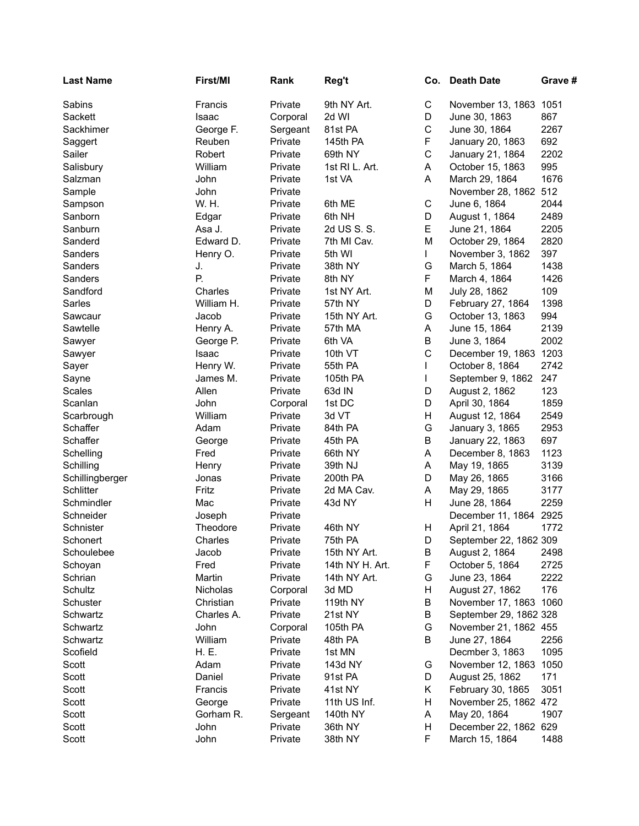| <b>Last Name</b> | First/MI   | Rank     | Reg't           | Co.         | <b>Death Date</b>                     | Grave # |
|------------------|------------|----------|-----------------|-------------|---------------------------------------|---------|
| Sabins           | Francis    | Private  | 9th NY Art.     | C           | November 13, 1863 1051                |         |
| Sackett          | Isaac      | Corporal | 2d WI           | D           | June 30, 1863                         | 867     |
| Sackhimer        | George F.  | Sergeant | 81st PA         | $\mathsf C$ | June 30, 1864                         | 2267    |
| Saggert          | Reuben     | Private  | 145th PA        | F           | January 20, 1863                      | 692     |
| Sailer           | Robert     | Private  | 69th NY         | $\mathsf C$ | January 21, 1864                      | 2202    |
| Salisbury        | William    | Private  | 1st RI L. Art.  | Α           | October 15, 1863                      | 995     |
| Salzman          | John       | Private  | 1st VA          | A           | March 29, 1864                        | 1676    |
| Sample           | John       | Private  |                 |             | November 28, 1862 512                 |         |
| Sampson          | W. H.      | Private  | 6th ME          | $\mathsf C$ | June 6, 1864                          | 2044    |
| Sanborn          | Edgar      | Private  | 6th NH          | D           | August 1, 1864                        | 2489    |
| Sanburn          | Asa J.     | Private  | 2d US S. S.     | E           | June 21, 1864                         | 2205    |
| Sanderd          | Edward D.  | Private  | 7th MI Cav.     | M           | October 29, 1864                      | 2820    |
| Sanders          | Henry O.   | Private  | 5th WI          | L           | November 3, 1862                      | 397     |
| Sanders          | J.         | Private  | 38th NY         | G           | March 5, 1864                         | 1438    |
| Sanders          | Ρ.         | Private  | 8th NY          | F           | March 4, 1864                         | 1426    |
| Sandford         | Charles    | Private  | 1st NY Art.     | М           | July 28, 1862                         | 109     |
| Sarles           | William H. | Private  | 57th NY         | D           | February 27, 1864                     | 1398    |
| Sawcaur          | Jacob      | Private  | 15th NY Art.    | G           | October 13, 1863                      | 994     |
| Sawtelle         | Henry A.   | Private  | 57th MA         | A           | June 15, 1864                         | 2139    |
| Sawyer           | George P.  | Private  | 6th VA          | В           | June 3, 1864                          | 2002    |
| Sawyer           | Isaac      | Private  | 10th VT         | C           | December 19, 1863 1203                |         |
| Sayer            | Henry W.   | Private  | 55th PA         | L           | October 8, 1864                       | 2742    |
| Sayne            | James M.   | Private  | 105th PA        | L           | September 9, 1862                     | 247     |
| Scales           | Allen      | Private  | 63d IN          | D           | August 2, 1862                        | 123     |
| Scanlan          | John       | Corporal | 1st DC          | D           | April 30, 1864                        | 1859    |
| Scarbrough       | William    | Private  | 3d VT           | Н           | August 12, 1864                       | 2549    |
| Schaffer         | Adam       | Private  | 84th PA         | G           | January 3, 1865                       | 2953    |
| Schaffer         | George     | Private  | 45th PA         | Β           | January 22, 1863                      | 697     |
| Schelling        | Fred       | Private  | 66th NY         | A           | December 8, 1863                      | 1123    |
| Schilling        | Henry      | Private  | 39th NJ         | Α           | May 19, 1865                          | 3139    |
| Schillingberger  | Jonas      | Private  | 200th PA        | D           | May 26, 1865                          | 3166    |
| Schlitter        | Fritz      | Private  | 2d MA Cav.      | Α           | May 29, 1865                          | 3177    |
| Schmindler       | Mac        | Private  | 43d NY          | Н           | June 28, 1864                         | 2259    |
| Schneider        | Joseph     | Private  |                 |             | December 11, 1864 2925                |         |
| Schnister        | Theodore   | Private  | 46th NY         | Н           | April 21, 1864                        | 1772    |
| Schonert         | Charles    | Private  | 75th PA         | D           | September 22, 1862 309                |         |
| Schoulebee       | Jacob      | Private  | 15th NY Art.    | B           | August 2, 1864                        | 2498    |
| Schoyan          | Fred       | Private  | 14th NY H. Art. | F           | October 5, 1864                       | 2725    |
| Schrian          | Martin     | Private  | 14th NY Art.    | G           | June 23, 1864                         | 2222    |
| Schultz          | Nicholas   | Corporal | 3d MD           | H           | August 27, 1862                       | 176     |
| Schuster         | Christian  | Private  | 119th NY        | В           | November 17, 1863 1060                |         |
| Schwartz         | Charles A. | Private  | 21st NY         | В           | September 29, 1862 328                |         |
| Schwartz         | John       | Corporal | 105th PA        | G           | November 21, 1862 455                 |         |
| Schwartz         | William    | Private  | 48th PA         | В           | June 27, 1864                         | 2256    |
| Scofield         | H. E.      | Private  | 1st MN          |             | Decmber 3, 1863                       | 1095    |
| Scott            | Adam       | Private  | 143d NY         | G           | November 12, 1863 1050                |         |
| Scott            | Daniel     | Private  | 91st PA         | D           | August 25, 1862                       | 171     |
| Scott            | Francis    | Private  | 41st NY         | Κ           | February 30, 1865                     | 3051    |
| Scott            | George     | Private  | 11th US Inf.    | H           | November 25, 1862 472                 |         |
| Scott            | Gorham R.  | Sergeant | 140th NY        | Α<br>н      | May 20, 1864<br>December 22, 1862 629 | 1907    |
| Scott            | John       | Private  | 36th NY         |             |                                       |         |
| Scott            | John       | Private  | 38th NY         | F.          | March 15, 1864                        | 1488    |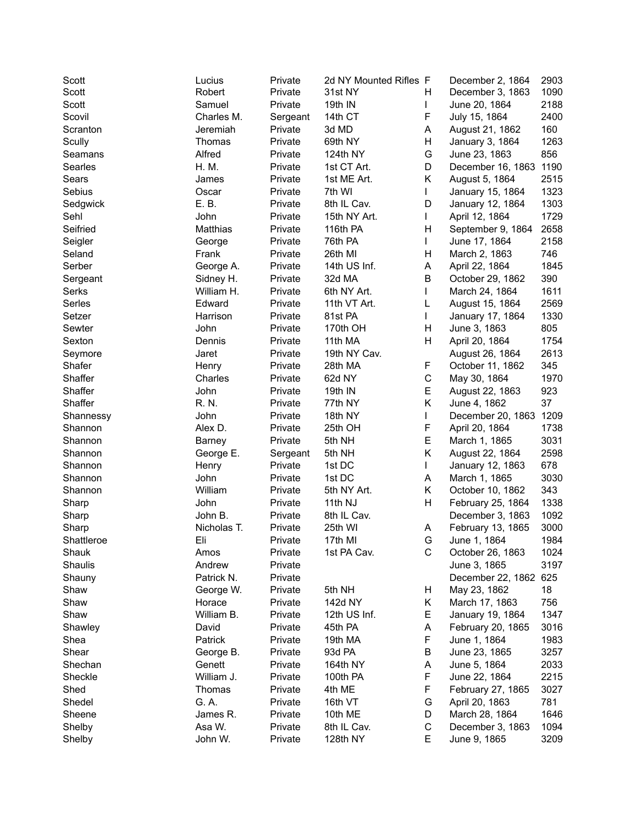| Scott             | Lucius           | Private  | 2d NY Mounted Rifles F |    | December 2, 1864      | 2903 |
|-------------------|------------------|----------|------------------------|----|-----------------------|------|
| Scott             | Robert           | Private  | 31st NY                | н  | December 3, 1863      | 1090 |
| Scott             | Samuel           | Private  | 19th IN                | L  | June 20, 1864         | 2188 |
| Scovil            | Charles M.       | Sergeant | 14th CT                | F  | July 15, 1864         | 2400 |
| Scranton          | Jeremiah         | Private  | 3d MD                  | A  | August 21, 1862       | 160  |
| Scully            | Thomas           | Private  | 69th NY                | н  | January 3, 1864       | 1263 |
| Seamans           | Alfred           | Private  | 124th NY               | G  | June 23, 1863         | 856  |
| Searles           | H. M.            | Private  | 1st CT Art.            | D  | December 16, 1863     | 1190 |
| Sears             | James            | Private  | 1st ME Art.            | Κ  | August 5, 1864        | 2515 |
| Sebius            | Oscar            | Private  | 7th WI                 | L  | January 15, 1864      | 1323 |
| Sedgwick          | E. B.            | Private  | 8th IL Cav.            | D  | January 12, 1864      | 1303 |
| Sehl              | John             | Private  | 15th NY Art.           | L  | April 12, 1864        | 1729 |
| Seifried          | Matthias         | Private  | 116th PA               | H  | September 9, 1864     | 2658 |
| Seigler           | George           | Private  | 76th PA                | L  | June 17, 1864         | 2158 |
| Seland            | Frank            | Private  | 26th MI                | H  | March 2, 1863         | 746  |
| Serber            | George A.        | Private  | 14th US Inf.           | Α  | April 22, 1864        | 1845 |
| Sergeant          | Sidney H.        | Private  | 32d MA                 | B  | October 29, 1862      | 390  |
| Serks             | William H.       | Private  | 6th NY Art.            | L  | March 24, 1864        | 1611 |
| Serles            | Edward           | Private  | 11th VT Art.           | L  | August 15, 1864       | 2569 |
| Setzer            | Harrison         | Private  | 81st PA                | L  | January 17, 1864      | 1330 |
| Sewter            | John             | Private  | 170th OH               | H  | June 3, 1863          | 805  |
| Sexton            | Dennis           | Private  | 11th MA                | H  | April 20, 1864        | 1754 |
|                   | Jaret            | Private  | 19th NY Cav.           |    | August 26, 1864       | 2613 |
| Seymore<br>Shafer |                  |          | 28th MA                | F  | October 11, 1862      | 345  |
| Shaffer           | Henry<br>Charles | Private  | 62d NY                 | C  |                       | 1970 |
|                   | John             | Private  |                        | E  | May 30, 1864          |      |
| Shaffer           |                  | Private  | 19th IN                |    | August 22, 1863       | 923  |
| Shaffer           | R. N.            | Private  | 77th NY                | Κ  | June 4, 1862          | 37   |
| Shannessy         | John             | Private  | 18th NY                | L  | December 20, 1863     | 1209 |
| Shannon           | Alex D.          | Private  | 25th OH                | F  | April 20, 1864        | 1738 |
| Shannon           | Barney           | Private  | 5th NH                 | E  | March 1, 1865         | 3031 |
| Shannon           | George E.        | Sergeant | 5th NH                 | Κ  | August 22, 1864       | 2598 |
| Shannon           | Henry            | Private  | 1st DC                 | L  | January 12, 1863      | 678  |
| Shannon           | John             | Private  | 1st DC                 | Α  | March 1, 1865         | 3030 |
| Shannon           | William          | Private  | 5th NY Art.            | Κ  | October 10, 1862      | 343  |
| Sharp             | John             | Private  | 11th NJ                | Н  | February 25, 1864     | 1338 |
| Sharp             | John B.          | Private  | 8th IL Cav.            |    | December 3, 1863      | 1092 |
| Sharp             | Nicholas T.      | Private  | 25th WI                | Α  | February 13, 1865     | 3000 |
| Shattleroe        | Eli              | Private  | 17th MI                | G. | June 1, 1864          | 1984 |
| Shauk             | Amos             | Private  | 1st PA Cav.            | С  | October 26, 1863      | 1024 |
| Shaulis           | Andrew           | Private  |                        |    | June 3, 1865          | 3197 |
| Shauny            | Patrick N.       | Private  |                        |    | December 22, 1862 625 |      |
| Shaw              | George W.        | Private  | 5th NH                 | H, | May 23, 1862          | 18   |
| Shaw              | Horace           | Private  | 142d NY                | Κ  | March 17, 1863        | 756  |
| Shaw              | William B.       | Private  | 12th US Inf.           | Е  | January 19, 1864      | 1347 |
| Shawley           | David            | Private  | 45th PA                | A  | February 20, 1865     | 3016 |
| Shea              | Patrick          | Private  | 19th MA                | F  | June 1, 1864          | 1983 |
| Shear             | George B.        | Private  | 93d PA                 | B  | June 23, 1865         | 3257 |
| Shechan           | Genett           | Private  | 164th NY               | Α  | June 5, 1864          | 2033 |
| Sheckle           | William J.       | Private  | 100th PA               | F  | June 22, 1864         | 2215 |
| Shed              | Thomas           | Private  | 4th ME                 | F  | February 27, 1865     | 3027 |
| Shedel            | G. A.            | Private  | 16th VT                | G  | April 20, 1863        | 781  |
| Sheene            | James R.         | Private  | 10th ME                | D  | March 28, 1864        | 1646 |
| Shelby            | Asa W.           | Private  | 8th IL Cav.            | C  | December 3, 1863      | 1094 |
| Shelby            | John W.          | Private  | 128th NY               | Е  | June 9, 1865          | 3209 |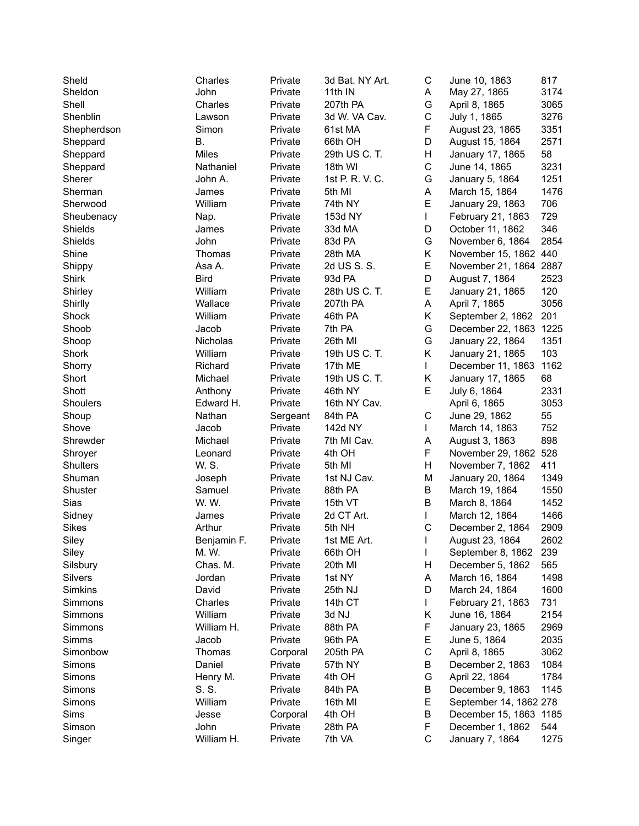| Sheld              | Charles     | Private  | 3d Bat. NY Art.     | C            | June 10, 1863          | 817          |
|--------------------|-------------|----------|---------------------|--------------|------------------------|--------------|
| Sheldon            | John        | Private  | 11th IN             | A            | May 27, 1865           | 3174         |
| Shell              | Charles     | Private  | 207th PA            | G            | April 8, 1865          | 3065         |
| Shenblin           | Lawson      | Private  | 3d W. VA Cav.       | C            | July 1, 1865           | 3276         |
| Shepherdson        | Simon       | Private  | 61st MA             | F            | August 23, 1865        | 3351         |
| Sheppard           | Β.          | Private  | 66th OH             | D            | August 15, 1864        | 2571         |
| Sheppard           | Miles       | Private  | 29th US C. T.       | Н            | January 17, 1865       | 58           |
| Sheppard           | Nathaniel   | Private  | 18th WI             | C            | June 14, 1865          | 3231         |
| Sherer             | John A.     | Private  | 1st P. R. V. C.     | G            | January 5, 1864        | 1251         |
| Sherman            | James       | Private  | 5th MI              | А            | March 15, 1864         | 1476         |
| Sherwood           | William     | Private  | 74th NY             | E            | January 29, 1863       | 706          |
| Sheubenacy         | Nap.        | Private  | 153d NY             | L            | February 21, 1863      | 729          |
| Shields            | James       | Private  | 33d MA              | D            | October 11, 1862       | 346          |
| Shields            | John        | Private  | 83d PA              | G            | November 6, 1864       | 2854         |
| Shine              | Thomas      | Private  | 28th MA             | Κ            | November 15, 1862 440  |              |
| Shippy             | Asa A.      | Private  | 2d US S. S.         | E            | November 21, 1864 2887 |              |
| Shirk              | <b>Bird</b> | Private  | 93d PA              | D            | August 7, 1864         | 2523         |
| Shirley            | William     | Private  | 28th US C. T.       | E            | January 21, 1865       | 120          |
| Shirlly            | Wallace     | Private  | 207th PA            | A            | April 7, 1865          | 3056         |
| Shock              | William     | Private  | 46th PA             | Κ            | September 2, 1862      | 201          |
| Shoob              | Jacob       | Private  | 7th PA              | G            | December 22, 1863 1225 |              |
| Shoop              | Nicholas    | Private  | 26th MI             | G            | January 22, 1864       | 1351         |
| Shork              | William     | Private  | 19th US C. T.       | K            | January 21, 1865       | 103          |
| Shorry             | Richard     | Private  | 17th ME             | L            | December 11, 1863      | 1162         |
| Short              | Michael     | Private  | 19th US C. T.       | Κ            | January 17, 1865       | 68           |
| Shott              | Anthony     | Private  | 46th NY             | E            | July 6, 1864           | 2331         |
| Shoulers           | Edward H.   | Private  | 16th NY Cav.        |              | April 6, 1865          | 3053         |
| Shoup              | Nathan      | Sergeant | 84th PA             | C            | June 29, 1862          | 55           |
| Shove              | Jacob       | Private  | 142d NY             | L            | March 14, 1863         | 752          |
| Shrewder           | Michael     | Private  | 7th MI Cav.         | А            | August 3, 1863         | 898          |
| Shroyer            | Leonard     | Private  | 4th OH              | F            | November 29, 1862      | 528          |
| Shulters           | W. S.       | Private  | 5th MI              | Н            | November 7, 1862       | 411          |
| Shuman             | Joseph      | Private  | 1st NJ Cav.         | M            | January 20, 1864       | 1349         |
| Shuster            | Samuel      | Private  | 88th PA             | Β            | March 19, 1864         | 1550         |
| Sias               | W. W.       | Private  | 15th VT             | B            | March 8, 1864          | 1452         |
| Sidney             | James       | Private  | 2d CT Art.          | L            | March 12, 1864         | 1466         |
| <b>Sikes</b>       | Arthur      | Private  | 5th NH              | $\mathsf C$  | December 2, 1864       | 2909         |
| Siley              | Benjamin F. | Private  | 1st ME Art.         | $\mathbf{L}$ | August 23, 1864        | 2602         |
| Siley              | M. W.       | Private  | 66th OH             | L            | September 8, 1862      | 239          |
| Silsbury           | Chas. M.    | Private  | 20th MI             | Н            | December 5, 1862       | 565          |
| <b>Silvers</b>     | Jordan      | Private  | 1st NY              | Α            | March 16, 1864         | 1498         |
| Simkins            | David       | Private  | 25th NJ             | D            | March 24, 1864         | 1600         |
|                    | Charles     | Private  | 14th CT             | L            | February 21, 1863      | 731          |
| Simmons<br>Simmons | William     | Private  | 3d NJ               | Κ            | June 16, 1864          | 2154         |
|                    | William H.  | Private  | 88th PA             | F            |                        | 2969         |
| Simmons            |             |          |                     |              | January 23, 1865       |              |
| Simms              | Jacob       | Private  | 96th PA<br>205th PA | Е<br>C       | June 5, 1864           | 2035<br>3062 |
| Simonbow           | Thomas      | Corporal |                     |              | April 8, 1865          |              |
| Simons             | Daniel      | Private  | 57th NY             | В            | December 2, 1863       | 1084         |
| Simons             | Henry M.    | Private  | 4th OH              | G            | April 22, 1864         | 1784         |
| Simons             | S. S.       | Private  | 84th PA             | В            | December 9, 1863       | 1145         |
| Simons             | William     | Private  | 16th MI             | Е            | September 14, 1862 278 |              |
| Sims               | Jesse       | Corporal | 4th OH              | В            | December 15, 1863 1185 |              |
| Simson             | John        | Private  | 28th PA             | F            | December 1, 1862       | 544          |
| Singer             | William H.  | Private  | 7th VA              | $\mathsf C$  | January 7, 1864        | 1275         |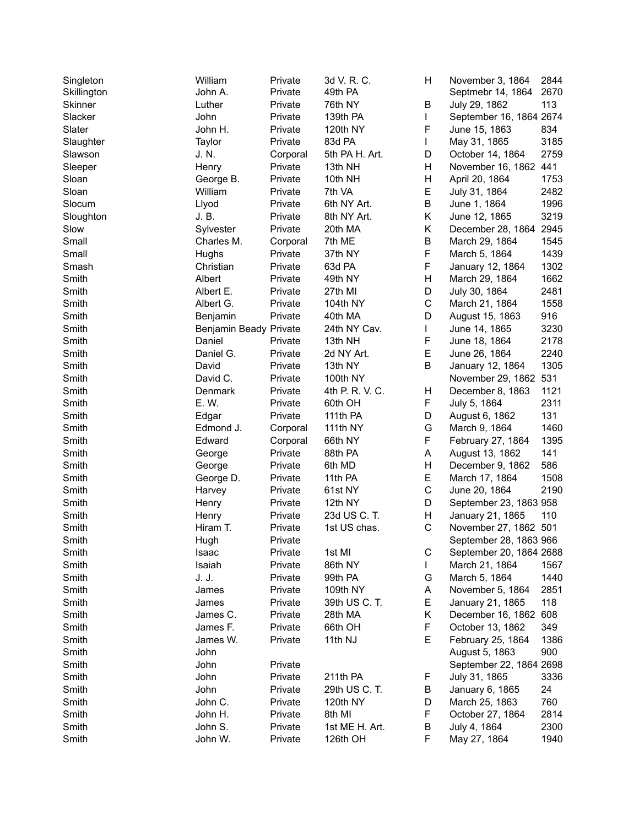| Singleton      | William<br>John A.     | Private  | 3d V. R. C.     | н | November 3, 1864        | 2844<br>2670 |
|----------------|------------------------|----------|-----------------|---|-------------------------|--------------|
| Skillington    |                        | Private  | 49th PA         |   | Septmebr 14, 1864       |              |
| Skinner        | Luther                 | Private  | 76th NY         | B | July 29, 1862           | 113          |
| Slacker        | John                   | Private  | 139th PA        | L | September 16, 1864 2674 |              |
| Slater         | John H.                | Private  | 120th NY        | F | June 15, 1863           | 834          |
| Slaughter      | Taylor                 | Private  | 83d PA          | L | May 31, 1865            | 3185         |
| Slawson        | J. N.                  | Corporal | 5th PA H. Art.  | D | October 14, 1864        | 2759         |
| Sleeper        | Henry                  | Private  | 13th NH         | Η | November 16, 1862 441   |              |
| Sloan          | George B.              | Private  | 10th NH         | Н | April 20, 1864          | 1753         |
| Sloan          | William                | Private  | 7th VA          | E | July 31, 1864           | 2482         |
| Slocum         | Llyod                  | Private  | 6th NY Art.     | B | June 1, 1864            | 1996         |
| Sloughton      | J. B.                  | Private  | 8th NY Art.     | Κ | June 12, 1865           | 3219         |
| Slow           | Sylvester              | Private  | 20th MA         | Κ | December 28, 1864 2945  |              |
| Small          | Charles M.             | Corporal | 7th ME          | B | March 29, 1864          | 1545         |
| Small          | Hughs                  | Private  | 37th NY         | F | March 5, 1864           | 1439         |
| Smash          | Christian              | Private  | 63d PA          | F | January 12, 1864        | 1302         |
| Smith          | Albert                 | Private  | 49th NY         | Η | March 29, 1864          | 1662         |
| Smith          | Albert E.              | Private  | 27th MI         | D | July 30, 1864           | 2481         |
| Smith          | Albert G.              | Private  | 104th NY        | C | March 21, 1864          | 1558         |
| Smith          | Benjamin               | Private  | 40th MA         | D | August 15, 1863         | 916          |
| Smith          | Benjamin Beady Private |          | 24th NY Cav.    | L | June 14, 1865           | 3230         |
| Smith          | Daniel                 | Private  | 13th NH         | F | June 18, 1864           | 2178         |
| Smith          | Daniel G.              | Private  | 2d NY Art.      | E | June 26, 1864           | 2240         |
| Smith          | David                  | Private  | 13th NY         | B | January 12, 1864        | 1305         |
| Smith          | David C.               | Private  | 100th NY        |   | November 29, 1862 531   |              |
| Smith          | Denmark                | Private  | 4th P. R. V. C. | Н | December 8, 1863        | 1121         |
| Smith          | E. W.                  | Private  | 60th OH         | F | July 5, 1864            | 2311         |
| Smith          | Edgar                  | Private  | 111th PA        | D | August 6, 1862          | 131          |
| Smith          | Edmond J.              | Corporal | 111th NY        | G | March 9, 1864           | 1460         |
| Smith          | Edward                 | Corporal | 66th NY         | F | February 27, 1864       | 1395         |
| Smith          | George                 | Private  | 88th PA         | A | August 13, 1862         | 141          |
| Smith          | George                 | Private  | 6th MD          | Η | December 9, 1862        | 586          |
| Smith          | George D.              | Private  | 11th PA         | E | March 17, 1864          | 1508         |
| Smith          | Harvey                 | Private  | 61st NY         | C | June 20, 1864           | 2190         |
| Smith          | Henry                  | Private  | 12th NY         | D | September 23, 1863 958  |              |
| Smith          | Henry                  | Private  | 23d US C. T.    | H | January 21, 1865        | 110          |
| Smith          | Hiram T.               | Private  | 1st US chas.    | C | November 27, 1862 501   |              |
| Smith          | Hugh                   | Private  |                 |   | September 28, 1863 966  |              |
| Smith          | Isaac                  | Private  | 1st MI          | С | September 20, 1864 2688 |              |
| Smith          | Isaiah                 | Private  | 86th NY         | L | March 21, 1864          | 1567         |
| Smith          | J. J.                  | Private  | 99th PA         | G | March 5, 1864           | 1440         |
| Smith          | James                  | Private  | 109th NY        | Α | November 5, 1864        | 2851         |
| Smith          | James                  | Private  | 39th US C. T.   | E | January 21, 1865        | 118          |
| Smith          | James C.               | Private  | 28th MA         | Κ | December 16, 1862 608   |              |
| Smith          | James F.               | Private  | 66th OH         | F | October 13, 1862        | 349          |
|                |                        |          | 11th NJ         | E | February 25, 1864       |              |
| Smith<br>Smith | James W.               | Private  |                 |   |                         | 1386<br>900  |
|                | John                   |          |                 |   | August 5, 1863          |              |
| Smith          | John                   | Private  |                 |   | September 22, 1864 2698 |              |
| Smith          | John                   | Private  | 211th PA        | F | July 31, 1865           | 3336         |
| Smith          | John                   | Private  | 29th US C. T.   | В | January 6, 1865         | 24           |
| Smith          | John C.                | Private  | 120th NY        | D | March 25, 1863          | 760          |
| Smith          | John H.                | Private  | 8th MI          | F | October 27, 1864        | 2814         |
| Smith          | John S.                | Private  | 1st ME H. Art.  | В | July 4, 1864            | 2300         |
| Smith          | John W.                | Private  | 126th OH        | F | May 27, 1864            | 1940         |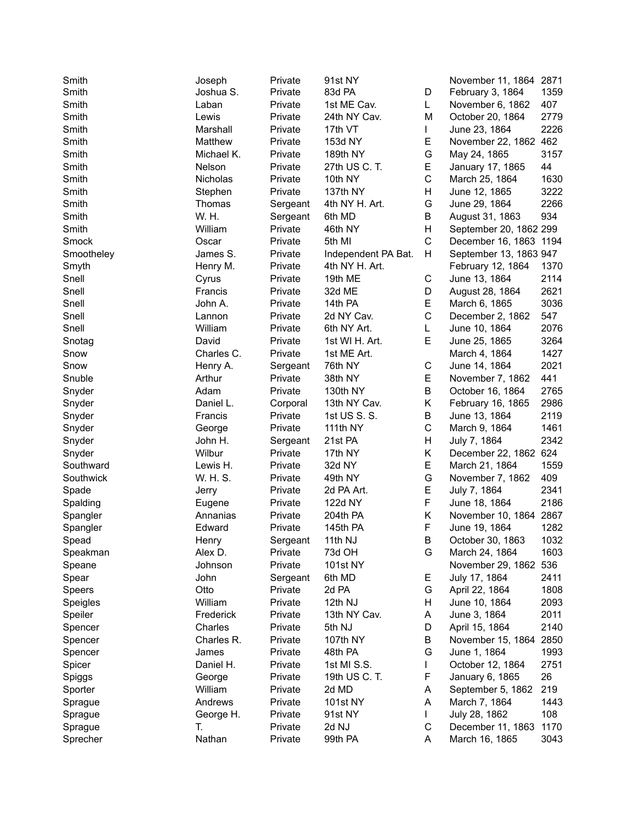| Smith      | Joseph            | Private  | 91st NY             |             | November 11, 1864 2871 |      |
|------------|-------------------|----------|---------------------|-------------|------------------------|------|
| Smith      | Joshua S.         | Private  | 83d PA              | D           | February 3, 1864       | 1359 |
| Smith      | Laban             | Private  | 1st ME Cav.         | L           | November 6, 1862       | 407  |
| Smith      | Lewis             | Private  | 24th NY Cav.        | М           | October 20, 1864       | 2779 |
| Smith      | Marshall          | Private  | 17th VT             | L           | June 23, 1864          | 2226 |
| Smith      | Matthew           | Private  | 153d NY             | Е           | November 22, 1862 462  |      |
| Smith      | Michael K.        | Private  | 189th NY            | G           | May 24, 1865           | 3157 |
| Smith      | Nelson            | Private  | 27th US C. T.       | E           | January 17, 1865       | 44   |
| Smith      | Nicholas          | Private  | 10th NY             | $\mathsf C$ | March 25, 1864         | 1630 |
| Smith      | Stephen           | Private  | 137th NY            | Н           | June 12, 1865          | 3222 |
| Smith      | Thomas            | Sergeant | 4th NY H. Art.      | G           | June 29, 1864          | 2266 |
| Smith      | W. H.             | Sergeant | 6th MD              | Β           | August 31, 1863        | 934  |
| Smith      | William           | Private  | 46th NY             | Η           | September 20, 1862 299 |      |
| Smock      | Oscar             | Private  | 5th MI              | $\mathsf C$ | December 16, 1863 1194 |      |
| Smootheley | James S.          | Private  |                     | Н           | September 13, 1863 947 |      |
|            |                   |          | Independent PA Bat. |             |                        | 1370 |
| Smyth      | Henry M.          | Private  | 4th NY H. Art.      |             | February 12, 1864      |      |
| Snell      | Cyrus             | Private  | 19th ME             | С           | June 13, 1864          | 2114 |
| Snell      | Francis           | Private  | 32d ME              | D           | August 28, 1864        | 2621 |
| Snell      | John A.           | Private  | 14th PA             | E           | March 6, 1865          | 3036 |
| Snell      | Lannon            | Private  | 2d NY Cav.          | C           | December 2, 1862       | 547  |
| Snell      | William           | Private  | 6th NY Art.         | L           | June 10, 1864          | 2076 |
| Snotag     | David             | Private  | 1st WI H. Art.      | E           | June 25, 1865          | 3264 |
| Snow       | Charles C.        | Private  | 1st ME Art.         |             | March 4, 1864          | 1427 |
| Snow       | Henry A.          | Sergeant | 76th NY             | C           | June 14, 1864          | 2021 |
| Snuble     | Arthur            | Private  | 38th NY             | Е           | November 7, 1862       | 441  |
| Snyder     | Adam              | Private  | 130th NY            | B           | October 16, 1864       | 2765 |
| Snyder     | Daniel L.         | Corporal | 13th NY Cav.        | Κ           | February 16, 1865      | 2986 |
| Snyder     | Francis           | Private  | 1st US S. S.        | B           | June 13, 1864          | 2119 |
| Snyder     | George            | Private  | 111th NY            | C           | March 9, 1864          | 1461 |
| Snyder     | John H.           | Sergeant | 21st PA             | Н           | July 7, 1864           | 2342 |
| Snyder     | Wilbur            | Private  | 17th NY             | Κ           | December 22, 1862 624  |      |
| Southward  | Lewis H.          | Private  | 32d NY              | E           | March 21, 1864         | 1559 |
| Southwick  | W. H. S.          | Private  | 49th NY             | G           | November 7, 1862       | 409  |
| Spade      | Jerry             | Private  | 2d PA Art.          | Е           | July 7, 1864           | 2341 |
| Spalding   | Eugene            | Private  | 122d NY             | F           | June 18, 1864          | 2186 |
| Spangler   | Annanias          | Private  | 204th PA            | Κ           | November 10, 1864      | 2867 |
| Spangler   | Edward            | Private  | 145th PA            | F           | June 19, 1864          | 1282 |
| Spead      | Henry             | Sergeant | 11th NJ             | B           | October 30, 1863       | 1032 |
| Speakman   | Alex D.           | Private  | 73d OH              | G           | March 24, 1864         | 1603 |
| Speane     | Johnson           | Private  | 101st NY            |             | November 29, 1862      | 536  |
| Spear      | John              | Sergeant | 6th MD              | Е           | July 17, 1864          | 2411 |
| Speers     | Otto              | Private  | 2d PA               | G           | April 22, 1864         | 1808 |
| Speigles   | William           | Private  | 12th NJ             | Н           | June 10, 1864          | 2093 |
| Speiler    | Frederick         | Private  | 13th NY Cav.        | Α           | June 3, 1864           | 2011 |
| Spencer    | Charles           | Private  | 5th NJ              | D           | April 15, 1864         | 2140 |
| Spencer    | Charles R.        | Private  | 107th NY            | В           | November 15, 1864      | 2850 |
| Spencer    | James             | Private  | 48th PA             | G           | June 1, 1864           | 1993 |
| Spicer     | Daniel H.         | Private  | 1st MI S.S.         |             | October 12, 1864       | 2751 |
|            |                   |          | 19th US C. T.       |             |                        | 26   |
| Spiggs     | George<br>William | Private  |                     | F           | January 6, 1865        | 219  |
| Sporter    |                   | Private  | 2d MD               | Α           | September 5, 1862      |      |
| Sprague    | Andrews           | Private  | 101st NY            | A           | March 7, 1864          | 1443 |
| Sprague    | George H.         | Private  | 91st NY             | L           | July 28, 1862          | 108  |
| Sprague    | Т.                | Private  | 2d NJ               | $\mathsf C$ | December 11, 1863      | 1170 |
| Sprecher   | Nathan            | Private  | 99th PA             | A           | March 16, 1865         | 3043 |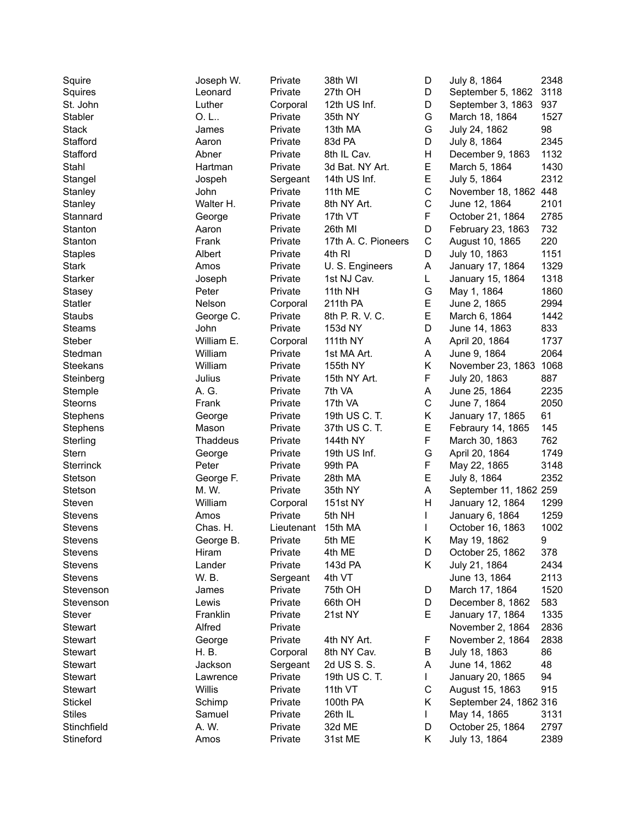| Squire          | Joseph W.  | Private    | 38th WI             | D      | July 8, 1864           | 2348 |
|-----------------|------------|------------|---------------------|--------|------------------------|------|
| Squires         | Leonard    | Private    | 27th OH             | D      | September 5, 1862      | 3118 |
| St. John        | Luther     | Corporal   | 12th US Inf.        | D      | September 3, 1863      | 937  |
| Stabler         | 0.L        | Private    | 35th NY             | G      | March 18, 1864         | 1527 |
| <b>Stack</b>    | James      | Private    | 13th MA             | G      | July 24, 1862          | 98   |
| Stafford        | Aaron      | Private    | 83d PA              | D      | July 8, 1864           | 2345 |
| Stafford        | Abner      | Private    | 8th IL Cav.         | Н      | December 9, 1863       | 1132 |
| Stahl           | Hartman    | Private    | 3d Bat. NY Art.     | E      | March 5, 1864          | 1430 |
| Stangel         | Jospeh     | Sergeant   | 14th US Inf.        | E      | July 5, 1864           | 2312 |
| Stanley         | John       | Private    | 11th ME             | C      | November 18, 1862 448  |      |
| Stanley         | Walter H.  | Private    | 8th NY Art.         | C      | June 12, 1864          | 2101 |
| Stannard        | George     | Private    | 17th VT             | F      | October 21, 1864       | 2785 |
| Stanton         | Aaron      | Private    | 26th MI             | D      | February 23, 1863      | 732  |
| Stanton         | Frank      | Private    | 17th A. C. Pioneers | C      | August 10, 1865        | 220  |
| <b>Staples</b>  | Albert     | Private    | 4th RI              | D      | July 10, 1863          | 1151 |
| <b>Stark</b>    | Amos       | Private    | U. S. Engineers     | А      | January 17, 1864       | 1329 |
| <b>Starker</b>  | Joseph     | Private    | 1st NJ Cav.         | L      | January 15, 1864       | 1318 |
| Stasey          | Peter      | Private    | 11th NH             | G      | May 1, 1864            | 1860 |
| <b>Statler</b>  | Nelson     | Corporal   | 211th PA            | E      | June 2, 1865           | 2994 |
| Staubs          | George C.  | Private    | 8th P. R. V. C.     | E      | March 6, 1864          | 1442 |
| <b>Steams</b>   | John       | Private    | 153d NY             | D      | June 14, 1863          | 833  |
| Steber          | William E. | Corporal   | 111th NY            | Α      | April 20, 1864         | 1737 |
|                 | William    |            |                     |        | June 9, 1864           |      |
| Stedman         | William    | Private    | 1st MA Art.         | А      |                        | 2064 |
| <b>Steekans</b> |            | Private    | 155th NY            | Κ<br>F | November 23, 1863      | 1068 |
| Steinberg       | Julius     | Private    | 15th NY Art.        |        | July 20, 1863          | 887  |
| Stemple         | A. G.      | Private    | 7th VA              | А      | June 25, 1864          | 2235 |
| Steorns         | Frank      | Private    | 17th VA             | C      | June 7, 1864           | 2050 |
| Stephens        | George     | Private    | 19th US C. T.       | Κ      | January 17, 1865       | 61   |
| Stephens        | Mason      | Private    | 37th US C. T.       | E      | Febraury 14, 1865      | 145  |
| Sterling        | Thaddeus   | Private    | 144th NY            | F      | March 30, 1863         | 762  |
| Stern           | George     | Private    | 19th US Inf.        | G      | April 20, 1864         | 1749 |
| Sterrinck       | Peter      | Private    | 99th PA             | F      | May 22, 1865           | 3148 |
| Stetson         | George F.  | Private    | 28th MA             | E      | July 8, 1864           | 2352 |
| Stetson         | M. W.      | Private    | 35th NY             | A      | September 11, 1862 259 |      |
| Steven          | William    | Corporal   | 151st NY            | Η      | January 12, 1864       | 1299 |
| Stevens         | Amos       | Private    | 5th NH              | L      | January 6, 1864        | 1259 |
| <b>Stevens</b>  | Chas. H.   | Lieutenant | 15th MA             | L      | October 16, 1863       | 1002 |
| Stevens         | George B.  | Private    | 5th ME              | Κ      | May 19, 1862           | 9    |
| Stevens         | Hiram      | Private    | 4th ME              | D      | October 25, 1862       | 378  |
| Stevens         | Lander     | Private    | 143d PA             | Κ      | July 21, 1864          | 2434 |
| <b>Stevens</b>  | W. B.      | Sergeant   | 4th VT              |        | June 13, 1864          | 2113 |
| Stevenson       | James      | Private    | 75th OH             | D      | March 17, 1864         | 1520 |
| Stevenson       | Lewis      | Private    | 66th OH             | D      | December 8, 1862       | 583  |
| Stever          | Franklin   | Private    | 21st NY             | E      | January 17, 1864       | 1335 |
| <b>Stewart</b>  | Alfred     | Private    |                     |        | November 2, 1864       | 2836 |
| Stewart         | George     | Private    | 4th NY Art.         | F      | November 2, 1864       | 2838 |
| <b>Stewart</b>  | H. B.      | Corporal   | 8th NY Cav.         | В      | July 18, 1863          | 86   |
| <b>Stewart</b>  | Jackson    | Sergeant   | 2d US S. S.         | Α      | June 14, 1862          | 48   |
| <b>Stewart</b>  | Lawrence   | Private    | 19th US C. T.       | L      | January 20, 1865       | 94   |
| <b>Stewart</b>  | Willis     | Private    | 11th VT             | C      | August 15, 1863        | 915  |
| <b>Stickel</b>  | Schimp     | Private    | 100th PA            | Κ      | September 24, 1862 316 |      |
| <b>Stiles</b>   | Samuel     | Private    | 26th IL             | L      | May 14, 1865           | 3131 |
| Stinchfield     | A. W.      | Private    | 32d ME              | D      | October 25, 1864       | 2797 |
| Stineford       | Amos       | Private    | 31st ME             | Κ      | July 13, 1864          | 2389 |
|                 |            |            |                     |        |                        |      |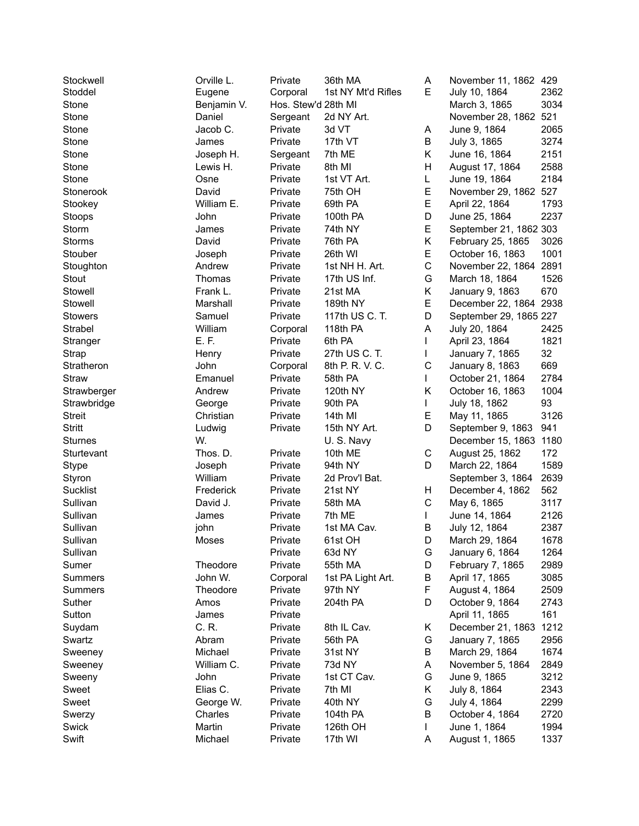| Stockwell       | Orville L.  | Private             | 36th MA            | А | November 11, 1862 429  |      |
|-----------------|-------------|---------------------|--------------------|---|------------------------|------|
| Stoddel         | Eugene      | Corporal            | 1st NY Mt'd Rifles | E | July 10, 1864          | 2362 |
| Stone           | Benjamin V. | Hos. Stew'd 28th MI |                    |   | March 3, 1865          | 3034 |
| Stone           | Daniel      | Sergeant            | 2d NY Art.         |   | November 28, 1862 521  |      |
| Stone           | Jacob C.    | Private             | 3d VT              | A | June 9, 1864           | 2065 |
| Stone           | James       | Private             | 17th VT            | В | July 3, 1865           | 3274 |
| Stone           | Joseph H.   | Sergeant            | 7th ME             | Κ | June 16, 1864          | 2151 |
| Stone           | Lewis H.    | Private             | 8th MI             | H | August 17, 1864        | 2588 |
| Stone           | Osne        | Private             | 1st VT Art.        | L | June 19, 1864          | 2184 |
| Stonerook       | David       | Private             | 75th OH            | E | November 29, 1862 527  |      |
| Stookey         | William E.  | Private             | 69th PA            | E | April 22, 1864         | 1793 |
| Stoops          | John        | Private             | 100th PA           | D | June 25, 1864          | 2237 |
| Storm           | James       | Private             | 74th NY            | E | September 21, 1862 303 |      |
| Storms          | David       | Private             | 76th PA            | Κ | February 25, 1865      | 3026 |
| Stouber         | Joseph      | Private             | 26th WI            | E | October 16, 1863       | 1001 |
| Stoughton       | Andrew      | Private             | 1st NH H. Art.     | C | November 22, 1864      | 2891 |
| Stout           | Thomas      | Private             | 17th US Inf.       | G | March 18, 1864         | 1526 |
| Stowell         | Frank L.    | Private             | 21st MA            | Κ | January 9, 1863        | 670  |
| Stowell         | Marshall    | Private             | 189th NY           | E | December 22, 1864 2938 |      |
| <b>Stowers</b>  | Samuel      | Private             | 117th US C. T.     | D | September 29, 1865 227 |      |
|                 | William     |                     |                    |   |                        |      |
| Strabel         | E.F.        | Corporal            | 118th PA           | Α | July 20, 1864          | 2425 |
| Stranger        |             | Private             | 6th PA             | L | April 23, 1864         | 1821 |
| Strap           | Henry       | Private             | 27th US C. T.      | L | January 7, 1865        | 32   |
| Stratheron      | John        | Corporal            | 8th P. R. V. C.    | C | January 8, 1863        | 669  |
| Straw           | Emanuel     | Private             | 58th PA            | L | October 21, 1864       | 2784 |
| Strawberger     | Andrew      | Private             | 120th NY           | Κ | October 16, 1863       | 1004 |
| Strawbridge     | George      | Private             | 90th PA            | L | July 18, 1862          | 93   |
| <b>Streit</b>   | Christian   | Private             | 14th MI            | Е | May 11, 1865           | 3126 |
| <b>Stritt</b>   | Ludwig      | Private             | 15th NY Art.       | D | September 9, 1863      | 941  |
| <b>Sturnes</b>  | W.          |                     | U.S. Navy          |   | December 15, 1863      | 1180 |
| Sturtevant      | Thos. D.    | Private             | 10th ME            | C | August 25, 1862        | 172  |
| Stype           | Joseph      | Private             | 94th NY            | D | March 22, 1864         | 1589 |
| Styron          | William     | Private             | 2d Prov'l Bat.     |   | September 3, 1864      | 2639 |
| <b>Sucklist</b> | Frederick   | Private             | 21st NY            | н | December 4, 1862       | 562  |
| Sullivan        | David J.    | Private             | 58th MA            | C | May 6, 1865            | 3117 |
| Sullivan        | James       | Private             | 7th ME             | L | June 14, 1864          | 2126 |
| Sullivan        | john        | Private             | 1st MA Cav.        | В | July 12, 1864          | 2387 |
| Sullivan        | Moses       | Private             | 61st OH            | D | March 29, 1864         | 1678 |
| Sullivan        |             | Private             | 63d NY             | G | January 6, 1864        | 1264 |
| Sumer           | Theodore    | Private             | 55th MA            | D | February 7, 1865       | 2989 |
| Summers         | John W.     | Corporal            | 1st PA Light Art.  | В | April 17, 1865         | 3085 |
| Summers         | Theodore    | Private             | 97th NY            | F | August 4, 1864         | 2509 |
| Suther          | Amos        | Private             | 204th PA           | D | October 9, 1864        | 2743 |
| Sutton          | James       | Private             |                    |   | April 11, 1865         | 161  |
| Suydam          | C. R.       | Private             | 8th IL Cav.        | Κ | December 21, 1863      | 1212 |
| Swartz          | Abram       | Private             | 56th PA            | G | January 7, 1865        | 2956 |
| Sweeney         | Michael     | Private             | 31st NY            | В | March 29, 1864         | 1674 |
| Sweeney         | William C.  | Private             | 73d NY             | Α | November 5, 1864       | 2849 |
| Sweeny          | John        | Private             | 1st CT Cav.        | G | June 9, 1865           | 3212 |
| Sweet           | Elias C.    | Private             | 7th MI             | Κ | July 8, 1864           | 2343 |
| Sweet           | George W.   | Private             | 40th NY            | G | July 4, 1864           | 2299 |
| Swerzy          | Charles     | Private             | 104th PA           | В | October 4, 1864        | 2720 |
| Swick           | Martin      | Private             | 126th OH           | L | June 1, 1864           | 1994 |
| Swift           | Michael     | Private             | 17th WI            | A | August 1, 1865         | 1337 |
|                 |             |                     |                    |   |                        |      |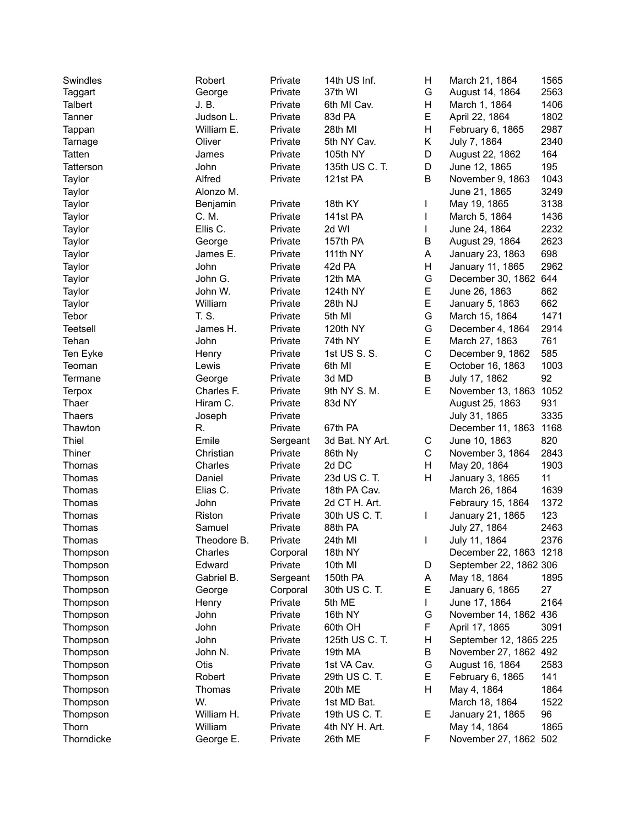| Swindles      | Robert      | Private  | 14th US Inf.    | Н           | March 21, 1864         | 1565 |
|---------------|-------------|----------|-----------------|-------------|------------------------|------|
| Taggart       | George      | Private  | 37th WI         | G           | August 14, 1864        | 2563 |
| Talbert       | J. B.       | Private  | 6th MI Cav.     | Н           | March 1, 1864          | 1406 |
| Tanner        | Judson L.   | Private  | 83d PA          | E           | April 22, 1864         | 1802 |
| Tappan        | William E.  | Private  | 28th MI         | Н           | February 6, 1865       | 2987 |
| Tarnage       | Oliver      | Private  | 5th NY Cav.     | Κ           | July 7, 1864           | 2340 |
| Tatten        | James       | Private  | 105th NY        | D           | August 22, 1862        | 164  |
| Tatterson     | John        | Private  | 135th US C. T.  | D           | June 12, 1865          | 195  |
| Taylor        | Alfred      | Private  | 121st PA        | B           | November 9, 1863       | 1043 |
| Taylor        | Alonzo M.   |          |                 |             | June 21, 1865          | 3249 |
| Taylor        | Benjamin    | Private  | 18th KY         |             | May 19, 1865           | 3138 |
| Taylor        | C. M.       | Private  | 141st PA        |             | March 5, 1864          | 1436 |
| Taylor        | Ellis C.    | Private  | 2d WI           |             | June 24, 1864          | 2232 |
| Taylor        | George      | Private  | 157th PA        | B           | August 29, 1864        | 2623 |
| Taylor        | James E.    | Private  | 111th NY        | Α           | January 23, 1863       | 698  |
| Taylor        | John        | Private  | 42d PA          | Н           | January 11, 1865       | 2962 |
| Taylor        | John G.     | Private  | 12th MA         | G           | December 30, 1862 644  |      |
| Taylor        | John W.     | Private  | 124th NY        | E           | June 26, 1863          | 862  |
| Taylor        | William     | Private  | 28th NJ         | E           | January 5, 1863        | 662  |
| Tebor         | T. S.       | Private  | 5th MI          | G           | March 15, 1864         | 1471 |
| Teetsell      | James H.    | Private  | 120th NY        | G           | December 4, 1864       | 2914 |
| Tehan         | John        | Private  | 74th NY         | E           | March 27, 1863         | 761  |
| Ten Eyke      | Henry       | Private  | 1st US S. S.    | $\mathbf C$ | December 9, 1862       | 585  |
| Teoman        | Lewis       | Private  | 6th MI          | E           | October 16, 1863       | 1003 |
| Termane       | George      | Private  | 3d MD           | B           | July 17, 1862          | 92   |
| <b>Terpox</b> | Charles F.  | Private  | 9th NY S.M.     | E           | November 13, 1863      | 1052 |
| Thaer         | Hiram C.    | Private  | 83d NY          |             | August 25, 1863        | 931  |
| <b>Thaers</b> | Joseph      | Private  |                 |             | July 31, 1865          | 3335 |
| Thawton       | R.          | Private  | 67th PA         |             | December 11, 1863      | 1168 |
| Thiel         | Emile       | Sergeant | 3d Bat. NY Art. | С           | June 10, 1863          | 820  |
| Thiner        | Christian   | Private  | 86th Ny         | C           | November 3, 1864       | 2843 |
| Thomas        | Charles     | Private  | 2d DC           | H           | May 20, 1864           | 1903 |
| Thomas        | Daniel      | Private  | 23d US C. T.    | H           | January 3, 1865        | 11   |
| Thomas        | Elias C.    | Private  | 18th PA Cav.    |             | March 26, 1864         | 1639 |
| Thomas        | John        | Private  | 2d CT H. Art.   |             | Febraury 15, 1864      | 1372 |
| Thomas        | Riston      | Private  | 30th US C. T.   | L           | January 21, 1865       | 123  |
| Thomas        | Samuel      | Private  | 88th PA         |             | July 27, 1864          | 2463 |
|               |             | Private  |                 |             |                        | 2376 |
| Thomas        | Theodore B. |          | 24th MI         |             | July 11, 1864          |      |
| Thompson      | Charles     | Corporal | 18th NY         |             | December 22, 1863 1218 |      |
| Thompson      | Edward      | Private  | 10th MI         | D           | September 22, 1862 306 |      |
| Thompson      | Gabriel B.  | Sergeant | 150th PA        | A           | May 18, 1864           | 1895 |
| Thompson      | George      | Corporal | 30th US C. T.   | Е           | January 6, 1865        | 27   |
| Thompson      | Henry       | Private  | 5th ME          | L           | June 17, 1864          | 2164 |
| Thompson      | John        | Private  | 16th NY         | G           | November 14, 1862 436  |      |
| Thompson      | John        | Private  | 60th OH         | F           | April 17, 1865         | 3091 |
| Thompson      | John        | Private  | 125th US C. T.  | Н           | September 12, 1865 225 |      |
| Thompson      | John N.     | Private  | 19th MA         | В           | November 27, 1862 492  |      |
| Thompson      | Otis        | Private  | 1st VA Cav.     | G           | August 16, 1864        | 2583 |
| Thompson      | Robert      | Private  | 29th US C. T.   | Е           | February 6, 1865       | 141  |
| Thompson      | Thomas      | Private  | 20th ME         | н           | May 4, 1864            | 1864 |
| Thompson      | W.          | Private  | 1st MD Bat.     |             | March 18, 1864         | 1522 |
| Thompson      | William H.  | Private  | 19th US C. T.   | E           | January 21, 1865       | 96   |
| Thorn         | William     | Private  | 4th NY H. Art.  |             | May 14, 1864           | 1865 |
| Thorndicke    | George E.   | Private  | 26th ME         | F           | November 27, 1862 502  |      |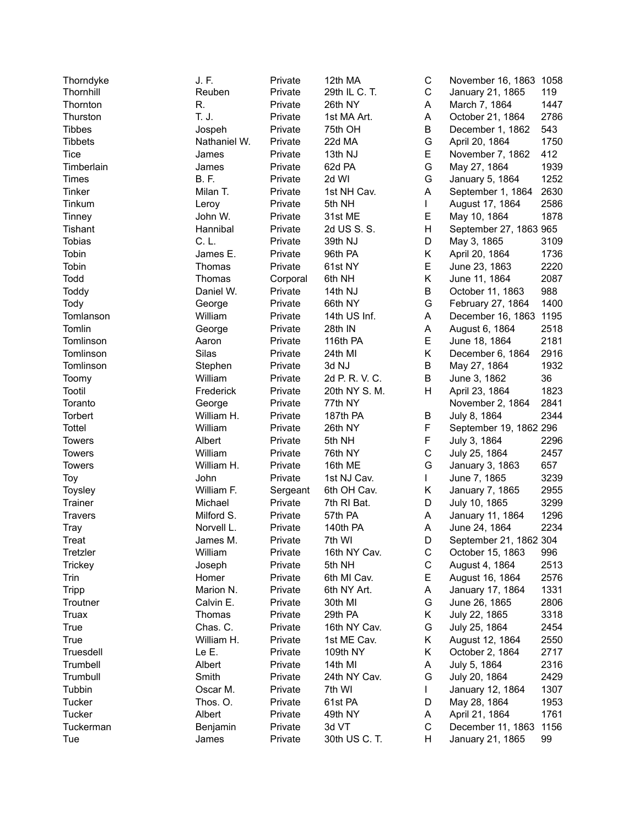| Thorndyke      | J. F.        | Private  | 12th MA          | C           | November 16, 1863 1058 |      |
|----------------|--------------|----------|------------------|-------------|------------------------|------|
| Thornhill      | Reuben       | Private  | 29th IL C. T.    | C           | January 21, 1865       | 119  |
| Thornton       | R.           | Private  | 26th NY          | A           | March 7, 1864          | 1447 |
| Thurston       | T. J.        | Private  | 1st MA Art.      | A           | October 21, 1864       | 2786 |
| <b>Tibbes</b>  | Jospeh       | Private  | 75th OH          | B           | December 1, 1862       | 543  |
| Tibbets        | Nathaniel W. | Private  | 22d MA           | G           | April 20, 1864         | 1750 |
| Tice           | James        | Private  | 13th NJ          | E           | November 7, 1862       | 412  |
| Timberlain     | James        | Private  | 62d PA           | G           | May 27, 1864           | 1939 |
| Times          | <b>B.F.</b>  | Private  | 2d WI            | G           | January 5, 1864        | 1252 |
| Tinker         | Milan T.     | Private  | 1st NH Cav.      | A           | September 1, 1864      | 2630 |
| Tinkum         | Leroy        | Private  | 5th NH           | L           | August 17, 1864        | 2586 |
| Tinney         | John W.      | Private  | 31st ME          | Е           | May 10, 1864           | 1878 |
| Tishant        | Hannibal     | Private  | 2d US S. S.      | Η           | September 27, 1863 965 |      |
| <b>Tobias</b>  | C. L.        | Private  | 39th NJ          | D           | May 3, 1865            | 3109 |
| Tobin          | James E.     | Private  | 96th PA          | Κ           | April 20, 1864         | 1736 |
| Tobin          | Thomas       | Private  | 61st NY          | E           | June 23, 1863          | 2220 |
| Todd           | Thomas       | Corporal | 6th NH           | Κ           | June 11, 1864          | 2087 |
| Toddy          | Daniel W.    | Private  | 14th NJ          | B           | October 11, 1863       | 988  |
| Tody           | George       | Private  | 66th NY          | G           | February 27, 1864      | 1400 |
| Tomlanson      | William      | Private  | 14th US Inf.     | A           | December 16, 1863      | 1195 |
| Tomlin         | George       | Private  | 28th IN          | A           | August 6, 1864         | 2518 |
| Tomlinson      | Aaron        | Private  | 116th PA         | E           | June 18, 1864          | 2181 |
|                | Silas        | Private  |                  | Κ           |                        | 2916 |
| Tomlinson      |              | Private  | 24th MI<br>3d NJ | B           | December 6, 1864       | 1932 |
| Tomlinson      | Stephen      |          |                  | B           | May 27, 1864           | 36   |
| Toomy          | William      | Private  | 2d P. R. V. C.   |             | June 3, 1862           |      |
| Tootil         | Frederick    | Private  | 20th NY S. M.    | Η           | April 23, 1864         | 1823 |
| Toranto        | George       | Private  | 77th NY          |             | November 2, 1864       | 2841 |
| Torbert        | William H.   | Private  | 187th PA         | В           | July 8, 1864           | 2344 |
| <b>Tottel</b>  | William      | Private  | 26th NY          | F           | September 19, 1862 296 |      |
| <b>Towers</b>  | Albert       | Private  | 5th NH           | F           | July 3, 1864           | 2296 |
| <b>Towers</b>  | William      | Private  | 76th NY          | C           | July 25, 1864          | 2457 |
| Towers         | William H.   | Private  | 16th ME          | G           | January 3, 1863        | 657  |
| Toy            | John         | Private  | 1st NJ Cav.      | L           | June 7, 1865           | 3239 |
| Toysley        | William F.   | Sergeant | 6th OH Cav.      | Κ           | January 7, 1865        | 2955 |
| Trainer        | Michael      | Private  | 7th RI Bat.      | D           | July 10, 1865          | 3299 |
| <b>Travers</b> | Milford S.   | Private  | 57th PA          | Α           | January 11, 1864       | 1296 |
| <b>Tray</b>    | Norvell L.   | Private  | 140th PA         | Α           | June 24, 1864          | 2234 |
| Treat          | James M.     | Private  | 7th WI           | D.          | September 21, 1862 304 |      |
| Tretzler       | William      | Private  | 16th NY Cav.     | C           | October 15, 1863       | 996  |
| <b>Trickey</b> | Joseph       | Private  | 5th NH           | $\mathsf C$ | August 4, 1864         | 2513 |
| Trin           | Homer        | Private  | 6th MI Cav.      | Е           | August 16, 1864        | 2576 |
| <b>Tripp</b>   | Marion N.    | Private  | 6th NY Art.      | A           | January 17, 1864       | 1331 |
| Troutner       | Calvin E.    | Private  | 30th MI          | G           | June 26, 1865          | 2806 |
| <b>Truax</b>   | Thomas       | Private  | 29th PA          | Κ           | July 22, 1865          | 3318 |
| True           | Chas. C.     | Private  | 16th NY Cav.     | G           | July 25, 1864          | 2454 |
| True           | William H.   | Private  | 1st ME Cav.      | Κ           | August 12, 1864        | 2550 |
| Truesdell      | Le E.        | Private  | 109th NY         | Κ           | October 2, 1864        | 2717 |
| Trumbell       | Albert       | Private  | 14th MI          | Α           | July 5, 1864           | 2316 |
| Trumbull       | Smith        | Private  | 24th NY Cav.     | G           | July 20, 1864          | 2429 |
| Tubbin         | Oscar M.     | Private  | 7th WI           |             | January 12, 1864       | 1307 |
| Tucker         | Thos. O.     | Private  | 61st PA          | D           | May 28, 1864           | 1953 |
| <b>Tucker</b>  | Albert       | Private  | 49th NY          | A           | April 21, 1864         | 1761 |
| Tuckerman      | Benjamin     | Private  | 3d VT            | C           | December 11, 1863      | 1156 |
| Tue            | James        | Private  | 30th US C. T.    | Н           | January 21, 1865       | 99   |
|                |              |          |                  |             |                        |      |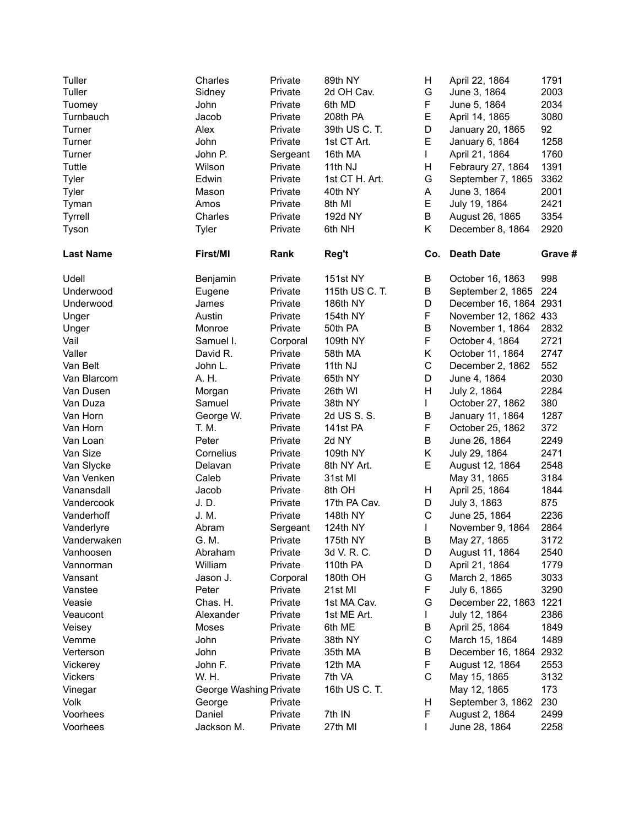| Tuller           | Charles                | Private  | 89th NY         | н            | April 22, 1864         | 1791    |
|------------------|------------------------|----------|-----------------|--------------|------------------------|---------|
| Tuller           | Sidney                 | Private  | 2d OH Cav.      | G            | June 3, 1864           | 2003    |
| Tuomey           | John                   | Private  | 6th MD          | F            | June 5, 1864           | 2034    |
| Turnbauch        | Jacob                  | Private  | 208th PA        | E            | April 14, 1865         | 3080    |
| Turner           | Alex                   | Private  | 39th US C. T.   | D            | January 20, 1865       | 92      |
| Turner           | John                   | Private  | 1st CT Art.     | E            | January 6, 1864        | 1258    |
| Turner           | John P.                | Sergeant | 16th MA         | $\mathbf{L}$ | April 21, 1864         | 1760    |
| Tuttle           | Wilson                 | Private  | 11th NJ         | н            | Febraury 27, 1864      | 1391    |
| Tyler            | Edwin                  | Private  | 1st CT H. Art.  | G            | September 7, 1865      | 3362    |
| Tyler            | Mason                  | Private  | 40th NY         | A            | June 3, 1864           | 2001    |
| Tyman            | Amos                   | Private  | 8th MI          | E            | July 19, 1864          | 2421    |
| <b>Tyrrell</b>   | Charles                | Private  | 192d NY         | B            | August 26, 1865        | 3354    |
| Tyson            | Tyler                  | Private  | 6th NH          | Κ            | December 8, 1864       | 2920    |
|                  |                        |          |                 |              |                        |         |
| <b>Last Name</b> | First/MI               | Rank     | Reg't           |              | Co. Death Date         | Grave # |
| Udell            | Benjamin               | Private  | <b>151st NY</b> | B            | October 16, 1863       | 998     |
| Underwood        | Eugene                 | Private  | 115th US C. T.  | В            | September 2, 1865      | 224     |
| Underwood        | James                  | Private  | 186th NY        | D            | December 16, 1864 2931 |         |
| Unger            | Austin                 | Private  | 154th NY        | F            | November 12, 1862 433  |         |
| Unger            | Monroe                 | Private  | 50th PA         | B            | November 1, 1864       | 2832    |
| Vail             | Samuel I.              | Corporal | 109th NY        | $\mathsf F$  | October 4, 1864        | 2721    |
| Valler           | David R.               | Private  | 58th MA         | K            | October 11, 1864       | 2747    |
| Van Belt         | John L.                | Private  | 11th NJ         | $\mathsf C$  | December 2, 1862       | 552     |
| Van Blarcom      | A. H.                  | Private  | 65th NY         | D            | June 4, 1864           | 2030    |
| Van Dusen        | Morgan                 | Private  | 26th WI         | H            | July 2, 1864           | 2284    |
| Van Duza         | Samuel                 | Private  | 38th NY         | L            | October 27, 1862       | 380     |
| Van Horn         | George W.              | Private  | 2d US S. S.     | В            | January 11, 1864       | 1287    |
| Van Horn         | T. M.                  | Private  | 141st PA        | F            | October 25, 1862       | 372     |
| Van Loan         | Peter                  | Private  | 2d NY           | B            | June 26, 1864          | 2249    |
| Van Size         | Cornelius              | Private  | 109th NY        | Κ            | July 29, 1864          | 2471    |
| Van Slycke       | Delavan                | Private  | 8th NY Art.     | E            | August 12, 1864        | 2548    |
| Van Venken       | Caleb                  | Private  | 31st MI         |              | May 31, 1865           | 3184    |
| Vanansdall       | Jacob                  | Private  | 8th OH          | Н            | April 25, 1864         | 1844    |
| Vandercook       | J.D.                   | Private  | 17th PA Cav.    | D            | July 3, 1863           | 875     |
| Vanderhoff       | J. M.                  | Private  | 148th NY        | $\mathsf C$  | June 25, 1864          | 2236    |
| Vanderlyre       | Abram                  | Sergeant | 124th NY        | L            | November 9, 1864       | 2864    |
| Vanderwaken      | G. M.                  | Private  | 175th NY        | В            | May 27, 1865           | 3172    |
| Vanhoosen        | Abraham                | Private  | 3d V. R. C.     | D            | August 11, 1864        | 2540    |
| Vannorman        | William                | Private  | 110th PA        | D            | April 21, 1864         | 1779    |
| Vansant          | Jason J.               | Corporal | 180th OH        | G            | March 2, 1865          | 3033    |
| Vanstee          | Peter                  | Private  | 21st MI         | F            | July 6, 1865           | 3290    |
| Veasie           | Chas. H.               | Private  | 1st MA Cav.     | G            | December 22, 1863 1221 |         |
| Veaucont         | Alexander              | Private  | 1st ME Art.     | L            | July 12, 1864          | 2386    |
| Veisey           | Moses                  | Private  | 6th ME          | В            | April 25, 1864         | 1849    |
| Vemme            | John                   | Private  | 38th NY         | C            | March 15, 1864         | 1489    |
| Verterson        | John                   | Private  | 35th MA         | В            | December 16, 1864      | 2932    |
| Vickerey         | John F.                | Private  | 12th MA         | F            | August 12, 1864        | 2553    |
| <b>Vickers</b>   | W. H.                  | Private  | 7th VA          | $\mathsf C$  | May 15, 1865           | 3132    |
| Vinegar          | George Washing Private |          | 16th US C. T.   |              | May 12, 1865           | 173     |
| <b>Volk</b>      | George                 | Private  |                 | Н            | September 3, 1862      | 230     |
| Voorhees         | Daniel                 | Private  | 7th IN          | F.           | August 2, 1864         | 2499    |
| Voorhees         | Jackson M.             | Private  | 27th MI         | $\mathbf{I}$ | June 28, 1864          | 2258    |
|                  |                        |          |                 |              |                        |         |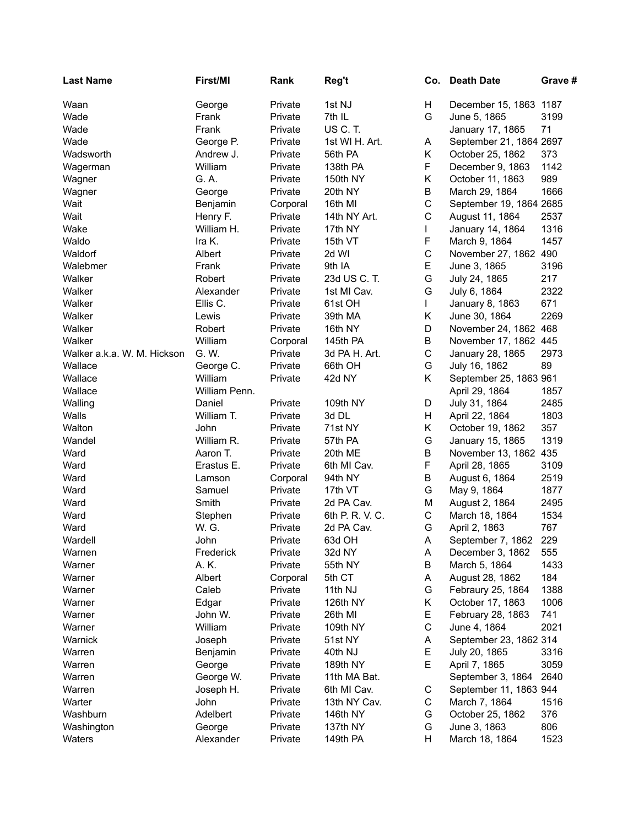| <b>Last Name</b>            | First/MI      | Rank     | Reg't           |              | Co. Death Date          | Grave # |
|-----------------------------|---------------|----------|-----------------|--------------|-------------------------|---------|
| Waan                        | George        | Private  | 1st NJ          | H            | December 15, 1863 1187  |         |
| Wade                        | Frank         | Private  | 7th IL          | G            | June 5, 1865            | 3199    |
| Wade                        | Frank         | Private  | US C.T.         |              | January 17, 1865        | 71      |
| Wade                        | George P.     | Private  | 1st WI H. Art.  | A            | September 21, 1864 2697 |         |
| Wadsworth                   | Andrew J.     | Private  | 56th PA         | Κ            | October 25, 1862        | 373     |
| Wagerman                    | William       | Private  | 138th PA        | F            | December 9, 1863        | 1142    |
| Wagner                      | G. A.         | Private  | 150th NY        | Κ            | October 11, 1863        | 989     |
| Wagner                      | George        | Private  | 20th NY         | B            | March 29, 1864          | 1666    |
| Wait                        | Benjamin      | Corporal | 16th MI         | $\mathsf C$  | September 19, 1864 2685 |         |
| Wait                        | Henry F.      | Private  | 14th NY Art.    | $\mathbf C$  | August 11, 1864         | 2537    |
| Wake                        | William H.    | Private  | 17th NY         | $\mathbf{L}$ | January 14, 1864        | 1316    |
| Waldo                       | Ira K.        | Private  | 15th VT         | F            | March 9, 1864           | 1457    |
| Waldorf                     | Albert        | Private  | 2d WI           | $\mathsf C$  | November 27, 1862 490   |         |
|                             |               |          |                 | E            | June 3, 1865            | 3196    |
| Walebmer                    | Frank         | Private  | 9th IA          |              |                         |         |
| Walker                      | Robert        | Private  | 23d US C. T.    | G            | July 24, 1865           | 217     |
| Walker                      | Alexander     | Private  | 1st MI Cav.     | G            | July 6, 1864            | 2322    |
| Walker                      | Ellis C.      | Private  | 61st OH         | $\mathbf{L}$ | January 8, 1863         | 671     |
| Walker                      | Lewis         | Private  | 39th MA         | Κ            | June 30, 1864           | 2269    |
| Walker                      | Robert        | Private  | 16th NY         | D            | November 24, 1862 468   |         |
| Walker                      | William       | Corporal | 145th PA        | B            | November 17, 1862 445   |         |
| Walker a.k.a. W. M. Hickson | G. W.         | Private  | 3d PA H. Art.   | $\mathsf C$  | January 28, 1865        | 2973    |
| Wallace                     | George C.     | Private  | 66th OH         | G            | July 16, 1862           | 89      |
| Wallace                     | William       | Private  | 42d NY          | K            | September 25, 1863 961  |         |
| Wallace                     | William Penn. |          |                 |              | April 29, 1864          | 1857    |
| Walling                     | Daniel        | Private  | 109th NY        | D            | July 31, 1864           | 2485    |
| Walls                       | William T.    | Private  | 3d DL           | H            | April 22, 1864          | 1803    |
| Walton                      | John          | Private  | 71st NY         | K            | October 19, 1862        | 357     |
| Wandel                      | William R.    | Private  | 57th PA         | G            | January 15, 1865        | 1319    |
| Ward                        | Aaron T.      | Private  | 20th ME         | B            | November 13, 1862 435   |         |
| Ward                        | Erastus E.    | Private  | 6th MI Cav.     | F            | April 28, 1865          | 3109    |
| Ward                        | Lamson        | Corporal | 94th NY         | B            | August 6, 1864          | 2519    |
| Ward                        | Samuel        | Private  | 17th VT         | G            | May 9, 1864             | 1877    |
| Ward                        | Smith         | Private  | 2d PA Cav.      | M            | August 2, 1864          | 2495    |
| Ward                        | Stephen       | Private  | 6th P. R. V. C. | $\mathsf C$  | March 18, 1864          | 1534    |
| Ward                        | W. G.         | Private  | 2d PA Cav.      | G            | April 2, 1863           | 767     |
| Wardell                     | John          | Private  | 63d OH          | A            | September 7, 1862       | 229     |
| Warnen                      | Frederick     | Private  | 32d NY          | A            | December 3, 1862        | 555     |
| Warner                      | A. K.         | Private  | 55th NY         | В            | March 5, 1864           | 1433    |
| Warner                      | Albert        | Corporal | 5th CT          | A            | August 28, 1862         | 184     |
| Warner                      | Caleb         | Private  | 11th NJ         | G            | Febraury 25, 1864       | 1388    |
| Warner                      | Edgar         | Private  | 126th NY        | Κ            | October 17, 1863        | 1006    |
| Warner                      | John W.       | Private  | 26th MI         | Е            | February 28, 1863       | 741     |
| Warner                      | William       | Private  | 109th NY        | $\mathbf C$  | June 4, 1864            | 2021    |
| Warnick                     | Joseph        | Private  | 51st NY         | A            | September 23, 1862 314  |         |
| Warren                      | Benjamin      | Private  | 40th NJ         | Е            | July 20, 1865           | 3316    |
| Warren                      | George        | Private  | 189th NY        | E            | April 7, 1865           | 3059    |
| Warren                      | George W.     | Private  | 11th MA Bat.    |              | September 3, 1864       | 2640    |
| Warren                      | Joseph H.     | Private  | 6th MI Cav.     | C            | September 11, 1863 944  |         |
| Warter                      | John          | Private  | 13th NY Cav.    | C            | March 7, 1864           | 1516    |
| Washburn                    | Adelbert      | Private  | 146th NY        | G            | October 25, 1862        | 376     |
| Washington                  | George        | Private  | 137th NY        | G            | June 3, 1863            | 806     |
| Waters                      |               | Private  | 149th PA        | H            |                         | 1523    |
|                             | Alexander     |          |                 |              | March 18, 1864          |         |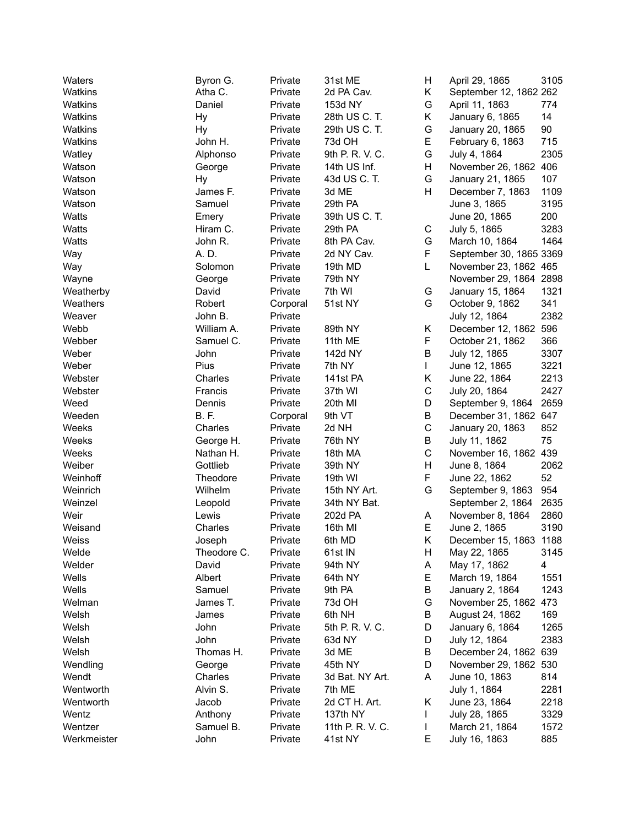| Waters      | Byron G.    | Private  | 31st ME          | H           | April 29, 1865          | 3105         |
|-------------|-------------|----------|------------------|-------------|-------------------------|--------------|
| Watkins     | Atha C.     | Private  | 2d PA Cav.       | Κ           | September 12, 1862 262  |              |
| Watkins     | Daniel      | Private  | 153d NY          | G           | April 11, 1863          | 774          |
| Watkins     | Hy          | Private  | 28th US C. T.    | Κ           | January 6, 1865         | 14           |
| Watkins     | Hy          | Private  | 29th US C. T.    | G           | January 20, 1865        | 90           |
| Watkins     | John H.     | Private  | 73d OH           | Е           | February 6, 1863        | 715          |
| Watley      | Alphonso    | Private  | 9th P. R. V. C.  | G           | July 4, 1864            | 2305         |
| Watson      | George      | Private  | 14th US Inf.     | Н           | November 26, 1862 406   |              |
| Watson      | Hy          | Private  | 43d US C. T.     | G           | January 21, 1865        | 107          |
| Watson      | James F.    | Private  | 3d ME            | Н           | December 7, 1863        | 1109         |
| Watson      | Samuel      | Private  | 29th PA          |             | June 3, 1865            | 3195         |
| Watts       | Emery       | Private  | 39th US C. T.    |             | June 20, 1865           | 200          |
| Watts       | Hiram C.    | Private  | 29th PA          | C           | July 5, 1865            | 3283         |
| Watts       | John R.     | Private  | 8th PA Cav.      | G           | March 10, 1864          | 1464         |
| Way         | A. D.       | Private  | 2d NY Cav.       | F           | September 30, 1865 3369 |              |
| Way         | Solomon     | Private  | 19th MD          | L           | November 23, 1862 465   |              |
| Wayne       | George      | Private  | 79th NY          |             | November 29, 1864 2898  |              |
| Weatherby   | David       | Private  | 7th WI           | G           | January 15, 1864        | 1321         |
| Weathers    | Robert      | Corporal | 51st NY          | G           | October 9, 1862         | 341          |
| Weaver      | John B.     | Private  |                  |             | July 12, 1864           | 2382         |
| Webb        | William A.  | Private  | 89th NY          | Κ           | December 12, 1862 596   |              |
| Webber      | Samuel C.   | Private  | 11th ME          | F           | October 21, 1862        | 366          |
| Weber       | John        | Private  |                  | B           |                         |              |
|             | Pius        |          | 142d NY          |             | July 12, 1865           | 3307<br>3221 |
| Weber       |             | Private  | 7th NY           | L           | June 12, 1865           |              |
| Webster     | Charles     | Private  | 141st PA         | Κ           | June 22, 1864           | 2213         |
| Webster     | Francis     | Private  | 37th WI          | C           | July 20, 1864           | 2427         |
| Weed        | Dennis      | Private  | 20th MI          | D           | September 9, 1864       | 2659         |
| Weeden      | B. F.       | Corporal | 9th VT           | B           | December 31, 1862 647   |              |
| Weeks       | Charles     | Private  | 2d NH            | C           | January 20, 1863        | 852          |
| Weeks       | George H.   | Private  | 76th NY          | B           | July 11, 1862           | 75           |
| Weeks       | Nathan H.   | Private  | 18th MA          | $\mathsf C$ | November 16, 1862 439   |              |
| Weiber      | Gottlieb    | Private  | 39th NY          | Н           | June 8, 1864            | 2062         |
| Weinhoff    | Theodore    | Private  | 19th WI          | F           | June 22, 1862           | 52           |
| Weinrich    | Wilhelm     | Private  | 15th NY Art.     | G           | September 9, 1863       | 954          |
| Weinzel     | Leopold     | Private  | 34th NY Bat.     |             | September 2, 1864       | 2635         |
| Weir        | Lewis       | Private  | 202d PA          | A           | November 8, 1864        | 2860         |
| Weisand     | Charles     | Private  | 16th MI          | Е           | June 2, 1865            | 3190         |
| Weiss       | Joseph      | Private  | 6th MD           | Κ           | December 15, 1863 1188  |              |
| Welde       | Theodore C. | Private  | 61st IN          | H           | May 22, 1865            | 3145         |
| Welder      | David       | Private  | 94th NY          | Α           | May 17, 1862            | 4            |
| Wells       | Albert      | Private  | 64th NY          | Е           | March 19, 1864          | 1551         |
| Wells       | Samuel      | Private  | 9th PA           | В           | January 2, 1864         | 1243         |
| Welman      | James T.    | Private  | 73d OH           | G           | November 25, 1862       | 473          |
| Welsh       | James       | Private  | 6th NH           | В           | August 24, 1862         | 169          |
| Welsh       | John        | Private  | 5th P. R. V. C.  | D           | January 6, 1864         | 1265         |
| Welsh       | John        | Private  | 63d NY           | D           | July 12, 1864           | 2383         |
| Welsh       | Thomas H.   | Private  | 3d ME            | В           | December 24, 1862 639   |              |
| Wendling    | George      | Private  | 45th NY          | D           | November 29, 1862 530   |              |
| Wendt       | Charles     | Private  | 3d Bat. NY Art.  | A           | June 10, 1863           | 814          |
| Wentworth   | Alvin S.    | Private  | 7th ME           |             | July 1, 1864            | 2281         |
| Wentworth   | Jacob       | Private  | 2d CT H. Art.    | Κ           | June 23, 1864           | 2218         |
| Wentz       | Anthony     | Private  | 137th NY         |             | July 28, 1865           | 3329         |
| Wentzer     | Samuel B.   | Private  | 11th P. R. V. C. | L           | March 21, 1864          | 1572         |
| Werkmeister | John        | Private  | 41st NY          | Е           | July 16, 1863           | 885          |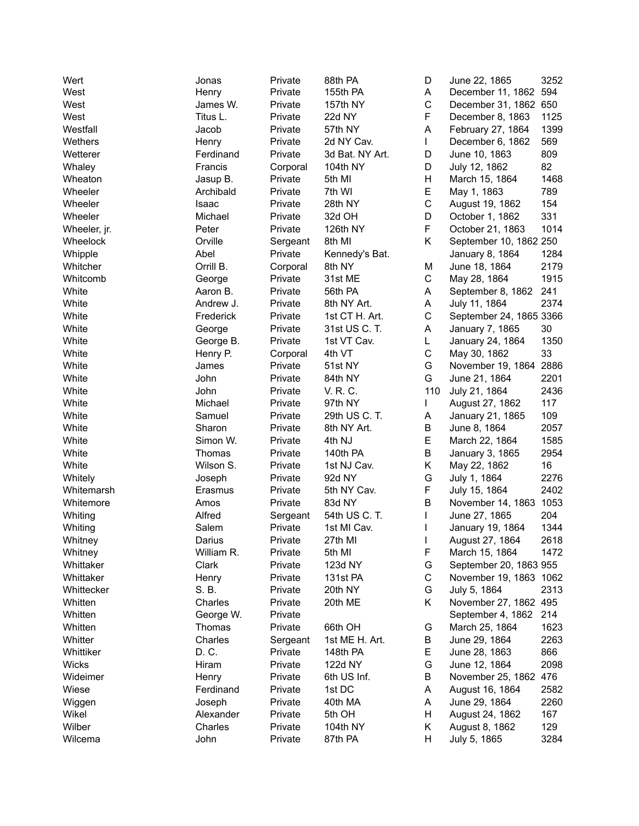| Wert         | Jonas      | Private  | 88th PA         | D           | June 22, 1865           | 3252 |
|--------------|------------|----------|-----------------|-------------|-------------------------|------|
| West         | Henry      | Private  | 155th PA        | Α           | December 11, 1862       | 594  |
| West         | James W.   | Private  | 157th NY        | C           | December 31, 1862 650   |      |
| West         | Titus L.   | Private  | 22d NY          | F           | December 8, 1863        | 1125 |
| Westfall     | Jacob      | Private  | 57th NY         | A           | February 27, 1864       | 1399 |
| Wethers      | Henry      | Private  | 2d NY Cav.      | L           | December 6, 1862        | 569  |
| Wetterer     | Ferdinand  | Private  | 3d Bat. NY Art. | D           | June 10, 1863           | 809  |
| Whaley       | Francis    | Corporal | 104th NY        | D           | July 12, 1862           | 82   |
| Wheaton      | Jasup B.   | Private  | 5th MI          | Η           | March 15, 1864          | 1468 |
| Wheeler      | Archibald  | Private  | 7th WI          | E           | May 1, 1863             | 789  |
| Wheeler      | Isaac      | Private  | 28th NY         | $\mathsf C$ | August 19, 1862         | 154  |
| Wheeler      | Michael    | Private  | 32d OH          | D           | October 1, 1862         | 331  |
| Wheeler, jr. | Peter      | Private  | 126th NY        | F           | October 21, 1863        | 1014 |
| Wheelock     | Orville    | Sergeant | 8th MI          | Κ           | September 10, 1862 250  |      |
| Whipple      | Abel       | Private  | Kennedy's Bat.  |             | January 8, 1864         | 1284 |
| Whitcher     | Orrill B.  | Corporal | 8th NY          | Μ           | June 18, 1864           | 2179 |
| Whitcomb     | George     | Private  | 31st ME         | C           | May 28, 1864            | 1915 |
| White        | Aaron B.   | Private  | 56th PA         | A           | September 8, 1862       | 241  |
| White        | Andrew J.  | Private  | 8th NY Art.     | A           | July 11, 1864           | 2374 |
| White        | Frederick  | Private  | 1st CT H. Art.  | C           | September 24, 1865 3366 |      |
| White        | George     | Private  | 31st US C. T.   | Α           | January 7, 1865         | 30   |
| White        | George B.  | Private  | 1st VT Cav.     | L           | January 24, 1864        | 1350 |
| White        | Henry P.   | Corporal | 4th VT          | C           | May 30, 1862            | 33   |
| White        | James      | Private  | 51st NY         | G           | November 19, 1864       | 2886 |
| White        | John       |          | 84th NY         | G           | June 21, 1864           | 2201 |
| White        | John       | Private  | V. R. C.        | 110         |                         | 2436 |
|              |            | Private  |                 |             | July 21, 1864           | 117  |
| White        | Michael    | Private  | 97th NY         |             | August 27, 1862         |      |
| White        | Samuel     | Private  | 29th US C. T.   | Α           | January 21, 1865        | 109  |
| White        | Sharon     | Private  | 8th NY Art.     | В           | June 8, 1864            | 2057 |
| White        | Simon W.   | Private  | 4th NJ          | E           | March 22, 1864          | 1585 |
| White        | Thomas     | Private  | 140th PA        | B           | January 3, 1865         | 2954 |
| White        | Wilson S.  | Private  | 1st NJ Cav.     | Κ           | May 22, 1862            | 16   |
| Whitely      | Joseph     | Private  | 92d NY          | G           | July 1, 1864            | 2276 |
| Whitemarsh   | Erasmus    | Private  | 5th NY Cav.     | F           | July 15, 1864           | 2402 |
| Whitemore    | Amos       | Private  | 83d NY          | B           | November 14, 1863       | 1053 |
| Whiting      | Alfred     | Sergeant | 54th US C. T.   |             | June 27, 1865           | 204  |
| Whiting      | Salem      | Private  | 1st MI Cav.     |             | January 19, 1864        | 1344 |
| Whitney      | Darius     | Private  | 27th MI         |             | August 27, 1864         | 2618 |
| Whitney      | William R. | Private  | 5th MI          | F           | March 15, 1864          | 1472 |
| Whittaker    | Clark      | Private  | 123d NY         | G           | September 20, 1863 955  |      |
| Whittaker    | Henry      | Private  | 131st PA        | С           | November 19, 1863 1062  |      |
| Whittecker   | S. B.      | Private  | 20th NY         | G           | July 5, 1864            | 2313 |
| Whitten      | Charles    | Private  | 20th ME         | Κ           | November 27, 1862 495   |      |
| Whitten      | George W.  | Private  |                 |             | September 4, 1862       | 214  |
| Whitten      | Thomas     | Private  | 66th OH         | G           | March 25, 1864          | 1623 |
| Whitter      | Charles    | Sergeant | 1st ME H. Art.  | В           | June 29, 1864           | 2263 |
| Whittiker    | D. C.      | Private  | 148th PA        | Е           | June 28, 1863           | 866  |
| Wicks        | Hiram      | Private  | 122d NY         | G           | June 12, 1864           | 2098 |
| Wideimer     | Henry      | Private  | 6th US Inf.     | В           | November 25, 1862       | 476  |
| Wiese        | Ferdinand  | Private  | 1st DC          | Α           | August 16, 1864         | 2582 |
| Wiggen       | Joseph     | Private  | 40th MA         | A           | June 29, 1864           | 2260 |
| Wikel        | Alexander  | Private  | 5th OH          | Н           | August 24, 1862         | 167  |
| Wilber       | Charles    | Private  | 104th NY        | Κ           | August 8, 1862          | 129  |
| Wilcema      | John       | Private  | 87th PA         | н           | July 5, 1865            | 3284 |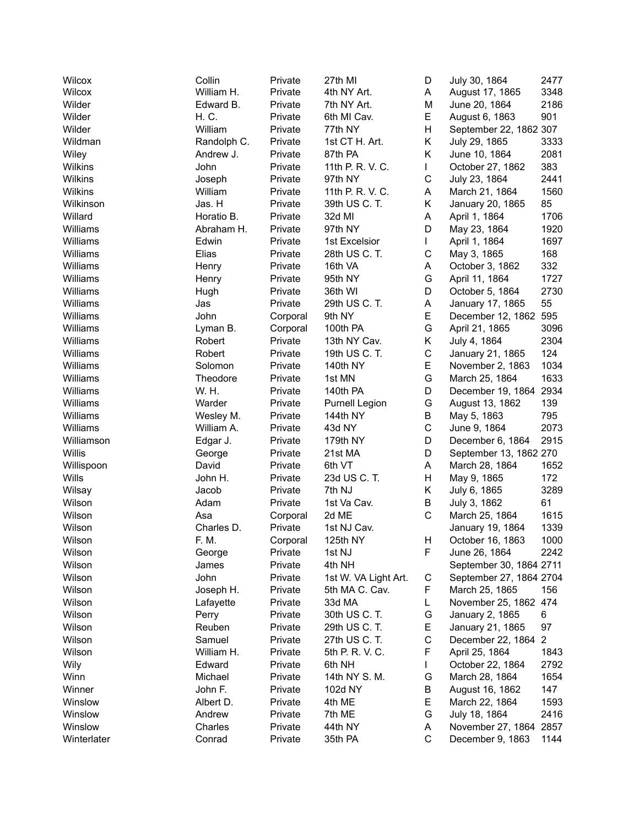| Wilcox      | Collin      | Private  | 27th MI              | D  | July 30, 1864           | 2477           |
|-------------|-------------|----------|----------------------|----|-------------------------|----------------|
| Wilcox      | William H.  | Private  | 4th NY Art.          | A  | August 17, 1865         | 3348           |
| Wilder      | Edward B.   | Private  | 7th NY Art.          | M  | June 20, 1864           | 2186           |
| Wilder      | H. C.       | Private  | 6th MI Cav.          | E  | August 6, 1863          | 901            |
| Wilder      | William     | Private  | 77th NY              | Η  | September 22, 1862 307  |                |
| Wildman     | Randolph C. | Private  | 1st CT H. Art.       | Κ  | July 29, 1865           | 3333           |
| Wiley       | Andrew J.   | Private  | 87th PA              | Κ  | June 10, 1864           | 2081           |
| Wilkins     | John        | Private  | 11th P. R. V. C.     | L  | October 27, 1862        | 383            |
| Wilkins     | Joseph      | Private  | 97th NY              | C  | July 23, 1864           | 2441           |
| Wilkins     | William     | Private  | 11th P. R. V. C.     | Α  | March 21, 1864          | 1560           |
| Wilkinson   | Jas. H      | Private  | 39th US C. T.        | Κ  | January 20, 1865        | 85             |
| Willard     | Horatio B.  | Private  | 32d MI               | А  | April 1, 1864           | 1706           |
| Williams    | Abraham H.  | Private  | 97th NY              | D  | May 23, 1864            | 1920           |
| Williams    | Edwin       | Private  | 1st Excelsior        | L  | April 1, 1864           | 1697           |
| Williams    | Elias       | Private  | 28th US C. T.        | С  | May 3, 1865             | 168            |
| Williams    | Henry       | Private  | 16th VA              | А  | October 3, 1862         | 332            |
| Williams    | Henry       | Private  | 95th NY              | G  | April 11, 1864          | 1727           |
| Williams    |             | Private  | 36th WI              | D  | October 5, 1864         |                |
| Williams    | Hugh        |          |                      |    |                         | 2730<br>55     |
|             | Jas         | Private  | 29th US C. T.        | Α  | January 17, 1865        |                |
| Williams    | John        | Corporal | 9th NY               | E  | December 12, 1862 595   |                |
| Williams    | Lyman B.    | Corporal | 100th PA             | G  | April 21, 1865          | 3096           |
| Williams    | Robert      | Private  | 13th NY Cav.         | K. | July 4, 1864            | 2304           |
| Williams    | Robert      | Private  | 19th US C. T.        | C  | January 21, 1865        | 124            |
| Williams    | Solomon     | Private  | 140th NY             | Е  | November 2, 1863        | 1034           |
| Williams    | Theodore    | Private  | 1st MN               | G  | March 25, 1864          | 1633           |
| Williams    | W. H.       | Private  | 140th PA             | D  | December 19, 1864       | 2934           |
| Williams    | Warder      | Private  | Purnell Legion       | G  | August 13, 1862         | 139            |
| Williams    | Wesley M.   | Private  | 144th NY             | B  | May 5, 1863             | 795            |
| Williams    | William A.  | Private  | 43d NY               | C  | June 9, 1864            | 2073           |
| Williamson  | Edgar J.    | Private  | 179th NY             | D  | December 6, 1864        | 2915           |
| Willis      | George      | Private  | 21st MA              | D  | September 13, 1862 270  |                |
| Willispoon  | David       | Private  | 6th VT               | A  | March 28, 1864          | 1652           |
| Wills       | John H.     | Private  | 23d US C. T.         | H  | May 9, 1865             | 172            |
| Wilsay      | Jacob       | Private  | 7th NJ               | K. | July 6, 1865            | 3289           |
| Wilson      | Adam        | Private  | 1st Va Cav.          | B  | July 3, 1862            | 61             |
| Wilson      | Asa         | Corporal | 2d ME                | C  | March 25, 1864          | 1615           |
| Wilson      | Charles D.  | Private  | 1st NJ Cav.          |    | January 19, 1864        | 1339           |
| Wilson      | F. M.       | Corporal | 125th NY             | H  | October 16, 1863        | 1000           |
| Wilson      | George      | Private  | 1st NJ               | F  | June 26, 1864           | 2242           |
| Wilson      | James       | Private  | 4th NH               |    | September 30, 1864 2711 |                |
| Wilson      | John        | Private  | 1st W. VA Light Art. | C  | September 27, 1864 2704 |                |
| Wilson      | Joseph H.   | Private  | 5th MA C. Cav.       | F  | March 25, 1865          | 156            |
| Wilson      | Lafayette   | Private  | 33d MA               | L  | November 25, 1862 474   |                |
| Wilson      | Perry       | Private  | 30th US C. T.        | G  | January 2, 1865         | 6              |
| Wilson      | Reuben      | Private  | 29th US C. T.        | Е  | January 21, 1865        | 97             |
| Wilson      | Samuel      | Private  | 27th US C. T.        | C  | December 22, 1864       | $\overline{2}$ |
| Wilson      | William H.  | Private  | 5th P. R. V. C.      | F  | April 25, 1864          | 1843           |
| Wily        | Edward      | Private  | 6th NH               | L  | October 22, 1864        | 2792           |
| Winn        | Michael     | Private  | 14th NY S. M.        | G  | March 28, 1864          | 1654           |
| Winner      | John F.     | Private  | 102d NY              | В  | August 16, 1862         | 147            |
| Winslow     | Albert D.   | Private  | 4th ME               | E  | March 22, 1864          | 1593           |
| Winslow     | Andrew      | Private  | 7th ME               | G  | July 18, 1864           | 2416           |
| Winslow     | Charles     | Private  | 44th NY              | A  | November 27, 1864 2857  |                |
| Winterlater | Conrad      | Private  | 35th PA              | С  | December 9, 1863        | 1144           |
|             |             |          |                      |    |                         |                |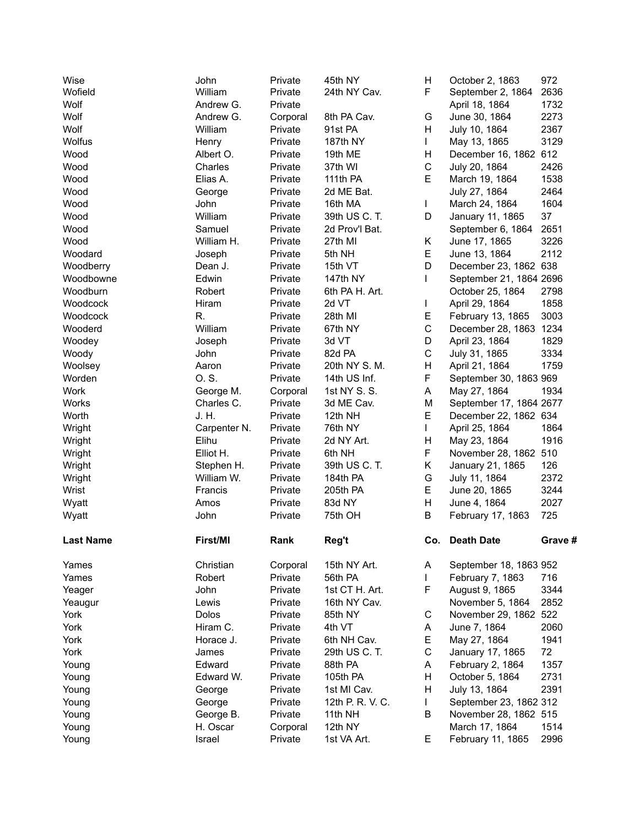| Wise<br>Wofield |                  | John<br>William | Private<br>Private | 45th NY<br>24th NY Cav. | Н<br>F.      | October 2, 1863<br>September 2, 1864 | 972<br>2636 |
|-----------------|------------------|-----------------|--------------------|-------------------------|--------------|--------------------------------------|-------------|
| Wolf            |                  | Andrew G.       | Private            |                         |              | April 18, 1864                       | 1732        |
| Wolf            |                  | Andrew G.       | Corporal           | 8th PA Cav.             | G            | June 30, 1864                        | 2273        |
| Wolf            |                  | William         | Private            | 91st PA                 | H            | July 10, 1864                        | 2367        |
| Wolfus          |                  | Henry           | Private            | 187th NY                | $\mathbf{L}$ | May 13, 1865                         | 3129        |
| Wood            |                  | Albert O.       | Private            | 19th ME                 | Н            | December 16, 1862 612                |             |
| Wood            |                  | Charles         | Private            | 37th WI                 | $\mathsf C$  | July 20, 1864                        | 2426        |
| Wood            |                  | Elias A.        | Private            | 111th PA                | E            | March 19, 1864                       | 1538        |
| Wood            |                  | George          | Private            | 2d ME Bat.              |              | July 27, 1864                        | 2464        |
| Wood            |                  | John            | Private            | 16th MA                 | L            | March 24, 1864                       | 1604        |
| Wood            |                  | William         | Private            | 39th US C. T.           | D            | January 11, 1865                     | 37          |
| Wood            |                  | Samuel          | Private            | 2d Prov'l Bat.          |              | September 6, 1864                    | 2651        |
| Wood            |                  | William H.      | Private            | 27th MI                 | Κ            | June 17, 1865                        | 3226        |
|                 | Woodard          | Joseph          | Private            | 5th NH                  | E            | June 13, 1864                        | 2112        |
|                 | Woodberry        | Dean J.         | Private            | 15th VT                 | D            | December 23, 1862 638                |             |
|                 | Woodbowne        | Edwin           | Private            | 147th NY                | L            | September 21, 1864 2696              |             |
|                 | Woodburn         | Robert          | Private            | 6th PA H. Art.          |              | October 25, 1864                     | 2798        |
|                 | Woodcock         | Hiram           | Private            | 2d VT                   | L            | April 29, 1864                       | 1858        |
|                 | Woodcock         | R.              | Private            | 28th MI                 | E            | February 13, 1865                    | 3003        |
|                 | Wooderd          | William         | Private            | 67th NY                 | $\mathsf C$  | December 28, 1863 1234               |             |
| Woodey          |                  | Joseph          | Private            | 3d VT                   | D            | April 23, 1864                       | 1829        |
| Woody           |                  | John            | Private            | 82d PA                  | $\mathsf C$  | July 31, 1865                        | 3334        |
| Woolsey         |                  | Aaron           | Private            | 20th NY S. M.           | H            | April 21, 1864                       | 1759        |
| Worden          |                  | O.S.            | Private            | 14th US Inf.            | F            | September 30, 1863 969               |             |
| Work            |                  | George M.       | Corporal           | 1st NY S. S.            | A            | May 27, 1864                         | 1934        |
| Works           |                  | Charles C.      | Private            | 3d ME Cav.              | M            | September 17, 1864 2677              |             |
| Worth           |                  | J. H.           | Private            | 12th NH                 | E            | December 22, 1862 634                |             |
| Wright          |                  | Carpenter N.    | Private            | 76th NY                 | L            | April 25, 1864                       | 1864        |
| Wright          |                  | Elihu           | Private            | 2d NY Art.              | H            | May 23, 1864                         | 1916        |
| Wright          |                  | Elliot H.       | Private            | 6th NH                  | F            | November 28, 1862                    | 510         |
| Wright          |                  | Stephen H.      | Private            | 39th US C. T.           | K.           | January 21, 1865                     | 126         |
| Wright          |                  | William W.      | Private            | 184th PA                | G            | July 11, 1864                        | 2372        |
| Wrist           |                  | Francis         | Private            | 205th PA                | E            | June 20, 1865                        | 3244        |
| Wyatt           |                  | Amos            | Private            | 83d NY                  | H            | June 4, 1864                         | 2027        |
| Wyatt           |                  | John            | Private            | 75th OH                 | B            | February 17, 1863                    | 725         |
|                 |                  |                 |                    |                         |              |                                      |             |
|                 | <b>Last Name</b> | First/MI        | Rank               | Reg't                   | Co.          | <b>Death Date</b>                    | Grave #     |
| Yames           |                  | Christian       | Corporal           | 15th NY Art.            | A            | September 18, 1863 952               |             |
| Yames           |                  | Robert          | Private            | 56th PA                 | L            | February 7, 1863                     | 716         |
| Yeager          |                  | John            | Private            | 1st CT H. Art.          | F            | August 9, 1865                       | 3344        |
| Yeaugur         |                  | Lewis           | Private            | 16th NY Cav.            |              | November 5, 1864                     | 2852        |
| York            |                  | Dolos           | Private            | 85th NY                 | $\mathsf{C}$ | November 29, 1862 522                |             |
| York            |                  | Hiram C.        | Private            | 4th VT                  | Α            | June 7, 1864                         | 2060        |
| York            |                  | Horace J.       | Private            | 6th NH Cav.             | E            | May 27, 1864                         | 1941        |
| York            |                  | James           | Private            | 29th US C. T.           | C            | January 17, 1865                     | 72          |
| Young           |                  | Edward          | Private            | 88th PA                 | A            | February 2, 1864                     | 1357        |
| Young           |                  | Edward W.       | Private            | 105th PA                | H            | October 5, 1864                      | 2731        |
|                 |                  |                 |                    |                         |              |                                      |             |
| Young           |                  | George          | Private            | 1st MI Cav.             | H            | July 13, 1864                        | 2391        |
| Young           |                  | George          | Private            | 12th P. R. V. C.        | L            | September 23, 1862 312               |             |
| Young           |                  | George B.       | Private            | 11th NH                 | B            | November 28, 1862 515                |             |
| Young           |                  | H. Oscar        | Corporal           | 12th NY                 |              | March 17, 1864                       | 1514        |
| Young           |                  | Israel          | Private            | 1st VA Art.             | E            | February 11, 1865                    | 2996        |